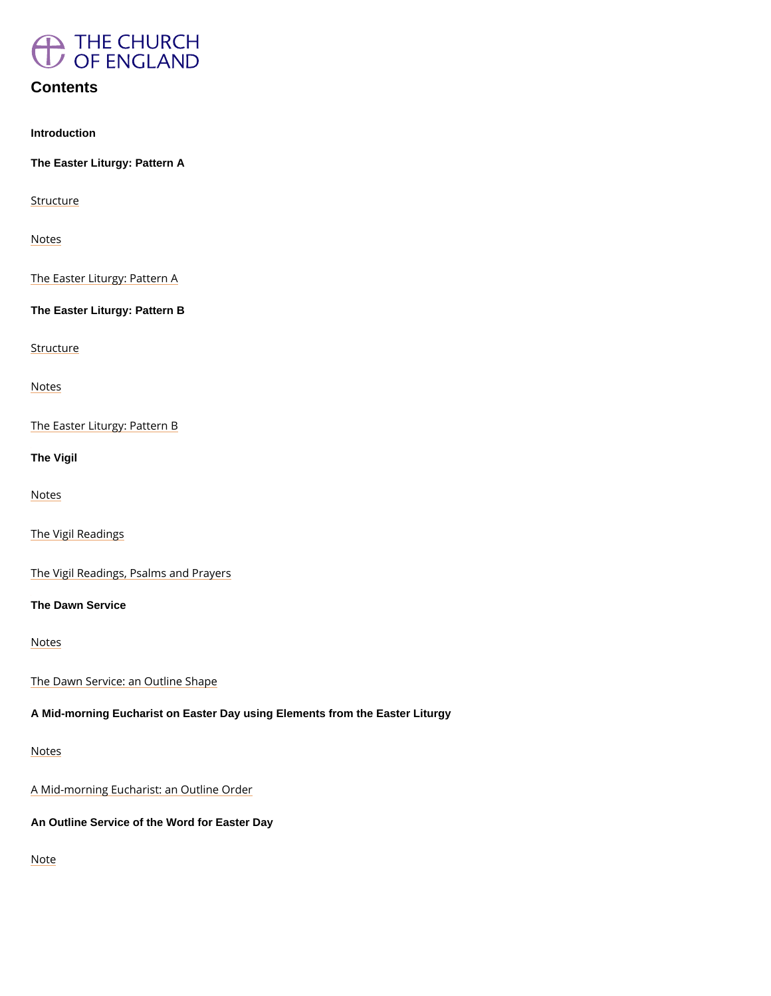

### **Contents**

Introduction

The Easter Liturgy: Pattern A

**[Struct](#page-5-0)ure** 

Notes

The Easter Liturgy: Pattern A

The Easter Liturgy: Pattern B

**[Struct](#page-29-0)ure** 

Notes

The Easter Liturgy: Pattern B

The Vigil

Notes

The Vigil Readings

The Vigil Readings, Psalms and Prayers

The Dawn Service

Notes

The Dawn Service: an Outline Shape

A Mid-morning Eucharist on Easter Day using Elements from the Easter Liturgy



### A Mid-morning Eucharist: an Outline Order

An Outline Service of the Word for Easter Day

Note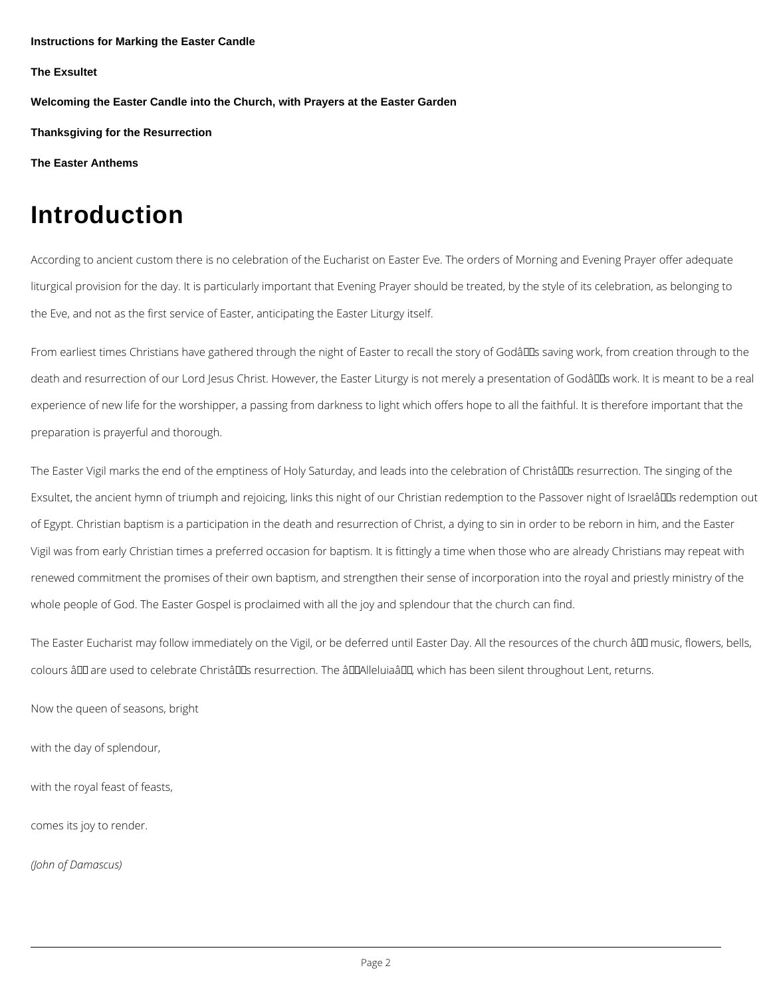Instructions for Marking the Easter Candle

The Exsultet

Welcoming the Easter Candle into the Church, with Prayers at the Easter Garden

Thanksgiving for the Resurrection

[The Easter Anthems](#page-125-0)

# Introduction

According to ancient custom there is no celebration of the Eucharist on Easter Eve. The orde liturgical provision for the day. It is particularly important that Evening Prayer should be tre the Eve, and not as the first service of Easter, anticipating the Easter Liturgy itself.

From earliest times Christians have gathered through the night of Easter to recall the story of death and resurrection of our Lord Jesus Christ. However, the Easter Liturgy is not merely a experience of new life for the worshipper, a passing from darkness to light which offers hope preparation is prayerful and thorough.

The Easter Vigil marks the end of the emptiness of Holy Saturday, and leads into the celebra Exsultet, the ancient hymn of triumph and rejoicing, links this night of our Christian redempt of Egypt. Christian baptism is a participation in the death and resurrection of Christ, a dying Vigil was from early Christian times a preferred occasion for baptism. It is fittingly a time w renewed commitment the promises of their own baptism, and strengthen their sense of incorp whole people of God. The Easter Gospel is proclaimed with all the joy and splendour that the

The Easter Eucharist may follow immediately on the Vigil, or be deferred until Easter Day. A colours – are used to celebrate Christ's resurrection. The â€~Alleluia', which has b

with the day of splendour,

with the royal feast of feasts,

comes its joy to render.

(John of Damascus)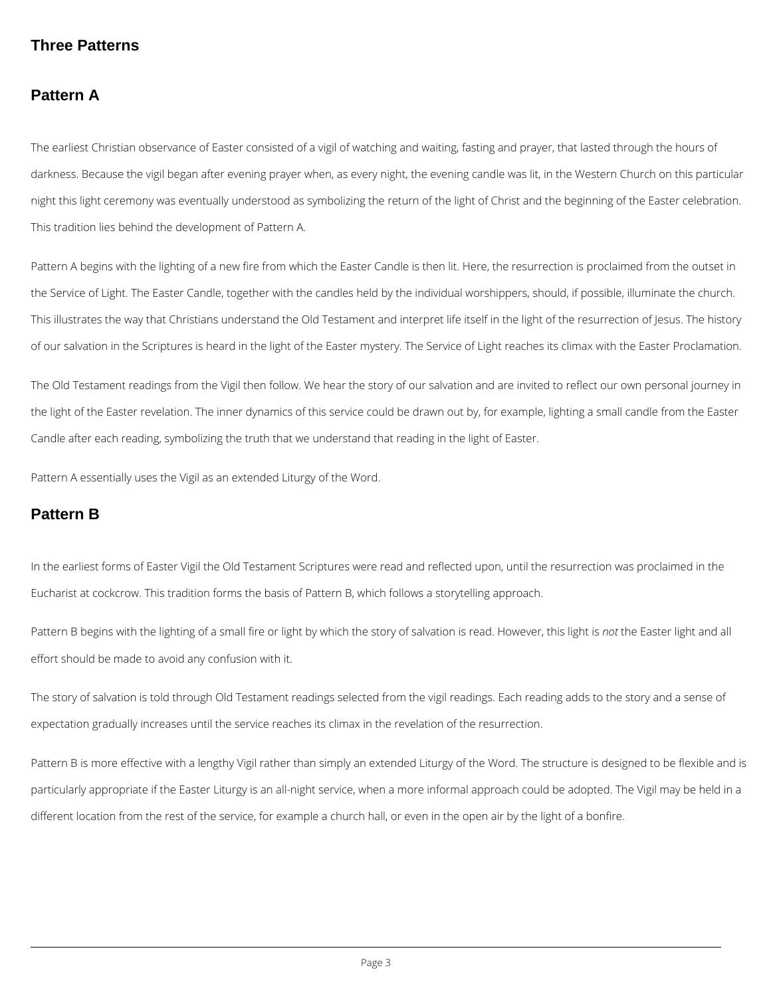### **Three Patterns**

### **Pattern A**

The earliest Christian observance of Easter consisted of a vigil of watching and waiting, fasting and prayer, that lasted through the hours of darkness. Because the vigil began after evening prayer when, as every night, the evening candle was lit, in the Western Church on this particular night this light ceremony was eventually understood as symbolizing the return of the light of Christ and the beginning of the Easter celebration. This tradition lies behind the development of Pattern A.

Pattern A begins with the lighting of a new fire from which the Easter Candle is then lit. Here, the resurrection is proclaimed from the outset in the Service of Light. The Easter Candle, together with the candles held by the individual worshippers, should, if possible, illuminate the church. This illustrates the way that Christians understand the Old Testament and interpret life itself in the light of the resurrection of Jesus. The history of our salvation in the Scriptures is heard in the light of the Easter mystery. The Service of Light reaches its climax with the Easter Proclamation.

The Old Testament readings from the Vigil then follow. We hear the story of our salvation and are invited to reflect our own personal journey in the light of the Easter revelation. The inner dynamics of this service could be drawn out by, for example, lighting a small candle from the Easter Candle after each reading, symbolizing the truth that we understand that reading in the light of Easter.

Pattern A essentially uses the Vigil as an extended Liturgy of the Word.

### **Pattern B**

In the earliest forms of Easter Vigil the Old Testament Scriptures were read and reflected upon, until the resurrection was proclaimed in the Eucharist at cockcrow. This tradition forms the basis of Pattern B, which follows a storytelling approach.

Pattern B begins with the lighting of a small fire or light by which the story of salvation is read. However, this light is *not* the Easter light and all effort should be made to avoid any confusion with it.

The story of salvation is told through Old Testament readings selected from the vigil readings. Each reading adds to the story and a sense of expectation gradually increases until the service reaches its climax in the revelation of the resurrection.

Pattern B is more effective with a lengthy Vigil rather than simply an extended Liturgy of the Word. The structure is designed to be flexible and is

particularly appropriate if the Easter Liturgy is an all-night service, when a more informal approach could be adopted. The Vigil may be held in a

different location from the rest of the service, for example a church hall, or even in the open air by the light of a bonfire.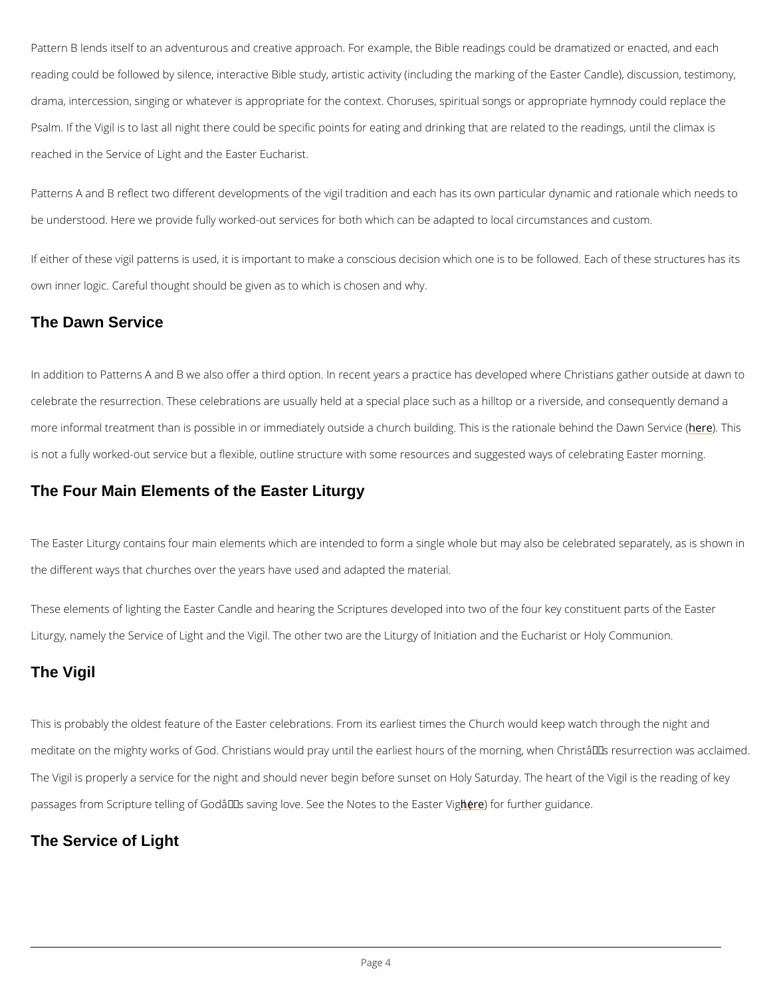Pattern B lends itself to an adventurous and creative approach. For example, the Bible readi reading could be followed by silence, interactive Bible study, artistic activity (including the drama, intercession, singing or whatever is appropriate for the context. Choruses, spiritual s Psalm. If the Vigil is to last all night there could be specific points for eating and drinking t reached in the Service of Light and the Easter Eucharist.

Patterns A and B reflect two different developments of the vigil tradition and each has its ow be understood. Here we provide fully worked-out services for both which can be adapted to le

If either of these vigil patterns is used, it is important to make a conscious decision which o own inner logic. Careful thought should be given as to which is chosen and why.

The Easter Liturgy contains four main elements which are intended to form a single whole bu the different ways that churches over the years have used and adapted the material.

These elements of lighting the Easter Candle and hearing the Scriptures developed into two Liturgy, namely the Service of Light and the Vigil. The other two are the Liturgy of Initiation

### The Dawn Service

In addition to Patterns A and B we also offer a third option. In recent years a practice has d celebrate the resurrection. These celebrations are usually held at a special place such as a more informal treatment than is possible in or immediately outside a church buildinhger). This is not a fully worked-out service but a flexible, outline structure with some resources and su

### The Four Main Elements of the Easter Liturgy

### The Vigil

This is probably the oldest feature of the Easter celebrations. From its earliest times the Ch

meditate on the mighty works of God. Christians would pray until the earliest hours of the mo

The Vigil is properly a service for the night and should never begin before sunset on Holy Saturday

passages from Scripture telling of God's saving lovhee.r)Sefeœr thuert Nioentegsuitoolathcee.Easter Vigil (

The Service of Light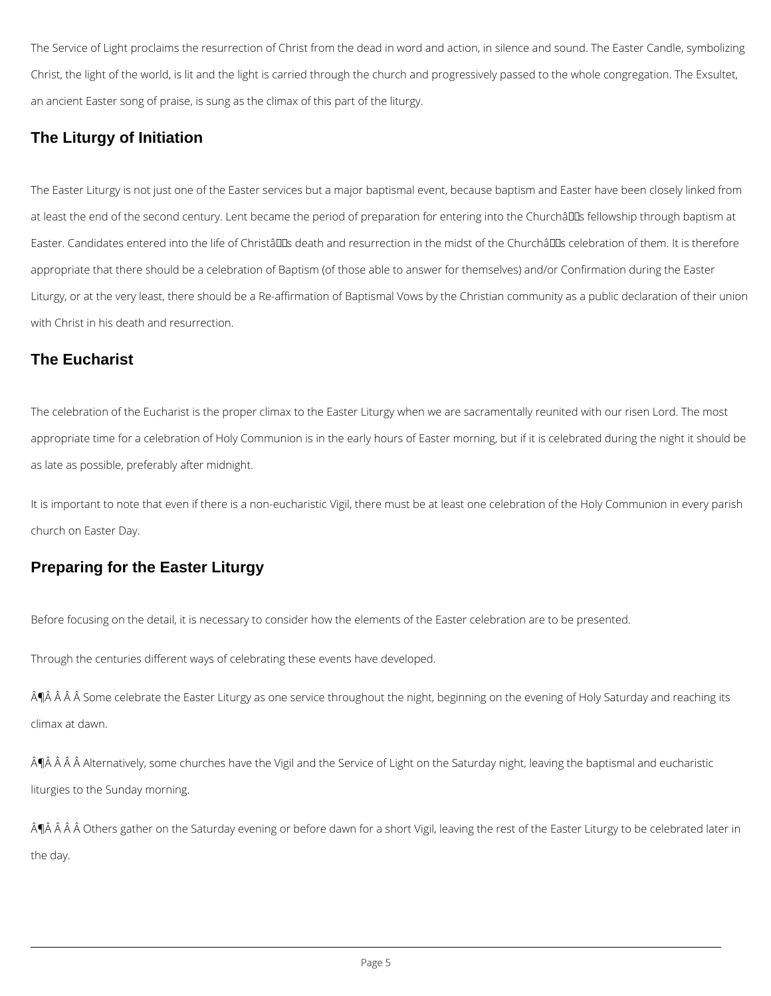The Service of Light proclaims the resurrection of Christ from the dead in word and action, in silence and sound. The Easter Candle, symbolizing Christ, the light of the world, is lit and the light is carried through the church and progressively passed to the whole congregation. The Exsultet, an ancient Easter song of praise, is sung as the climax of this part of the liturgy.

### **The Liturgy of Initiation**

The Easter Liturgy is not just one of the Easter services but a major baptismal event, because baptism and Easter have been closely linked from at least the end of the second century. Lent became the period of preparation for entering into the Churchâll Is fellowship through baptism at Easter. Candidates entered into the life of Christâlles death and resurrection in the midst of the Churchâlles celebration of them. It is therefore appropriate that there should be a celebration of Baptism (of those able to answer for themselves) and/or Confirmation during the Easter Liturgy, or at the very least, there should be a Re-affirmation of Baptismal Vows by the Christian community as a public declaration of their union with Christ in his death and resurrection.

¶Â Â Â Â Some celebrate the Easter Liturgy as one service throughout the night, beginning on the evening of Holy Saturday and reaching its climax at dawn.

¶Â Â Â Â Alternatively, some churches have the Vigil and the Service of Light on the Saturday night, leaving the baptismal and eucharistic

### **The Eucharist**

The celebration of the Eucharist is the proper climax to the Easter Liturgy when we are sacramentally reunited with our risen Lord. The most appropriate time for a celebration of Holy Communion is in the early hours of Easter morning, but if it is celebrated during the night it should be as late as possible, preferably after midnight.

It is important to note that even if there is a non-eucharistic Vigil, there must be at least one celebration of the Holy Communion in every parish church on Easter Day.

## **Preparing for the Easter Liturgy**

Before focusing on the detail, it is necessary to consider how the elements of the Easter celebration are to be presented.

Through the centuries different ways of celebrating these events have developed.

liturgies to the Sunday morning.

¶Â Â Â Ô Others gather on the Saturday evening or before dawn for a short Vigil, leaving the rest of the Easter Liturgy to be celebrated later in

the day.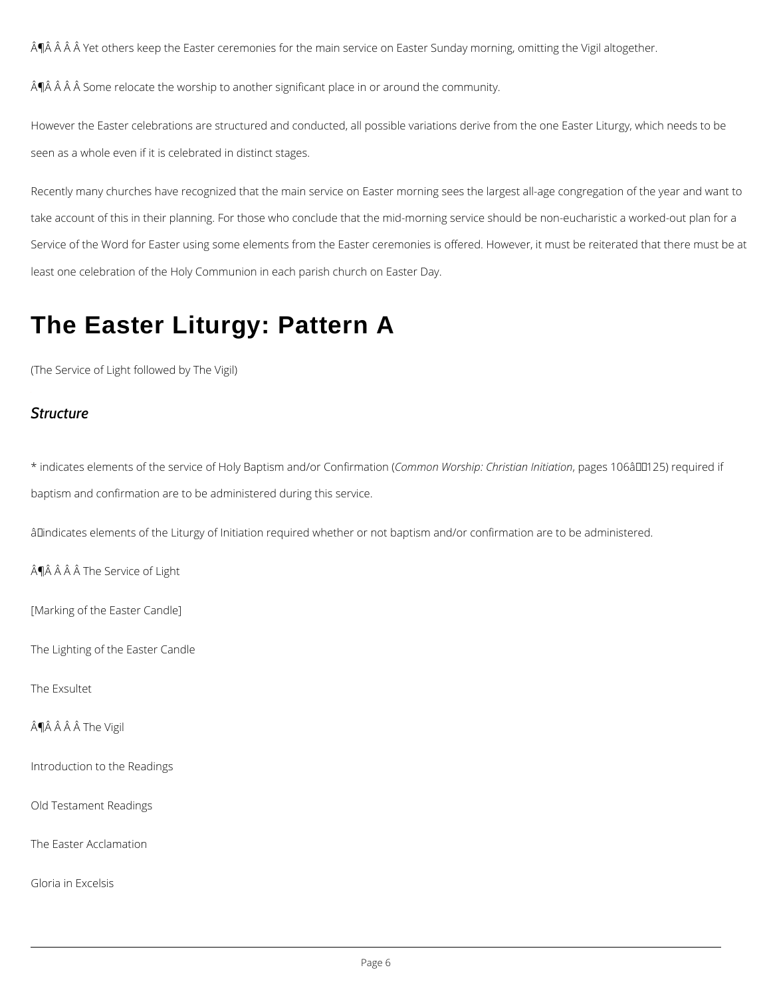<span id="page-5-0"></span>Â∯ Â Â Â Yet others keep the Easter ceremonies for the main service on Easter Sunday morr

 $\tilde{A}$   $\tilde{B}$   $\tilde{A}$   $\tilde{A}$   $\tilde{A}$   $\tilde{B}$   $\tilde{A}$   $\tilde{B}$  cassace the worship to another significant place in or around the community.

However the Easter celebrations are structured and conducted, all possible variations derive seen as a whole even if it is celebrated in distinct stages.

Recently many churches have recognized that the main service on Easter morning sees the la take account of this in their planning. For those who conclude that the mid-morning service s Service of the Word for Easter using some elements from the Easter ceremonies is offered. F least one celebration of the Holy Communion in each parish church on Easter Day.

 $*$  indicates elements of the service of Holy Ba $\beta$ toism moam dWoorsChoipn:fiChrhaitsitpinaanonfelss it iOa6täo€n"125) requ baptism and confirmation are to be administered during this service.

 $\hat{a}$   $\in$  ndicates elements of the Liturgy of Initiation required whether or not baptism and/or confi

 $\hat{A}$   $\hat{P}$   $\hat{A}$   $\hat{A}$   $\hat{A}$   $\hat{A}$  The Service of Light

# The Easter Liturgy: Pattern A

(The Service of Light followed by The Vigil)

### Structure

[Marking of the Easter Candle]

The Lighting of the Easter Candle

The Exsultet

 $\hat{A}$   $\hat{B}$   $\hat{A}$   $\hat{A}$   $\hat{A}$  The Vigil

Introduction to the Readings

Old Testament Readings

The Easter Acclamation

Gloria in Excelsis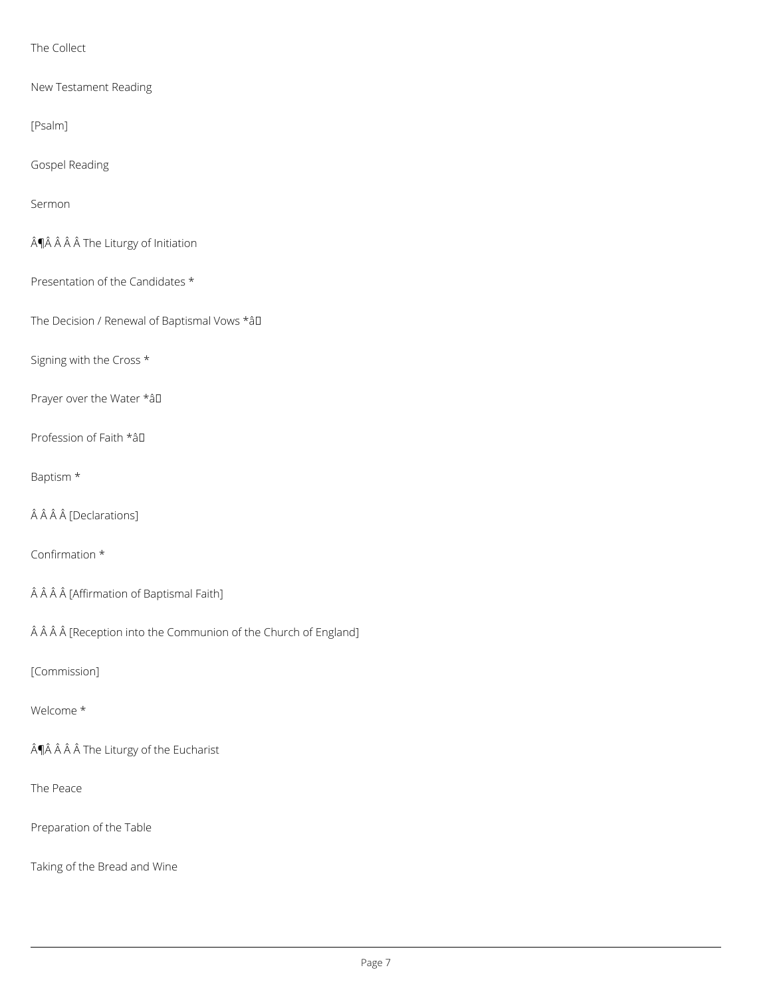### The Collect

New Testament Reading

[Psalm]

Gospel Reading

Sermon

 $\hat{A}$ ¶Â $\hat{A}$  $\hat{A}$  $\hat{A}$  The Liturgy of Initiation

Presentation of the Candidates \*

The Decision / Renewal of Baptismal Vows \*âD

Signing with the Cross \*

Prayer over the Water \* aD

Profession of Faith \*âD

### Baptism \*

 $\hat{A} \hat{A} \hat{A}$  [Declarations]

Confirmation \*

ÂÂÂÂ [Affirmation of Baptismal Faith]

ÂÂÂÂ [Reception into the Communion of the Church of England]

### [Commission]

#### Welcome \*

 $\hat{A}$ ¶ $\hat{A}$   $\hat{A}$   $\hat{A}$   $\hat{A}$  The Liturgy of the Eucharist

The Peace

Preparation of the Table

Taking of the Bread and Wine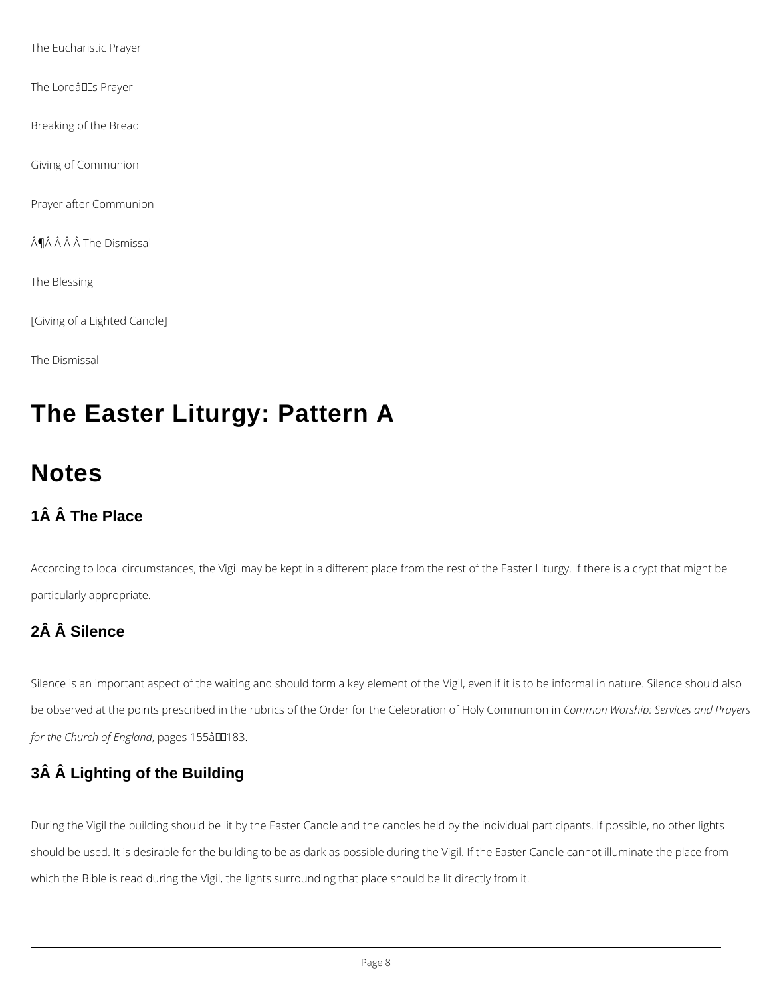The Eucharistic Prayer

The LordâllS Prayer

Breaking of the Bread

Giving of Communion

Prayer after Communion

¶Â Â Â Â The Dismissal

The Blessing

[Giving of a Lighted Candle]

The Dismissal

# **The Easter Liturgy: Pattern A**

Silence is an important aspect of the waiting and should form a key element of the Vigil, even if it is to be informal in nature. Silence should also be observed at the points prescribed in the rubrics of the Order for the Celebration of Holy Communion in *Common Worship: Services and Prayers for the Church of England*, pages 155â00183.

# **Notes**

# **1Â Â The Place**

According to local circumstances, the Vigil may be kept in a different place from the rest of the Easter Liturgy. If there is a crypt that might be particularly appropriate.

# **2Â Â Silence**

# **3Â Â Lighting of the Building**

During the Vigil the building should be lit by the Easter Candle and the candles held by the individual participants. If possible, no other lights

should be used. It is desirable for the building to be as dark as possible during the Vigil. If the Easter Candle cannot illuminate the place from

which the Bible is read during the Vigil, the lights surrounding that place should be lit directly from it.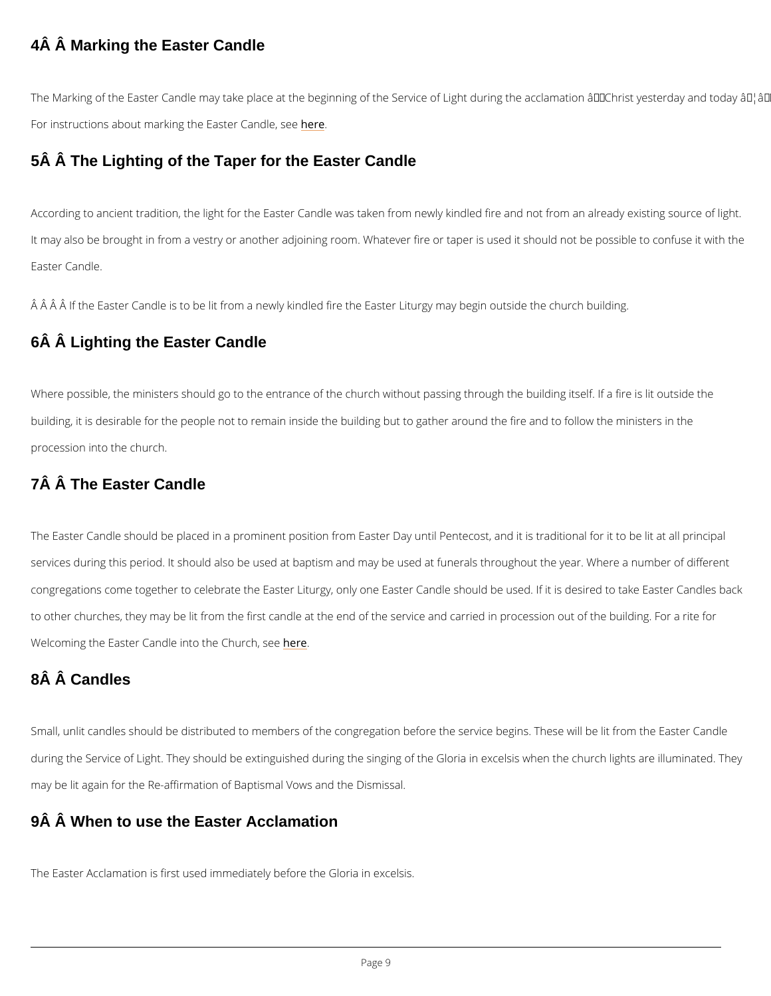### 4Â Â Marking the Easter Candle

The Marking of the Easter Candle may take place at the beginning of the Service of Light dui For instructions about marking the  $h$   $\overline{E}$  as ter Candle, see

### 5Â Â The Lighting of the Taper for the Easter Candle

According to ancient tradition, the light for the Easter Candle was taken from newly kindled It may also be brought in from a vestry or another adjoining room. Whatever fire or taper is possible to confu Easter Candle.

 $\hat{\sf A}\,\; \hat{\sf A}\,$   $\hat{\sf A}\,$   $\hat{\sf A}\,$  if the Easter Candle is to be lit from a newly kindled fire the Easter Liturgy may beg 6Â Â Lighting the Easter Candle

Where possible, the ministers should go to the entrance of the church without passing throug building, it is desirable for the people not to remain inside the building but to gather around procession into the church.

### 7Â Â The Easter Candle

The Easter Candle should be placed in a prominent position from Easter Day until Pentecost, services during this period. It should also be used at baptism and may be used at funerals th congregations come together to celebrate the Easter Liturgy, only one Easter Candle should to other churches, they may be lit from the first candle at the end of the service and carried Welcoming the Easter Candle into the Church, see

### 8Â Â Candles

Small, unlit candles should be distributed to members of the congregation before the service

during the Service of Light. They should be extinguished during the singing of the Gloria in

may be lit again for the Re-affirmation of Baptismal Vows and the Dismissal.

### 9Â Â When to use the Easter Acclamation

### The Easter Acclamation is first used immediately before the Gloria in excelsis.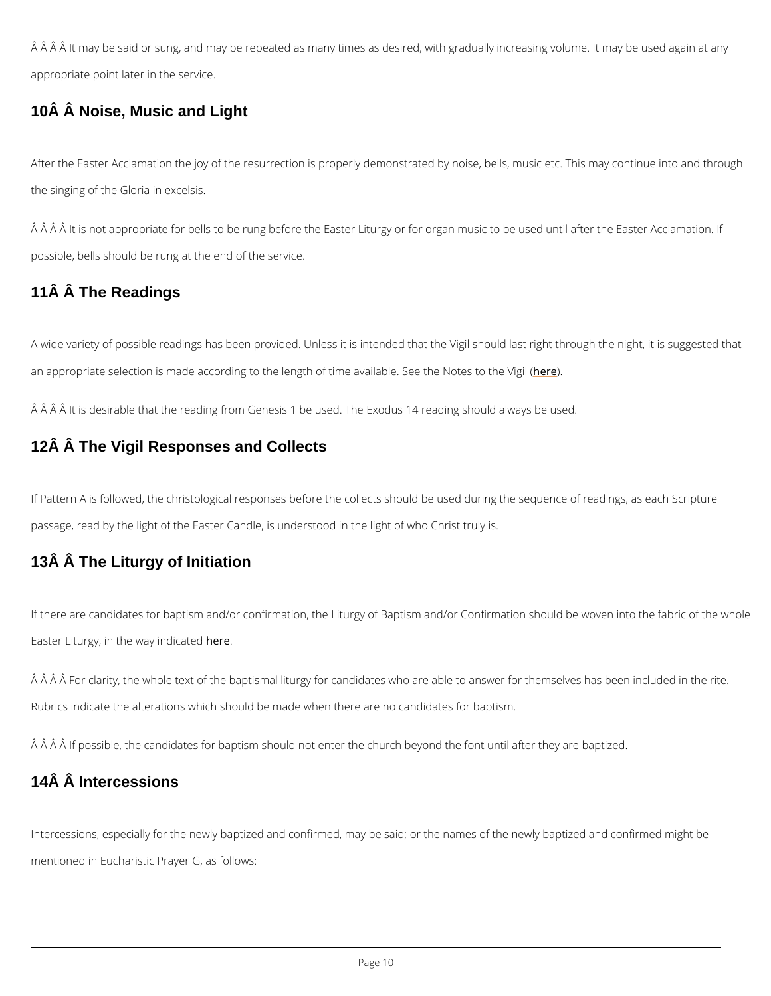$\hat{A}$   $\hat{A}$   $\hat{A}$   $\hat{A}$  it may be said or sung, and may be repeated as many times as desired, with gradual appropriate point later in the service.

### 10Â Â Noise, Music and Light

After the Easter Acclamation the joy of the resurrection is properly demonstrated by noise, b the singing of the Gloria in excelsis.

 $\hat{\textsf{A}}$   $\hat{\textsf{A}}$   $\hat{\textsf{A}}$   $\hat{\textsf{A}}$  it is not appropriate for bells to be rung before the Easter Liturgy or for organ musion. possible, bells should be rung at the end of the service.

### 11Â Â The Readings

A wide variety of possible readings has been provided. Unless it is intended that the Vigil should last right an appropriate selection is made according to the length of time expeailable. See the Notes to

 $\rm \AA$   $\rm \AA$   $\rm \AA$   $\rm \AA$  it is desirable that the reading from Genesis 1 be used. The Exodus 14 reading shou

### 12Â Â The Vigil Responses and Collects

If Pattern A is followed, the christological responses before the collects should be used duri passage, read by the light of the Easter Candle, is understood in the light of who Christ trul

### 13Â Â The Liturgy of Initiation

If there are candidates for baptism and/or confirmation, the Liturgy of Baptism and/or Confir Easter Liturgy, in the wearye indicated

 $\hat{A}$   $\hat{A}$   $\hat{A}$   $\hat{A}$   $\hat{B}$  for clarity, the whole text of the baptismal liturgy for candidates who are able to an Rubrics indicate the alterations which should be made when there are no candidates for bapt

 $\rm \AA$   $\rm \AA$   $\rm \AA$   $\rm \AA$  if possible, the candidates for baptism should not enter the church beyond the font  $\rm u$ 

# 14Â Â Intercessions

Intercessions, especially for the newly baptized and confirmed, may be said; or the names of

mentioned in Eucharistic Prayer G, as follows: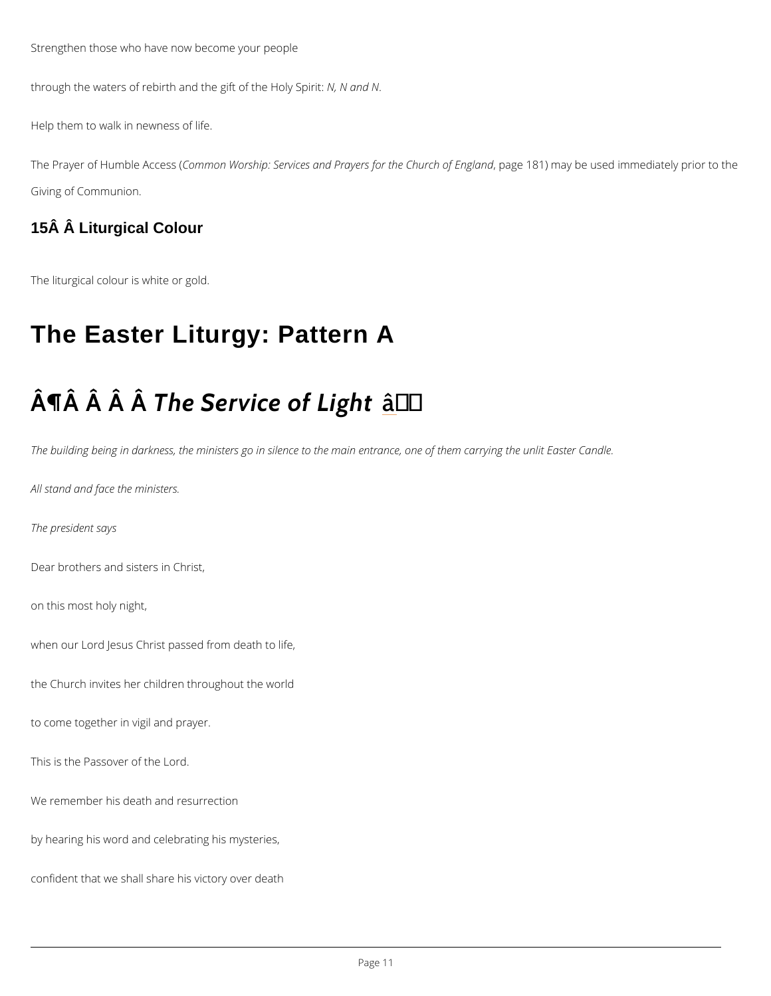Strengthen those who have now become your people

through the waters of rebirth and the Mg, if N cafn the Holy Spirit:

Help them to walk in newness of life.

The Prayer of Humb CleemAno ceas & Yo(rship: Services and Prayers, fppagtehe1 &C1h) un mcahy obfe Eunsgelad nichn mediate Giving of Communion.

15Â Â Liturgical Colour

The liturgical colour is white or gold.

# The Easter Liturgy: Pattern A

# $\hat{A}$   $\P$  $\hat{A}$   $\hat{A}$   $\hat{A}$   $\hat{B}$   $\hat{B}$   $\hat{C}$   $\hat{C}$   $\hat{C}$   $\hat{C}$   $\hat{C}$   $\hat{C}$   $\hat{C}$   $\hat{C}$   $\hat{C}$   $\hat{C}$   $\hat{C}$   $\hat{C}$   $\hat{C}$   $\hat{C}$   $\hat{C}$   $\hat{C}$   $\hat{C}$   $\hat{C}$   $\hat{C}$   $\hat{C}$   $\hat{C}$   $\hat$

The building being in darkness, the ministers go in silence to the main entrance, one of them

All stand and face the ministers.

The president says

Dear brothers and sisters in Christ,

on this most holy night,

when our Lord Jesus Christ passed from death to life,

the Church invites her children throughout the world

to come together in vigil and prayer.

This is the Passover of the Lord.

We remember his death and resurrection

by hearing his word and celebrating his mysteries,

confident that we shall share his victory over death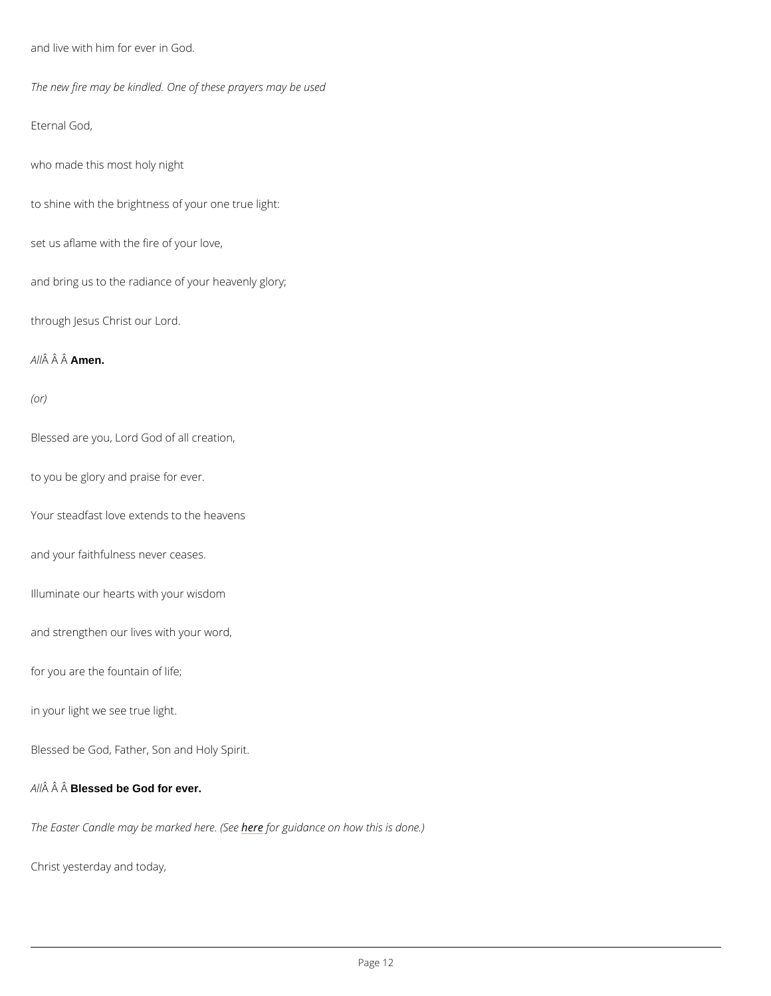and live with him for ever in God. The new fire may be kindled. One of these prayers may be used Eternal God, who made this most holy night to shine with the brightness of your one true light: set us aflame with the fire of your love, and bring us to the radiance of your heavenly glory; through Jesus Christ our Lord. A  $\hat{A}$   $\hat{A}$   $A \hat{B}$   $en$ . (or) Blessed are you, Lord God of all creation, to you be glory and praise for ever. Your steadfast love extends to the heavens and your faithfulness never ceases. Illuminate our hearts with your wisdom and strengthen our lives with your word, for you are the fountain of life; in your light we see true light.

Blessed be God, Father, Son and Holy Spirit.

A  $\hat{A}$   $\hat{A}$  B $\hat{B}$ ssed be God for ever.

The Easter Candle may be mearnethoerd glued and Secent how this is done.)

Christ yesterday and today,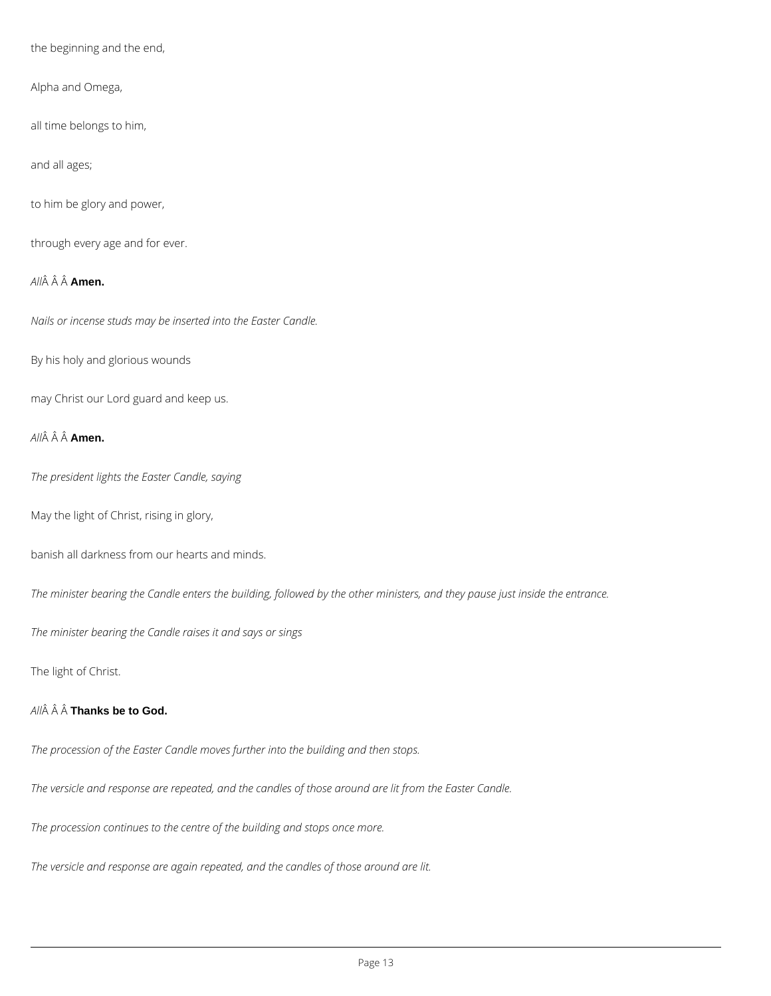the beginning and the end,

Alpha and Omega,

all time belongs to him,

and all ages;

to him be glory and power,

through every age and for ever.

*All* **Amen.**

*Nails or incense studs may be inserted into the Easter Candle.*

By his holy and glorious wounds

may Christ our Lord guard and keep us.

*All* **Amen.**

*The president lights the Easter Candle, saying*

May the light of Christ, rising in glory,

banish all darkness from our hearts and minds.

*The minister bearing the Candle enters the building, followed by the other ministers, and they pause just inside the entrance.*

*The minister bearing the Candle raises it and says or sings*

The light of Christ.

```
All   Thanks be to God.
```
*The procession of the Easter Candle moves further into the building and then stops.*

*The versicle and response are repeated, and the candles of those around are lit from the Easter Candle.*

*The procession continues to the centre of the building and stops once more.*

*The versicle and response are again repeated, and the candles of those around are lit.*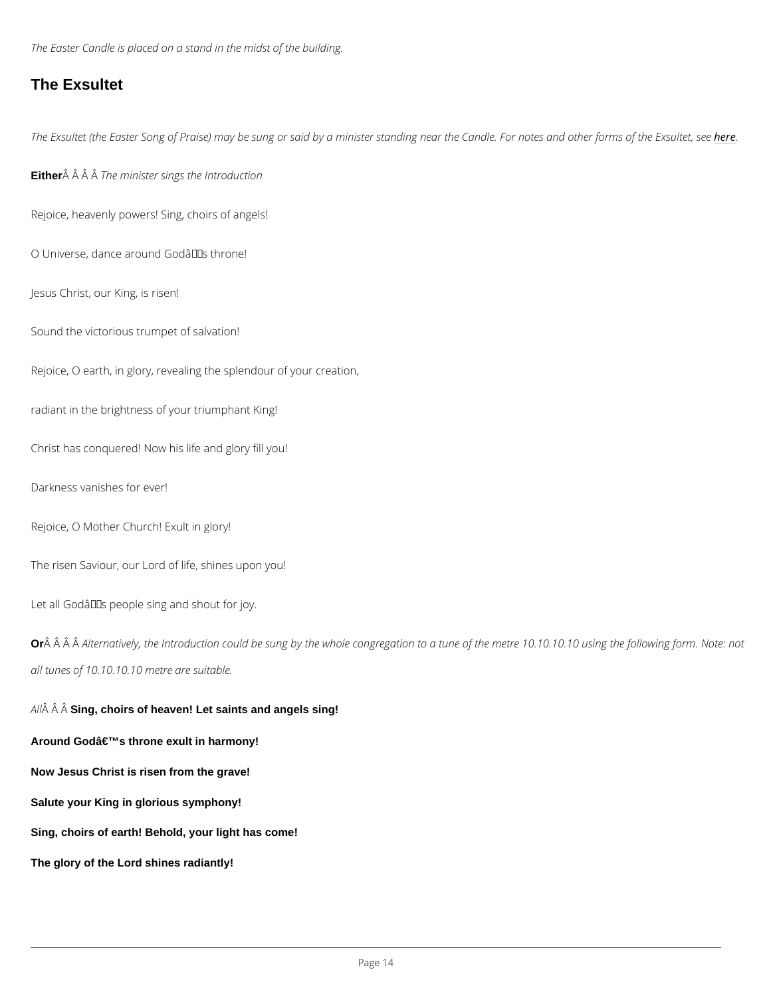The Easter Candle is placed on a stand in the midst of the building.

### The Exsultet

The Exsultet (the Easter Song of Praise) may be sung or said by a minister standing neemethe

Either  $\hat{A}$   $\hat{A}$   $\hat{A}$   $\hat{B}$   $\hat{B}$  minister sings the Introduction

Rejoice, heavenly powers! Sing, choirs of angels!

O Universe, dance around Godâ $\epsilon$ <sup>TM</sup>s throne!

Jesus Christ, our King, is risen!

Sound the victorious trumpet of salvation!

Rejoice, O earth, in glory, revealing the splendour of your creation,

Or  $\hat{A}$   $\hat{A}$   $\hat{A}$   $\hat{B}$  ernatively, the Introduction could be sung by the whole congregation to a tune of th all tunes of 10.10.10.10 metre are suitable.

A  $\hat{A}$   $\hat{A}$  Si $\hat{A}$ g, choirs of heaven! Let saints and angels sing!

Around God's throne exult in harmony!

radiant in the brightness of your triumphant King!

Christ has conquered! Now his life and glory fill you!

Darkness vanishes for ever!

Rejoice, O Mother Church! Exult in glory!

The risen Saviour, our Lord of life, shines upon you!

Let all Godâ $\in$ <sup>TM</sup>s people sing and shout for joy.

Now Jesus Christ is risen from the grave!

Salute your King in glorious symphony!

Sing, choirs of earth! Behold, your light has come!

The glory of the Lord shines radiantly!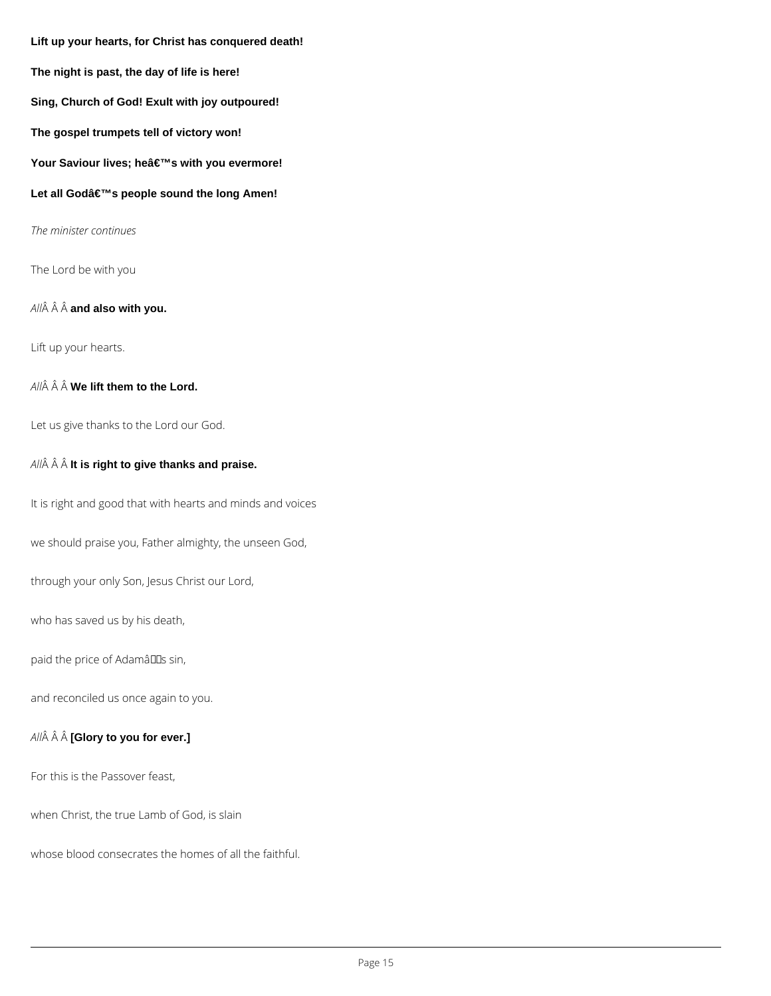**Lift up your hearts, for Christ has conquered death! The night is past, the day of life is here! Sing, Church of God! Exult with joy outpoured! The gospel trumpets tell of victory won!** Your Saviour lives; he's with you evermore! Let all Godâ€<sup>™</sup>s people sound the long Amen! *The minister continues* The Lord be with you

*All* **and also with you.**

Lift up your hearts.

All $\hat{A}$   $\hat{A}$   $\hat{A}$  **We lift them to the Lord.** 

Let us give thanks to the Lord our God.

*All* **It is right to give thanks and praise.**

It is right and good that with hearts and minds and voices

we should praise you, Father almighty, the unseen God,

through your only Son, Jesus Christ our Lord,

who has saved us by his death,

paid the price of AdamâDDs sin,

and reconciled us once again to you.

*All* **[Glory to you for ever.]**

For this is the Passover feast,

when Christ, the true Lamb of God, is slain

whose blood consecrates the homes of all the faithful.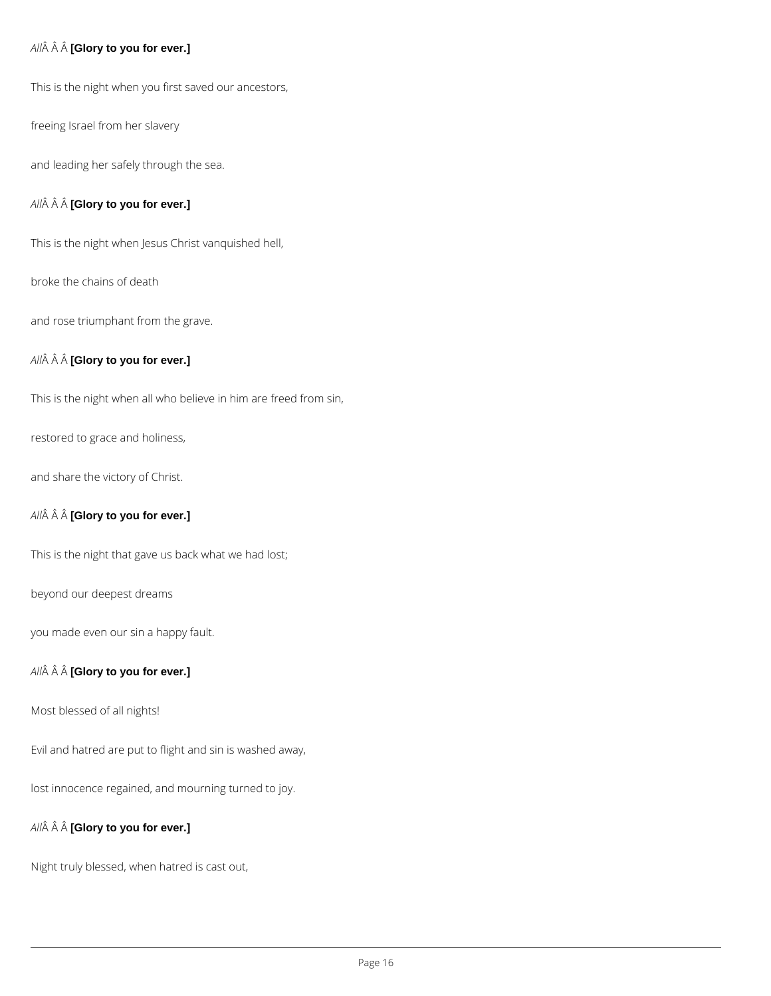### *All* **[Glory to you for ever.]**

This is the night when you first saved our ancestors,

freeing Israel from her slavery

and leading her safely through the sea.

### *All* **[Glory to you for ever.]**

This is the night when Jesus Christ vanquished hell,

broke the chains of death

and rose triumphant from the grave.

### *All* **[Glory to you for ever.]**

This is the night when all who believe in him are freed from sin,

restored to grace and holiness,

and share the victory of Christ.

### *All* **[Glory to you for ever.]**

This is the night that gave us back what we had lost;

beyond our deepest dreams

you made even our sin a happy fault.

### *All* **[Glory to you for ever.]**

Most blessed of all nights!

Evil and hatred are put to flight and sin is washed away,

lost innocence regained, and mourning turned to joy.

*All* **[Glory to you for ever.]**

Night truly blessed, when hatred is cast out,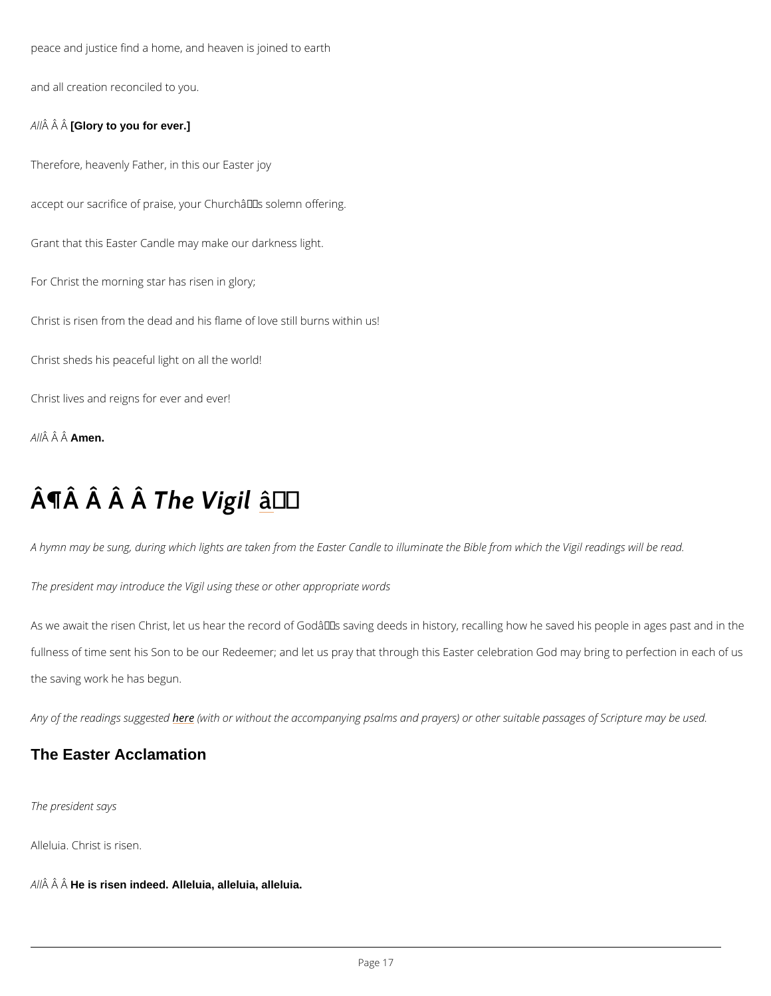peace and justice find a home, and heaven is joined to earth and all creation reconciled to you.  $A \hat{M}$   $\hat{A}$  [G<sup>o</sup> added you for ever.] Therefore, heavenly Father, in this our Easter joy accept our sacrifice of praise, your Church's solemn offering. Grant that this Easter Candle may make our darkness light. For Christ the morning star has risen in glory; Christ is risen from the dead and his flame of love still burns within us! Christ sheds his peaceful light on all the world! Christ lives and reigns for ever and ever! A  $\hat{A}$   $\hat{A}$   $\hat{A}$  $\hat{A}$  $\hat{B}$ en.

# $\hat{A} \parallel \hat{A}$   $\hat{A}$   $\parallel \hat{A}$   $\parallel \hat{A}$   $\parallel \hat{B}$   $\parallel \hat{C}$

A hymn may be sung, during which lights are taken from the Easter Candle to illuminate the The president may introduce the Vigil using these or other appropriate words

As we await the risen Christ, let us hear the record of Godâ $\epsilon$ <sup>TM</sup>s saving deeds in history, rec fullness of time sent his Son to be our Redeemer; and let us pray that through this Easter ce the saving work he has begun.

Any of the readinghse sougigt the dwith out the accompanying psalms and prayers) or other suitable Anny of the used.

The president says

Alleluia. Christ is risen.

 $A \hat{H}$   $\hat{A}$  H $\hat{A}$  is risen indeed. Alleluia, alleluia, alleluia.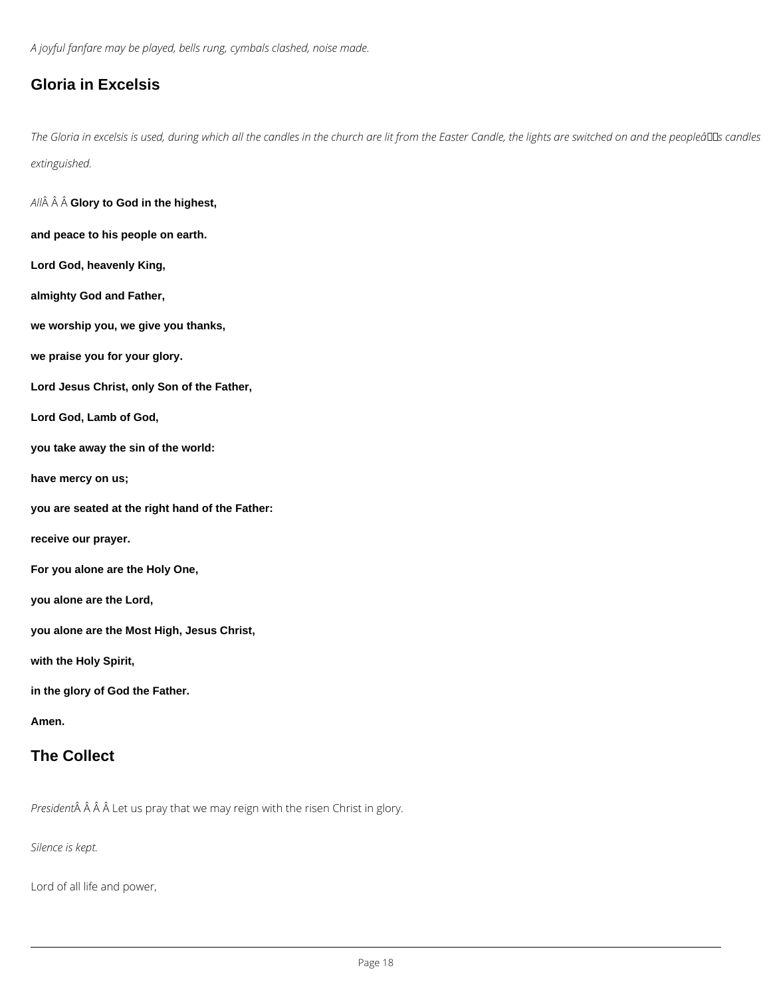*A joyful fanfare may be played, bells rung, cymbals clashed, noise made.*

## **Gloria in Excelsis**

The Gloria in excelsis is used, during which all the candles in the church are lit from the Easter Candle, the lights are switched on and the peopleâDDs candles *extinguished.*

*All* **Glory to God in the highest, and peace to his people on earth.**

**Lord God, heavenly King,**

**almighty God and Father,**

**we worship you, we give you thanks,**

**we praise you for your glory.**

**Lord Jesus Christ, only Son of the Father,**

**Lord God, Lamb of God,**

**you take away the sin of the world:**

**have mercy on us;**

**you are seated at the right hand of the Father:**

**receive our prayer.**

**For you alone are the Holy One,**

**you alone are the Lord,**

**you alone are the Most High, Jesus Christ,**

**with the Holy Spirit,**

**in the glory of God the Father.**

**Amen.**

### **The Collect**

*President* $\hat{A}$   $\hat{A}$   $\hat{A}$  Let us pray that we may reign with the risen Christ in glory.

*Silence is kept.*

Lord of all life and power,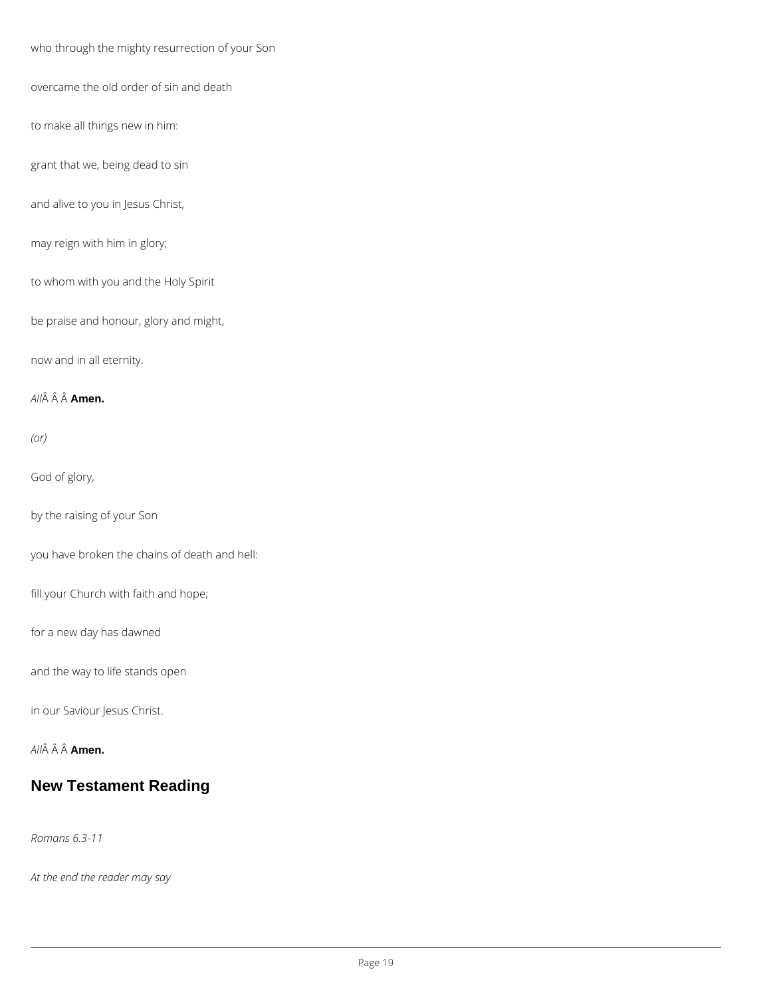who through the mighty resurrection of your Son

overcame the old order of sin and death

to make all things new in him:

grant that we, being dead to sin

and alive to you in Jesus Christ,

may reign with him in glory;

to whom with you and the Holy Spirit

be praise and honour, glory and might,

now and in all eternity.

*All* **Amen.**

*(or)*

God of glory,

by the raising of your Son

you have broken the chains of death and hell:

fill your Church with faith and hope;

for a new day has dawned

and the way to life stands open

in our Saviour Jesus Christ.



### **New Testament Reading**

*Romans 6.3-11*

*At the end the reader may say*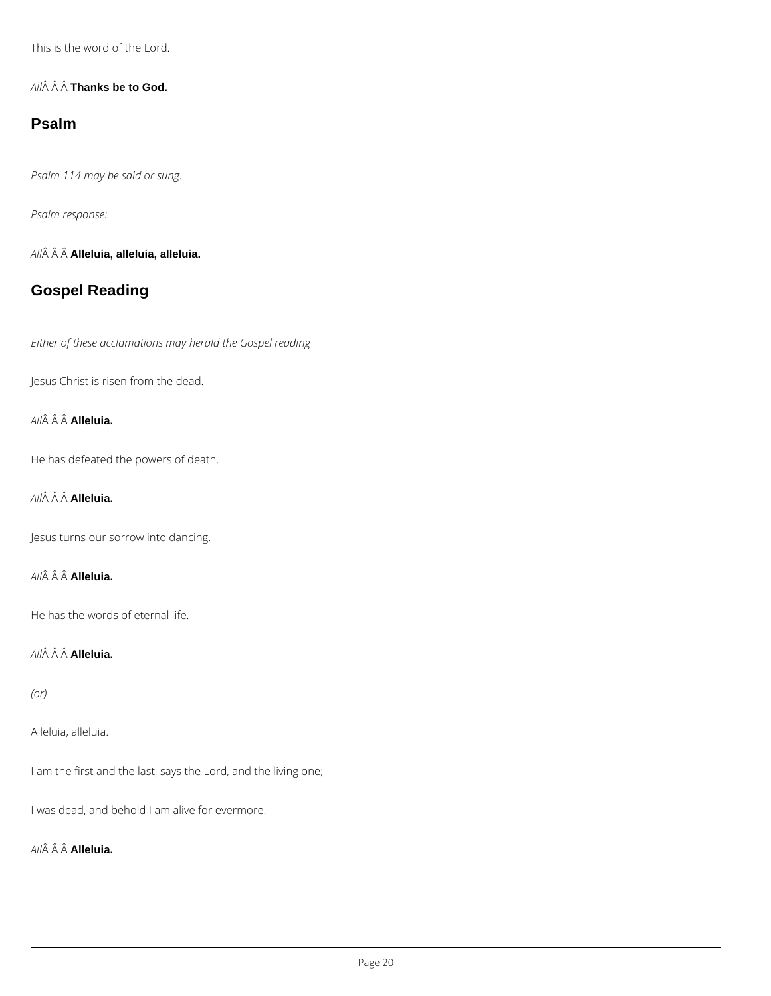This is the word of the Lord.

*All* **Thanks be to God.**

### **Psalm**

*Psalm 114 may be said or sung.*

*Psalm response:*

*All* **Alleluia, alleluia, alleluia.**

## **Gospel Reading**

*Either of these acclamations may herald the Gospel reading*

Jesus Christ is risen from the dead.

*All* **Alleluia.**

He has defeated the powers of death.

*All* **Alleluia.**

Jesus turns our sorrow into dancing.

*All* **Alleluia.**

He has the words of eternal life.

*All* **Alleluia.**

*(or)*

Alleluia, alleluia.

I am the first and the last, says the Lord, and the living one;

I was dead, and behold I am alive for evermore.

*All* **Alleluia.**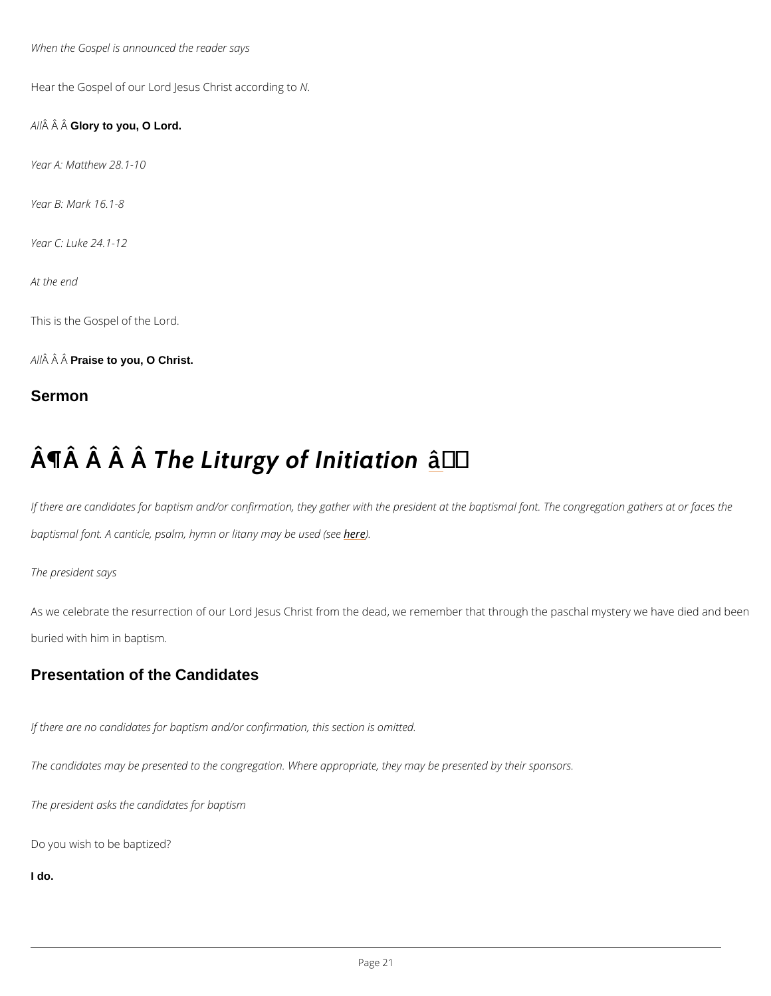When the Gospel is announced the reader says

Hear the Gospel of our Lord Jesus N.C hrist according to

A  $\hat{A}$   $\hat{A}$  G $\hat{A}$ ory to you, O Lord.

Year A: Matthew 28.1-10

Year B: Mark 16.1-8

Year C: Luke 24.1-12

At the end

This is the Gospel of the Lord.

A  $\hat{A}$   $\hat{A}$  P $\hat{A}$ aise to you, O Christ.

Sermon

# $\hat{A}$   $\hat{A}$   $\hat{A}$   $\hat{A}$   $\hat{B}$  Liturgy of  $\hat{A}$   $\hat{B}$   $\hat{B}$  itiation

If there are candidates for baptism and/or confirmation, they gather with the president at the baptismal font. A canticle, psalm, hymnhoen)ditany may be used (see

As we celebrate the resurrection of our Lord Jesus Christ from the dead, we remember that t buried with him in baptism.

The president says

Presentation of the Candidates

If there are no candidates for baptism and/or confirmation, this section is omitted.

The candidates may be presented to the congregation. Where appropriate, they may be prese

The president asks the candidates for baptism

Do you wish to be baptized?

I do.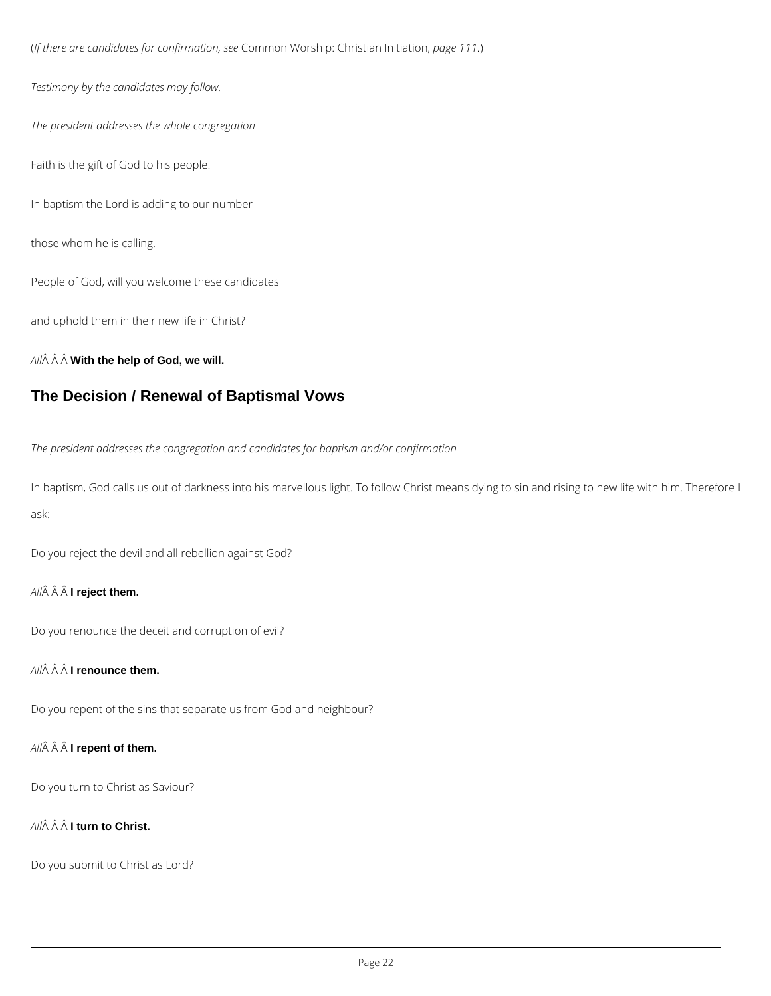(*If there are candidates for confirmation, see* Common Worship: Christian Initiation, *page 111.*)

*Testimony by the candidates may follow.*

*The president addresses the whole congregation*

Faith is the gift of God to his people.

In baptism the Lord is adding to our number

those whom he is calling.

People of God, will you welcome these candidates

and uphold them in their new life in Christ?

*All* **With the help of God, we will.**

### **The Decision / Renewal of Baptismal Vows**

*The president addresses the congregation and candidates for baptism and/or confirmation*

In baptism, God calls us out of darkness into his marvellous light. To follow Christ means dying to sin and rising to new life with him. Therefore I ask:

Do you reject the devil and all rebellion against God?

### *All* **I reject them.**

Do you renounce the deceit and corruption of evil?

### *All* **I renounce them.**

Do you repent of the sins that separate us from God and neighbour?

Do you turn to Christ as Saviour?

*All* **I turn to Christ.**

Do you submit to Christ as Lord?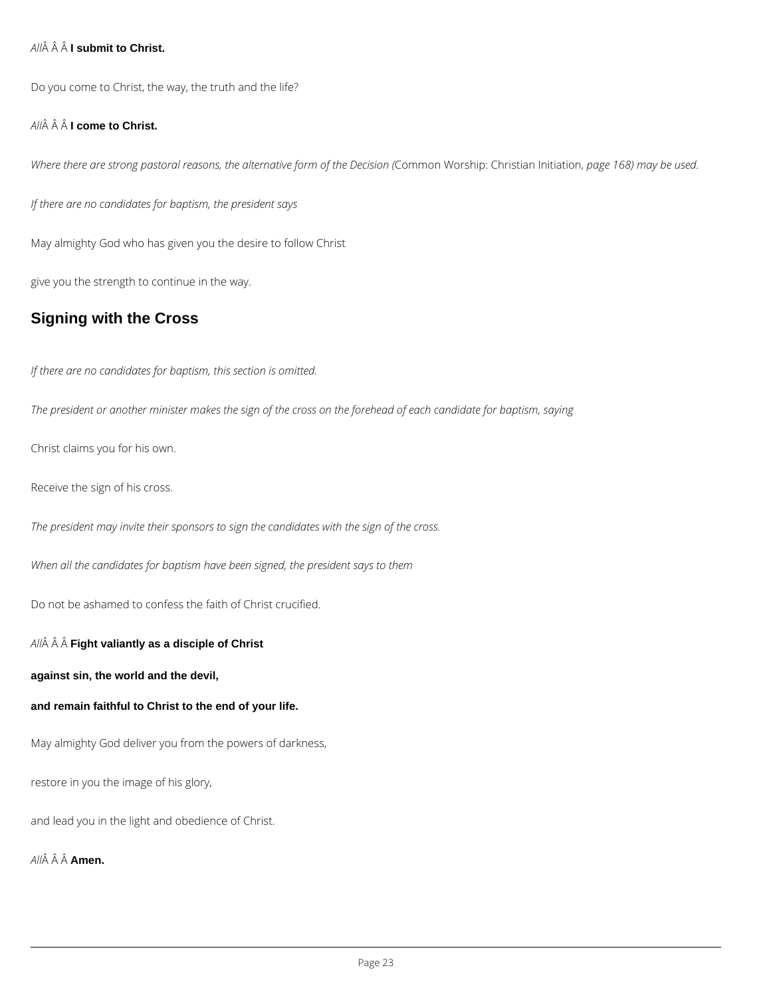### *All* **I submit to Christ.**

Do you come to Christ, the way, the truth and the life?

### *All* **I come to Christ.**

*Where there are strong pastoral reasons, the alternative form of the Decision (*Common Worship: Christian Initiation, *page 168) may be used.*

*If there are no candidates for baptism, the president says*

May almighty God who has given you the desire to follow Christ

give you the strength to continue in the way.

## **Signing with the Cross**

*If there are no candidates for baptism, this section is omitted.*

*The president or another minister makes the sign of the cross on the forehead of each candidate for baptism, saying*

Christ claims you for his own.

Receive the sign of his cross.

*The president may invite their sponsors to sign the candidates with the sign of the cross.*

*When all the candidates for baptism have been signed, the president says to them*

Do not be ashamed to confess the faith of Christ crucified.

*All* **Fight valiantly as a disciple of Christ**

**against sin, the world and the devil,**

**and remain faithful to Christ to the end of your life.**

May almighty God deliver you from the powers of darkness,

restore in you the image of his glory,

and lead you in the light and obedience of Christ.

*All* **Amen.**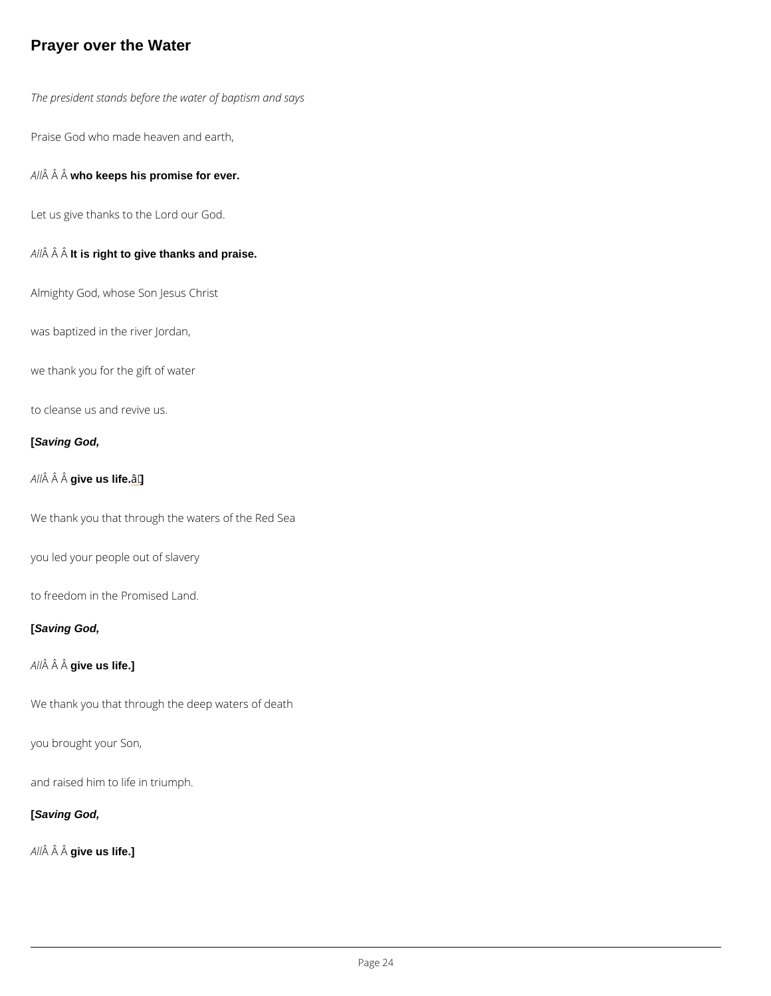### Prayer over the Water

The president stands before the water of baptism and says

Praise God who made heaven and earth,

A  $\hat{A}$   $\hat{A}$  who keeps his promise for ever.

Let us give thanks to the Lord our God.

 $A \nightharpoonup A$  if  $\hat{A}$  right to give thanks and praise.

Almighty God, whose Son Jesus Christ

was baptized in the river Jordan,

we thank you for the gift of water

to cleanse us and revive us.

[Saving God,

A  $\hat{A}$   $\hat{A}$  give us life.  $\hat{a}$   $\in$ 

We thank you that through the waters of the Red Sea

you led your people out of slavery

to freedom in the Promised Land.

[Saving God,

A  $\hat{A}$   $\hat{A}$  give us life.]

We thank you that through the deep waters of death

you brought your Son,

and raised him to life in triumph.

[Saving God,

A  $\hat{A}$   $\hat{A}$  give us life.]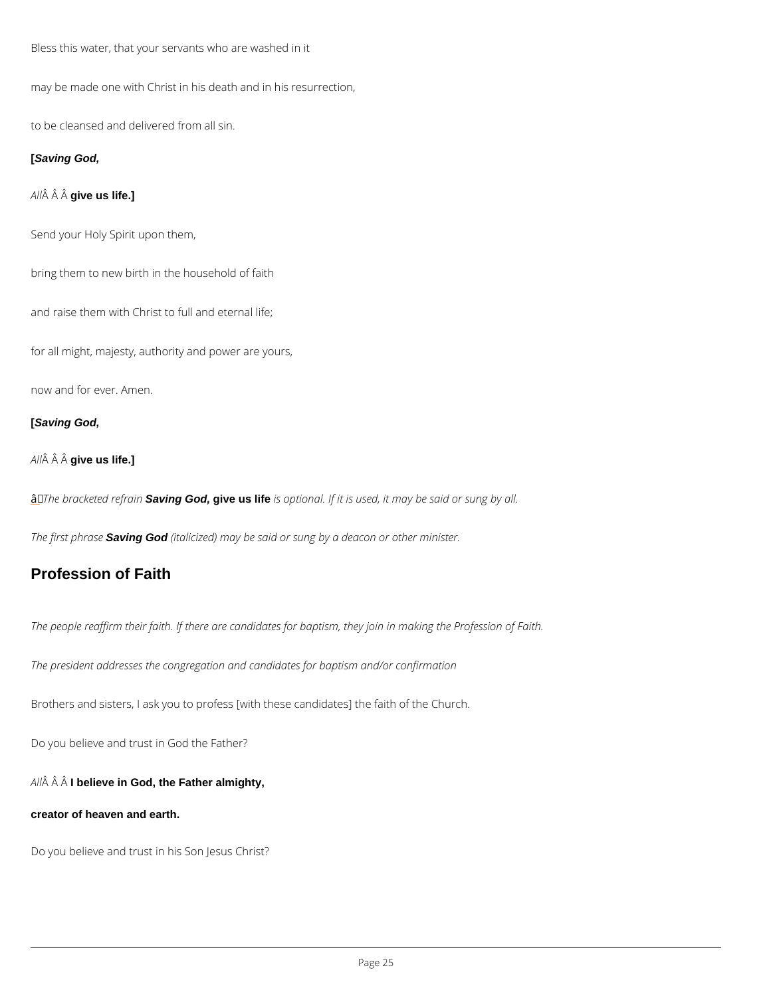<span id="page-24-0"></span>Bless this water, that your servants who are washed in it

may be made one with Christ in his death and in his resurrection,

to be cleansed and delivered from all sin.

### **[Saving God,**

### *All* **give us life.]**

Send your Holy Spirit upon them,

bring them to new birth in the household of faith

and raise them with Christ to full and eternal life;

for all might, majesty, authority and power are yours,

now and for ever. Amen.

### **[Saving God,**

### *All* **give us life.]**

â *The bracketed refrain* **Saving God, give us life** *is optional. If it is used, it may be said or sung by all.*

*The first phrase* **Saving God** *(italicized) may be said or sung by a deacon or other minister.*

### **Profession of Faith**

*The people reaffirm their faith. If there are candidates for baptism, they join in making the Profession of Faith.*

*The president addresses the congregation and candidates for baptism and/or confirmation*

Brothers and sisters, I ask you to profess [with these candidates] the faith of the Church.

Do you believe and trust in God the Father?

*All* **I believe in God, the Father almighty,**

**creator of heaven and earth.**

Do you believe and trust in his Son Jesus Christ?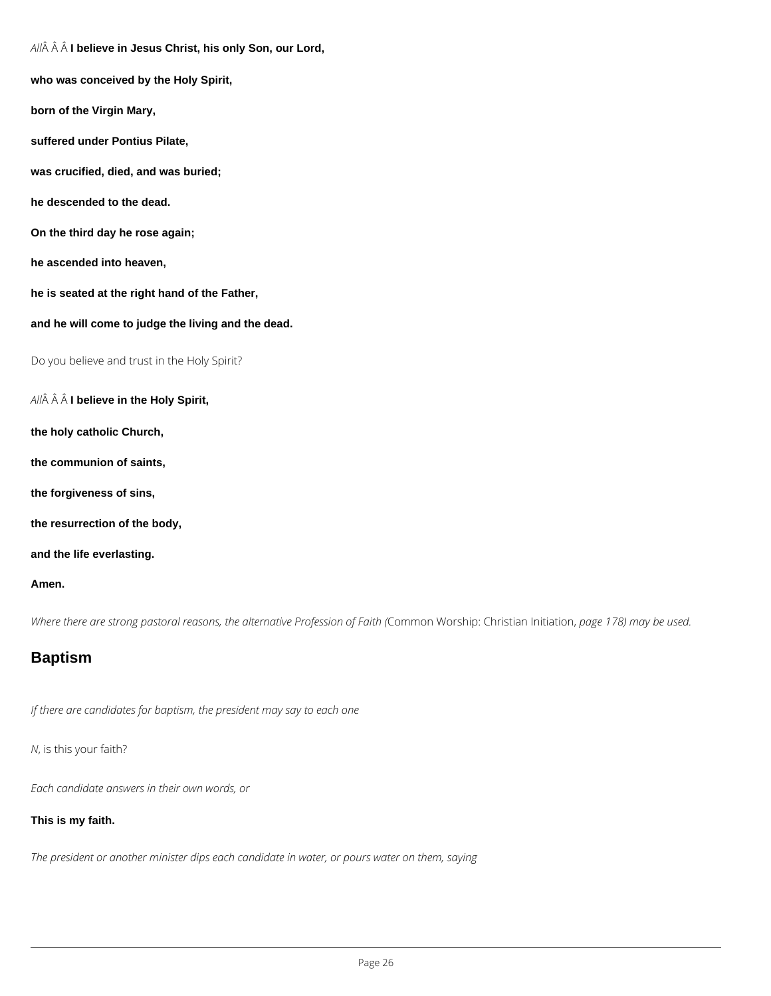*All* **I believe in Jesus Christ, his only Son, our Lord,**

**who was conceived by the Holy Spirit,**

**born of the Virgin Mary,**

**suffered under Pontius Pilate,**

**was crucified, died, and was buried;**

**he descended to the dead.**

**On the third day he rose again;**

**he ascended into heaven,**

**he is seated at the right hand of the Father,**

**and he will come to judge the living and the dead.**

Do you believe and trust in the Holy Spirit?

*All* **I believe in the Holy Spirit,**

**the holy catholic Church,**

**the communion of saints,**

**the forgiveness of sins,**

**the resurrection of the body,**

**and the life everlasting.**

#### **Amen.**

*Where there are strong pastoral reasons, the alternative Profession of Faith (*Common Worship: Christian Initiation, *page 178) may be used.*

### **Baptism**

*If there are candidates for baptism, the president may say to each one*

*N*, is this your faith?

*Each candidate answers in their own words, or*

**This is my faith.**

*The president or another minister dips each candidate in water, or pours water on them, saying*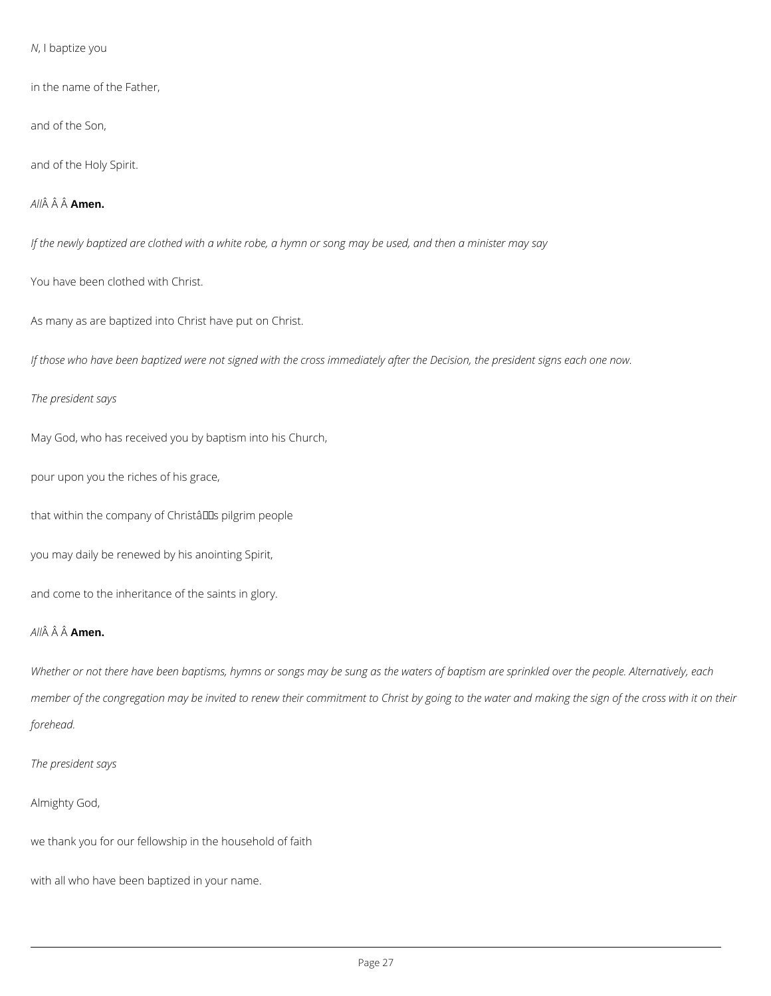*N*, I baptize you

in the name of the Father,

and of the Son,

and of the Holy Spirit.

*All* **Amen.**

*If the newly baptized are clothed with a white robe, a hymn or song may be used, and then a minister may say*

You have been clothed with Christ.

As many as are baptized into Christ have put on Christ.

*If those who have been baptized were not signed with the cross immediately after the Decision, the president signs each one now.*

*The president says*

May God, who has received you by baptism into his Church,

pour upon you the riches of his grace,

that within the company of Christâlls pilgrim people

you may daily be renewed by his anointing Spirit,

and come to the inheritance of the saints in glory.

### *All* **Amen.**

*Whether or not there have been baptisms, hymns or songs may be sung as the waters of baptism are sprinkled over the people. Alternatively, each member of the congregation may be invited to renew their commitment to Christ by going to the water and making the sign of the cross with it on their forehead.*

*The president says*

Almighty God,

we thank you for our fellowship in the household of faith

with all who have been baptized in your name.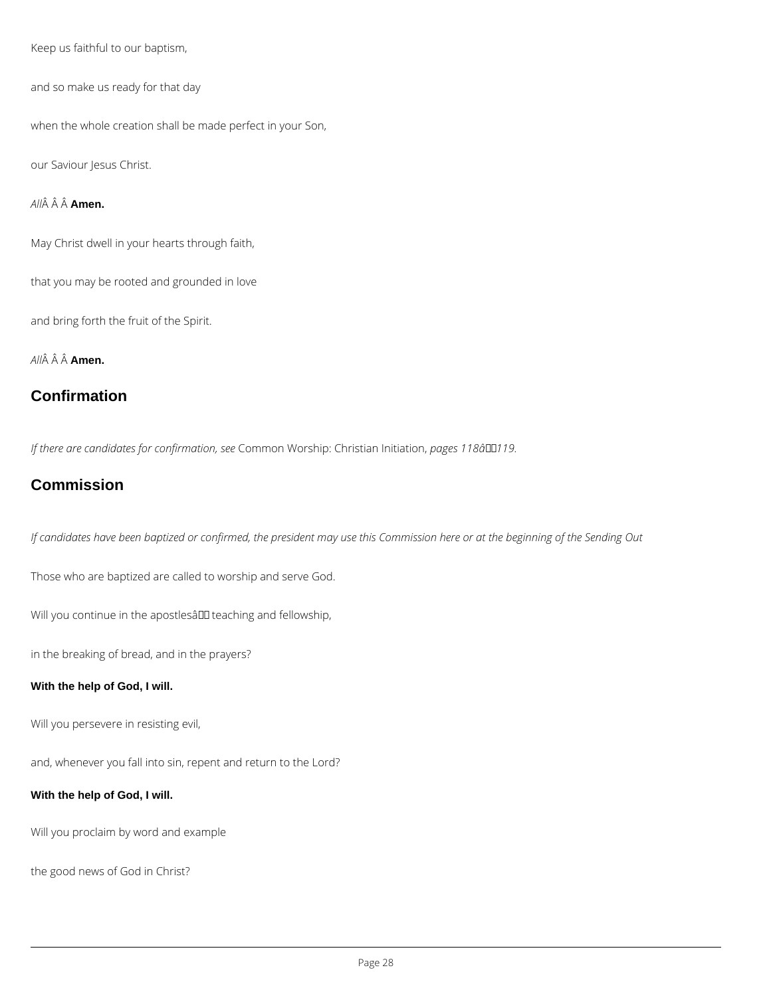Keep us faithful to our baptism,

and so make us ready for that day

when the whole creation shall be made perfect in your Son,

our Saviour Jesus Christ.

*All* **Amen.**

May Christ dwell in your hearts through faith,

that you may be rooted and grounded in love

and bring forth the fruit of the Spirit.

*All* **Amen.**

## **Confirmation**

*If there are candidates for confirmation, see* Common Worship: Christian Initiation, *pages 118â119.*

## **Commission**

*If candidates have been baptized or confirmed, the president may use this Commission here or at the beginning of the Sending Out*

Those who are baptized are called to worship and serve God.

Will you continue in the apostlesâ III teaching and fellowship,

in the breaking of bread, and in the prayers?

### **With the help of God, I will.**

Will you persevere in resisting evil,

and, whenever you fall into sin, repent and return to the Lord?

### **With the help of God, I will.**

Will you proclaim by word and example

the good news of God in Christ?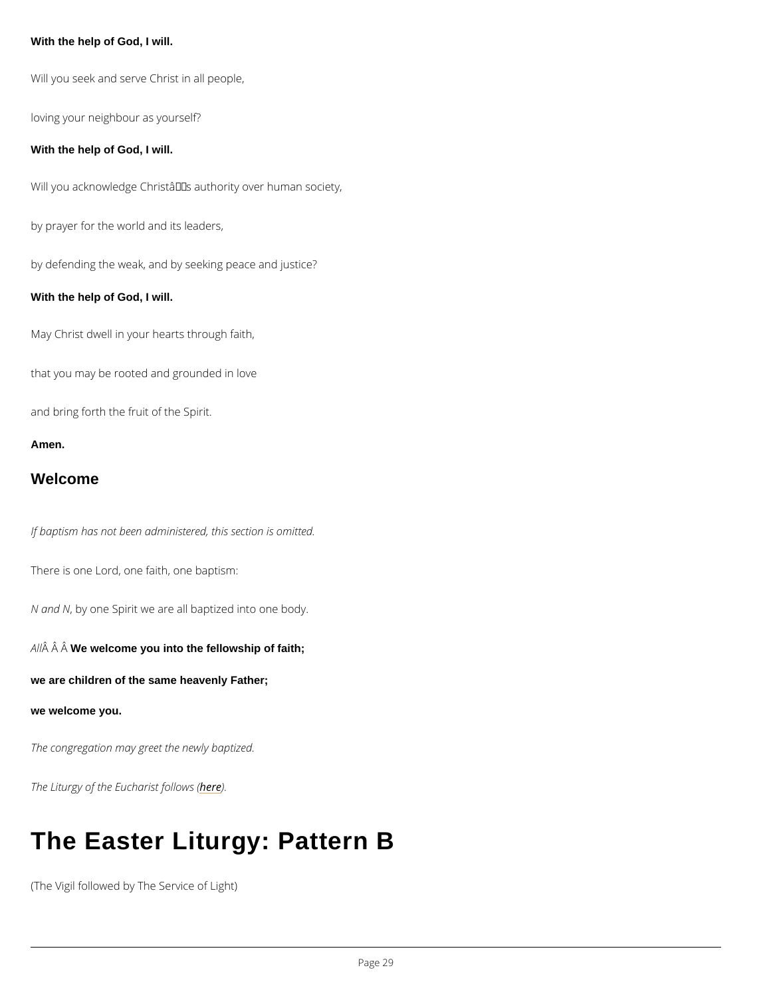With the help of God, I will.

```
Will you seek and serve Christ in all people,
loving your neighbour as yourself?
With the help of God, I will.
Will you acknowledge Christ's authority over human society,
by prayer for the world and its leaders,
by defending the weak, and by seeking peace and justice?
With the help of God, I will.
May Christ dwell in your hearts through faith,
that you may be rooted and grounded in love
and bring forth the fruit of the Spirit.
Amen.
Welcome
```
If baptism has not been administered, this section is omitted.

There is one Lord, one faith, one baptism:

N and Ny one Spirit we are all baptized into one body.

A  $\hat{A}$   $\hat{A}$  W $\hat{B}$  welcome you into the fellowship of faith;

we are children of the same heavenly Father;

we welcome you.

The congregation may greet the newly baptized.

The Liturgy of the Eu**ble**a) eist follows (

# The Easter Liturgy: Pattern B

(The Vigil followed by The Service of Light)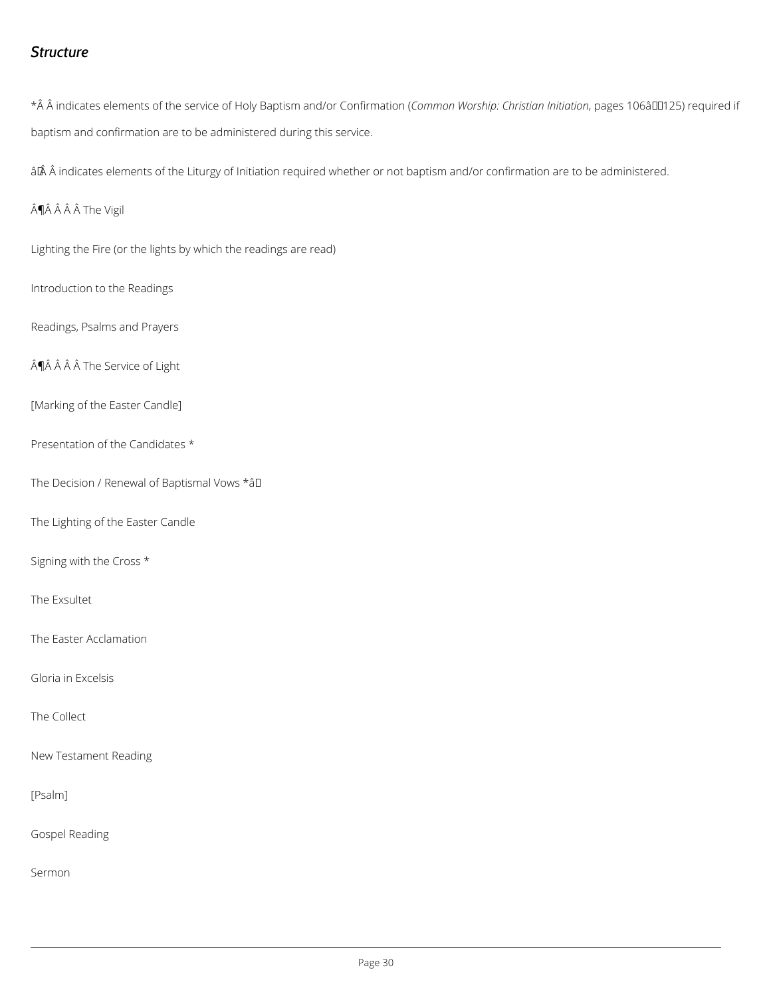### <span id="page-29-0"></span>Structure

\*Â Â indicates elements of the service of Holy BCapt**nismon an Wold osrhCpo:n Cihrmiastpionange(sniti**Da6t**āo** En"125) req baptism and confirmation are to be administered during this service.

 $\hat{a}$   $\hat{R}$   $\hat{A}$  indicates elements of the Liturgy of Initiation required whether or not baptism and/or co

Â $\hat{A}$  Â Â Â The Vigil

Lighting the Fire (or the lights by which the readings are read)

Introduction to the Readings

Readings, Psalms and Prayers

ȚĂ Â Â Â The Service of Light

[Marking of the Easter Candle]

Presentation of the Candidates

The Decision / Renewal of Bâa ptismal Vows

The Lighting of the Easter Candle

Signing with the Cross

The Exsultet

The Easter Acclamation

Gloria in Excelsis

The Collect

New Testament Reading

[Psalm]

Gospel Reading

Sermon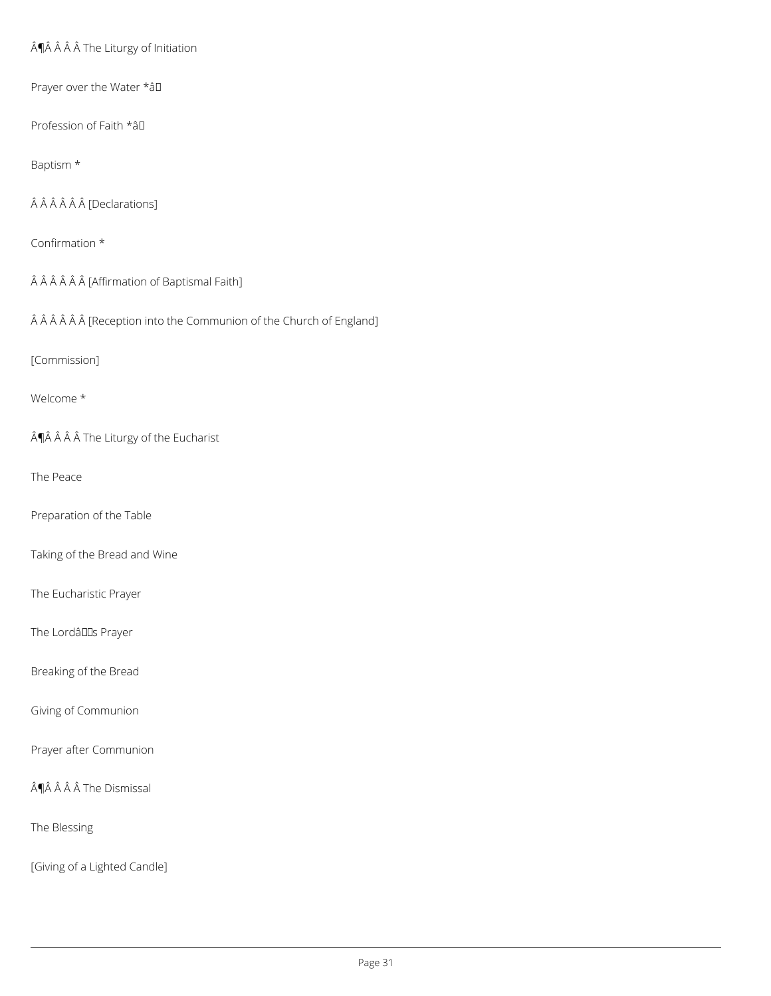$\hat{A}$ ¶Â $\hat{A}$  $\hat{A}$  $\hat{A}$  The Liturgy of Initiation

Prayer over the Water \* aD

Profession of Faith \*â

Baptism \*

ÂÂÂÂÂ [Declarations]

Confirmation \*

ÂÂÂÂÂ (Affirmation of Baptismal Faith]

ÂÂÂÂÂÂ (Reception into the Communion of the Church of England]

[Commission]

Welcome \*

 $\hat{A}$ ¶ $\hat{A}$   $\hat{A}$   $\hat{A}$   $\hat{A}$  The Liturgy of the Eucharist

The Peace

Preparation of the Table

Taking of the Bread and Wine

The Eucharistic Prayer

The LordâllS Prayer

Breaking of the Bread

Giving of Communion

Prayer after Communion

¶Â Â Â Â The Dismissal

The Blessing

[Giving of a Lighted Candle]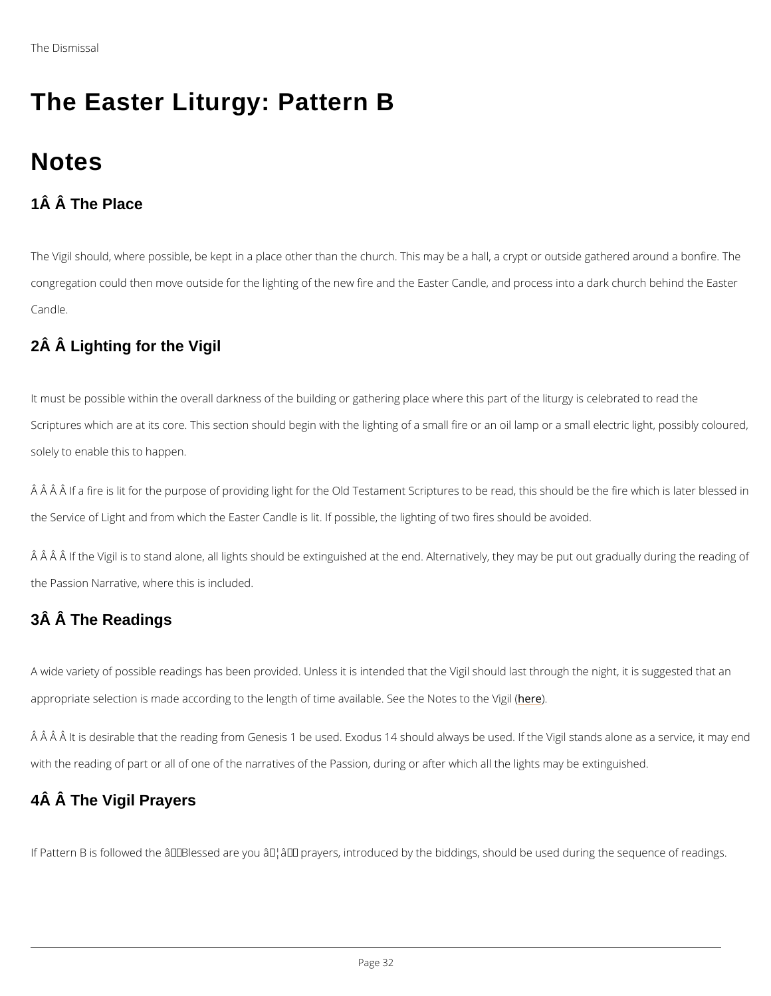# The Easter Liturgy: Pattern B

# **Notes**

1Â Â The Place

The Vigil should, where possible, be kept in a place other than the church. This may be a ha congregation could then move outside for the lighting of the new fire and the Easter Candle, Candle.

It must be possible within the overall darkness of the building or gathering place where this Scriptures which are at its core. This section should begin with the lighting of a small fire o solely to enable this to happen.

 $\rm \AA$   $\rm \AA$   $\rm \AA$   $\rm \AA$   $\rm \AA$   $\rm \AA$  first is lit for the  $\rm \AA$  in the  $\rm \AA$  and  $\rm \AA$   $\rm \AA$  and  $\rm \AA$  is later the fire is lit for the purpose of providing light for the  $\rm \AA$  Testament Scriptures to the Service of Light and from which the Easter Candle is lit. If possible, the lighting of two f

### 2Â Â Lighting for the Vigil

 $\hat{\sf A}$   $\hat{\sf A}$   $\hat{\sf A}$   $\hat{\sf A}$  if the Vigil is to stand alone, all lights should be extinguished at the end. Alternativ the Passion Narrative, where this is included.

### 3Â Â The Readings

A wide variety of possible readings has been provided. Unless it is intended that the Vigil should last the night appropriate selection is made according to the length of time heeve ilable. See the Notes to the

A A A It is desirable that the reading from Genesis 1 be used. Exodus 14 should always be

with the reading of part or all of one of the narratives of the Passion, during or after which a

4Â Â The Vigil Prayers

If Pattern B is followed the  $\hat{a} \in \tilde{B}$ lessed are you  $\hat{a} \in \tilde{B}$  prayers, introduced by the biddings,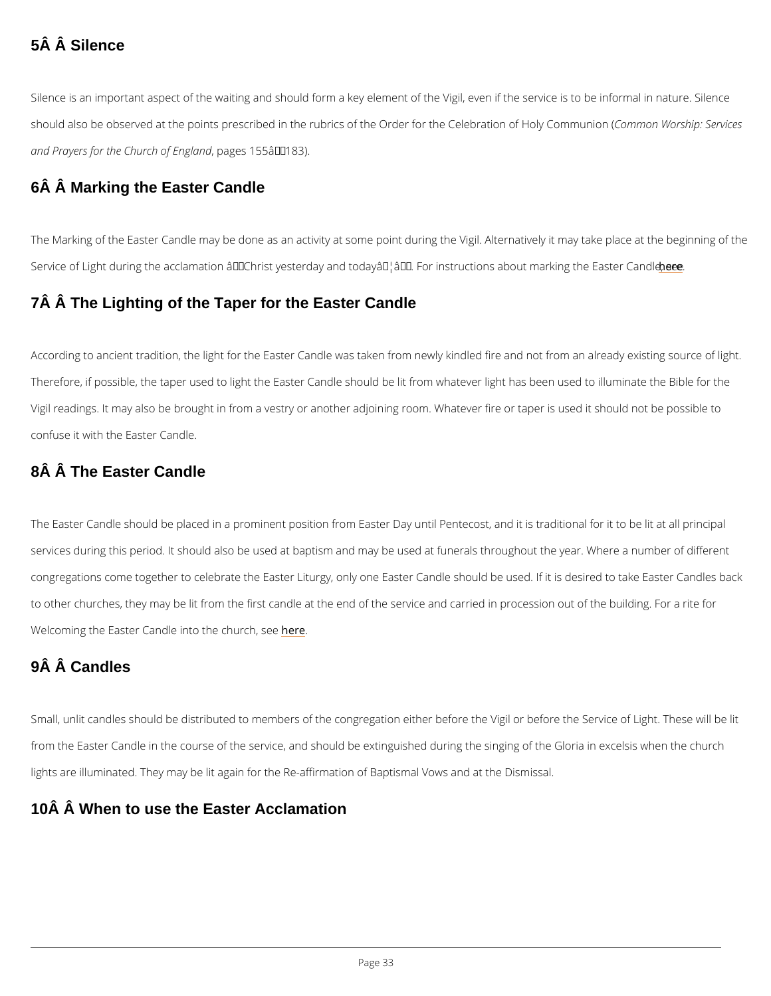### 5Â Â Silence

Silence is an important aspect of the waiting and should form a key element of the Vigil, eve should also be observed at the points prescribed in the rubrics of the OrdCeomionroth WoCreslheit pras and Prayers for the Church of England , pages 155–183).

### 6Â Â Marking the Easter Candle

The Marking of the Easter Candle may be done as an activity at some point during the Vigil. Service of Light during the acclamation  $\hat{a} \in \tilde{c}$  Christ yesterday and today $\hat{a} \in \tilde{a} \in \tilde{c}^M$ . For einstructio

According to ancient tradition, the light for the Easter Candle was taken from newly kindled Therefore, if possible, the taper used to light the Easter Candle should be lit from whatever Vigil readings. It may also be brought in from a vestry or another adjoining room. Whatever f confuse it with the Easter Candle.

### 7Â Â The Lighting of the Taper for the Easter Candle

### 8Â Â The Easter Candle

The Easter Candle should be placed in a prominent position from Easter Day until Pentecost, services during this period. It should also be used at baptism and may be used at funerals th congregations come together to celebrate the Easter Liturgy, only one Easter Candle should to other churches, they may be lit from the first candle at the end of the service and carried Welcoming the Easter Candle inherthe church, see

### 9Â Â Candles

Small, unlit candles should be distributed to members of the congregation either before the V

from the Easter Candle in the course of the service, and should be extinguished during the s

lights are illuminated. They may be lit again for the Re-affirmation of Baptismal Vows and at

### 10Â Â When to use the Easter Acclamation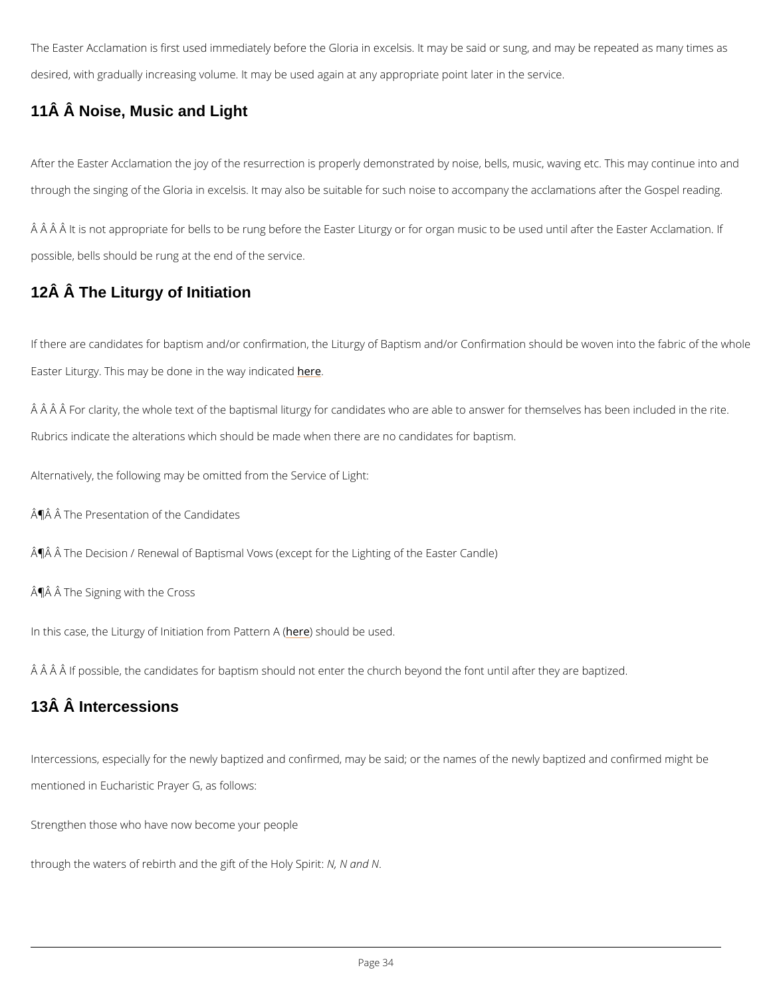The Easter Acclamation is first used immediately before the Gloria in excelsis. It may be sai desired, with gradually increasing volume. It may be used again at any appropriate point late

### 11Â Â Noise, Music and Light

After the Easter Acclamation the joy of the resurrection is properly demonstrated by noise, b through the singing of the Gloria in excelsis. It may also be suitable for such noise to accom

 $\hat{\textsf{A}}$   $\hat{\textsf{A}}$   $\hat{\textsf{A}}$   $\hat{\textsf{A}}$  it is not appropriate for bells to be rung before the Easter Liturgy or for organ musion. possible, bells should be rung at the end of the service.

### 12Â Â The Liturgy of Initiation

If there are candidates for baptism and/or confirmation, the Liturgy of Baptism and/or Confir Easter Liturgy. This may be done herthe way indicated

 $\rm \AA$   $\rm \AA$   $\rm \AA$   $\rm \AA$   $\rm \AA$   $\rm \AA$  for claral  $\rm \AA$  for  $\rm \AA$  andidates who are able to answer  $\rm \AA$ Rubrics indicate the alterations which should be made when there are no candidates for bapt

Alternatively, the following may be omitted from the Service of Light:

ATA A The Presentation of the Candidates

 $\hat{A}$   $\hat{W}$   $\hat{A}$  The Decision / Renewal of Baptismal Vows (except for the Lighting of the Easter Candl

 $\hat{A}$   $\hat{A}$   $\hat{A}$  The Signing with the Cross

In this case, the Liturgy of Initiante  $\mathbf{o}$  pen sfrom  $\mathbf{d}P$  be teurs ne  $\mathbf{d}$ . (

 $\hat A$   $\hat A$   $\hat A$   $\hat A$  if possible, the candidates for baptism should not enter the church beyond the font  $\sf u$ 

### 13Â Â Intercessions

Intercessions, especially for the newly baptized and confirmed, may be said; or the names of

mentioned in Eucharistic Prayer G, as follows:

Strengthen those who have now become your people

through the waters of rebirth and the Mg, if N cafn the Holy Spirit: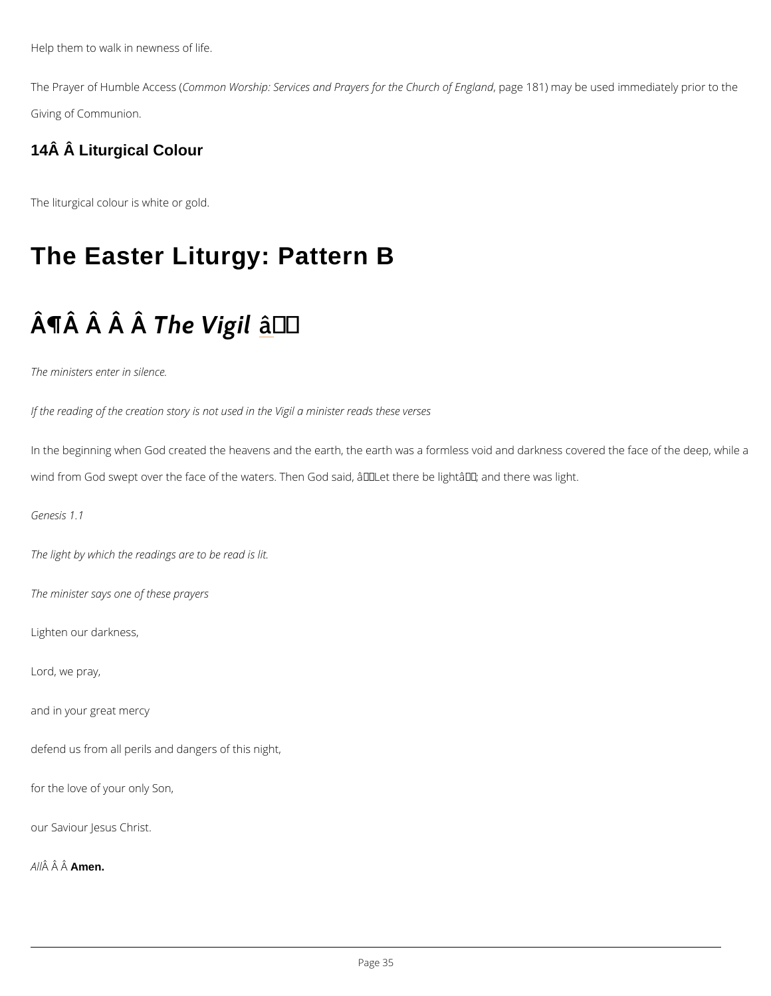Help them to walk in newness of life.

The Prayer of Humb CleemAmo ores Wo(rship: Services and Prayers, fop agtehe1 &C1h) un mcahy obfeE un sgelad nichn mediate Giving of Communion.

14Â Â Liturgical Colour

The liturgical colour is white or gold.

# The Easter Liturgy: Pattern B

# $\hat{A} \parallel \hat{A}$   $\hat{A} \parallel \hat{B}$   $\hat{A}$   $\parallel \hat{B}$   $\parallel \hat{B}$   $\parallel$

The ministers enter in silence.

If the reading of the creation story is not used in the Vigil a minister reads these verses

In the beginning when God created the heavens and the earth, the earth was a formless void wind from God swept over the face of the waters. Then God said,  $\hat{\mathbf{a}} \in \tilde{\mathbf{a}}$  there be light $\hat{\mathbf{a}} \in \mathbb{M}$ ; a

Genesis 1.1

The light by which the readings are to be read is lit.

The minister says one of these prayers

Lighten our darkness,

Lord, we pray,

and in your great mercy

defend us from all perils and dangers of this night,

for the love of your only Son,

our Saviour Jesus Christ.

A  $\hat{A}$   $\hat{A}$   $\hat{A}$  $\hat{A}$  $\hat{B}$  $\hat{B}$  $\hat{B}$  $\hat{B}$ .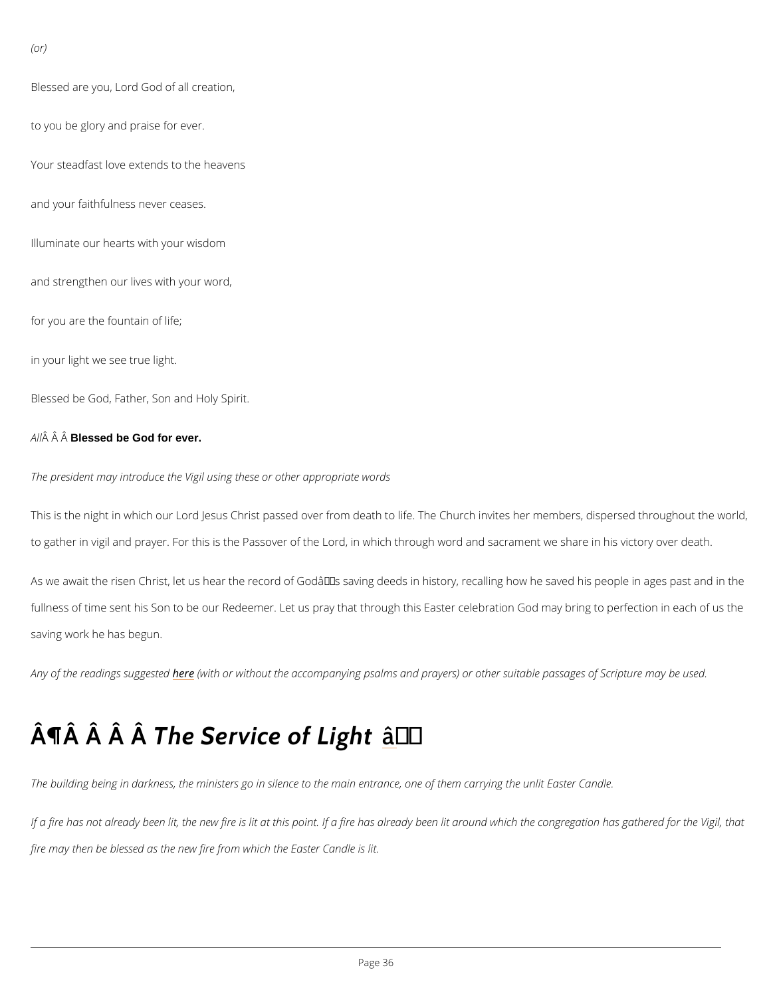```
(or)
```
Blessed are you, Lord God of all creation, to you be glory and praise for ever. Your steadfast love extends to the heavens and your faithfulness never ceases. Illuminate our hearts with your wisdom and strengthen our lives with your word, for you are the fountain of life; in your light we see true light. Blessed be God, Father, Son and Holy Spirit.

#### A  $\hat{A}$   $\hat{A}$  Blêssed be God for ever.

The president may introduce the Vigil using these or other appropriate words

This is the night in which our Lord Jesus Christ passed over from death to life. The Church i to gather in vigil and prayer. For this is the Passover of the Lord, in which through word and

As we await the risen Christ, let us hear the record of Godâ $\epsilon$ <sup>TM</sup>s saving deeds in history, rec fullness of time sent his Son to be our Redeemer. Let us pray that through this Easter celebi saving work he has begun.

Any of the readinghse sougigtens berdwith out the accompanying psalms and prayers) or other suitable

# $\hat{A} \parallel \hat{A}$   $\hat{A} \parallel \hat{B}$   $\hat{B}$   $\hat{C}$   $\hat{C}$   $\hat{C}$   $\hat{C}$   $\hat{C}$   $\hat{C}$   $\hat{C}$   $\hat{C}$   $\hat{C}$   $\hat{C}$   $\hat{C}$   $\hat{C}$   $\hat{C}$   $\hat{C}$   $\hat{C}$   $\hat{C}$   $\hat{C}$   $\hat{C}$   $\hat{C}$   $\hat{C}$   $\hat{C}$   $\hat{C}$   $\hat{C}$

The building being in darkness, the ministers go in silence to the main entrance, one of them

If a fire has not already been lit, the new fire is lit at this point. If a fire has already been I

fire may then be blessed as the new fire from which the Easter Candle is lit.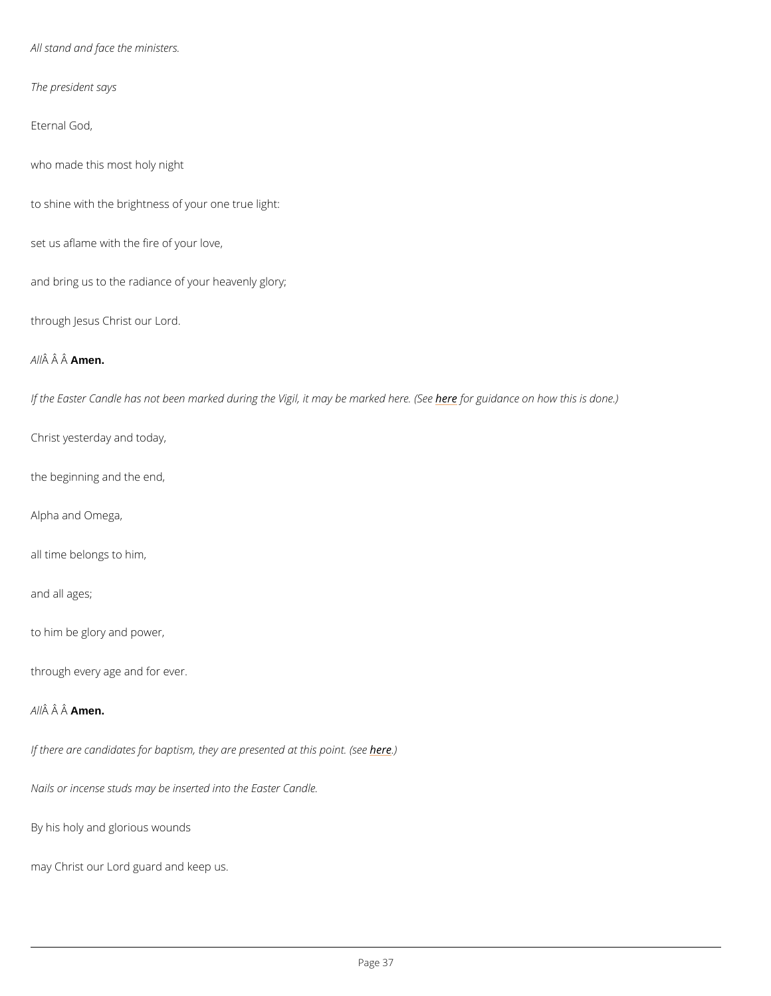All stand and face the ministers.

The president says

Eternal God,

who made this most holy night

to shine with the brightness of your one true light:

set us aflame with the fire of your love,

and bring us to the radiance of your heavenly glory;

through Jesus Christ our Lord.

A  $\hat{A}$   $\hat{A}$   $\hat{A}$  $\hat{A}$  $\hat{B}$ en.

If the Easter Candle has not been marked during th<mark>hee Vefoyri,gutichnaam,yceb oo mm baokwe odhihse rios. d(oSneee.)</mark>

Christ yesterday and today,

the beginning and the end,

Alpha and Omega,

all time belongs to him,

and all ages;

to him be glory and power,

through every age and for ever.

A  $\hat{A}$   $\hat{A}$   $\hat{A}$  $\hat{A}$  $\hat{B}$  $\hat{B}$  $\hat{B}$  $\hat{B}$ .

If there are candidates for baptism, they a here pothesented at this point. (see

Nails or incense studs may be inserted into the Easter Candle.

By his holy and glorious wounds

may Christ our Lord guard and keep us.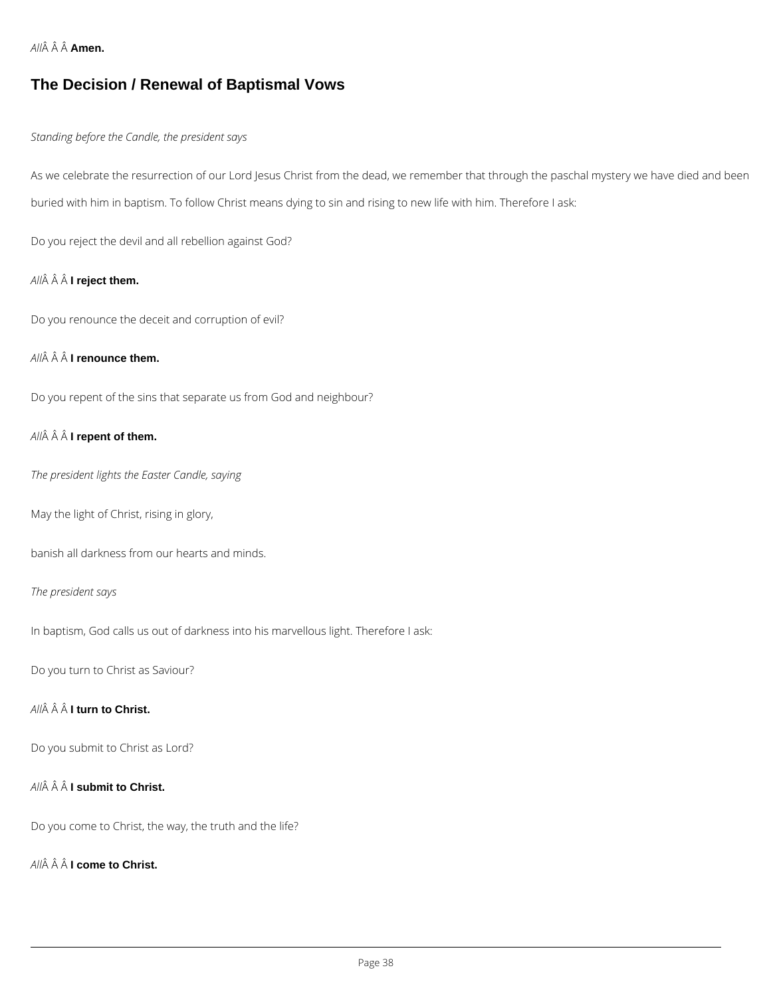*All* **Amen.**

## **The Decision / Renewal of Baptismal Vows**

#### *Standing before the Candle, the president says*

As we celebrate the resurrection of our Lord Jesus Christ from the dead, we remember that through the paschal mystery we have died and been buried with him in baptism. To follow Christ means dying to sin and rising to new life with him. Therefore I ask:

Do you reject the devil and all rebellion against God?

## *All* **I reject them.**

Do you renounce the deceit and corruption of evil?

### *All* **I renounce them.**

Do you repent of the sins that separate us from God and neighbour?

### *All* **I repent of them.**

*The president lights the Easter Candle, saying*

May the light of Christ, rising in glory,

banish all darkness from our hearts and minds.

### *The president says*

In baptism, God calls us out of darkness into his marvellous light. Therefore I ask:

Do you turn to Christ as Saviour?

### *All* **I turn to Christ.**

## *All* **I submit to Christ.**

Do you come to Christ, the way, the truth and the life?

*All* **I come to Christ.**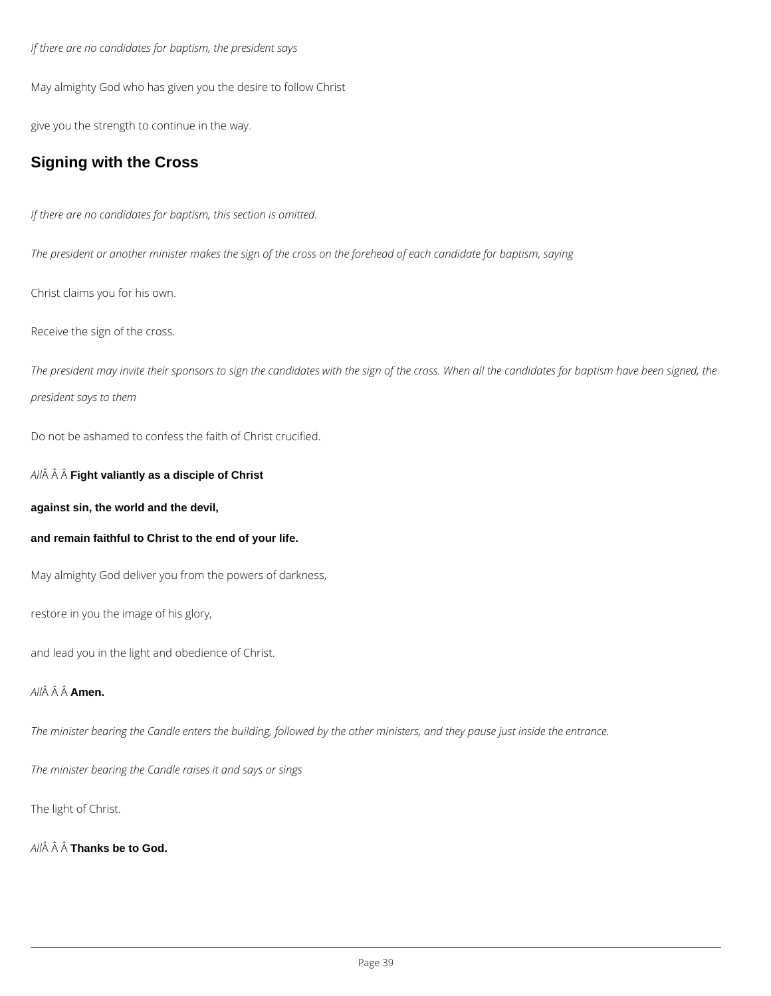*If there are no candidates for baptism, the president says*

May almighty God who has given you the desire to follow Christ

give you the strength to continue in the way.

## **Signing with the Cross**

*If there are no candidates for baptism, this section is omitted.*

*The president or another minister makes the sign of the cross on the forehead of each candidate for baptism, saying*

Christ claims you for his own.

Receive the sign of the cross.

*The president may invite their sponsors to sign the candidates with the sign of the cross. When all the candidates for baptism have been signed, the president says to them*

Do not be ashamed to confess the faith of Christ crucified.

*All* **Fight valiantly as a disciple of Christ**

**against sin, the world and the devil,**

**and remain faithful to Christ to the end of your life.**

May almighty God deliver you from the powers of darkness,

restore in you the image of his glory,

and lead you in the light and obedience of Christ.

### *All* **Amen.**

*The minister bearing the Candle enters the building, followed by the other ministers, and they pause just inside the entrance.*

*The minister bearing the Candle raises it and says or sings*

The light of Christ.

*All* **Thanks be to God.**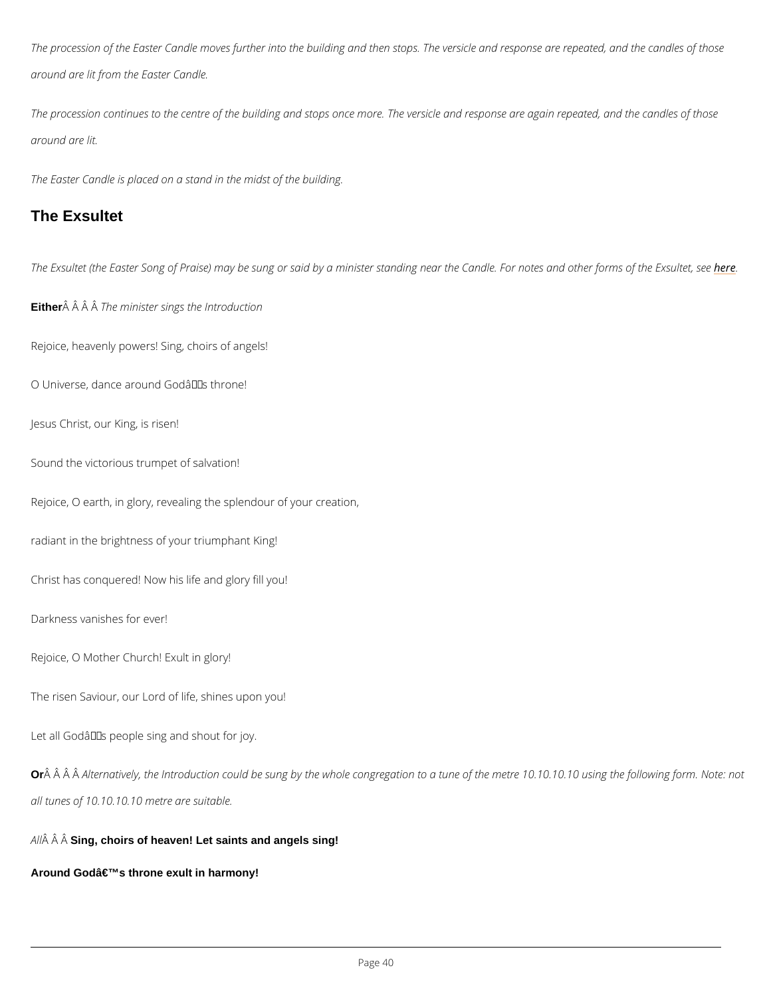The procession of the Easter Candle moves further into the building and then stops. The vers around are lit from the Easter Candle.

The procession continues to the centre of the building and stops once more. The versicle and around are lit.

The Easter Candle is placed on a stand in the midst of the building.

#### The Exsultet

The Exsultet (the Easter Song of Praise) may be sung or said by a minister standing neemethe

Either  $\hat{A}$   $\hat{A}$   $\hat{A}$   $\hat{B}$   $\hat{C}$  minister sings the Introduction

Rejoice, heavenly powers! Sing, choirs of angels!

O Universe, dance around Godâ $\epsilon$ <sup>TM</sup>s throne!

Jesus Christ, our King, is risen!

Sound the victorious trumpet of salvation!

Rejoice, O earth, in glory, revealing the splendour of your creation,

radiant in the brightness of your triumphant King!

Christ has conquered! Now his life and glory fill you!

Darkness vanishes for ever!

Rejoice, O Mother Church! Exult in glory!

The risen Saviour, our Lord of life, shines upon you!

Let all Godâ $\epsilon$ <sup>TM</sup>s people sing and shout for joy.

Or Â Â Ĥ ernatively, the Introduction could be sung by the whole congregation to a tune of th

all tunes of 10.10.10.10 metre are suitable.

A  $\hat{A}$   $\hat{A}$  Sing, choirs of heaven! Let saints and angels sing!

Around God's throne exult in harmony!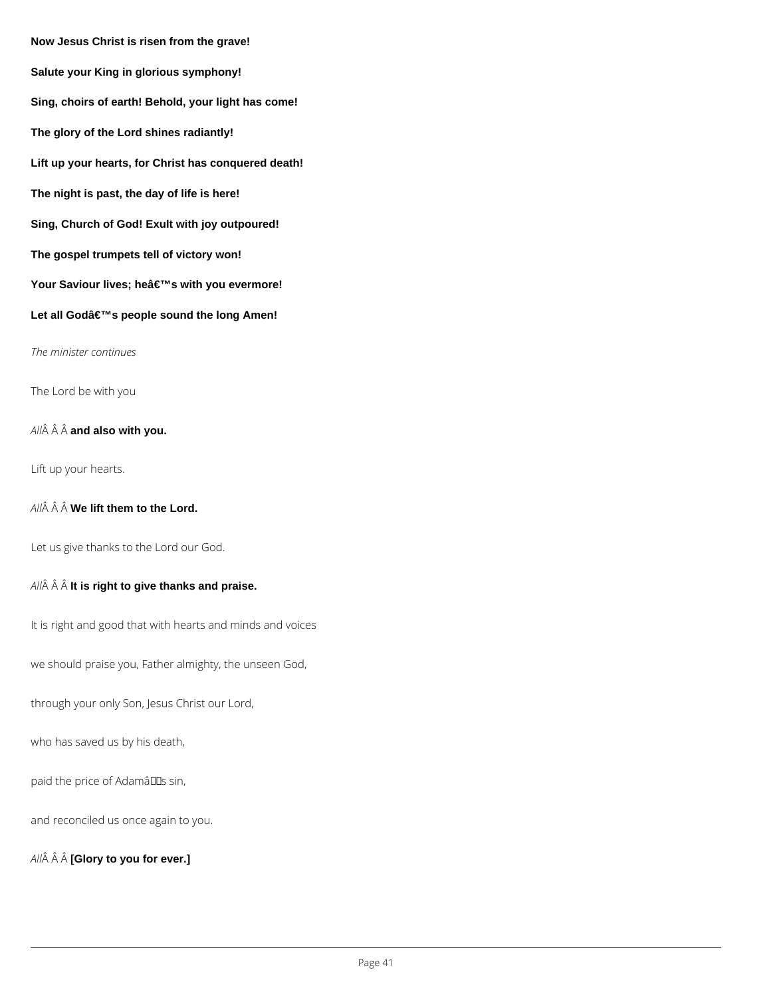**Now Jesus Christ is risen from the grave! Salute your King in glorious symphony! Sing, choirs of earth! Behold, your light has come! The glory of the Lord shines radiantly! Lift up your hearts, for Christ has conquered death! The night is past, the day of life is here! Sing, Church of God! Exult with joy outpoured! The gospel trumpets tell of victory won!** Your Saviour lives; he's with you evermore! Let all Godâ€<sup>™</sup>s people sound the long Amen! *The minister continues* The Lord be with you *All* **and also with you.** Lift up your hearts.

All $\hat{A}$   $\hat{A}$   $\hat{A}$  **We lift them to the Lord.** 

Let us give thanks to the Lord our God.

*All* **It is right to give thanks and praise.**

It is right and good that with hearts and minds and voices

we should praise you, Father almighty, the unseen God,

through your only Son, Jesus Christ our Lord,

paid the price of Adamâlls sin,

and reconciled us once again to you.

*All* **[Glory to you for ever.]**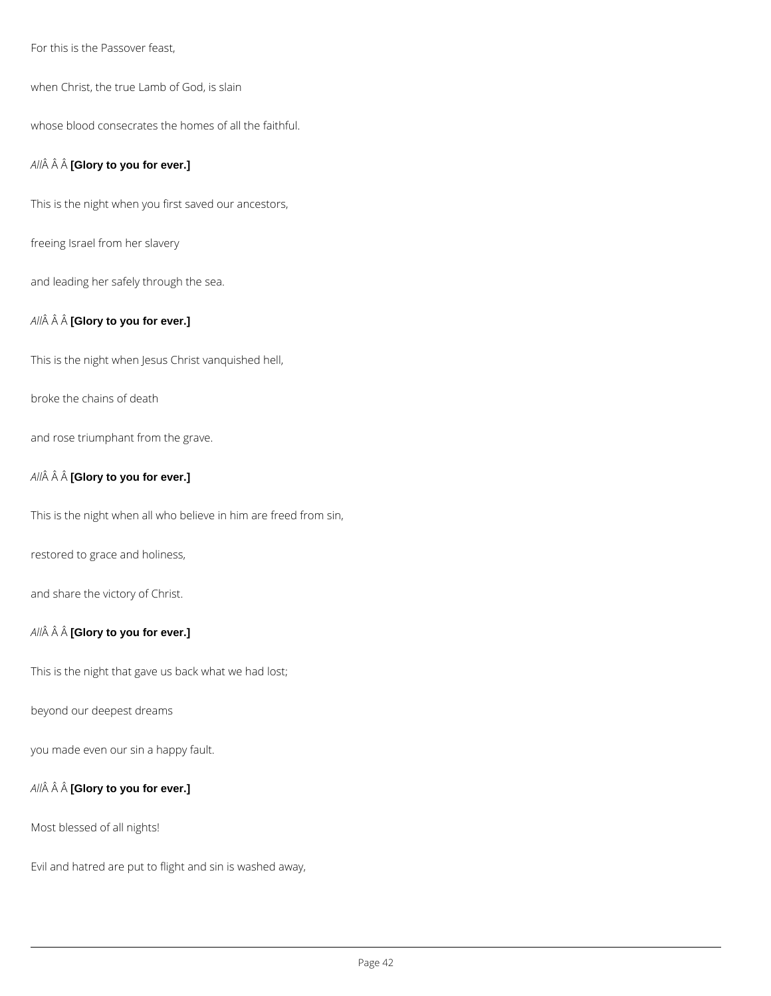For this is the Passover feast,

when Christ, the true Lamb of God, is slain

whose blood consecrates the homes of all the faithful.

### *All* **[Glory to you for ever.]**

This is the night when you first saved our ancestors,

freeing Israel from her slavery

and leading her safely through the sea.

### *All* **[Glory to you for ever.]**

This is the night when Jesus Christ vanquished hell,

broke the chains of death

and rose triumphant from the grave.

### *All* **[Glory to you for ever.]**

This is the night when all who believe in him are freed from sin,

restored to grace and holiness,

and share the victory of Christ.

## *All* **[Glory to you for ever.]**

This is the night that gave us back what we had lost;

beyond our deepest dreams

you made even our sin a happy fault.

*All* **[Glory to you for ever.]**

Most blessed of all nights!

Evil and hatred are put to flight and sin is washed away,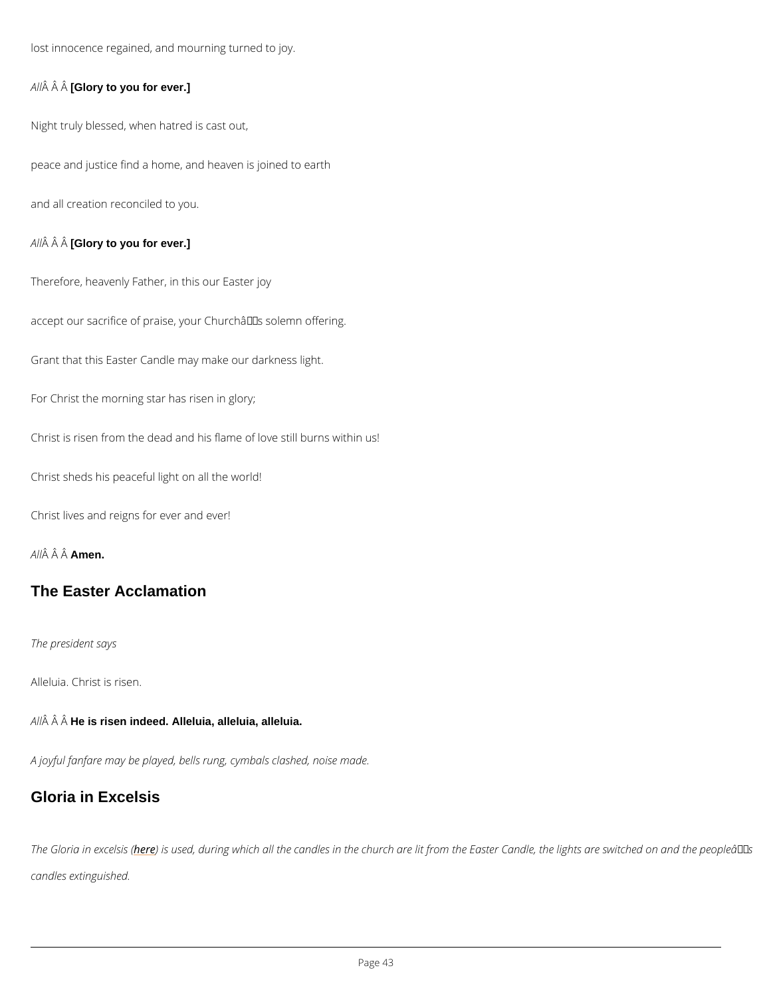lost innocence regained, and mourning turned to joy.

 $A \mathbf{\hat{A}} \mathbf{\hat{A}}$  [G $\mathbf{\hat{A}}$ ory to you for ever.]

Night truly blessed, when hatred is cast out,

peace and justice find a home, and heaven is joined to earth

and all creation reconciled to you.

 $A \hat{M}$   $\hat{A}$  [G $\hat{A}$ ory to you for ever.]

Therefore, heavenly Father, in this our Easter joy

accept our sacrifice of praise, your Church's solemn offering.

Grant that this Easter Candle may make our darkness light.

For Christ the morning star has risen in glory;

Christ is risen from the dead and his flame of love still burns within us!

Christ sheds his peaceful light on all the world!

Christ lives and reigns for ever and ever!

A  $\hat{A}$   $\hat{A}$   $\hat{A}$  $\hat{A}$  $\hat{B}$ en.

The Easter Acclamation

The president says

Alleluia. Christ is risen.

 $A \hat{H}$   $\hat{A}$  H $\hat{A}$  is risen indeed. Alleluia, alleluia, alleluia.

A joyful fanfare may be played, bells rung, cymbals clashed, noise made.

Gloria in Excelsis

The Gloria inhex) eessussed, during which all the candles in the church are lit from the Easter C

candles extinguished.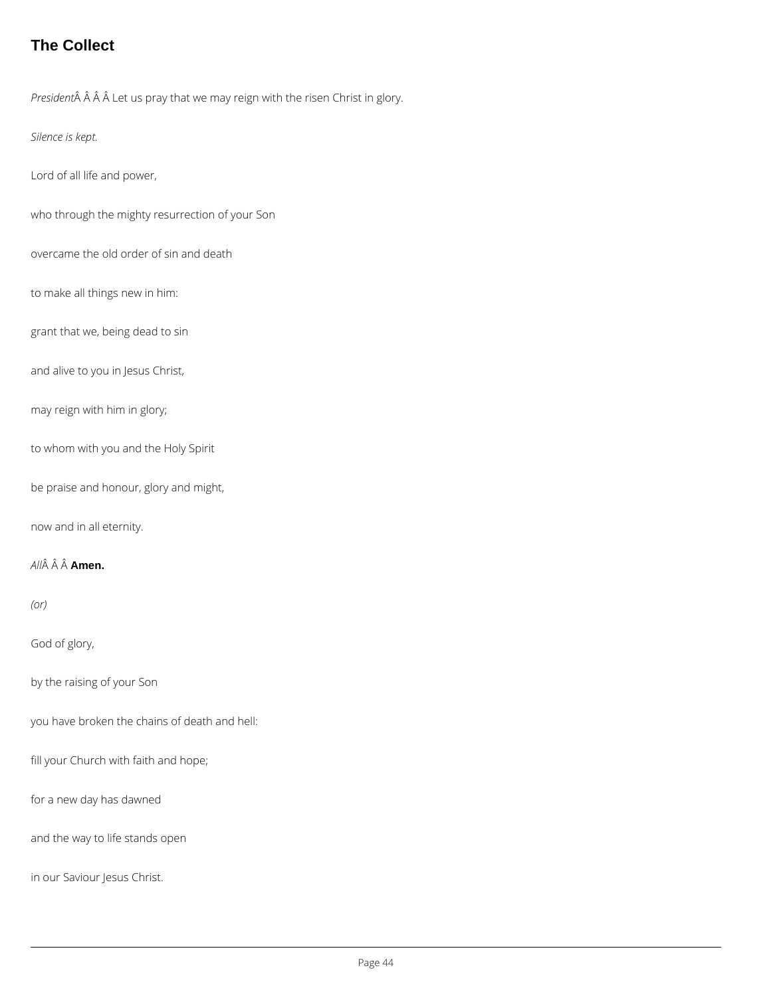## **The Collect**

*President* $\hat{A}$   $\hat{A}$   $\hat{A}$  Let us pray that we may reign with the risen Christ in glory.

*Silence is kept.*

Lord of all life and power,

who through the mighty resurrection of your Son

overcame the old order of sin and death

to make all things new in him:

grant that we, being dead to sin

and alive to you in Jesus Christ,

may reign with him in glory;

to whom with you and the Holy Spirit

be praise and honour, glory and might,

now and in all eternity.

*All* **Amen.**

*(or)*

God of glory,

by the raising of your Son

you have broken the chains of death and hell:

fill your Church with faith and hope;

for a new day has dawned

and the way to life stands open

in our Saviour Jesus Christ.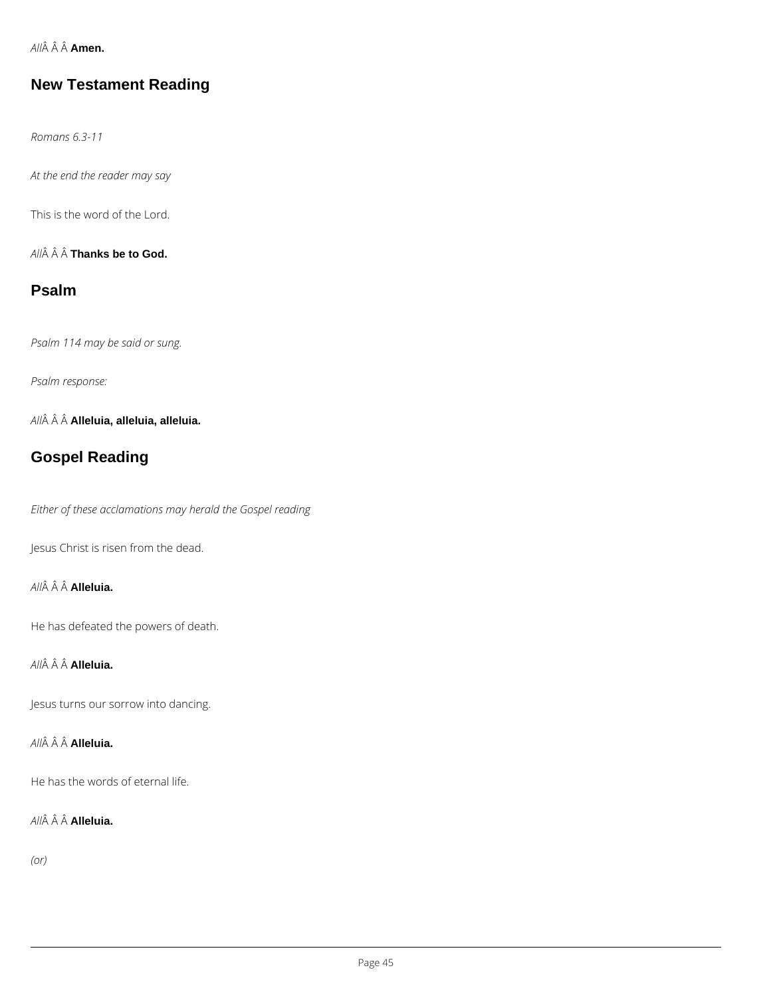*All* **Amen.**

## **New Testament Reading**

*Romans 6.3-11*

*At the end the reader may say*

This is the word of the Lord.

*All* **Thanks be to God.**

## **Psalm**

*Psalm 114 may be said or sung.*

*Psalm response:*

*All* **Alleluia, alleluia, alleluia.**

## **Gospel Reading**

*Either of these acclamations may herald the Gospel reading*

Jesus Christ is risen from the dead.

*All* **Alleluia.**

He has defeated the powers of death.

*All* **Alleluia.**

Jesus turns our sorrow into dancing.



He has the words of eternal life.

*All* **Alleluia.**

*(or)*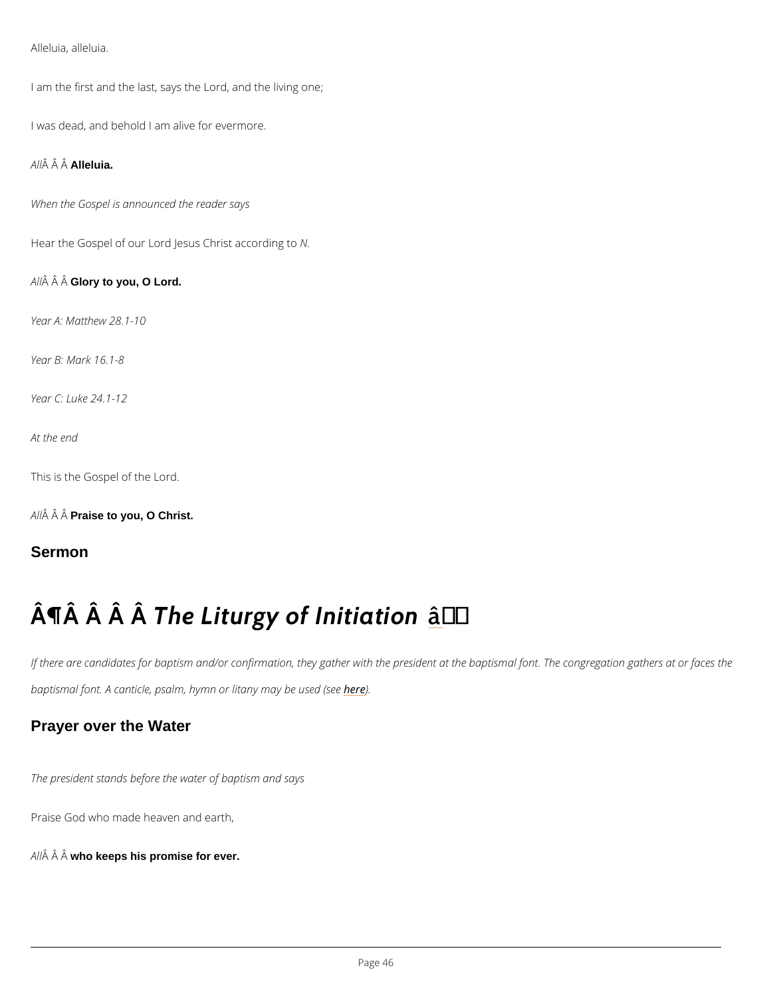Alleluia, alleluia.

I am the first and the last, says the Lord, and the living one;

I was dead, and behold I am alive for evermore.

A  $\hat{A}$   $\hat{A}$  Alleluia.

When the Gospel is announced the reader says

Hear the Gospel of our Lord Jesus N.C hrist according to

A  $\hat{A}$   $\hat{A}$  G $\hat{A}$ ory to you, O Lord.

Year A: Matthew 28.1-10

Year B: Mark 16.1-8

Year C: Luke 24.1-12

At the end

This is the Gospel of the Lord.

A  $\hat{A}$   $\hat{A}$  Praise to you, O Christ.

Sermon

# $\hat{A}$   $\hat{A}$   $\hat{A}$   $\hat{A}$   $\hat{B}$  Liturgy of  $\hat{A}$   $\hat{B}$   $\hat{B}$  itiation

If there are candidates for baptism and/or confirmation, they gather with the president at the baptismal font. A canticle, psalm, hymnhor)ditany may be used (see

### Prayer over the Water

The president stands before the water of baptism and says

Praise God who made heaven and earth,

A  $\hat{A}$   $\hat{A}$  who keeps his promise for ever.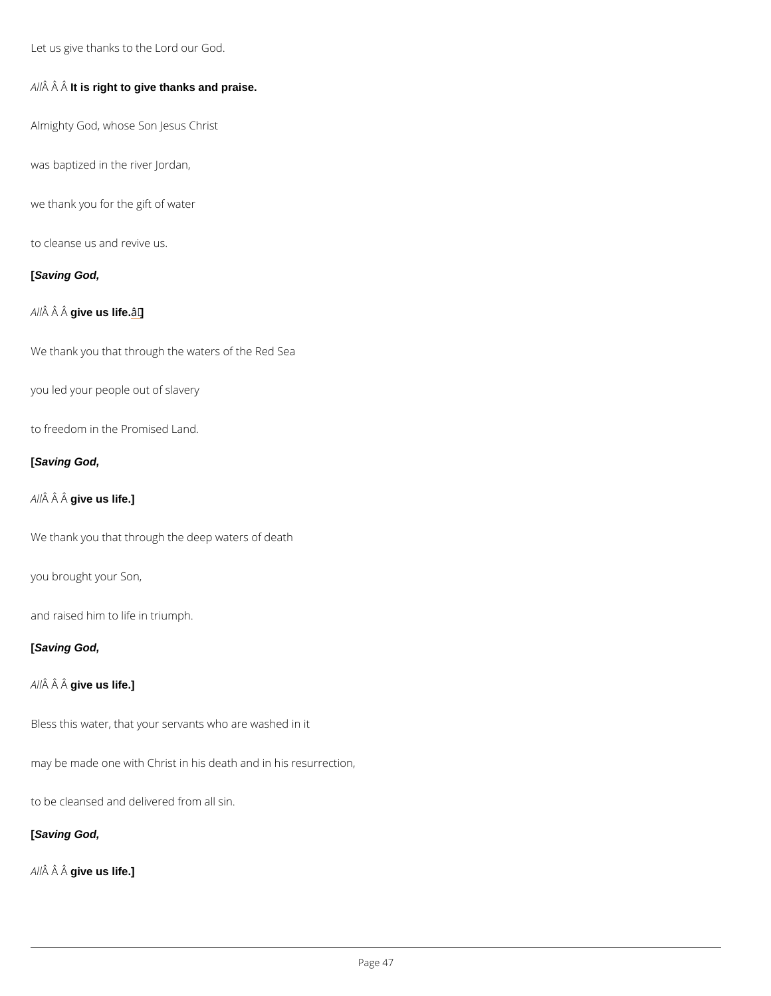Let us give thanks to the Lord our God.

A $\hat{A}$   $\hat{A}$  it  $\hat{A}$  right to give thanks and praise.

Almighty God, whose Son Jesus Christ

was baptized in the river Jordan,

we thank you for the gift of water

to cleanse us and revive us.

[Saving God,

A  $\hat{A}$   $\hat{A}$  give us life.  $\hat{a}$   $\in$ 

We thank you that through the waters of the Red Sea

you led your people out of slavery

to freedom in the Promised Land.

[Saving God,

A  $\hat{A}$   $\hat{A}$  give us life.]

We thank you that through the deep waters of death

you brought your Son,

and raised him to life in triumph.

[Saving God,

A  $\hat{A}$   $\hat{A}$  give us life.]

Bless this water, that your servants who are washed in it

may be made one with Christ in his death and in his resurrection,

to be cleansed and delivered from all sin.

[Saving God,

A  $\hat{A}$   $\hat{A}$  give us life.]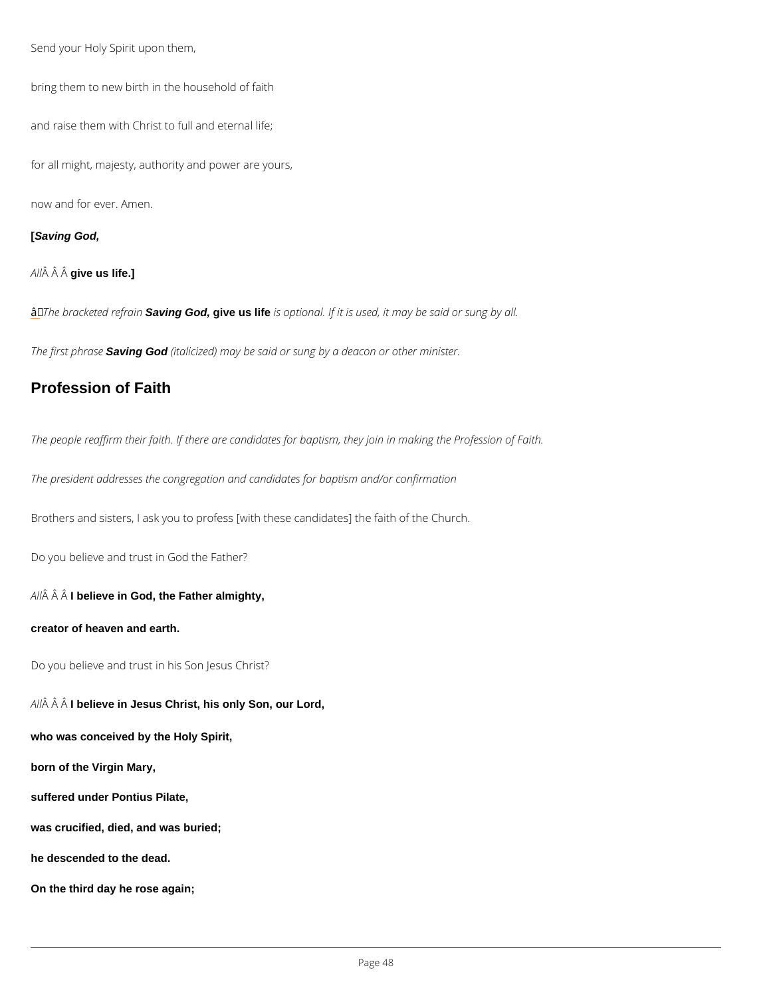<span id="page-47-0"></span>Send your Holy Spirit upon them,

bring them to new birth in the household of faith

and raise them with Christ to full and eternal life;

for all might, majesty, authority and power are yours,

now and for ever. Amen.

#### **[Saving God,**

*All* **give us life.]**

â *The bracketed refrain* **Saving God, give us life** *is optional. If it is used, it may be said or sung by all.*

*The first phrase* **Saving God** *(italicized) may be said or sung by a deacon or other minister.*

## **Profession of Faith**

*The people reaffirm their faith. If there are candidates for baptism, they join in making the Profession of Faith.*

*The president addresses the congregation and candidates for baptism and/or confirmation*

Brothers and sisters, I ask you to profess [with these candidates] the faith of the Church.

Do you believe and trust in God the Father?

*All* **I believe in God, the Father almighty,**

**creator of heaven and earth.**

Do you believe and trust in his Son Jesus Christ?

*All* **I believe in Jesus Christ, his only Son, our Lord,**

**who was conceived by the Holy Spirit,**

**born of the Virgin Mary,**

**suffered under Pontius Pilate,**

**was crucified, died, and was buried;**

**he descended to the dead.**

**On the third day he rose again;**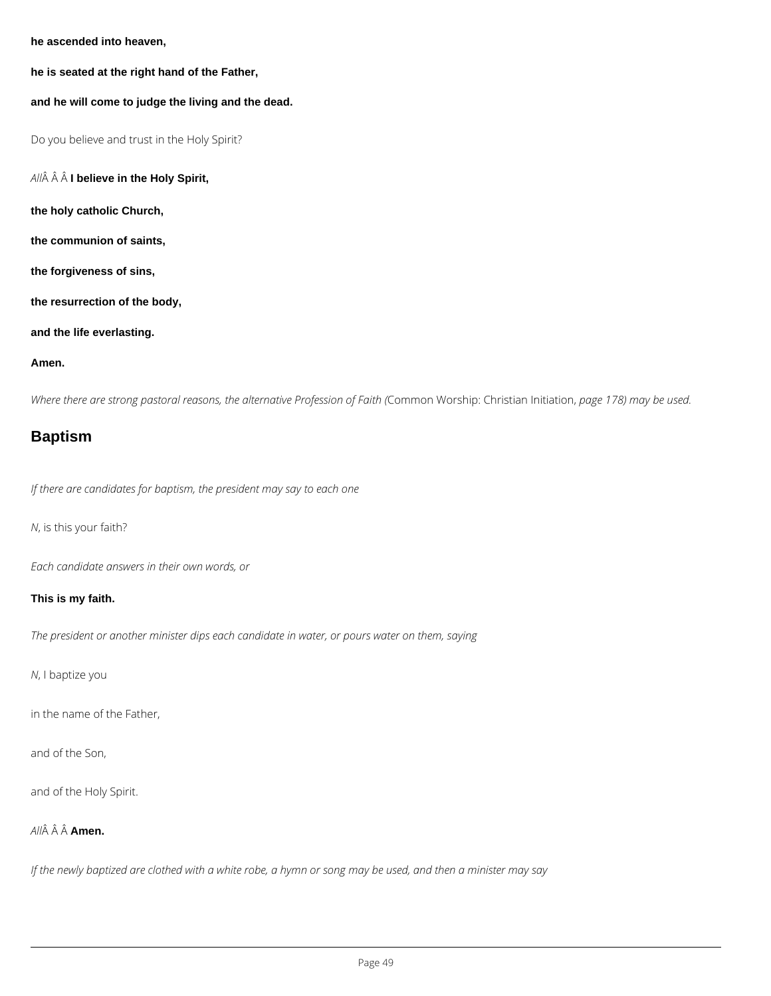**he ascended into heaven,**

**he is seated at the right hand of the Father,**

#### **and he will come to judge the living and the dead.**

Do you believe and trust in the Holy Spirit?

*All* **I believe in the Holy Spirit,**

**the holy catholic Church,**

**the communion of saints,**

**the forgiveness of sins,**

**the resurrection of the body,**

**and the life everlasting.**

#### **Amen.**

*Where there are strong pastoral reasons, the alternative Profession of Faith (*Common Worship: Christian Initiation, *page 178) may be used.*

## **Baptism**

*If there are candidates for baptism, the president may say to each one*

*N*, is this your faith?

*Each candidate answers in their own words, or*

### **This is my faith.**

*The president or another minister dips each candidate in water, or pours water on them, saying*

*N*, I baptize you

in the name of the Father,

and of the Son,

and of the Holy Spirit.

*All* **Amen.**

*If the newly baptized are clothed with a white robe, a hymn or song may be used, and then a minister may say*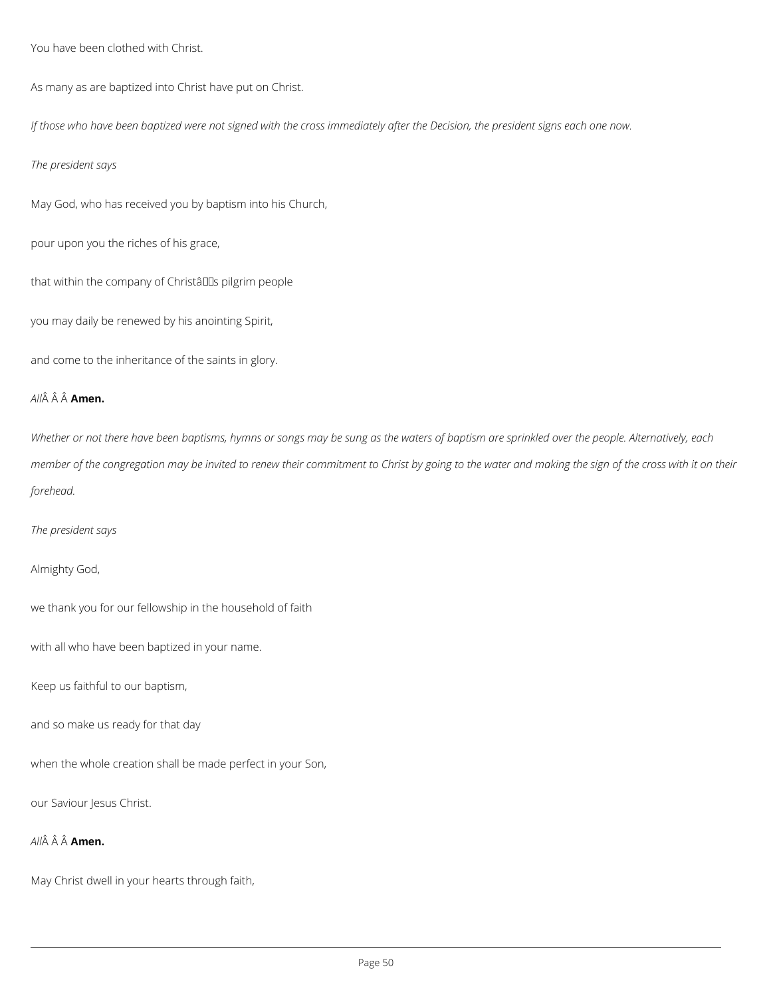You have been clothed with Christ.

As many as are baptized into Christ have put on Christ.

*If those who have been baptized were not signed with the cross immediately after the Decision, the president signs each one now.*

*The president says*

May God, who has received you by baptism into his Church,

pour upon you the riches of his grace,

that within the company of Christâlls pilgrim people

you may daily be renewed by his anointing Spirit,

and come to the inheritance of the saints in glory.

### *All* **Amen.**

*Whether or not there have been baptisms, hymns or songs may be sung as the waters of baptism are sprinkled over the people. Alternatively, each member of the congregation may be invited to renew their commitment to Christ by going to the water and making the sign of the cross with it on their forehead.*

*The president says*

Almighty God,

we thank you for our fellowship in the household of faith

with all who have been baptized in your name.

Keep us faithful to our baptism,

and so make us ready for that day

when the whole creation shall be made perfect in your Son,

our Saviour Jesus Christ.

*All* **Amen.**

May Christ dwell in your hearts through faith,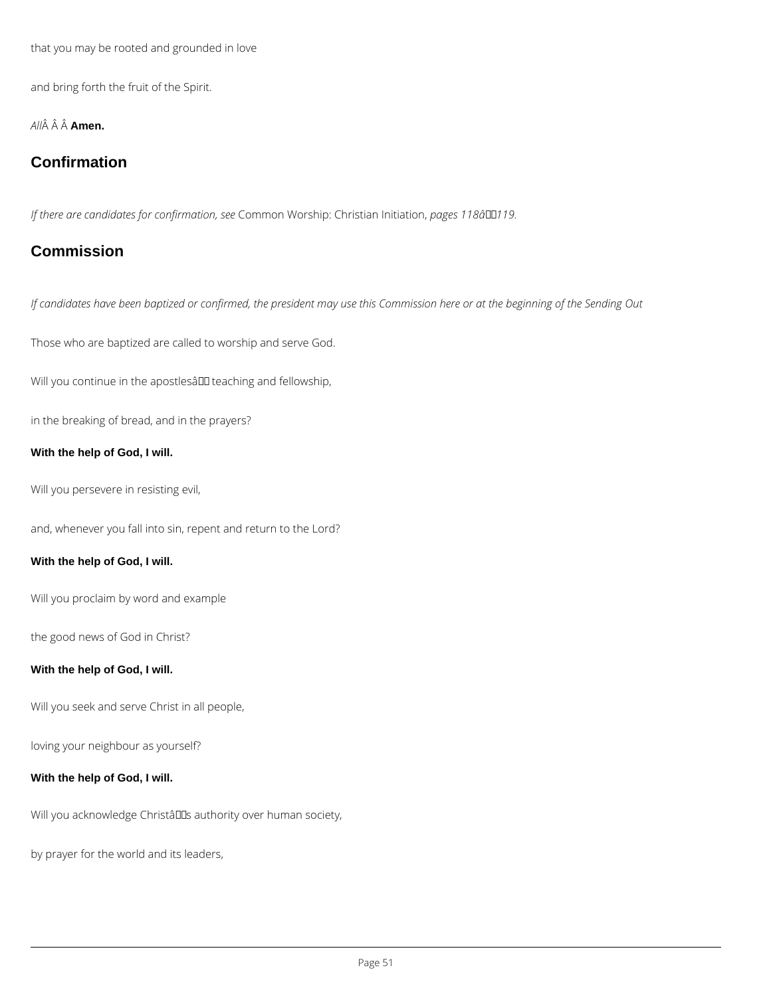that you may be rooted and grounded in love

and bring forth the fruit of the Spirit.

*All* **Amen.**

## **Confirmation**

*If there are candidates for confirmation, see* Common Worship: Christian Initiation, *pages 118â119.*

## **Commission**

*If candidates have been baptized or confirmed, the president may use this Commission here or at the beginning of the Sending Out*

Those who are baptized are called to worship and serve God.

Will you continue in the apostlesâ III teaching and fellowship,

in the breaking of bread, and in the prayers?

### **With the help of God, I will.**

Will you persevere in resisting evil,

and, whenever you fall into sin, repent and return to the Lord?

### **With the help of God, I will.**

Will you proclaim by word and example

the good news of God in Christ?

#### **With the help of God, I will.**

Will you seek and serve Christ in all people,

#### **With the help of God, I will.**

Will you acknowledge ChristâllEs authority over human society,

by prayer for the world and its leaders,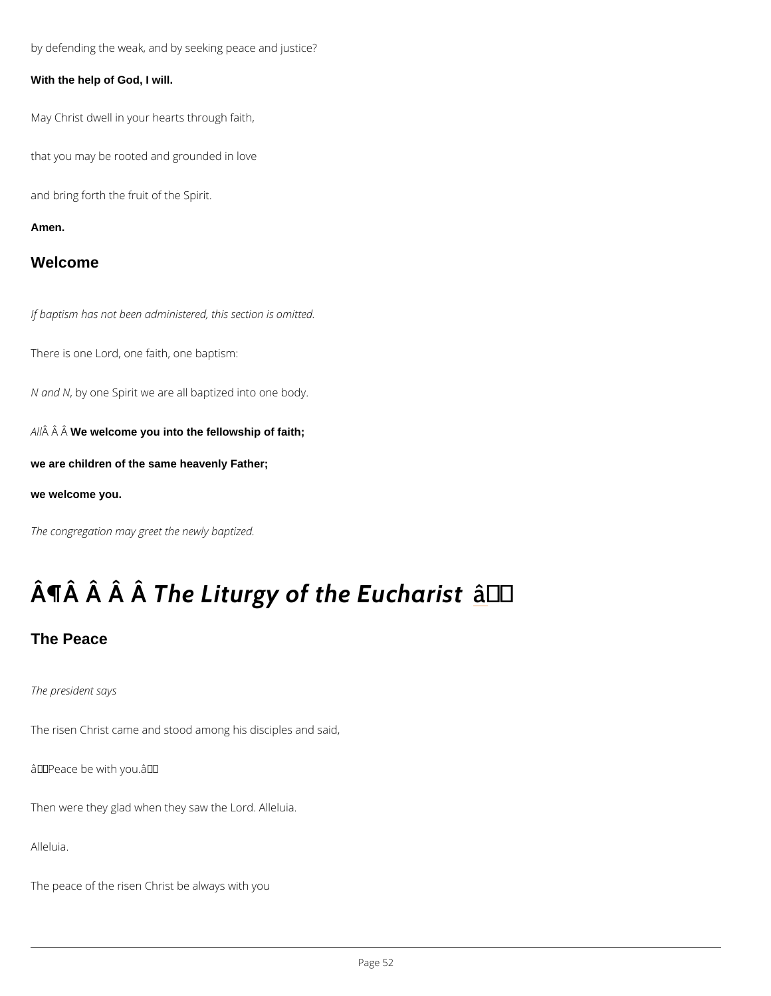by defending the weak, and by seeking peace and justice?

With the help of God, I will.

May Christ dwell in your hearts through faith,

that you may be rooted and grounded in love

and bring forth the fruit of the Spirit.

Amen.

Welcome

If baptism has not been administered, this section is omitted.

There is one Lord, one faith, one baptism:

N and Ny one Spirit we are all baptized into one body.

A  $\hat{A}$   $\hat{A}$  W $\hat{B}$  welcome you into the fellowship of faith;

we are children of the same heavenly Father;

we welcome you.

The congregation may greet the newly baptized.

# $\hat{A}$   $\hat{A}$   $\hat{A}$   $\hat{A}$   $\hat{B}$  Liturgy of th $\hat{B}$   $\hat{B}$   $\hat{B}$   $\hat{C}$   $\hat{C}$   $\hat{C}$   $\hat{A}$   $\hat{C}$   $\hat{A}$   $\hat{C}$   $\hat{C}$   $\hat{C}$   $\hat{C}$   $\hat{C}$   $\hat{C}$   $\hat{C}$   $\hat{C}$   $\hat{C}$   $\hat{C}$   $\hat{C}$   $\hat{C}$

The Peace

The president says

The risen Christ came and stood among his disciples and said,

 $\hat{a} \in \tilde{g}$  Peace be with you. $\hat{a} \in \tilde{g}$ 

Then were they glad when they saw the Lord. Alleluia.

Alleluia.

The peace of the risen Christ be always with you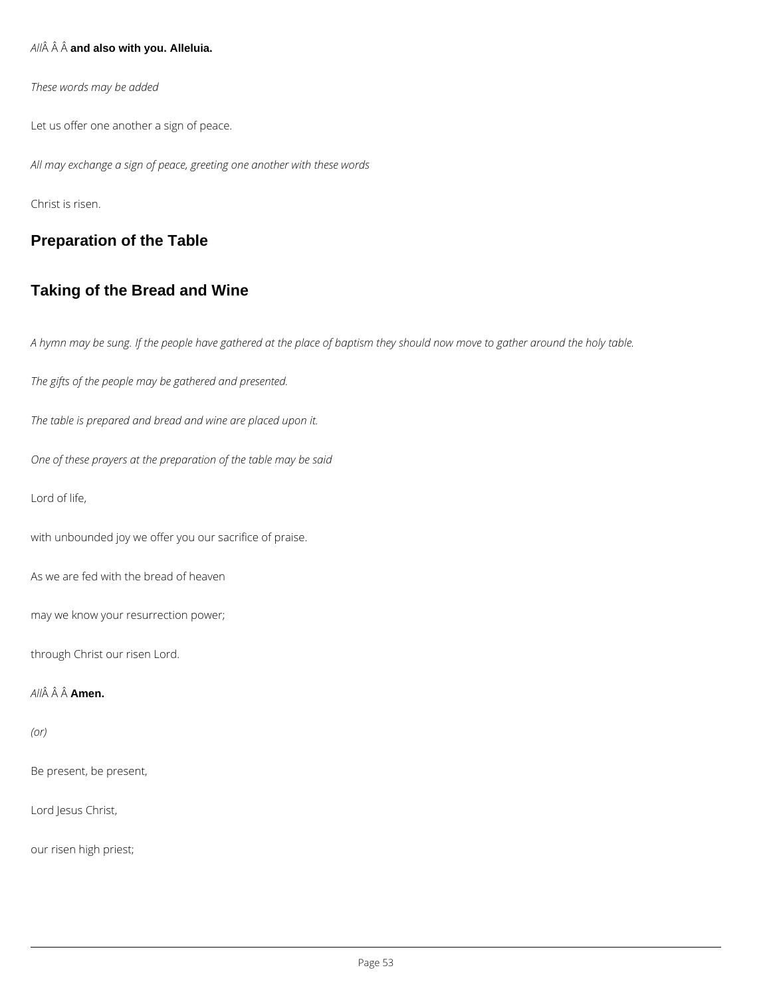### *All* **and also with you. Alleluia.**

*These words may be added*

Let us offer one another a sign of peace.

*All may exchange a sign of peace, greeting one another with these words*

Christ is risen.

## **Preparation of the Table**

## **Taking of the Bread and Wine**

*A hymn may be sung. If the people have gathered at the place of baptism they should now move to gather around the holy table.*

*The gifts of the people may be gathered and presented.*

*The table is prepared and bread and wine are placed upon it.*

*One of these prayers at the preparation of the table may be said*

Lord of life,

with unbounded joy we offer you our sacrifice of praise.

As we are fed with the bread of heaven

may we know your resurrection power;

through Christ our risen Lord.

### *All* **Amen.**

*(or)*

Be present, be present,

Lord Jesus Christ,

our risen high priest;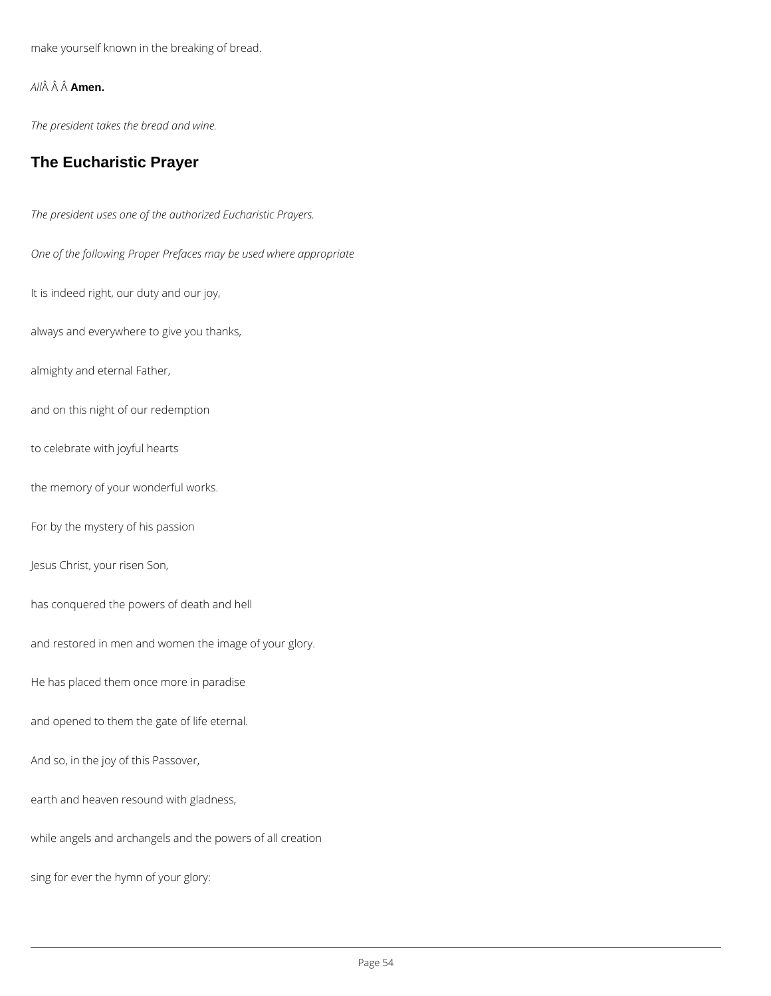make yourself known in the breaking of bread.

*All* **Amen.**

*The president takes the bread and wine.*

## **The Eucharistic Prayer**

*The president uses one of the authorized Eucharistic Prayers. One of the following Proper Prefaces may be used where appropriate* It is indeed right, our duty and our joy, always and everywhere to give you thanks, almighty and eternal Father, and on this night of our redemption to celebrate with joyful hearts the memory of your wonderful works. For by the mystery of his passion Jesus Christ, your risen Son, has conquered the powers of death and hell and restored in men and women the image of your glory. He has placed them once more in paradise

and opened to them the gate of life eternal.

#### And so, in the joy of this Passover,

earth and heaven resound with gladness,

while angels and archangels and the powers of all creation

sing for ever the hymn of your glory: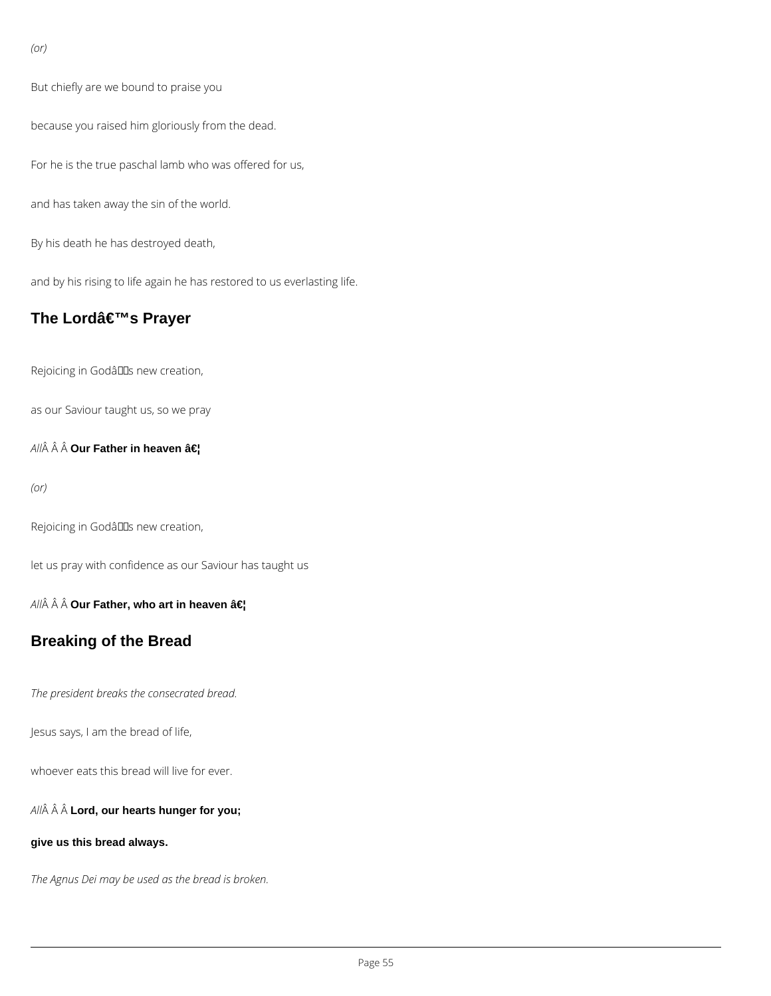*(or)*

But chiefly are we bound to praise you

because you raised him gloriously from the dead.

For he is the true paschal lamb who was offered for us,

and has taken away the sin of the world.

By his death he has destroyed death,

and by his rising to life again he has restored to us everlasting life.

## **The Lord's Prayer**

Rejoicing in Godâlls new creation,

as our Saviour taught us, so we pray

 $AII\hat{A}$  Our Father in heaven …

*(or)*

Rejoicing in Godâlls new creation,

let us pray with confidence as our Saviour has taught us

All Â **Our Father, who art in heaven â€!** 

## **Breaking of the Bread**

*The president breaks the consecrated bread.*

Jesus says, I am the bread of life,

whoever eats this bread will live for ever.

*All* **Lord, our hearts hunger for you;**

#### **give us this bread always.**

*The Agnus Dei may be used as the bread is broken.*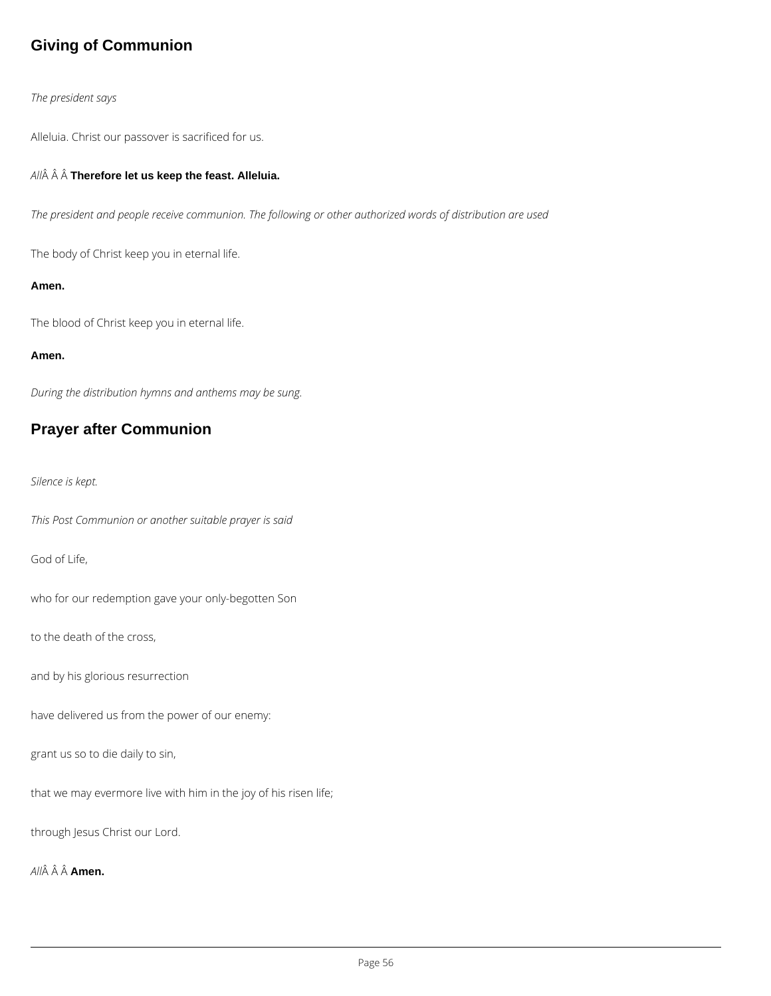## **Giving of Communion**

### *The president says*

Alleluia. Christ our passover is sacrificed for us.

### *All* **Therefore let us keep the feast. Alleluia.**

*The president and people receive communion. The following or other authorized words of distribution are used*

The body of Christ keep you in eternal life.

#### **Amen.**

The blood of Christ keep you in eternal life.

#### **Amen.**

*During the distribution hymns and anthems may be sung.*

## **Prayer after Communion**

*Silence is kept.*

*This Post Communion or another suitable prayer is said*

God of Life,

who for our redemption gave your only-begotten Son

to the death of the cross,

and by his glorious resurrection

have delivered us from the power of our enemy:

#### grant us so to die daily to sin,

that we may evermore live with him in the joy of his risen life;

through Jesus Christ our Lord.

*All* **Amen.**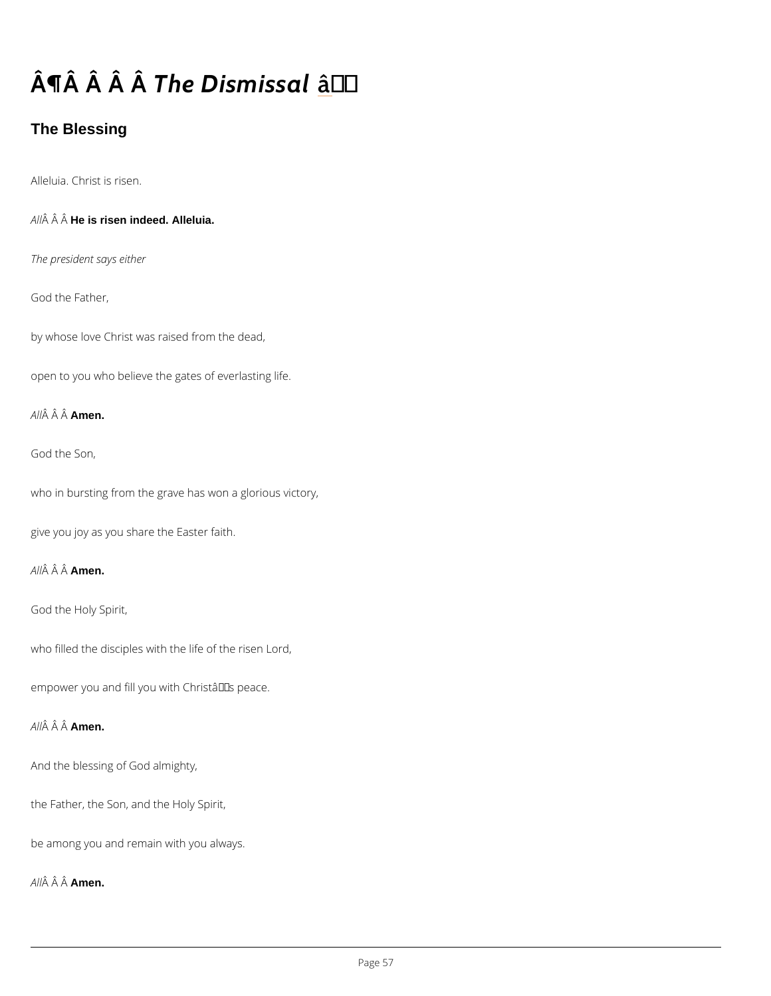# $\hat{A}$   $\P$  $\hat{A}$   $\hat{A}$   $\P$  $\hat{A}$   $\hat{B}$   $D$  is  $m\hat{a}$   $\sharp$  s al

The Blessing

Alleluia. Christ is risen.

 $A \hat{M}$   $\hat{A}$  H $\hat{A}$  is risen indeed. Alleluia.

The president says either

God the Father,

by whose love Christ was raised from the dead,

open to you who believe the gates of everlasting life.

A  $\hat{A}$   $\hat{A}$   $\hat{A}$  $\hat{A}$  $\hat{B}$ en.

God the Son,

who in bursting from the grave has won a glorious victory,

give you joy as you share the Easter faith.

A  $\hat{A}$   $\hat{A}$   $\hat{A}$  $\hat{A}$  $\hat{B}$ en.

God the Holy Spirit,

who filled the disciples with the life of the risen Lord,

empower you and fill you with Christa $\in$ <sup>TM</sup>s peace.

A  $\hat{A}$   $\hat{A}$  A $\hat{A}$ nen.

And the blessing of God almighty,

the Father, the Son, and the Holy Spirit,

be among you and remain with you always.

A  $\hat{A}$   $\hat{A}$  A $\hat{A}$  $\hat{B}$ en.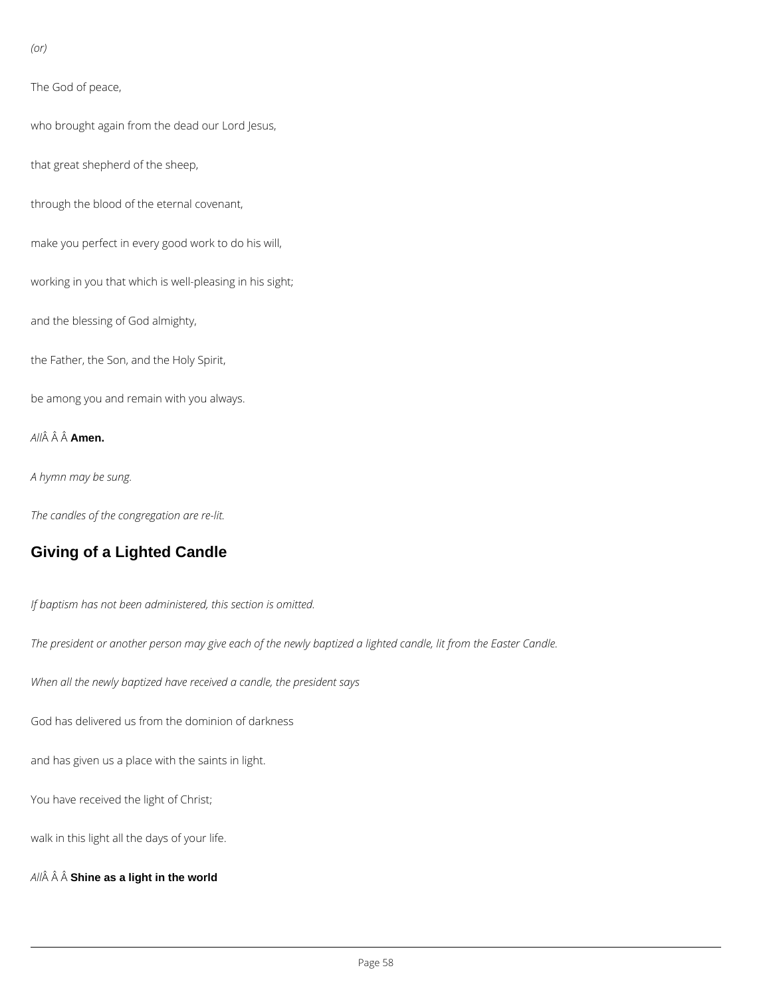*(or)*

The God of peace,

who brought again from the dead our Lord Jesus,

that great shepherd of the sheep,

through the blood of the eternal covenant,

make you perfect in every good work to do his will,

working in you that which is well-pleasing in his sight;

and the blessing of God almighty,

the Father, the Son, and the Holy Spirit,

be among you and remain with you always.

*All* **Amen.**

*A hymn may be sung.*

*The candles of the congregation are re-lit.*

## **Giving of a Lighted Candle**

*If baptism has not been administered, this section is omitted.*

*The president or another person may give each of the newly baptized a lighted candle, lit from the Easter Candle.*

*When all the newly baptized have received a candle, the president says*

God has delivered us from the dominion of darkness

and has given us a place with the saints in light.

You have received the light of Christ;

walk in this light all the days of your life.

*All* **Shine as a light in the world**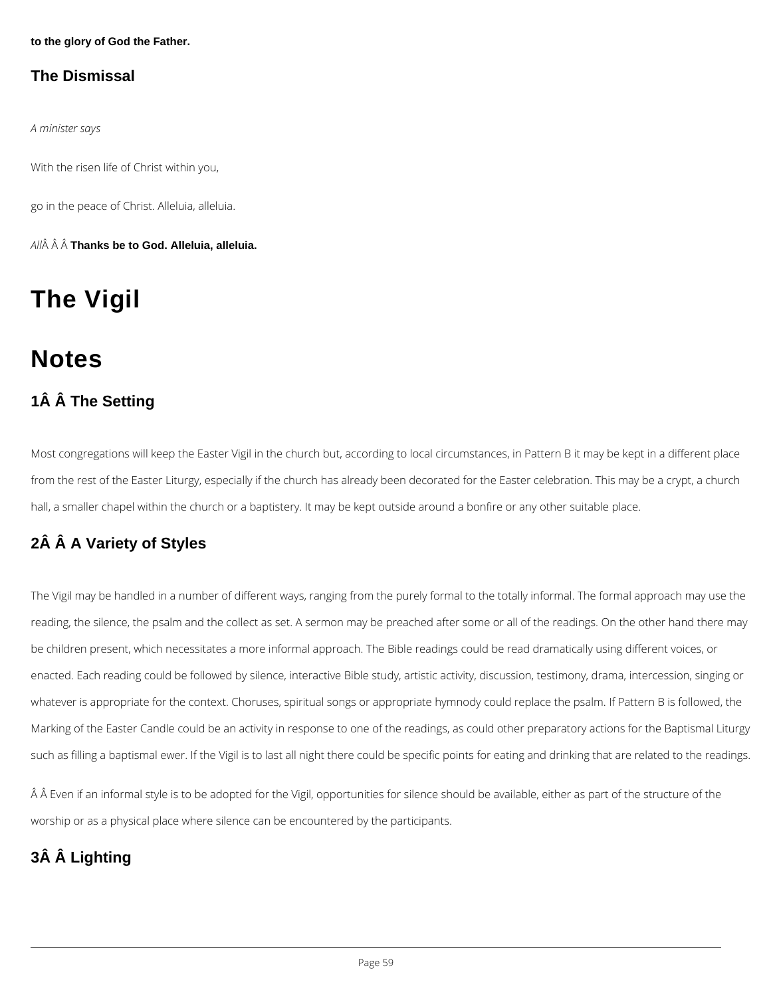**to the glory of God the Father.**

## **The Dismissal**

*A minister says*

With the risen life of Christ within you,

go in the peace of Christ. Alleluia, alleluia.

*All* **Thanks be to God. Alleluia, alleluia.**

## **The Vigil**

## **Notes**

## **1Â Â The Setting**

Most congregations will keep the Easter Vigil in the church but, according to local circumstances, in Pattern B it may be kept in a different place from the rest of the Easter Liturgy, especially if the church has already been decorated for the Easter celebration. This may be a crypt, a church hall, a smaller chapel within the church or a baptistery. It may be kept outside around a bonfire or any other suitable place.

## **2Â Â A Variety of Styles**

The Vigil may be handled in a number of different ways, ranging from the purely formal to the totally informal. The formal approach may use the reading, the silence, the psalm and the collect as set. A sermon may be preached after some or all of the readings. On the other hand there may be children present, which necessitates a more informal approach. The Bible readings could be read dramatically using different voices, or enacted. Each reading could be followed by silence, interactive Bible study, artistic activity, discussion, testimony, drama, intercession, singing or whatever is appropriate for the context. Choruses, spiritual songs or appropriate hymnody could replace the psalm. If Pattern B is followed, the Marking of the Easter Candle could be an activity in response to one of the readings, as could other preparatory actions for the Baptismal Liturgy

such as filling a baptismal ewer. If the Vigil is to last all night there could be specific points for eating and drinking that are related to the readings.

A A Even if an informal style is to be adopted for the Vigil, opportunities for silence should be available, either as part of the structure of the

worship or as a physical place where silence can be encountered by the participants.

## **3Â Â Lighting**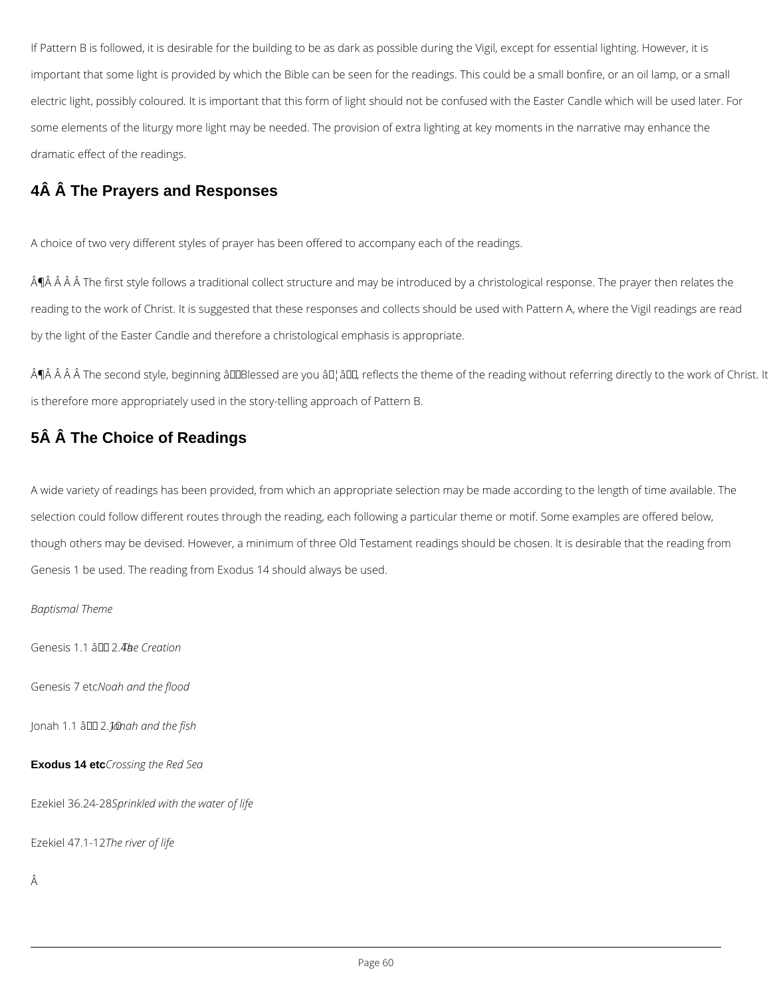If Pattern B is followed, it is desirable for the building to be as dark as possible during the Vigil, except for essential lighting. However, it is important that some light is provided by which the Bible can be seen for the readings. This could be a small bonfire, or an oil lamp, or a small electric light, possibly coloured. It is important that this form of light should not be confused with the Easter Candle which will be used later. For some elements of the liturgy more light may be needed. The provision of extra lighting at key moments in the narrative may enhance the dramatic effect of the readings.

 $\hat{A}$   $\hat{A}$   $\hat{A}$   $\hat{A}$   $\hat{A}$  The first style follows a traditional collect structure and may be introduced by a christological response. The prayer then relates the reading to the work of Christ. It is suggested that these responses and collects should be used with Pattern A, where the Vigil readings are read by the light of the Easter Candle and therefore a christological emphasis is appropriate.

## **4Â Â The Prayers and Responses**

 $\hat{A}$   $\hat{A}$   $\hat{A}$   $\hat{A}$  The second style, beginning a $\Pi$ Blessed are you a $\Pi$ , a $\Pi$ , reflects the theme of the reading without referring directly to the work of Christ. It is therefore more appropriately used in the story-telling approach of Pattern B.

A choice of two very different styles of prayer has been offered to accompany each of the readings.

## **5Â Â The Choice of Readings**

A wide variety of readings has been provided, from which an appropriate selection may be made according to the length of time available. The selection could follow different routes through the reading, each following a particular theme or motif. Some examples are offered below, though others may be devised. However, a minimum of three Old Testament readings should be chosen. It is desirable that the reading from Genesis 1 be used. The reading from Exodus 14 should always be used.

*Baptismal Theme*

Genesis 1.1 â <sup>11</sup> 2.4be Creation

Genesis 7 etc*Noah and the flood*

Jonah 1.1 â 2.10*Jonah and the fish*

#### **Exodus 14 etc***Crossing the Red Sea*

Ezekiel 36.24-28*Sprinkled with the water of life*

Ezekiel 47.1-12*The river of life*

Â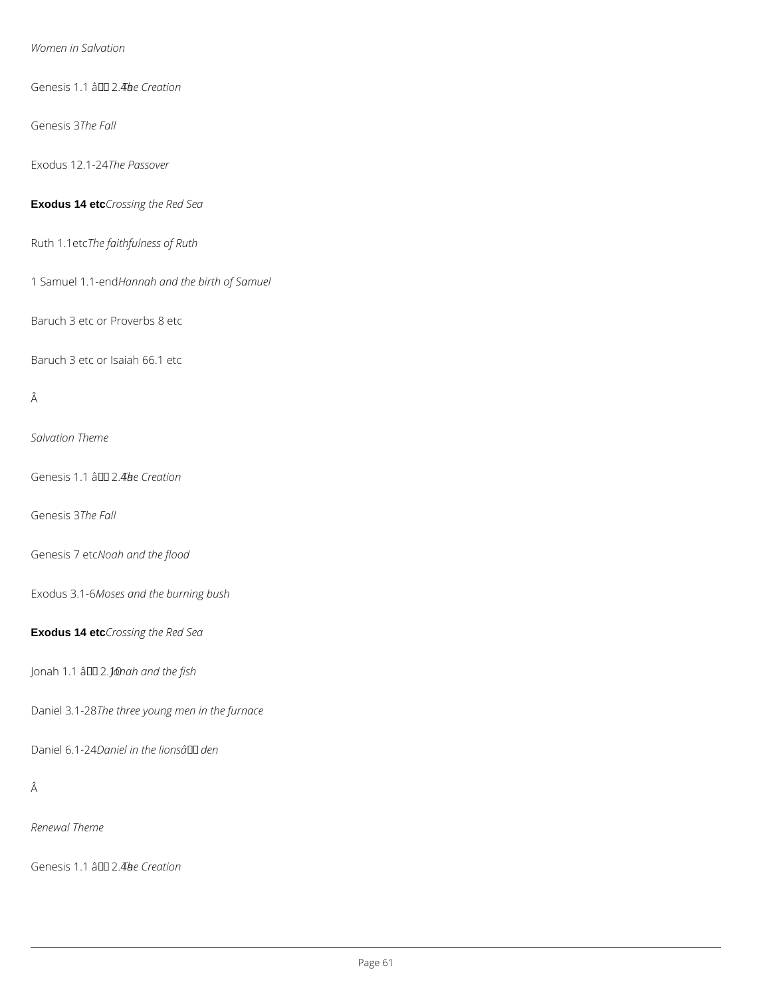#### *Women in Salvation*

Genesis 1.1 â <sup>11</sup> 2.4*be Creation* 

Genesis 3*The Fall*

Exodus 12.1-24*The Passover*

**Exodus 14 etc***Crossing the Red Sea*

Ruth 1.1etc*The faithfulness of Ruth*

1 Samuel 1.1-end*Hannah and the birth of Samuel*

Baruch 3 etc or Proverbs 8 etc

Baruch 3 etc or Isaiah 66.1 etc

## Â

*Salvation Theme*

Genesis 1.1 â DD 2.4be Creation

Genesis 3*The Fall*

Genesis 7 etc*Noah and the flood*

Exodus 3.1-6*Moses and the burning bush*

**Exodus 14 etc***Crossing the Red Sea*

Jonah 1.1 â DD 2.*Jonah and the fish* 

Daniel 3.1-28*The three young men in the furnace*

Daniel 6.1-24*Daniel in the lionsâ den*

Â

*Renewal Theme*

Genesis 1.1 â DD 2.4**b**e Creation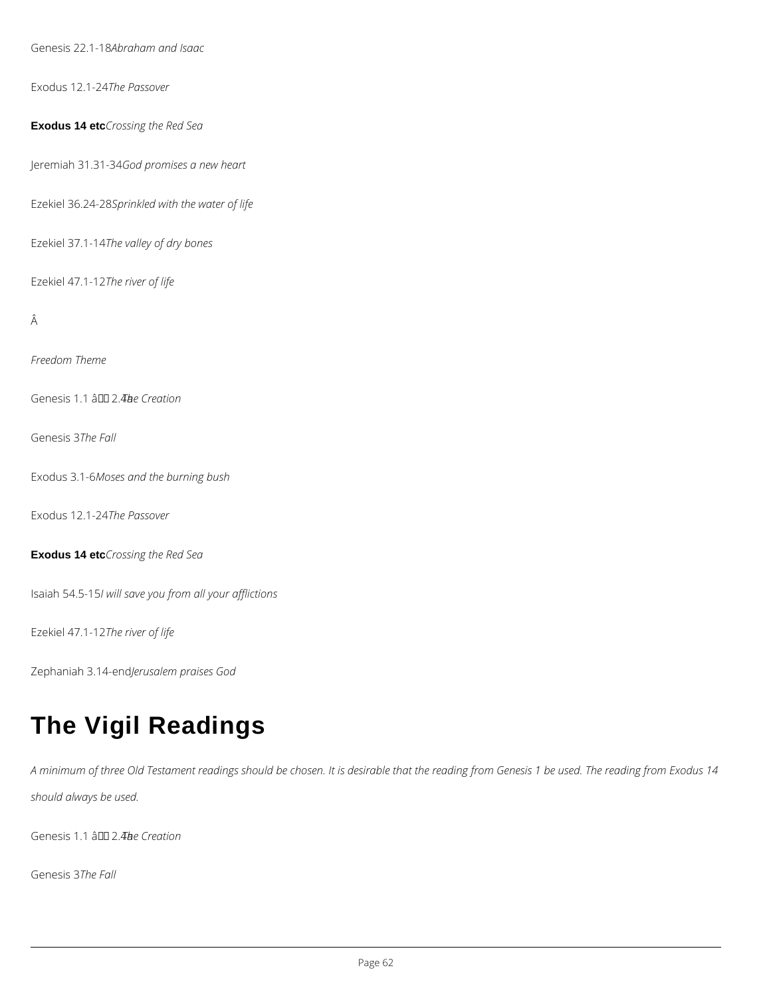Genesis 22.1-18*Abraham and Isaac*

Exodus 12.1-24*The Passover*

#### **Exodus 14 etc***Crossing the Red Sea*

Jeremiah 31.31-34*God promises a new heart*

Ezekiel 36.24-28*Sprinkled with the water of life*

Ezekiel 37.1-14*The valley of dry bones*

Ezekiel 47.1-12*The river of life*

## Â

*Freedom Theme*

Genesis 1.1 â <sup>11</sup> 2.4be Creation

Genesis 3*The Fall*

Exodus 3.1-6*Moses and the burning bush*

Exodus 12.1-24*The Passover*

**Exodus 14 etc***Crossing the Red Sea*

Isaiah 54.5-15*I will save you from all your afflictions*

Ezekiel 47.1-12*The river of life*

Zephaniah 3.14-end*Jerusalem praises God*

## **The Vigil Readings**

*A minimum of three Old Testament readings should be chosen. It is desirable that the reading from Genesis 1 be used. The reading from Exodus 14* 

*should always be used.*

Genesis 1.1 â <sup>DD</sup> 2.4*a*e Creation

Genesis 3*The Fall*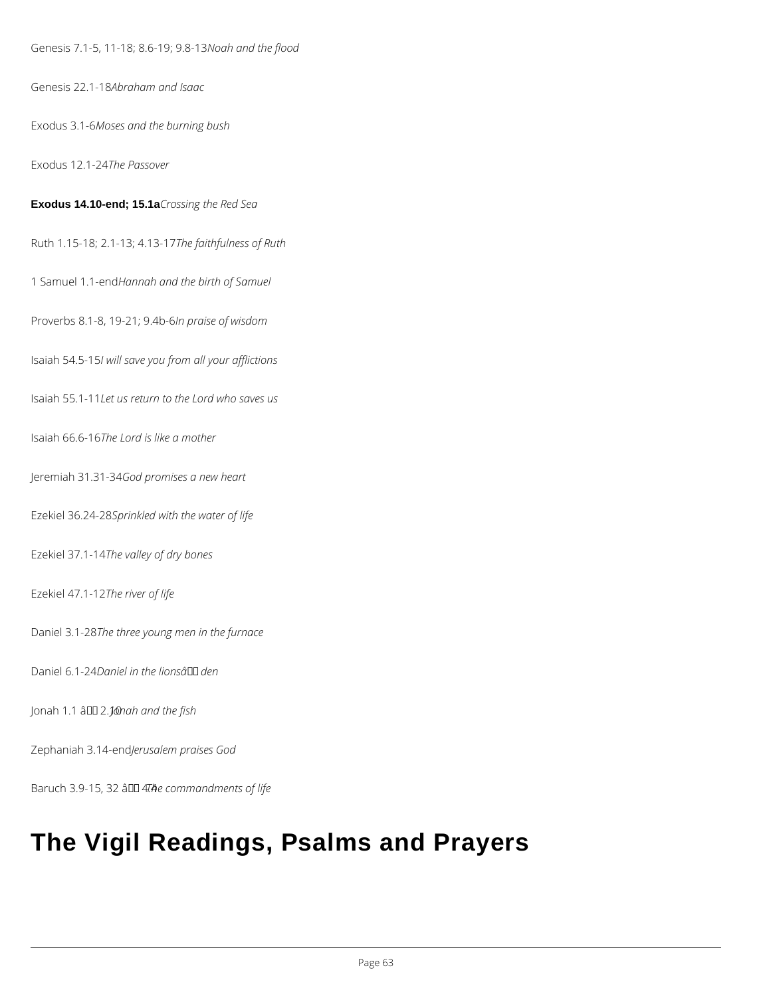Genesis 7.1-5, 11-18; 8.6-19; 9.8-13*Noah and the flood*

Genesis 22.1-18*Abraham and Isaac*

Exodus 3.1-6*Moses and the burning bush*

Exodus 12.1-24*The Passover*

**Exodus 14.10-end; 15.1a***Crossing the Red Sea*

Ruth 1.15-18; 2.1-13; 4.13-17*The faithfulness of Ruth*

1 Samuel 1.1-end*Hannah and the birth of Samuel*

Proverbs 8.1-8, 19-21; 9.4b-6*In praise of wisdom*

Isaiah 54.5-15*I will save you from all your afflictions*

Isaiah 55.1-11*Let us return to the Lord who saves us*

Isaiah 66.6-16*The Lord is like a mother*

Jeremiah 31.31-34*God promises a new heart*

Ezekiel 36.24-28*Sprinkled with the water of life*

Ezekiel 37.1-14*The valley of dry bones*

Ezekiel 47.1-12*The river of life*

Daniel 3.1-28*The three young men in the furnace*

Daniel 6.1-24*Daniel in the lionsâ den*

Jonah 1.1 â DD 2.*J* @nah and the fish

Zephaniah 3.14-end*Jerusalem praises God*

Baruch 3.9-15, 32 â <del>DD</del> 4.74 a commandments of life

## **The Vigil Readings, Psalms and Prayers**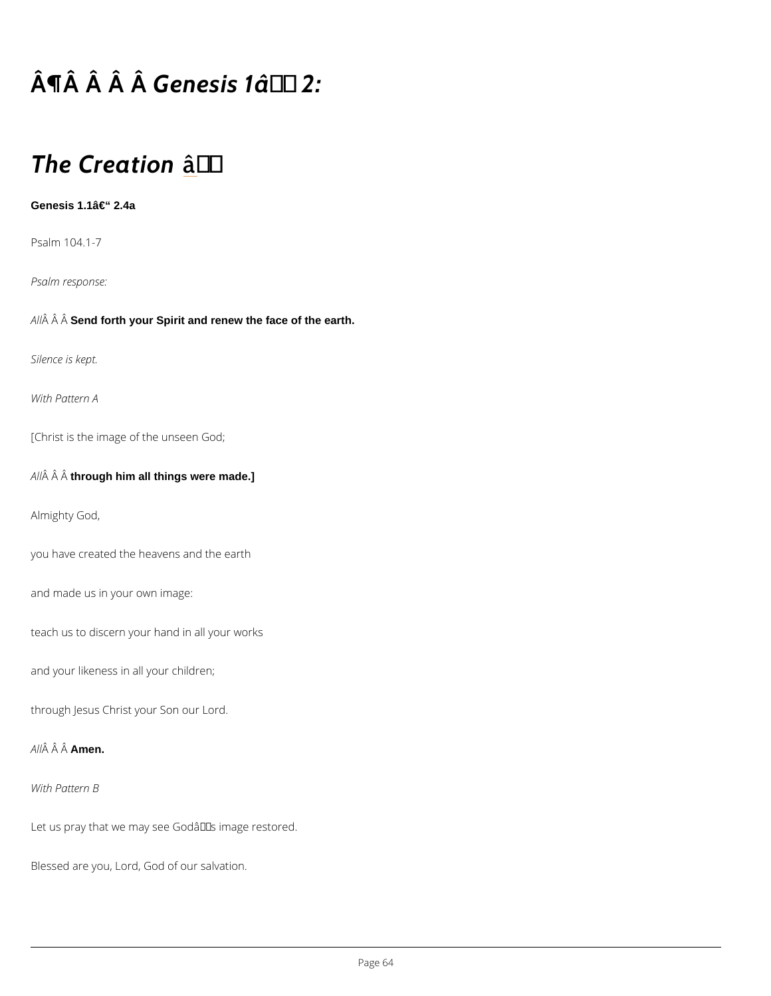# $\hat{A} \parallel \hat{A}$   $\hat{A}$   $\hat{B}$  e $\hat{A}$  esis 1â $\in$  "2:

## The Creation

Genesis  $1.1$ â $\in$ " 2.4a

Psalm 104.1-7

Psalm response:

A  $\hat{A}$   $\hat{A}$  Send forth your Spirit and renew the face of the earth.

Silence is kept.

With Pattern A

[Christ is the image of the unseen God;

 $A \hat{A}$   $\hat{A}$  th $\hat{A}$ ough him all things were made.]

Almighty God,

you have created the heavens and the earth

and made us in your own image:

teach us to discern your hand in all your works

and your likeness in all your children;

through Jesus Christ your Son our Lord.

A  $\hat{A}$   $\hat{A}$  A $\hat{A}$  $\hat{B}$ en.

#### With Pattern B

Let us pray that we may see Godâ $\epsilon$ <sup>TM</sup> s image restored.

Blessed are you, Lord, God of our salvation.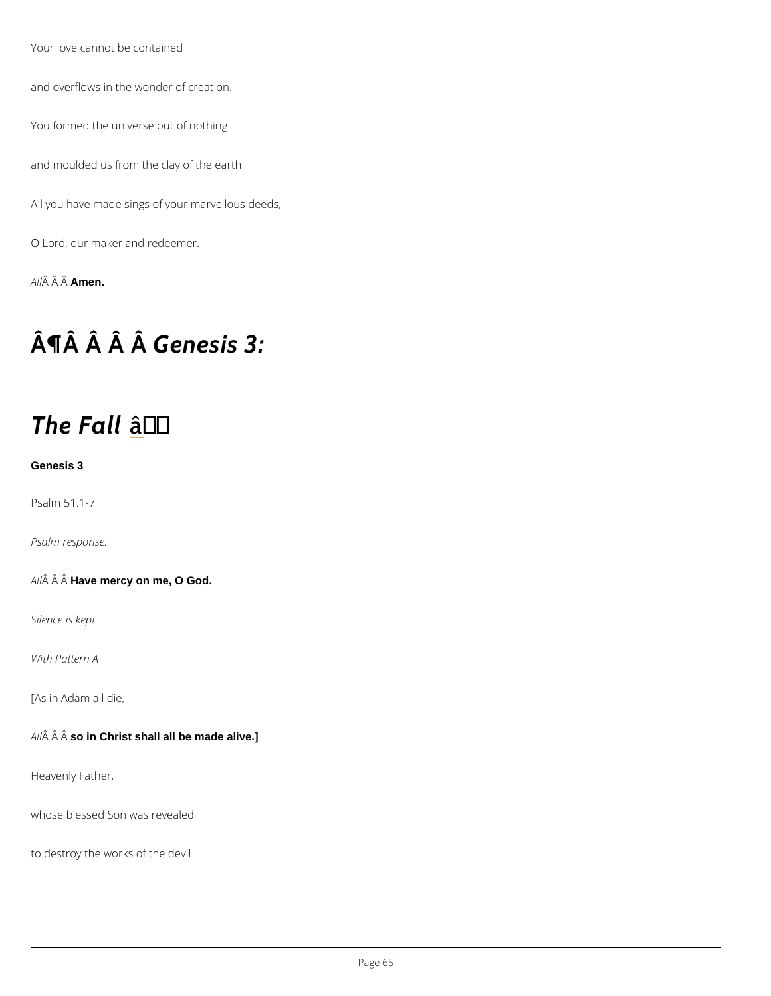Your love cannot be contained

and overflows in the wonder of creation.

You formed the universe out of nothing

and moulded us from the clay of the earth.

All you have made sings of your marvellous deeds,

O Lord, our maker and redeemer.

A  $\hat{A}$   $\hat{A}$   $\hat{A}$  $\hat{A}$  $\hat{B}$ en.

## $\hat{A}$   $\hat{\Pi}$   $\hat{A}$   $\hat{A}$   $\hat{B}$   $e$   $\hat{A}$   $e$   $s$  is 3:

## The Faatl

#### Genesis 3

Psalm 51.1-7

Psalm response:

A  $\hat{A}$   $\hat{A}$  H $\hat{A}$ ve mercy on me, O God.

Silence is kept.

With Pattern A

[As in Adam all die,

 $A \nrightarrow \hat{A}$   $A \nrightarrow \hat{A}$  and Christ shall all be made alive.]

Heavenly Father,

whose blessed Son was revealed

to destroy the works of the devil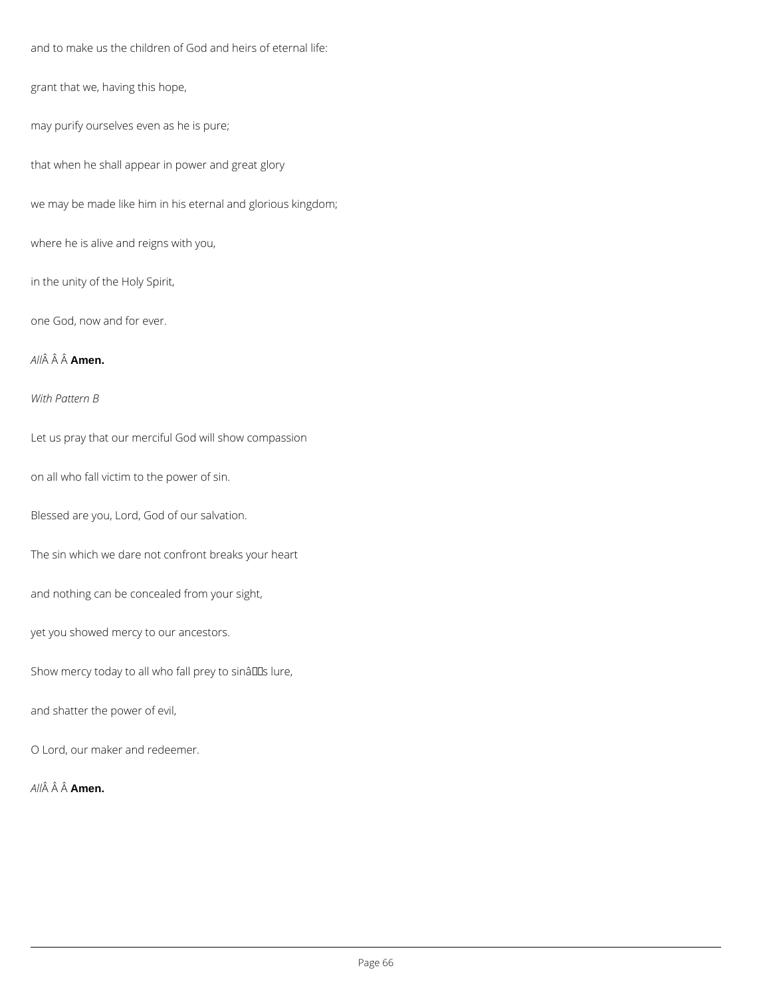and to make us the children of God and heirs of eternal life:

grant that we, having this hope,

may purify ourselves even as he is pure;

that when he shall appear in power and great glory

we may be made like him in his eternal and glorious kingdom;

where he is alive and reigns with you,

in the unity of the Holy Spirit,

one God, now and for ever.

### *All* **Amen.**

*With Pattern B*

Let us pray that our merciful God will show compassion

on all who fall victim to the power of sin.

Blessed are you, Lord, God of our salvation.

The sin which we dare not confront breaks your heart

and nothing can be concealed from your sight,

yet you showed mercy to our ancestors.

Show mercy today to all who fall prey to sinâlls lure,

and shatter the power of evil,

O Lord, our maker and redeemer.

*All* Â Â **Amen.**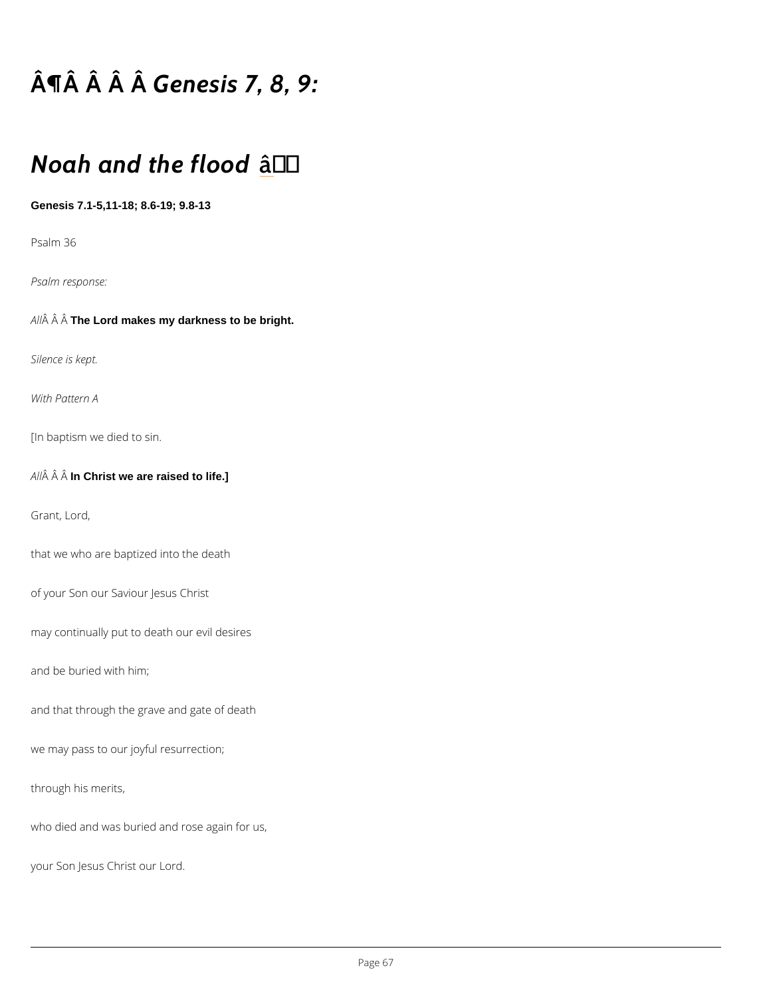# $\hat{A}$   $\P$  $\hat{A}$   $\hat{A}$   $\hat{B}$   $e$  $\hat{A}$   $e$  s is 7, 8, 9:

## Noah and the flood

Genesis 7.1-5,11-18; 8.6-19; 9.8-13

Psalm 36

Psalm response:

A  $\hat{A}$   $\hat{A}$  The Lord makes my darkness to be bright.

Silence is kept.

With Pattern A

[In baptism we died to sin.

A  $\hat{A}$   $\hat{A}$  In $\hat{A}$ Christ we are raised to life.]

Grant, Lord,

that we who are baptized into the death

of your Son our Saviour Jesus Christ

may continually put to death our evil desires

and be buried with him;

and that through the grave and gate of death

```
we may pass to our joyful resurrection;
```
through his merits,

who died and was buried and rose again for us,

your Son Jesus Christ our Lord.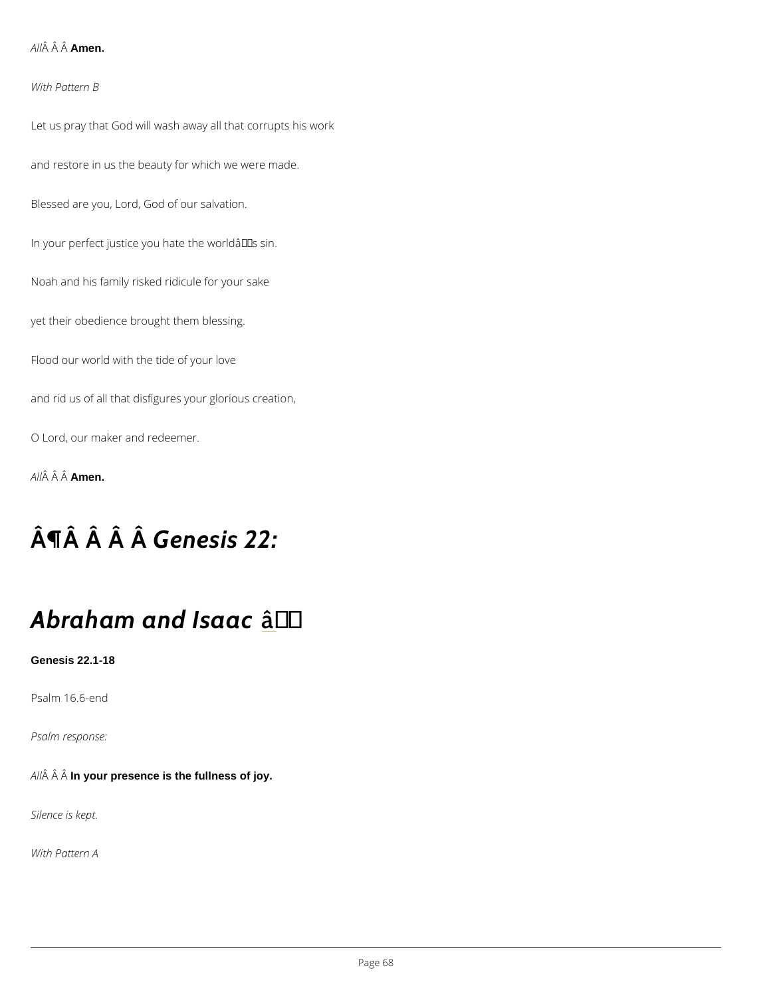A  $\hat{A}$   $\hat{A}$  Amen.

With Pattern B

Let us pray that God will wash away all that corrupts his work and restore in us the beauty for which we were made. Blessed are you, Lord, God of our salvation. In your perfect justice you hate the world $\hat{a} \in \mathbb{M}$  s sin. Noah and his family risked ridicule for your sake yet their obedience brought them blessing. Flood our world with the tide of your love and rid us of all that disfigures your glorious creation, O Lord, our maker and redeemer.

A  $\hat{A}$   $\hat{A}$   $\hat{A}$  $\hat{A}$  $\hat{B}$  $\hat{B}$  $\hat{B}$  $\hat{B}$ .

## $\hat{A}$   $\hat{A}$   $\hat{A}$   $\hat{B}$   $e$   $\hat{A}$   $e$   $s$  is 22:

## Abraham and atsaac

Genesis 22.1-18

Psalm 16.6-end

Psalm response:

A  $\hat{A}$   $\hat{A}$  In $\hat{A}$ your presence is the fullness of joy.

Silence is kept.

With Pattern A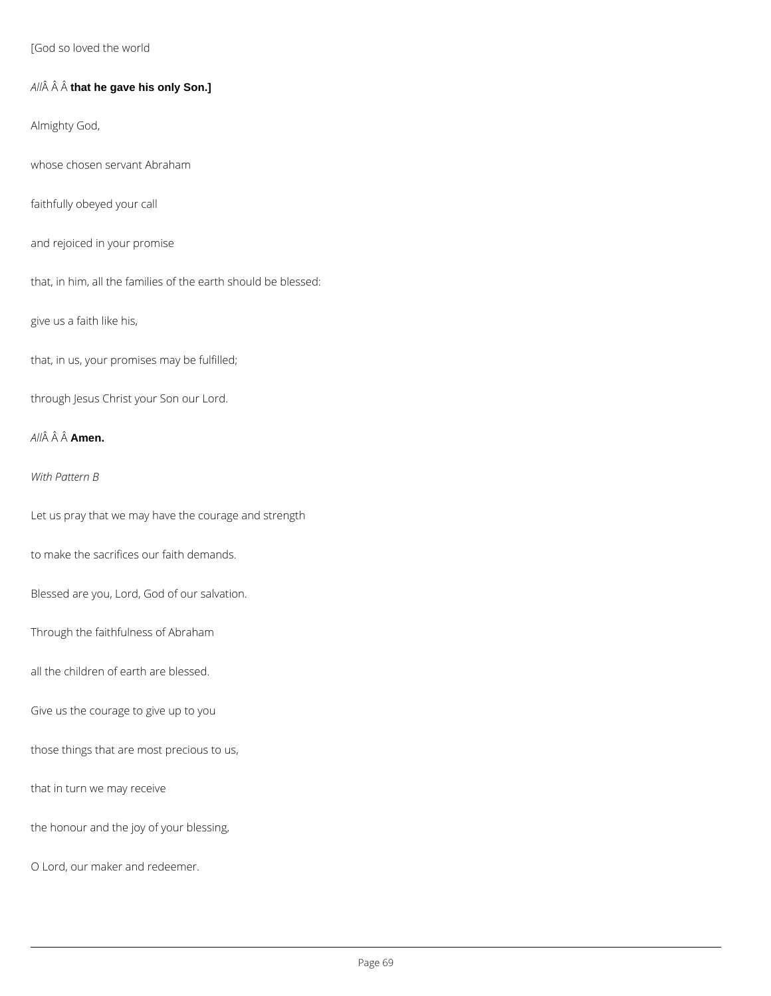[God so loved the world

*All* **that he gave his only Son.]**

Almighty God,

whose chosen servant Abraham

faithfully obeyed your call

and rejoiced in your promise

that, in him, all the families of the earth should be blessed:

give us a faith like his,

that, in us, your promises may be fulfilled;

through Jesus Christ your Son our Lord.

*All* **Amen.**

*With Pattern B*

Let us pray that we may have the courage and strength

to make the sacrifices our faith demands.

Blessed are you, Lord, God of our salvation.

Through the faithfulness of Abraham

all the children of earth are blessed.

Give us the courage to give up to you

those things that are most precious to us,

that in turn we may receive

the honour and the joy of your blessing,

O Lord, our maker and redeemer.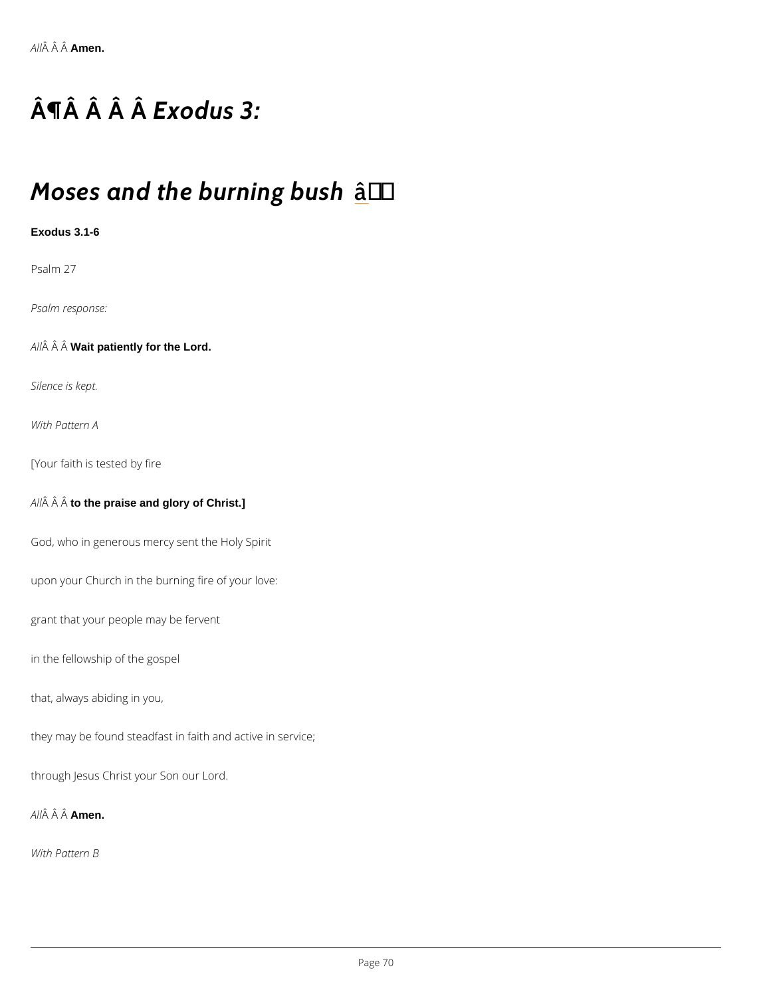# $\hat{A} \parallel \hat{A}$   $\hat{A}$   $\hat{B} \times \hat{A}$  dus 3:

## $M$ oses and the buathing bush

Exodus 3.1-6

Psalm 27

Psalm response:

A  $\hat{A}$   $\hat{A}$  Wait patiently for the Lord.

Silence is kept.

With Pattern A

[Your faith is tested by fire

A  $\hat{A}$   $\hat{A}$  to  $\hat{A}$  the praise and glory of Christ.]

God, who in generous mercy sent the Holy Spirit

upon your Church in the burning fire of your love:

grant that your people may be fervent

in the fellowship of the gospel

that, always abiding in you,

they may be found steadfast in faith and active in service;

through Jesus Christ your Son our Lord.

A  $\hat{A}$   $\hat{A}$   $A \hat{A}$   $\hat{B}$  en.

With Pattern B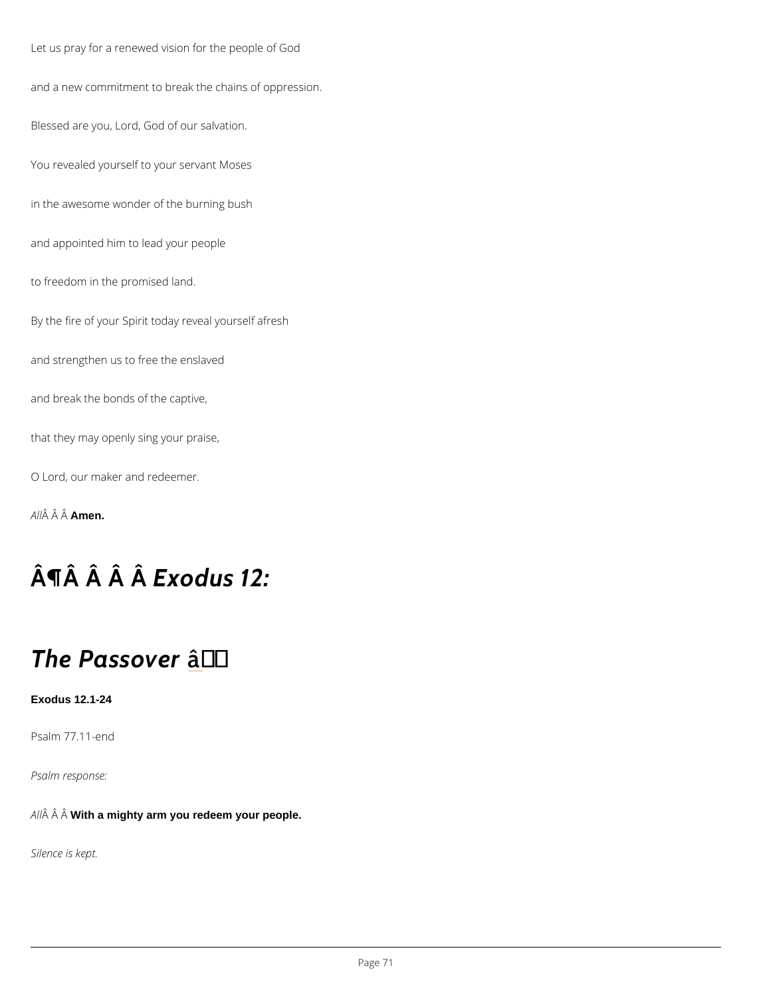Let us pray for a renewed vision for the people of God and a new commitment to break the chains of oppression. Blessed are you, Lord, God of our salvation. You revealed yourself to your servant Moses in the awesome wonder of the burning bush and appointed him to lead your people to freedom in the promised land. By the fire of your Spirit today reveal yourself afresh and strengthen us to free the enslaved and break the bonds of the captive, that they may openly sing your praise, O Lord, our maker and redeemer.

A  $\hat{A}$   $\hat{A}$   $\hat{A}$  $\hat{A}$  $\hat{B}$  $\hat{B}$  $\hat{B}$  $\hat{B}$ .

## $\hat{A} \parallel \hat{A}$   $\hat{A}$   $\hat{B} \times \hat{A}$  dus 12:

## The Passadver

Exodus 12.1-24

Psalm 77.11-end

Psalm response:

A  $\hat{A}$   $\hat{A}$  W $\hat{A}$ th a mighty arm you redeem your people.

Silence is kept.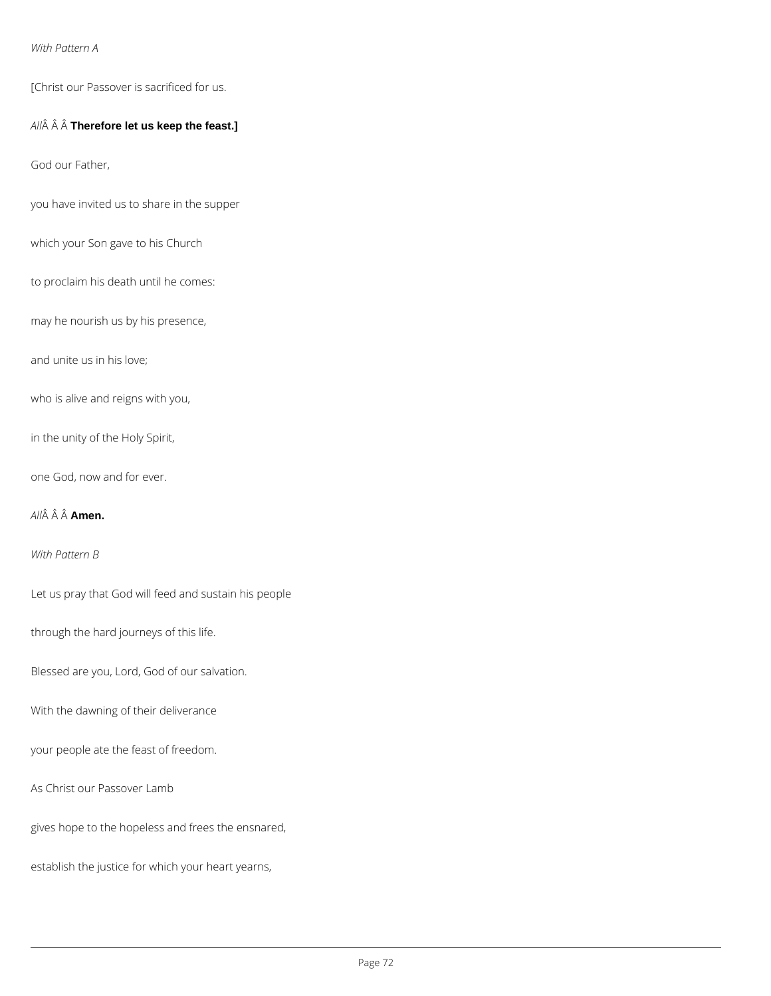#### *With Pattern A*

[Christ our Passover is sacrificed for us.

### *All* **Therefore let us keep the feast.]**

God our Father,

you have invited us to share in the supper

which your Son gave to his Church

to proclaim his death until he comes:

may he nourish us by his presence,

and unite us in his love;

who is alive and reigns with you,

in the unity of the Holy Spirit,

one God, now and for ever.

*All* **Amen.**

*With Pattern B*

Let us pray that God will feed and sustain his people

through the hard journeys of this life.

Blessed are you, Lord, God of our salvation.

With the dawning of their deliverance

your people ate the feast of freedom.

As Christ our Passover Lamb

gives hope to the hopeless and frees the ensnared,

establish the justice for which your heart yearns,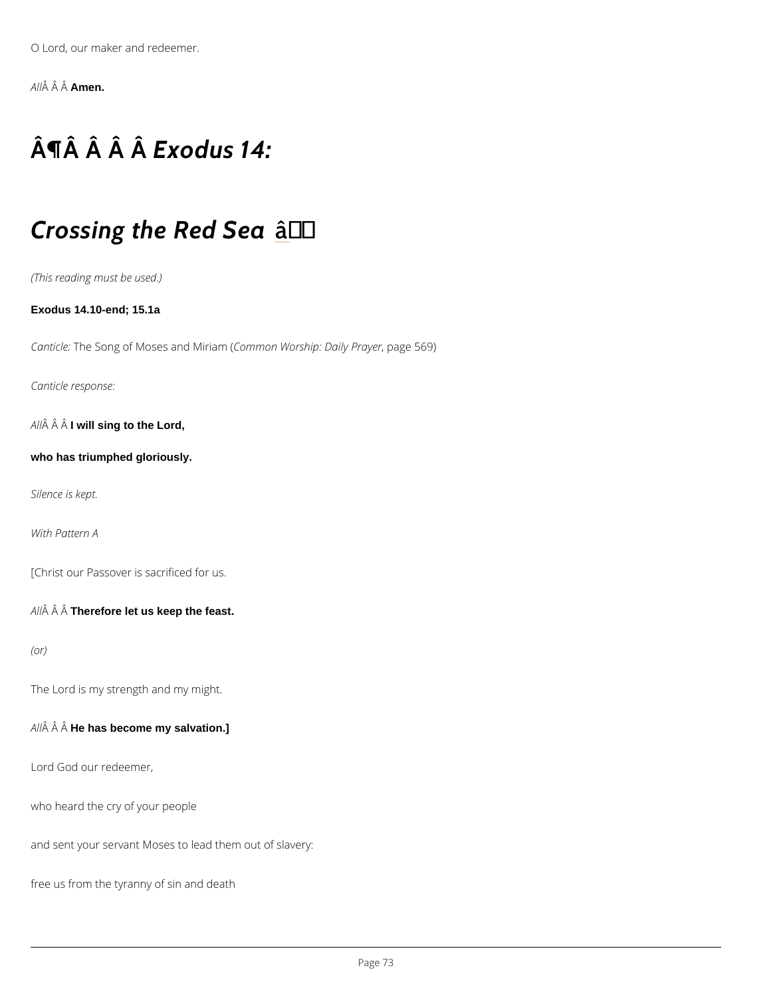O Lord, our maker and redeemer.

A  $\hat{A}$   $\hat{A}$   $\hat{A}$  $\hat{A}$  $\hat{B}$  $\hat{B}$  $\hat{B}$  $\hat{B}$ .

# $\hat{A} \parallel \hat{A}$   $\hat{A}$   $\hat{B} \times \hat{A}$  dus 14:

### Crossing the  $\hat{a}R\dagger$ ed Sea

(This reading must be used.)

Exodus 14.10-end; 15.1a

CanticThe Song of Moses aCroch Mibrnia Who (rship: Dapialy ap r5a6y9e) r

Canticle response:

A  $\hat{A}$  A I will sing to the Lord,

who has triumphed gloriously.

Silence is kept.

With Pattern A

[Christ our Passover is sacrificed for us.

A  $\hat{A}$   $\hat{A}$  Therefore let us keep the feast.

#### (or)

The Lord is my strength and my might.

 $A \hat{A}$   $\hat{A}$  H $\hat{A}$  has become my salvation.]

Lord God our redeemer,

who heard the cry of your people

and sent your servant Moses to lead them out of slavery:

free us from the tyranny of sin and death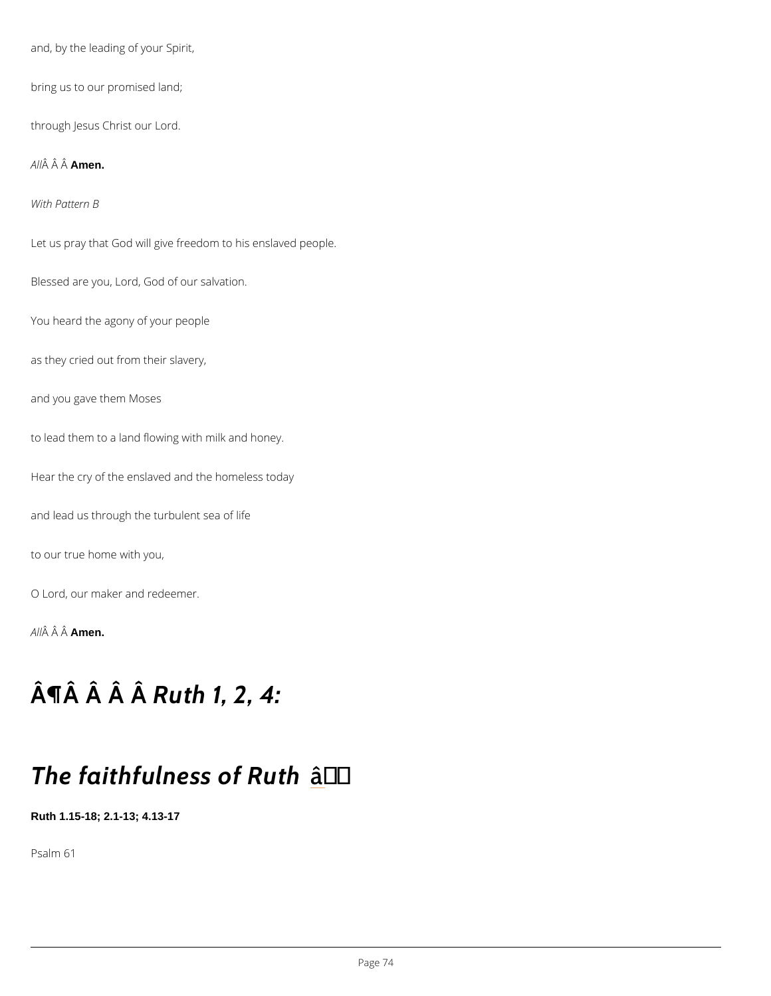and, by the leading of your Spirit, bring us to our promised land; through Jesus Christ our Lord. A  $\hat{A}$   $\hat{A}$   $\hat{A}$  $\hat{A}$  $\hat{B}$ en. With Pattern B Let us pray that God will give freedom to his enslaved people. Blessed are you, Lord, God of our salvation. You heard the agony of your people as they cried out from their slavery, and you gave them Moses to lead them to a land flowing with milk and honey. Hear the cry of the enslaved and the homeless today and lead us through the turbulent sea of life to our true home with you, O Lord, our maker and redeemer. A  $\hat{A}$   $\hat{A}$   $\hat{A}$  $\hat{A}$  $\hat{B}$  $\hat{B}$  $\hat{B}$  $\hat{B}$ .

# $\hat{A}$   $\P$  $\hat{A}$   $\hat{A}$   $\hat{R}$   $\cup$  $\hat{A}$   $h$   $1$ ,  $2$ ,  $4$ :

## The faithfulnes as † bf Ruth

Ruth 1.15-18; 2.1-13; 4.13-17

Psalm 61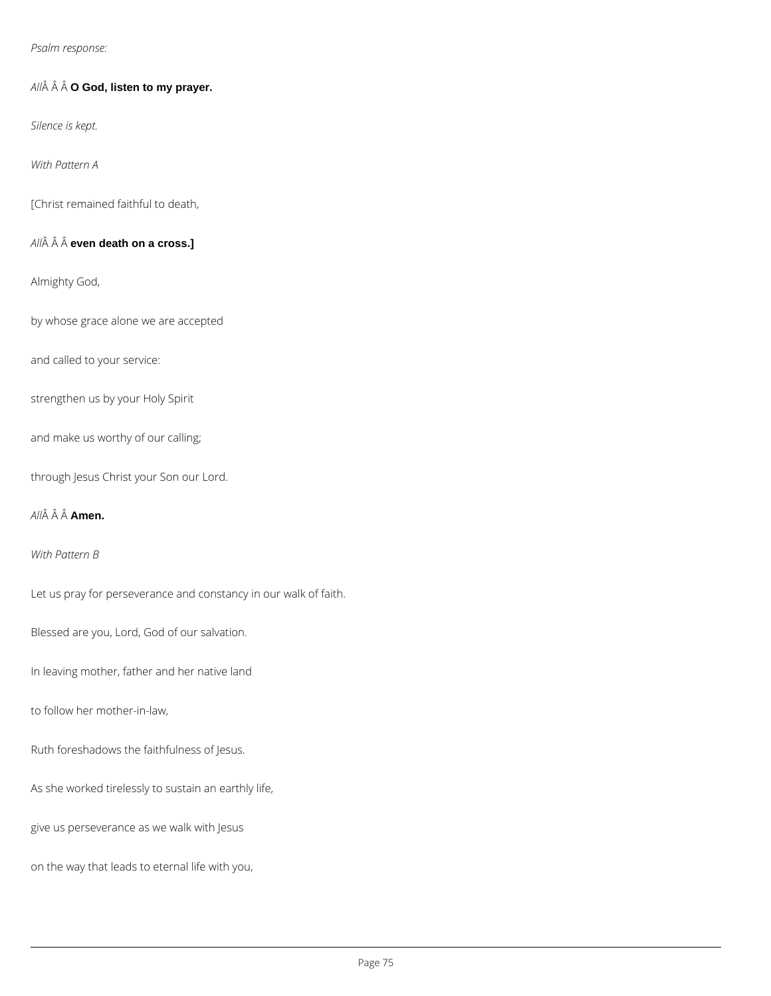*Psalm response:*

*All* **O God, listen to my prayer.**

*Silence is kept.*

*With Pattern A*

[Christ remained faithful to death,

*All* **even death on a cross.]**

Almighty God,

by whose grace alone we are accepted

and called to your service:

strengthen us by your Holy Spirit

and make us worthy of our calling;

through Jesus Christ your Son our Lord.

#### *All* **Amen.**

*With Pattern B*

Let us pray for perseverance and constancy in our walk of faith.

Blessed are you, Lord, God of our salvation.

In leaving mother, father and her native land

to follow her mother-in-law,

Ruth foreshadows the faithfulness of Jesus.

As she worked tirelessly to sustain an earthly life,

give us perseverance as we walk with Jesus

on the way that leads to eternal life with you,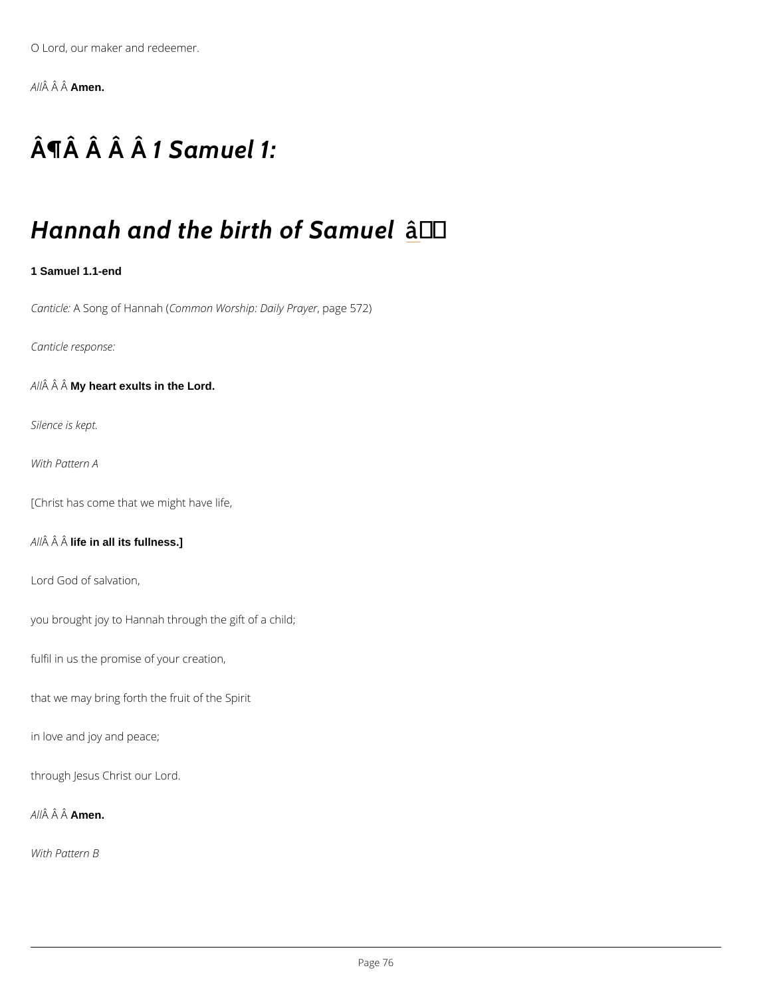O Lord, our maker and redeemer.

A  $\hat{A}$   $\hat{A}$   $\hat{A}$  $\hat{A}$  $\hat{B}$  $\hat{B}$  $\hat{B}$  $\hat{B}$ .

# $\hat{A} \parallel \hat{A}$   $\hat{A} \parallel \hat{A} \parallel \hat{B}$   $\hat{A}$  amuel 1:

### Hannah and the birtatof Samuel

1 Samuel 1.1-end

CanticAleSong of HGiomanhon Worship: DapialygePr5a7y2e)r

Canticle response:

 $A \nrightarrow \hat{A} M$  M $\hat{B}$  heart exults in the Lord.

Silence is kept.

With Pattern A

[Christ has come that we might have life,

 $A \hat{M}$   $\hat{A}$  lif $\hat{A}$  in all its fullness.]

Lord God of salvation,

you brought joy to Hannah through the gift of a child;

fulfil in us the promise of your creation,

that we may bring forth the fruit of the Spirit

in love and joy and peace;

through Jesus Christ our Lord.

A  $\hat{A}$   $\hat{A}$   $A \hat{A}$   $\hat{B}$  en.

With Pattern B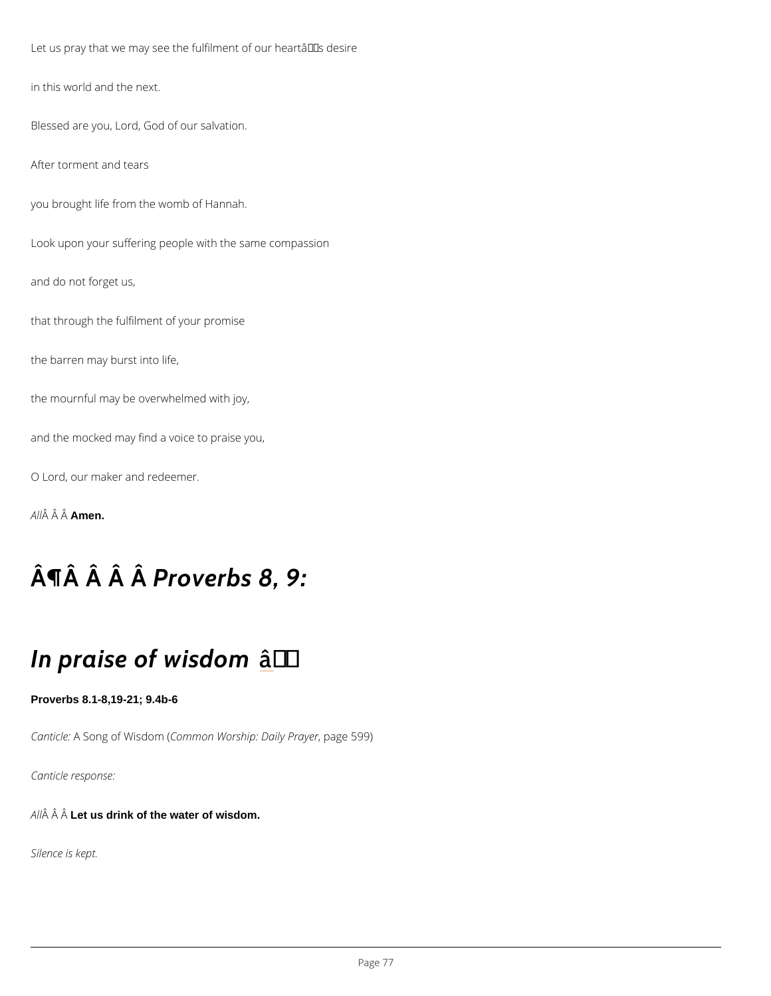Let us pray that we may see the fulfilment of our heartâ $\epsilon \tau$ Ms desire

in this world and the next.

Blessed are you, Lord, God of our salvation.

After torment and tears

you brought life from the womb of Hannah.

Look upon your suffering people with the same compassion

and do not forget us,

that through the fulfilment of your promise

the barren may burst into life,

the mournful may be overwhelmed with joy,

and the mocked may find a voice to praise you,

O Lord, our maker and redeemer.

A  $\hat{A}$   $\hat{A}$   $\hat{A}$  $\hat{A}$  $\hat{B}$  $\hat{B}$  $\hat{B}$  $\hat{B}$ .

## $\hat{A}$   $\P$  $\hat{A}$   $\hat{A}$   $\hat{A}$   $\hat{B}$  r  $\hat{B}$  v e r b s  $8$ , 9:

### In praise of  $\hat{a}$ w†i's dom

Proverbs 8.1-8,19-21; 9.4b-6

CanticAleSong of WCsodmomon( Worship: DapialygePr5a9y9e)r

Canticle response:

 $A \hat{H}$   $\hat{A}$   $L \hat{H}$  us drink of the water of wisdom.

Silence is kept.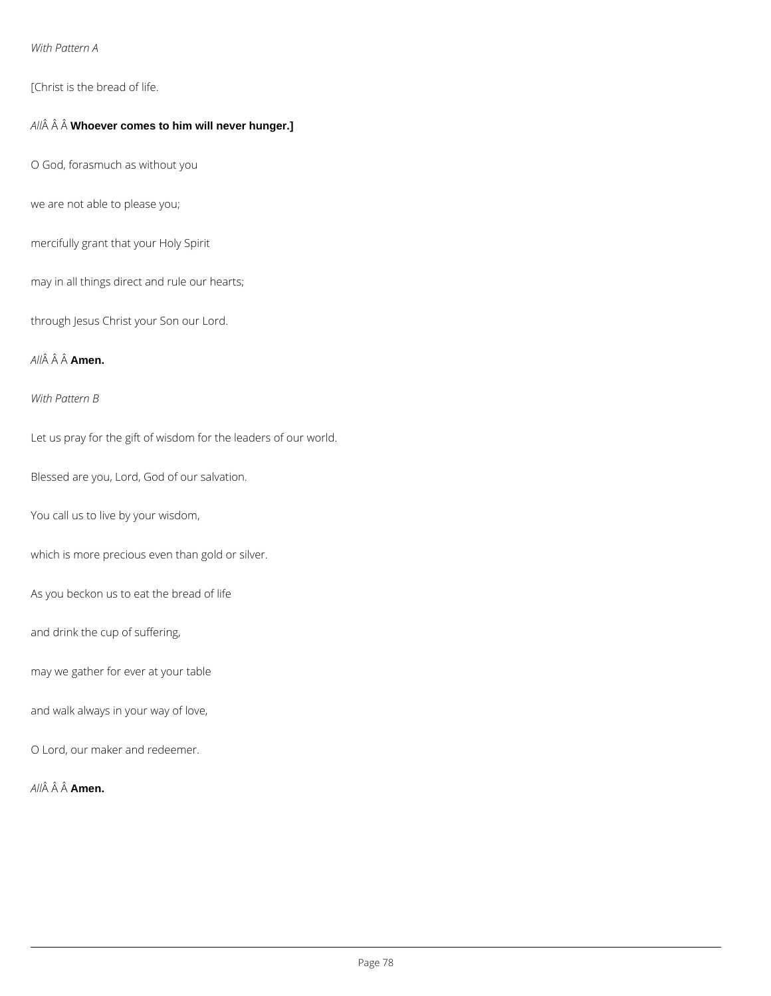#### *With Pattern A*

[Christ is the bread of life.

#### *All* **Whoever comes to him will never hunger.]**

O God, forasmuch as without you

we are not able to please you;

mercifully grant that your Holy Spirit

may in all things direct and rule our hearts;

through Jesus Christ your Son our Lord.

### *All* **Amen.**

*With Pattern B*

Let us pray for the gift of wisdom for the leaders of our world.

Blessed are you, Lord, God of our salvation.

You call us to live by your wisdom,

which is more precious even than gold or silver.

As you beckon us to eat the bread of life

and drink the cup of suffering,

may we gather for ever at your table

and walk always in your way of love,

O Lord, our maker and redeemer.

*All* **Amen.**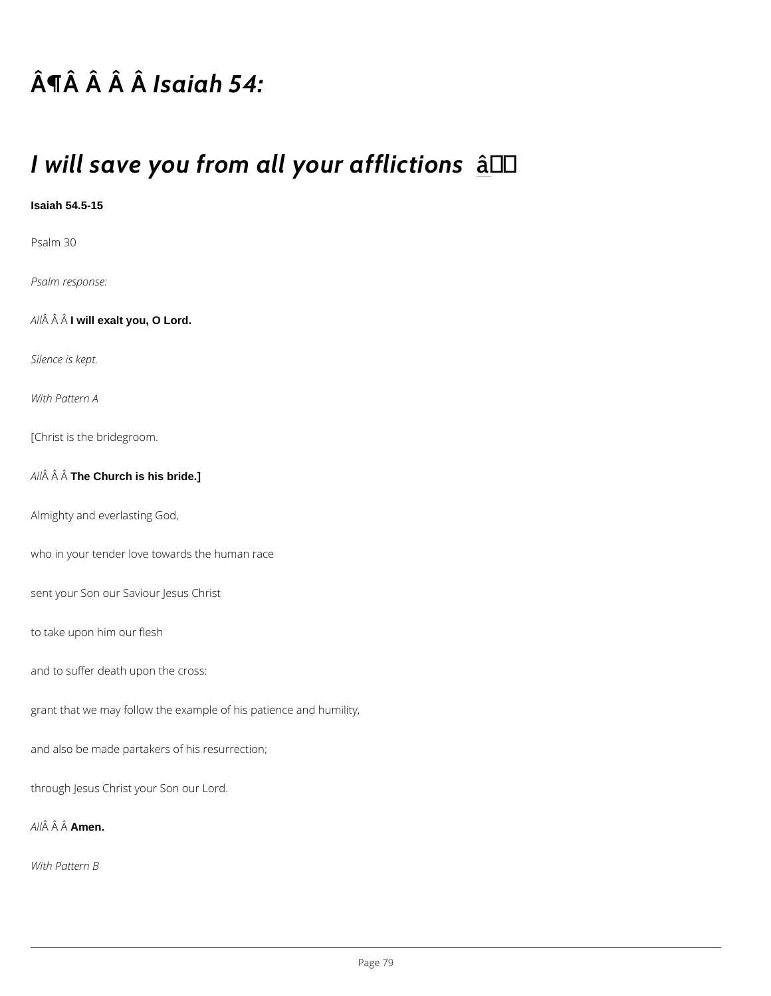## $\hat{A}$   $\P$  $\hat{A}$   $\hat{A}$   $\hat{B}$  $\hat{B}$  $\hat{A}$  $\hat{B}$  $\hat{C}$  $A$  :

### I will save you from all ây†o'ur affliction

Isaiah 54.5-15

Psalm 30

Psalm response:

A  $\hat{A}$  A I will exalt you, O Lord.

Silence is kept.

With Pattern A

[Christ is the bridegroom.

A  $\hat{A}$   $\hat{A}$  The Church is his bride.]

Almighty and everlasting God,

who in your tender love towards the human race

sent your Son our Saviour Jesus Christ

to take upon him our flesh

and to suffer death upon the cross:

grant that we may follow the example of his patience and humility,

and also be made partakers of his resurrection;

through Jesus Christ your Son our Lord.

A  $\hat{A}$   $\hat{A}$   $\hat{A}$  $\hat{A}$  $\hat{B}$ en.

With Pattern B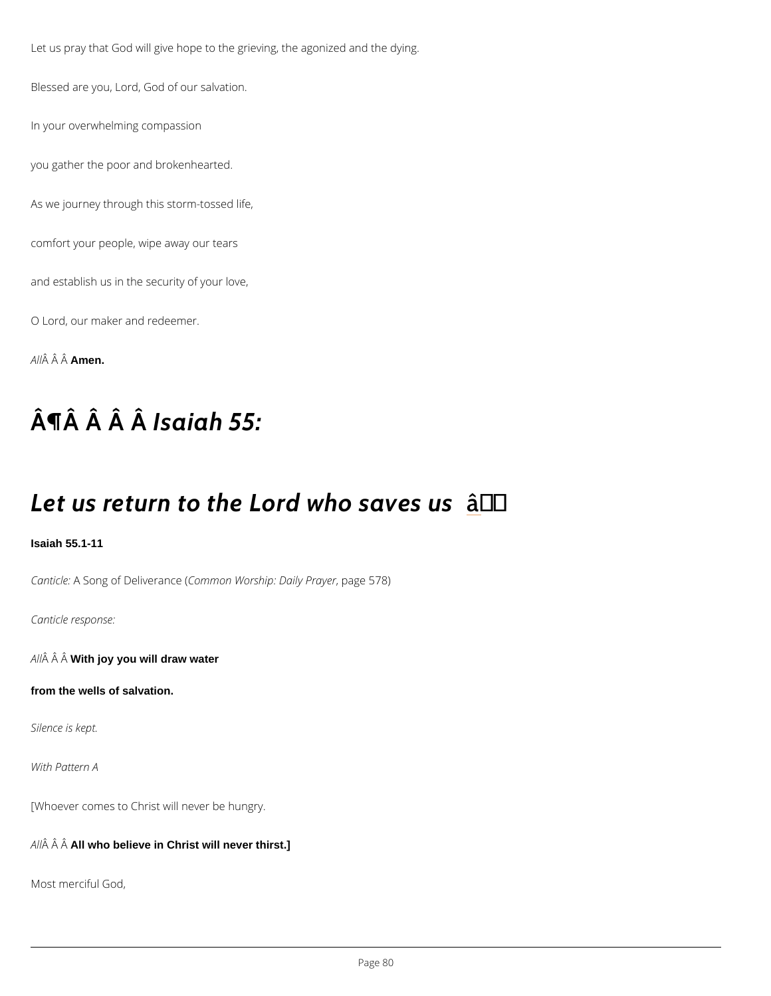Let us pray that God will give hope to the grieving, the agonized and the dying.

Blessed are you, Lord, God of our salvation.

In your overwhelming compassion

you gather the poor and brokenhearted.

As we journey through this storm-tossed life,

comfort your people, wipe away our tears

and establish us in the security of your love,

O Lord, our maker and redeemer.

A  $\hat{A}$   $\hat{A}$   $\hat{A}$  $\hat{A}$  $\hat{B}$  $\hat{B}$  $\hat{B}$  $\hat{B}$ .

## $\hat{A}$   $\P$  $\hat{A}$   $\hat{A}$   $\hat{B}$  $\hat{B}$  $\hat{A}$  $\hat{B}$  $\hat{C}$   $\hat{A}$   $\hat{B}$   $\hat{C}$   $\hat{A}$

## Let us return to the Lond who saves us

Isaiah 55.1-11

CanticAleSong of DeliCo**emannose** (Worship: Dapialy ePr5a7y8e) r

Canticle response:

A  $\hat{A}$   $\hat{A}$  W $\hat{A}$ th joy you will draw water

from the wells of salvation.

Silence is kept.

With Pattern A

[Whoever comes to Christ will never be hungry.

A  $\hat{A}$   $\hat{A}$  A $\hat{A}$  who believe in Christ will never thirst.]

Most merciful God,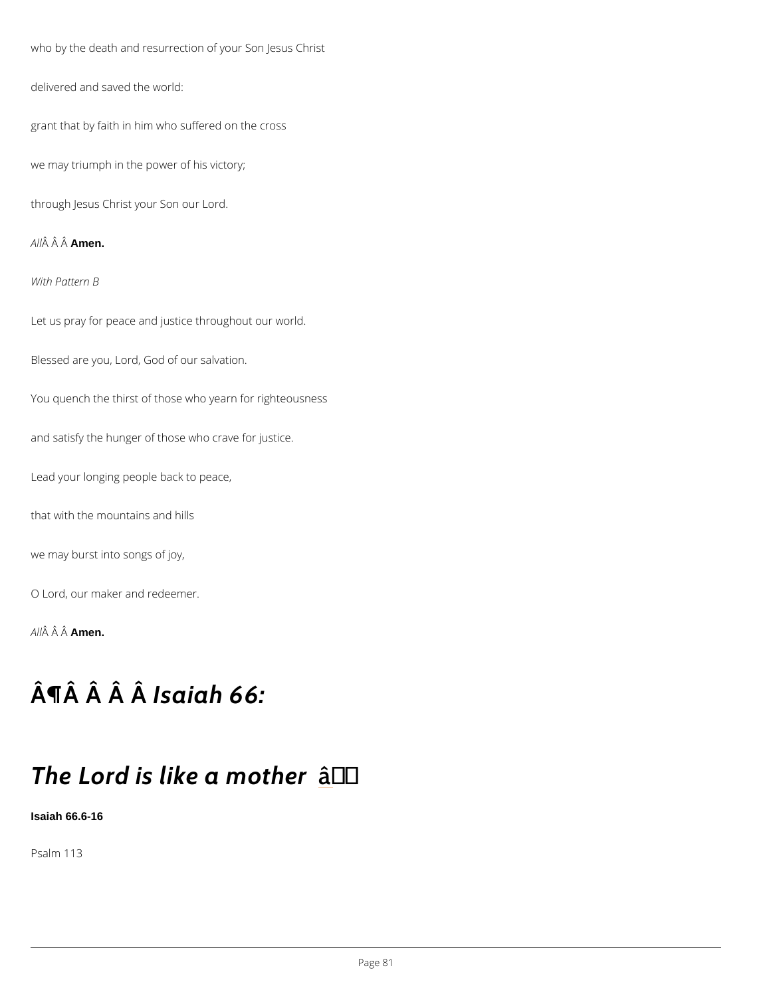who by the death and resurrection of your Son Jesus Christ

delivered and saved the world:

grant that by faith in him who suffered on the cross

we may triumph in the power of his victory;

through Jesus Christ your Son our Lord.

A LA A A LA Anen

With Pattern B

Let us pray for peace and justice throughout our world.

Blessed are you, Lord, God of our salvation.

You quench the thirst of those who yearn for righteousness

and satisfy the hunger of those who crave for justice.

Lead your longing people back to peace,

that with the mountains and hills

we may burst into songs of joy,

O Lord, our maker and redeemer.

A  $\hat{A}$   $\hat{A}$   $\hat{A}$  $\hat{A}$  $\hat{B}$ en.

## $\hat{A}$   $\P$  $\hat{A}$   $\hat{A}$   $\hat{B}$   $\hat{B}$   $\hat{A}$   $\hat{B}$   $\hat{C}$  :

## The Lord is like a ta' mother

Isaiah 66.6-16

Psalm 113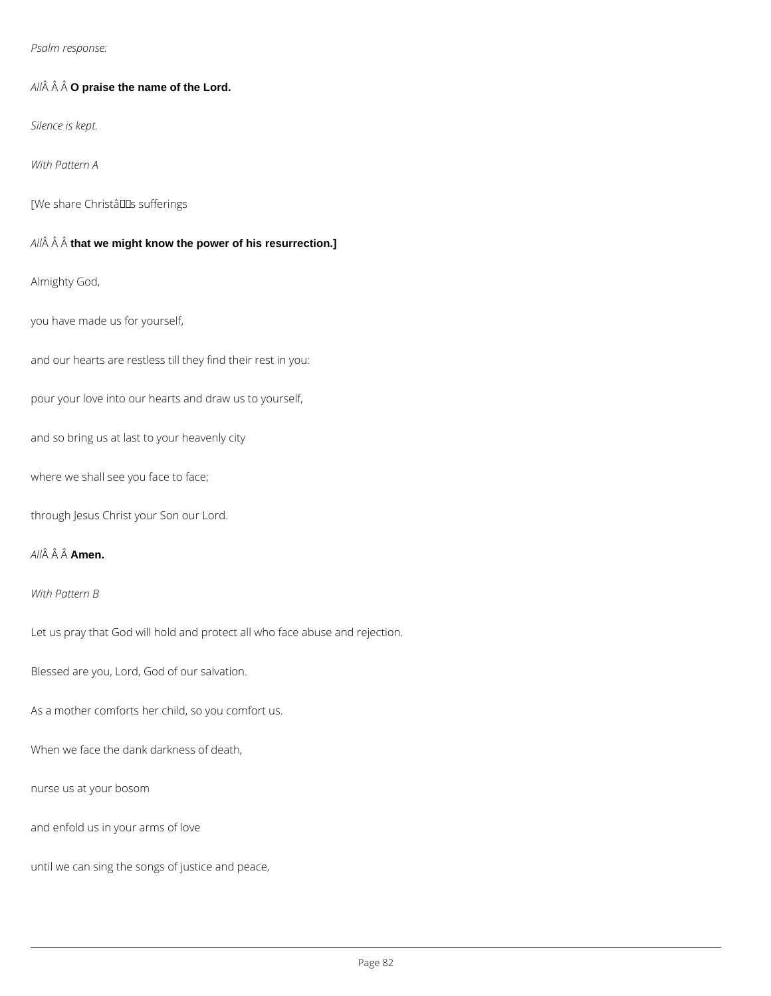*Psalm response:*

*All* **O praise the name of the Lord.**

*Silence is kept.*

*With Pattern A*

[We share ChristâllDs sufferings

*All* **that we might know the power of his resurrection.]**

Almighty God,

you have made us for yourself,

and our hearts are restless till they find their rest in you:

pour your love into our hearts and draw us to yourself,

and so bring us at last to your heavenly city

where we shall see you face to face;

through Jesus Christ your Son our Lord.

#### *All* **Amen.**

#### *With Pattern B*

Let us pray that God will hold and protect all who face abuse and rejection.

Blessed are you, Lord, God of our salvation.

As a mother comforts her child, so you comfort us.

When we face the dank darkness of death,

nurse us at your bosom

and enfold us in your arms of love

until we can sing the songs of justice and peace,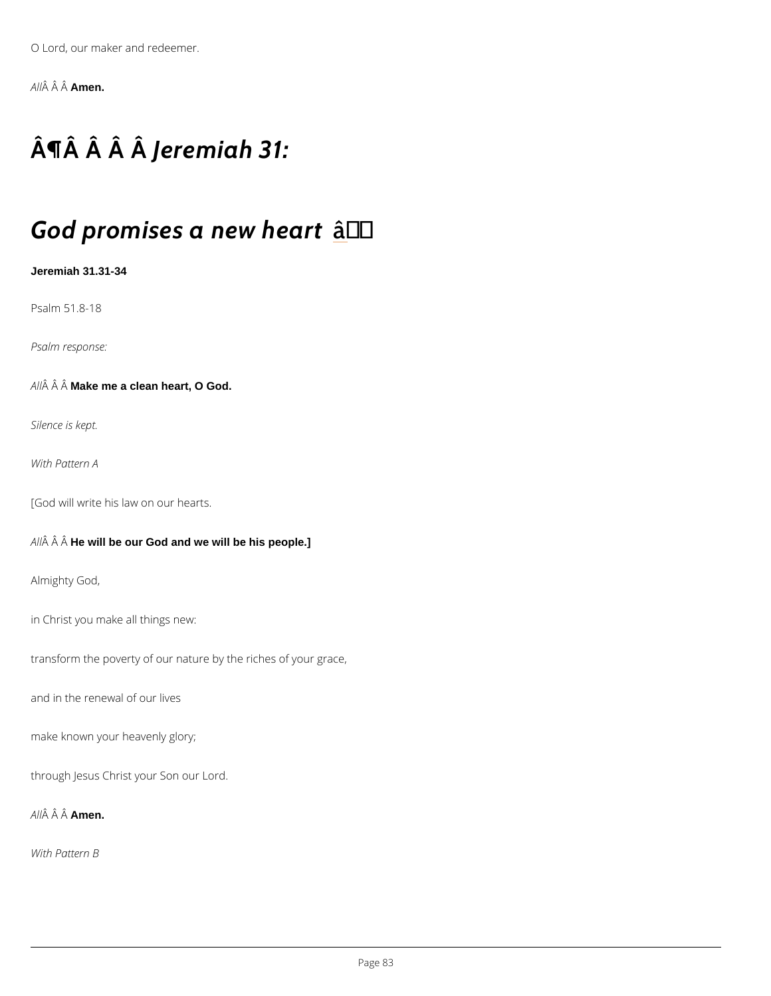O Lord, our maker and redeemer.

A  $\hat{A}$   $\hat{A}$  Amen.

## $\hat{A}$   $\hat{\Pi}$   $\hat{A}$   $\hat{A}$   $\hat{A}$   $\hat{B}$   $\hat{B}$   $\hat{C}$   $\hat{D}$   $\hat{C}$   $\hat{D}$   $\hat{A}$   $\hat{B}$   $\hat{C}$   $\hat{D}$   $\hat{C}$   $\hat{D}$   $\hat{D}$   $\hat{A}$   $\hat{C}$   $\hat{D}$   $\hat{D}$   $\hat{D}$   $\hat{D}$   $\hat{D}$   $\hat{D}$   $\hat{D}$   $\hat{D$

### God promises a and <sup>p</sup>w heart

Jeremiah 31.31-34

Psalm 51.8-18

Psalm response:

A  $\hat{A}$   $\hat{A}$  M $\hat{A}$ ke me a clean heart, O God.

Silence is kept.

With Pattern A

[God will write his law on our hearts.

 $A \hat{A}$   $\hat{A}$  H $\hat{A}$  will be our God and we will be his people.]

Almighty God,

in Christ you make all things new:

transform the poverty of our nature by the riches of your grace,

and in the renewal of our lives

make known your heavenly glory;

through Jesus Christ your Son our Lord.

A  $\hat{A}$   $\hat{A}$   $\hat{A}$  $\hat{A}$  $\hat{B}$ en.

With Pattern B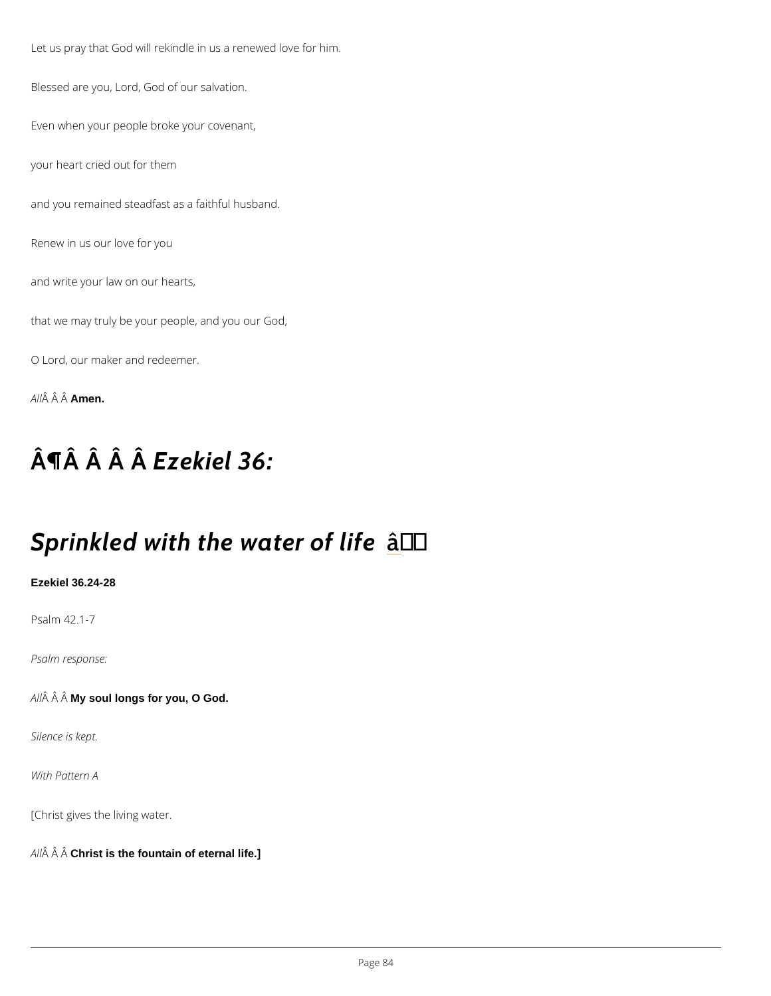Let us pray that God will rekindle in us a renewed love for him.

Blessed are you, Lord, God of our salvation.

Even when your people broke your covenant,

your heart cried out for them

and you remained steadfast as a faithful husband.

Renew in us our love for you

and write your law on our hearts,

that we may truly be your people, and you our God,

O Lord, our maker and redeemer.

A  $\hat{A}$   $\hat{A}$   $\hat{A}$  $\hat{A}$  $\hat{B}$ en.

## $\hat{A}$   $\hat{A}$   $\hat{A}$   $\hat{B}$   $z$   $\hat{B}$  kiel 36:

### Sprinkled with the awtater of life

Ezekiel 36.24-28

Psalm 42.1-7

Psalm response:

A  $\hat{A}$   $\hat{A}$   $M\hat{A}$  soul longs for you, O God.

Silence is kept.

With Pattern A

[Christ gives the living water.

 $A \hat{H}$   $\hat{A}$  C $\hat{A}$ rist is the fountain of eternal life.]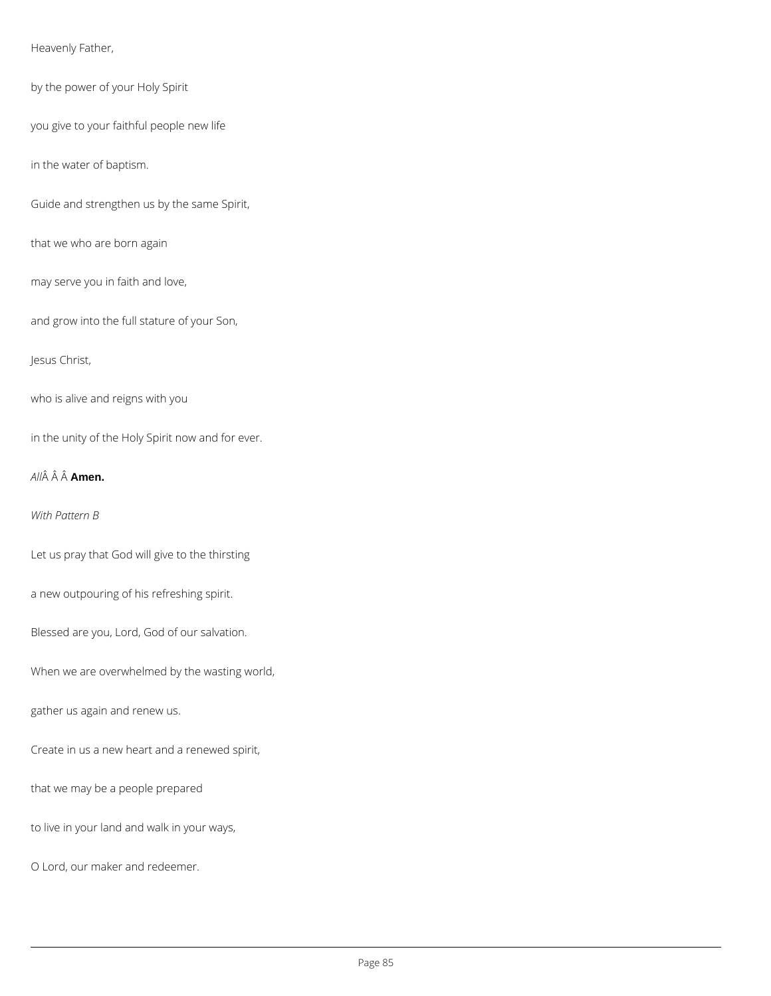Heavenly Father,

by the power of your Holy Spirit

you give to your faithful people new life

in the water of baptism.

Guide and strengthen us by the same Spirit,

that we who are born again

may serve you in faith and love,

and grow into the full stature of your Son,

Jesus Christ,

who is alive and reigns with you

in the unity of the Holy Spirit now and for ever.

*All* **Amen.**

*With Pattern B*

Let us pray that God will give to the thirsting

a new outpouring of his refreshing spirit.

Blessed are you, Lord, God of our salvation.

When we are overwhelmed by the wasting world,

gather us again and renew us.

Create in us a new heart and a renewed spirit,

that we may be a people prepared

to live in your land and walk in your ways,

O Lord, our maker and redeemer.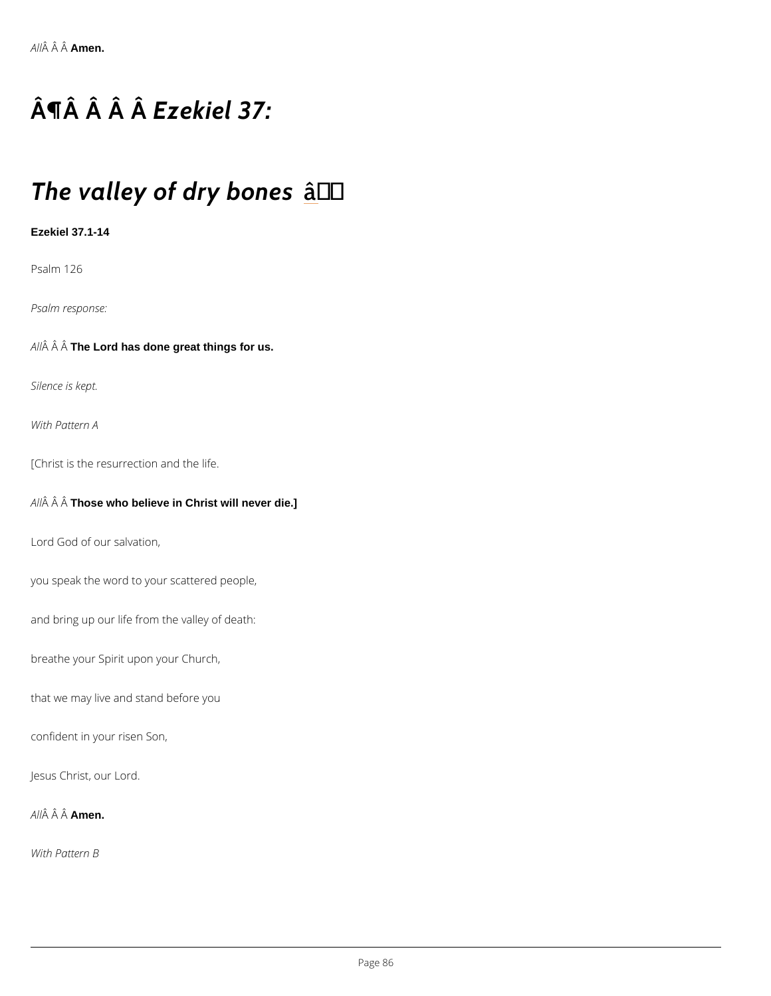# $\hat{A}$   $\hat{A}$   $\hat{A}$   $\hat{B}$ z $\hat{B}$ kiel 37:

## The valley of darty bones

Ezekiel 37.1-14

Psalm 126

Psalm response:

A  $\hat{A}$   $\hat{A}$  The Lord has done great things for us.

Silence is kept.

With Pattern A

[Christ is the resurrection and the life.

A  $\hat{A}$   $\hat{A}$  T $\hat{A}$ ose who believe in Christ will never die.]

Lord God of our salvation,

you speak the word to your scattered people,

and bring up our life from the valley of death:

breathe your Spirit upon your Church,

that we may live and stand before you

confident in your risen Son,

Jesus Christ, our Lord.

A  $\hat{A}$   $\hat{A}$  A $\hat{A}$ nen.

With Pattern B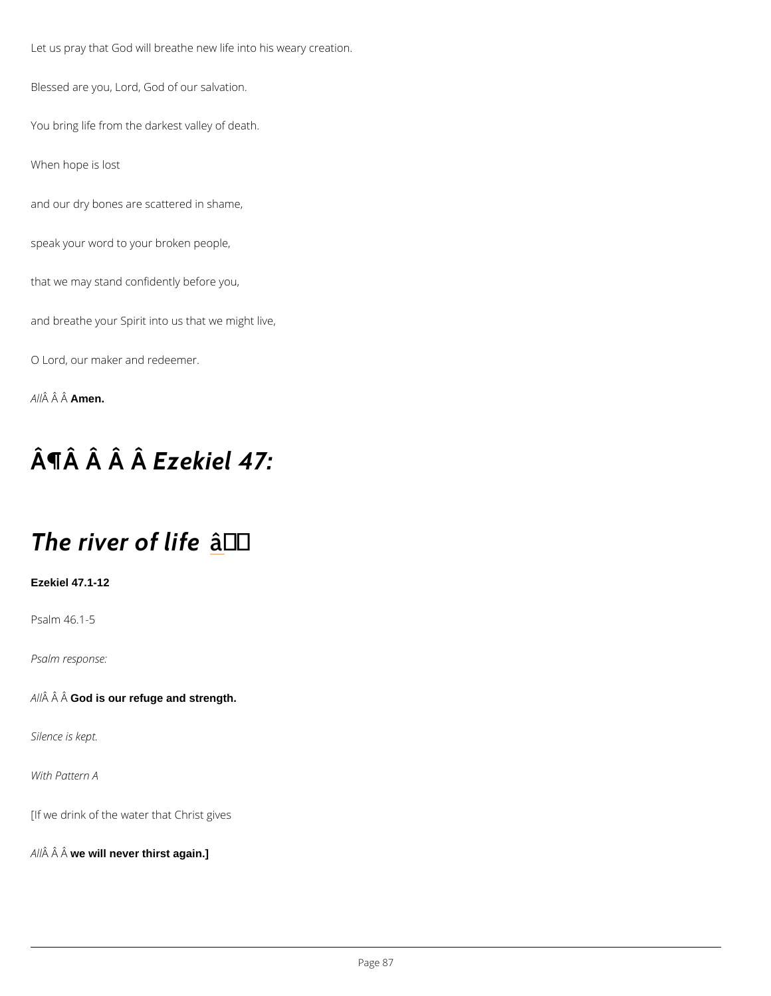Let us pray that God will breathe new life into his weary creation.

Blessed are you, Lord, God of our salvation.

You bring life from the darkest valley of death.

When hope is lost

and our dry bones are scattered in shame,

speak your word to your broken people,

that we may stand confidently before you,

and breathe your Spirit into us that we might live,

O Lord, our maker and redeemer.

A  $\hat{A}$   $\hat{A}$   $\hat{A}$  $\hat{A}$  $\hat{B}$ en.

## $\hat{A}$   $\hat{A}$   $\hat{A}$   $\hat{B}$ z $\hat{B}$ kiel 47:

### The river <del>a</del>off 'life

Ezekiel 47.1-12

Psalm 46.1-5

Psalm response:

 $A \hat{A}$   $\hat{A}$  G $\hat{A}$ d is our refuge and strength.

Silence is kept.

With Pattern A

[If we drink of the water that Christ gives

 $A \hat{M}$   $\hat{A}$  w $\hat{A}$  will never thirst again.]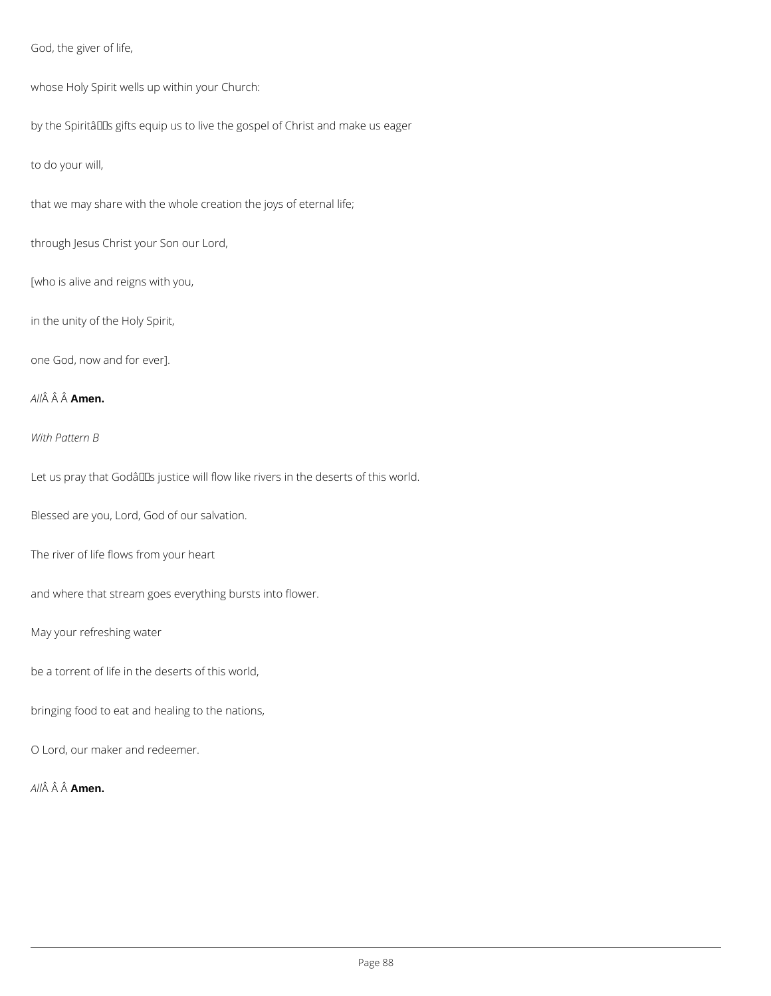God, the giver of life,

whose Holy Spirit wells up within your Church:

by the Spiritâlls gifts equip us to live the gospel of Christ and make us eager

to do your will,

that we may share with the whole creation the joys of eternal life;

through Jesus Christ your Son our Lord,

[who is alive and reigns with you,

in the unity of the Holy Spirit,

one God, now and for ever].

*All* **Amen.**

*With Pattern B*

Let us pray that Godâlls justice will flow like rivers in the deserts of this world.

Blessed are you, Lord, God of our salvation.

The river of life flows from your heart

and where that stream goes everything bursts into flower.

May your refreshing water

be a torrent of life in the deserts of this world,

bringing food to eat and healing to the nations,

O Lord, our maker and redeemer.

*All* Â Â **Amen.**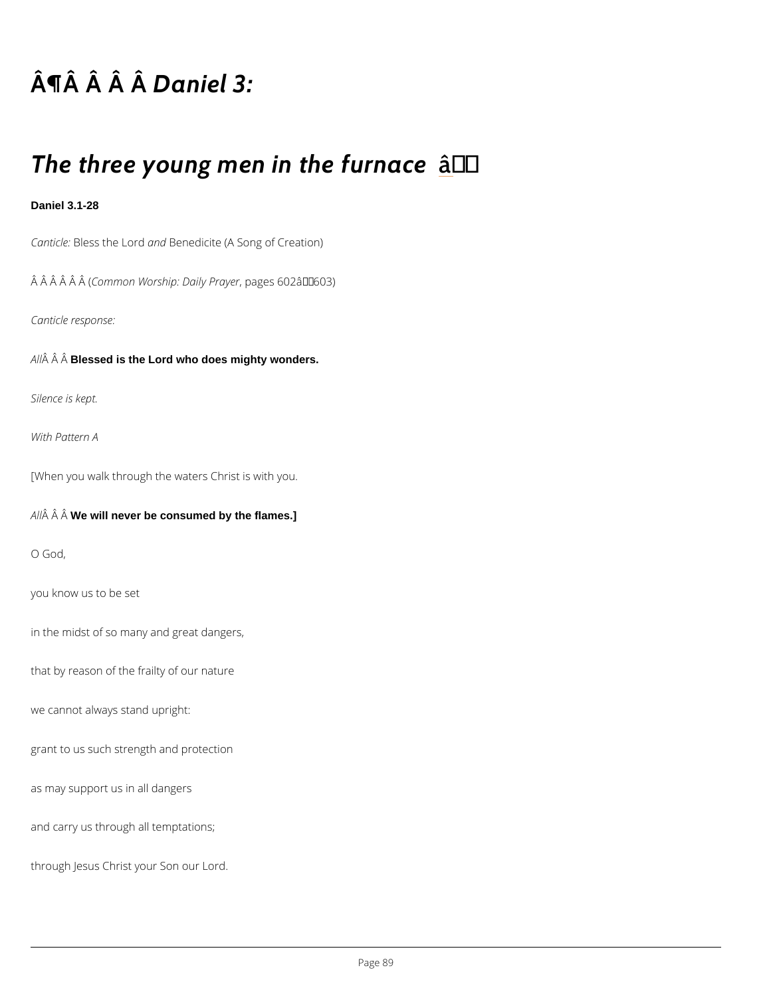## $\hat{A}$   $\P$  $\hat{A}$   $\hat{A}$   $\hat{B}$   $a \hat{A}$  iel 3:

### The three young men ant the furnace

Daniel 3.1-28

CanticBeess the abdBenedicite (A Song of Creation)

 $\hat{A}$   $\hat{A}$   $\hat{A}$   $\hat{A}$   $\hat{C}$   $\hat{C}$   $\hat{C}$   $\hat{C}$   $\hat{C}$   $\hat{C}$   $\hat{C}$   $\hat{C}$   $\hat{D}$   $C$   $\hat{C}$   $\hat{D}$   $\hat{C}$   $\hat{D}$   $\hat{C}$   $\hat{D}$   $\hat{C}$   $\hat{D}$   $\hat{D}$   $\hat{D}$   $\hat{C}$   $\hat{D}$   $\hat{C}$   $\hat{D}$ 

Canticle response:

A  $\hat{A}$   $\hat{A}$  B $\hat{B}$ ssed is the Lord who does mighty wonders.

Silence is kept.

With Pattern A

[When you walk through the waters Christ is with you.

 $A \hat{M}$   $\hat{A}$  W $\hat{B}$  will never be consumed by the flames.]

O God,

you know us to be set

in the midst of so many and great dangers,

that by reason of the frailty of our nature

we cannot always stand upright:

grant to us such strength and protection

as may support us in all dangers

and carry us through all temptations;

through Jesus Christ your Son our Lord.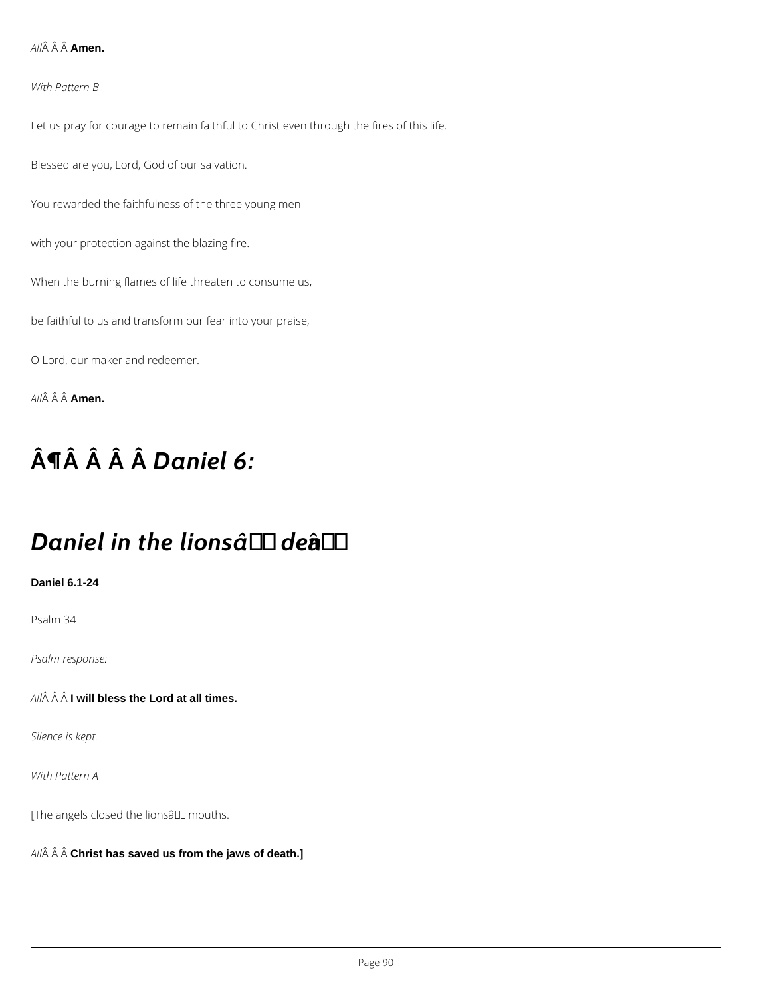A  $\hat{A}$   $\hat{A}$  Amen.

With Pattern B

Let us pray for courage to remain faithful to Christ even through the fires of this life. Blessed are you, Lord, God of our salvation. You rewarded the faithfulness of the three young men

with your protection against the blazing fire.

When the burning flames of life threaten to consume us,

be faithful to us and transform our fear into your praise,

O Lord, our maker and redeemer.

A  $\hat{A}$   $\hat{A}$   $\hat{A}$  $\hat{A}$  $\hat{B}$ en.

## $\hat{A}$   $\P$  $\hat{A}$   $\hat{A}$   $\hat{B}$   $a \hat{A}$  i e  $B$ :

### Daniel in the leading saft and  $e^{T}$  den

Daniel 6.1-24

Psalm 34

Psalm response:

 $A \hat{A}$   $\hat{A}$  I will bless the Lord at all times.

Silence is kept.

With Pattern A

[The angels closed the lions  $\hat{a} \in \text{TM}$  mouths.

A  $\hat{A}$   $\hat{A}$  C $\hat{A}$ rist has saved us from the jaws of death.]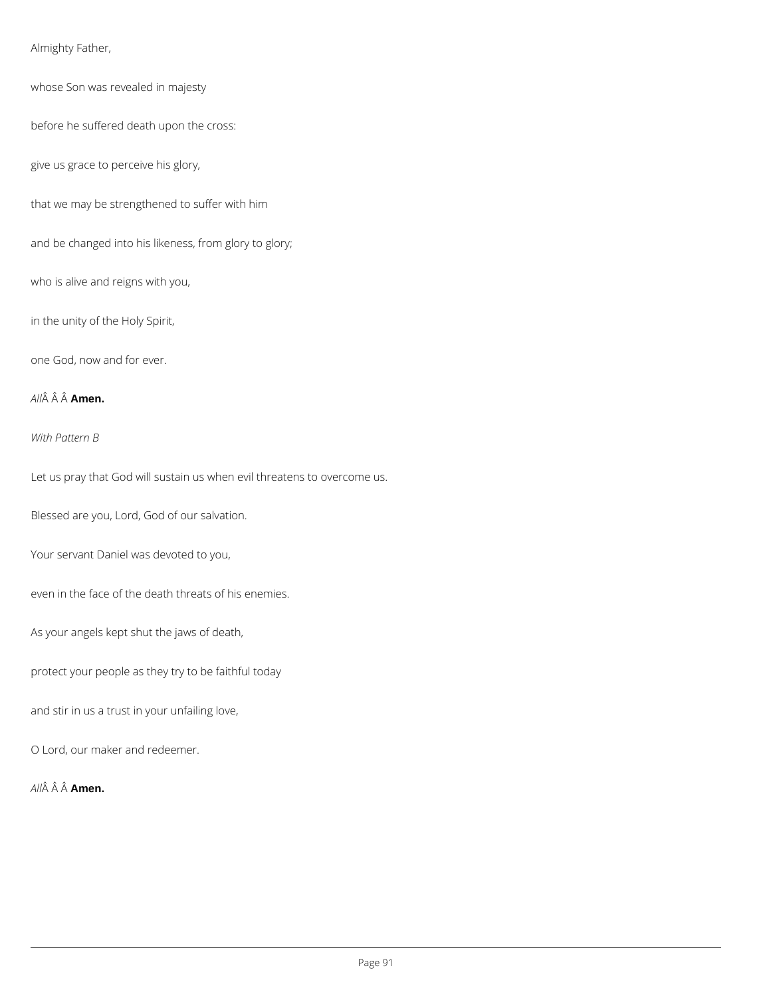Almighty Father,

whose Son was revealed in majesty

before he suffered death upon the cross:

give us grace to perceive his glory,

that we may be strengthened to suffer with him

and be changed into his likeness, from glory to glory;

who is alive and reigns with you,

in the unity of the Holy Spirit,

one God, now and for ever.

*All* **Amen.**

*With Pattern B*

Let us pray that God will sustain us when evil threatens to overcome us.

Blessed are you, Lord, God of our salvation.

Your servant Daniel was devoted to you,

even in the face of the death threats of his enemies.

As your angels kept shut the jaws of death,

protect your people as they try to be faithful today

and stir in us a trust in your unfailing love,

O Lord, our maker and redeemer.

*All* **Amen.**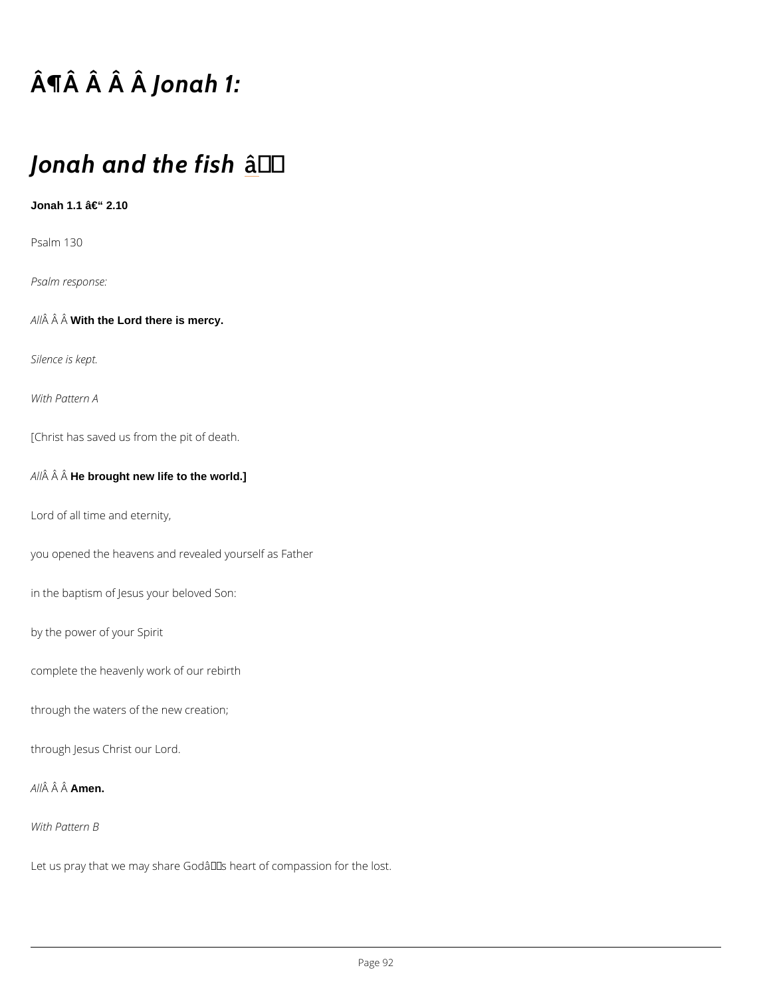# $\hat{A}$   $\P$  $\hat{A}$   $\hat{A}$   $\hat{A}$   $\hat{A}$  o  $\hat{A}$  a h 1:

### Jonah and the fish

Jonah 1.1  $â€$   $2.10$ 

Psalm 130

Psalm response:

 $A \nightharpoonup A \nightharpoonup A$  With the Lord there is mercy.

Silence is kept.

With Pattern A

[Christ has saved us from the pit of death.

 $A \hat{A}$   $\hat{A}$  H $\hat{A}$  brought new life to the world.]

Lord of all time and eternity,

you opened the heavens and revealed yourself as Father

in the baptism of Jesus your beloved Son:

by the power of your Spirit

complete the heavenly work of our rebirth

through the waters of the new creation;

through Jesus Christ our Lord.

A  $\hat{A}$   $\hat{A}$   $\hat{A}$  $\hat{A}$  $\hat{B}$ en.

With Pattern B

Let us pray that we may share God's heart of compassion for the lost.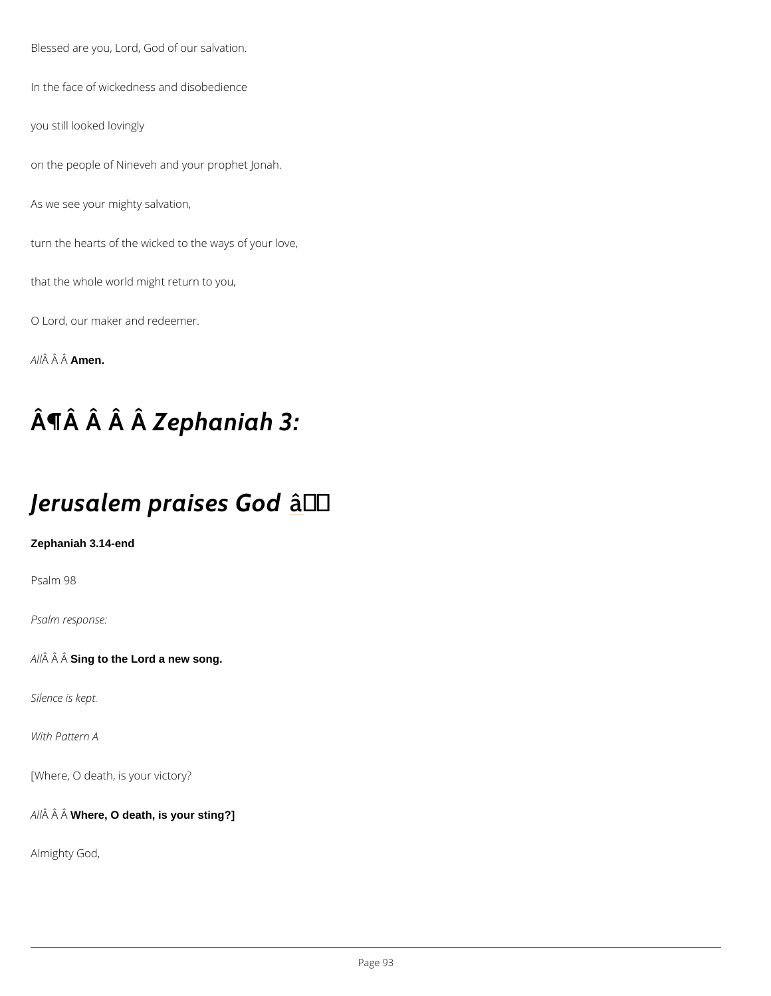Blessed are you, Lord, God of our salvation.

In the face of wickedness and disobedience

you still looked lovingly

on the people of Nineveh and your prophet Jonah.

As we see your mighty salvation,

turn the hearts of the wicked to the ways of your love,

that the whole world might return to you,

O Lord, our maker and redeemer.

A  $\hat{A}$   $\hat{A}$   $\hat{A}$  $\hat{A}$  $\hat{B}$ en.

# $\hat{A} \parallel \hat{A}$   $\hat{A}$   $\hat{A}$  e  $\hat{A}$  h a n i a h 3:

### Jerusalem praastes God

Zephaniah 3.14-end

Psalm 98

Psalm response:

A  $\hat{A}$   $\hat{A}$  S $\hat{A}$ g to the Lord a new song.

Silence is kept.

With Pattern A

```
[Where, O death, is your victory?
```
A  $\hat{A}$   $\hat{A}$  Where, O death, is your sting?]

Almighty God,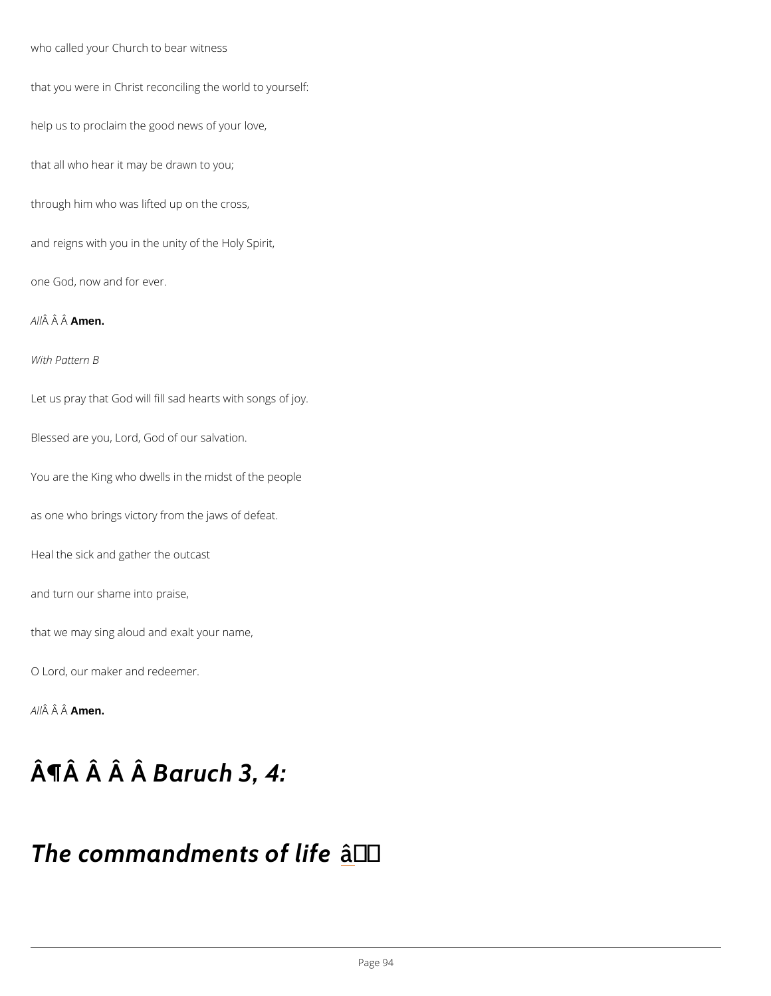who called your Church to bear witness that you were in Christ reconciling the world to yourself: help us to proclaim the good news of your love, that all who hear it may be drawn to you; through him who was lifted up on the cross,

and reigns with you in the unity of the Holy Spirit,

one God, now and for ever.

A  $\hat{A}$   $\hat{A}$   $\hat{A}$  $\hat{A}$  $\hat{B}$ en.

With Pattern B

Let us pray that God will fill sad hearts with songs of joy.

Blessed are you, Lord, God of our salvation.

You are the King who dwells in the midst of the people

as one who brings victory from the jaws of defeat.

Heal the sick and gather the outcast

and turn our shame into praise,

that we may sing aloud and exalt your name,

O Lord, our maker and redeemer.

A  $\hat{A}$   $\hat{A}$   $\hat{A}$  $\hat{A}$  $\hat{B}$  $\hat{B}$  $\hat{B}$  $\hat{B}$ .

## $\hat{A}$   $\P$   $\hat{A}$   $\hat{A}$   $\hat{B}$   $a$   $\hat{A}$   $u$   $c$   $h$   $3$   $, 4$  :

### The commandments' of life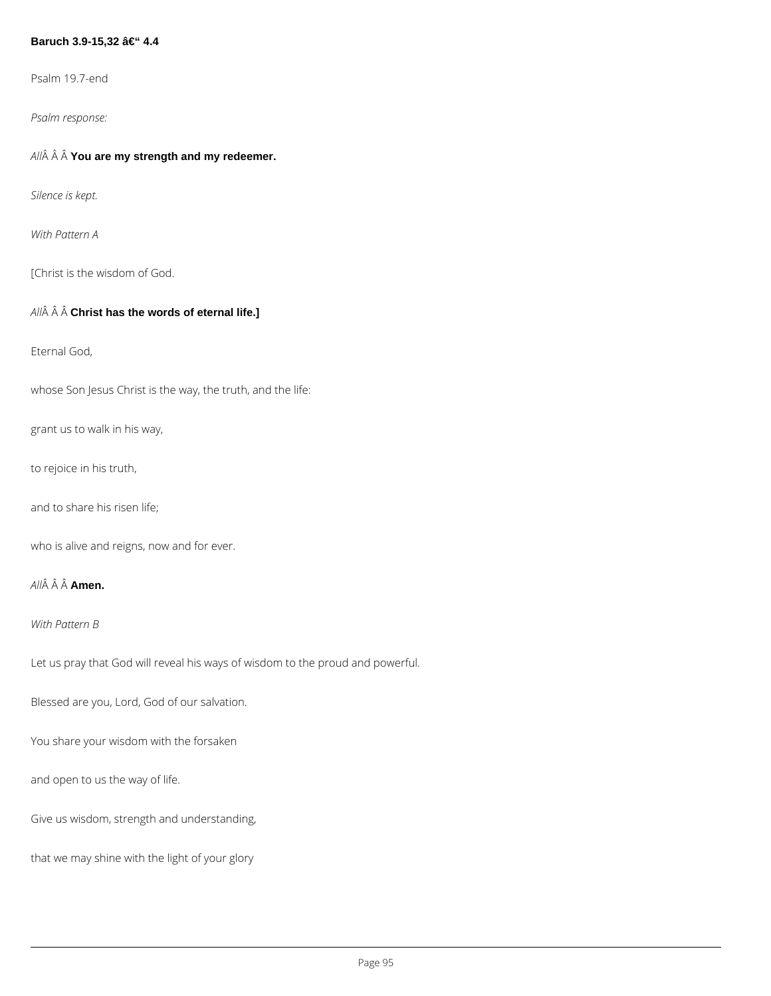#### **Baruch 3.9-15,32 – 4.4**

Psalm 19.7-end

*Psalm response:*

*All* **You are my strength and my redeemer.**

*Silence is kept.*

*With Pattern A*

[Christ is the wisdom of God.

#### *All* **Christ has the words of eternal life.]**

Eternal God,

whose Son Jesus Christ is the way, the truth, and the life:

grant us to walk in his way,

to rejoice in his truth,

and to share his risen life;

who is alive and reigns, now and for ever.

*All* **Amen.**

*With Pattern B*

Let us pray that God will reveal his ways of wisdom to the proud and powerful.

Blessed are you, Lord, God of our salvation.

You share your wisdom with the forsaken

and open to us the way of life.

Give us wisdom, strength and understanding,

that we may shine with the light of your glory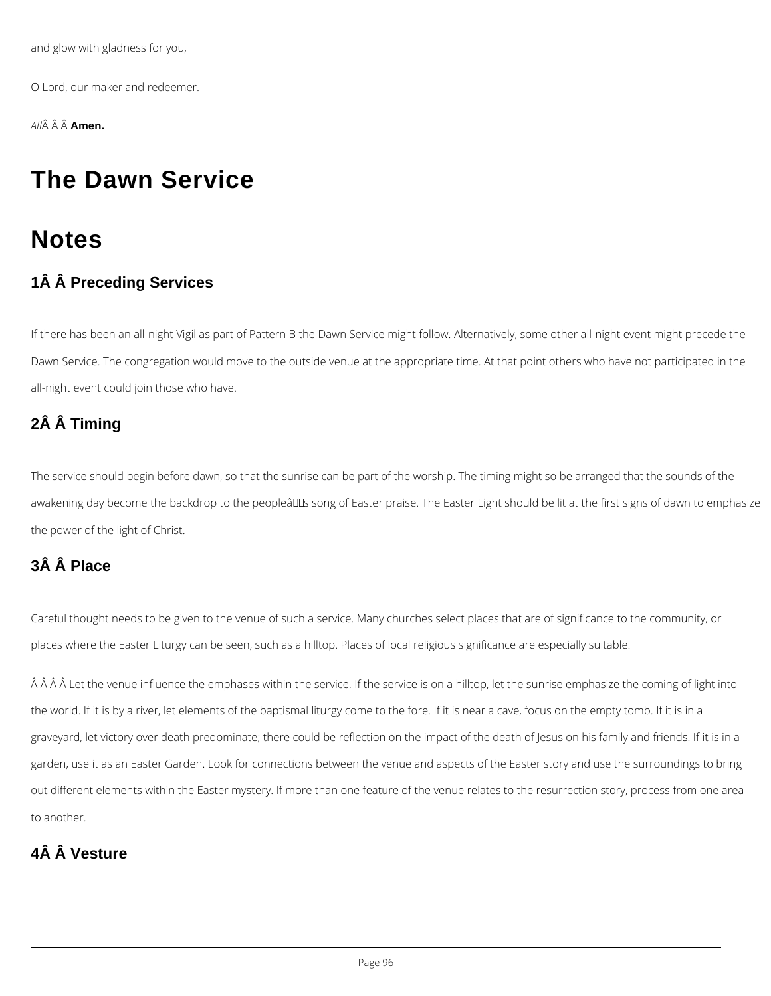and glow with gladness for you,

O Lord, our maker and redeemer.

*All* **Amen.**

## **The Dawn Service**

## **Notes**

### **1Â Â Preceding Services**

If there has been an all-night Vigil as part of Pattern B the Dawn Service might follow. Alternatively, some other all-night event might precede the Dawn Service. The congregation would move to the outside venue at the appropriate time. At that point others who have not participated in the all-night event could join those who have.

### **2Â Â Timing**

The service should begin before dawn, so that the sunrise can be part of the worship. The timing might so be arranged that the sounds of the awakening day become the backdrop to the peopleâDDs song of Easter praise. The Easter Light should be lit at the first signs of dawn to emphasize the power of the light of Christ.

 $\hat{A}$   $\hat{A}$   $\hat{A}$   $\hat{A}$  Let the venue influence the emphases within the service. If the service is on a hilltop, let the sunrise emphasize the coming of light into the world. If it is by a river, let elements of the baptismal liturgy come to the fore. If it is near a cave, focus on the empty tomb. If it is in a graveyard, let victory over death predominate; there could be reflection on the impact of the death of Jesus on his family and friends. If it is in a

### **3Â Â Place**

Careful thought needs to be given to the venue of such a service. Many churches select places that are of significance to the community, or places where the Easter Liturgy can be seen, such as a hilltop. Places of local religious significance are especially suitable.

garden, use it as an Easter Garden. Look for connections between the venue and aspects of the Easter story and use the surroundings to bring

out different elements within the Easter mystery. If more than one feature of the venue relates to the resurrection story, process from one area

to another.

### **4Â Â Vesture**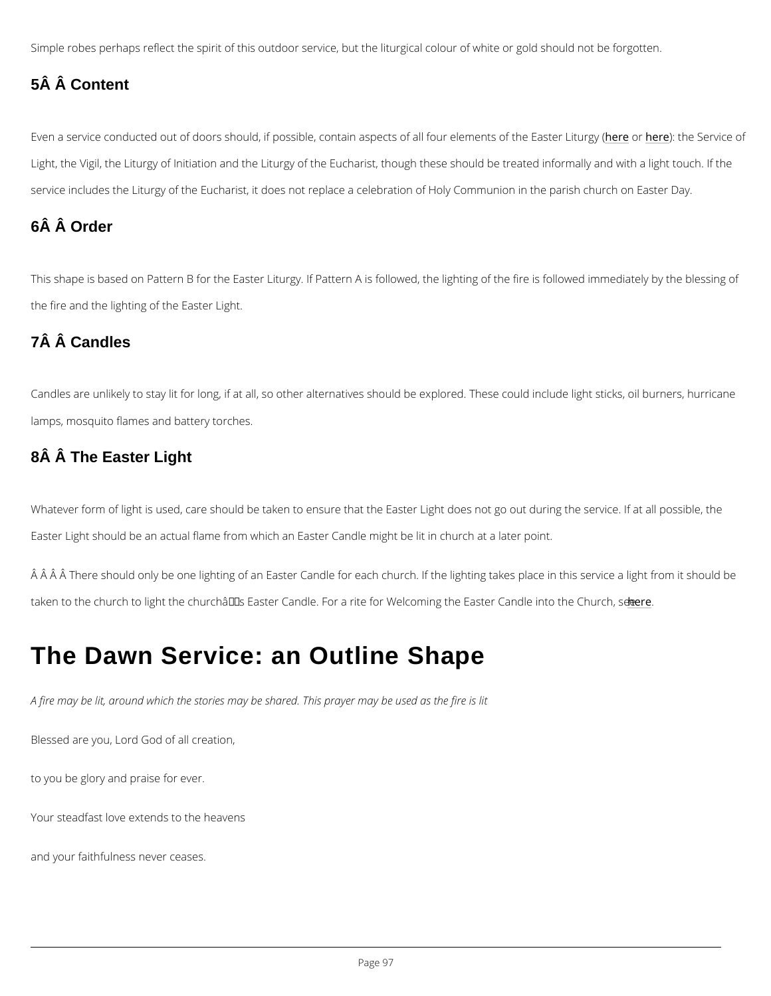Simple robes perhaps reflect the spirit of this outdoor service, but the liturgical colour of wh

### 5Â Â Content

Even a service conducted out of doors should, if possible, contain aspecter ed hæll ef at he element Light, the Vigil, the Liturgy of Initiation and the Liturgy of the Eucharist, though these shoul service includes the Liturgy of the Eucharist, it does not replace a celebration of Holy Comm

This shape is based on Pattern B for the Easter Liturgy. If Pattern A is followed, the lighting the fire and the lighting of the Easter Light.

Candles are unlikely to stay lit for long, if at all, so other alternatives should be explored. The lamps, mosquito flames and battery torches.

### 6Â Â Order

### 7Â Â Candles

### 8Â Â The Easter Light

Whatever form of light is used, care should be taken to ensure that the Easter Light does no Easter Light should be an actual flame from which an Easter Candle might be lit in church at

 $\hat{A}$   $\hat{A}$   $\hat{A}$   $\hat{A}$   $\hat{A}$   $\hat{B}$  and  $\hat{B}$  and  $\hat{B}$  of an Easter Candle for each church. If the lightin taken to the church to light the church's Easter Candle. For a rite for Wheelcoming the Eas

## The Dawn Service: an Outline Shape

A fire may be lit, around which the stories may be shared. This prayer may be used as the fi

Blessed are you, Lord God of all creation,

to you be glory and praise for ever.

Your steadfast love extends to the heavens

and your faithfulness never ceases.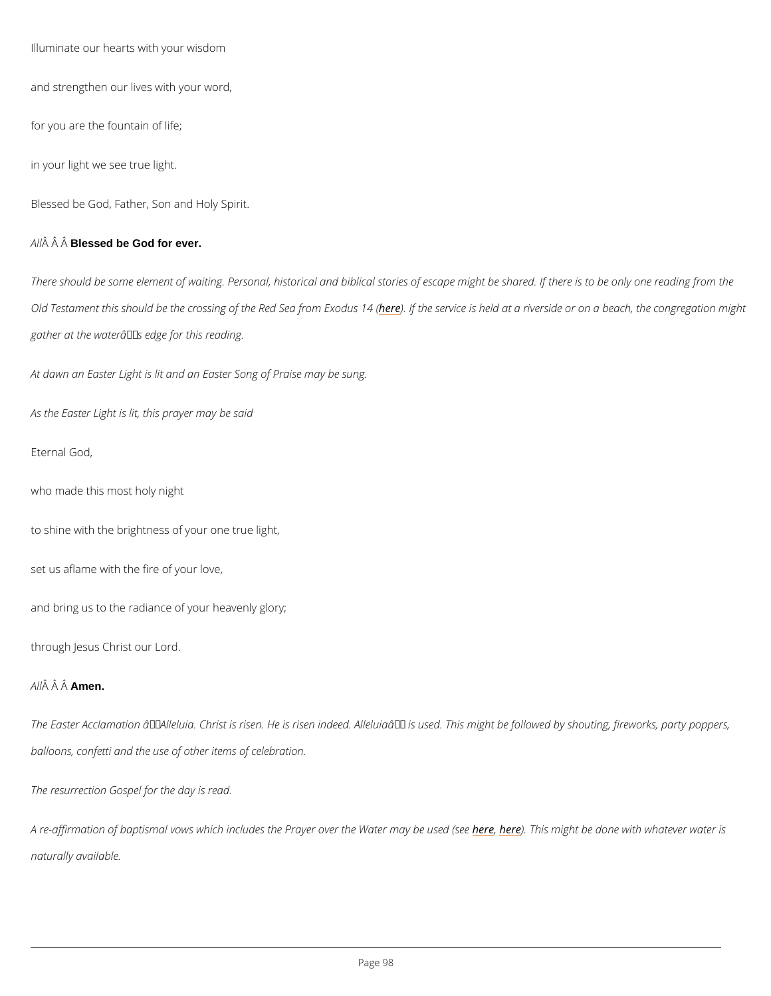Illuminate our hearts with your wisdom

and strengthen our lives with your word,

for you are the fountain of life;

in your light we see true light.

Blessed be God, Father, Son and Holy Spirit.

 $A \hat{B}$   $\hat{A}$  Bl $\hat{B}$ ssed be God for ever.

There should be some element of waiting. Personal, historical and biblical stories of escape Old Testament this should be the crossing offiethee IRRetdeSsearvfrioen iEsxhoedluds aft4a (riverside or on a gather at the water $\hat{a} \in T^M$ s edge for this reading.

At dawn an Easter Light is lit and an Easter Song of Praise may be sung.

As the Easter Light is lit, this prayer may be said

A re-affirmation of baptismal vows which includes the Phaey, enemoke eTrhits em Wygahtte bemal oy nbee wuishe dw naturally available.

Eternal God,

who made this most holy night

to shine with the brightness of your one true light,

set us aflame with the fire of your love,

and bring us to the radiance of your heavenly glory;

through Jesus Christ our Lord.

A  $\hat{A}$   $\hat{A}$   $\hat{A}$  $\hat{A}$  $\hat{B}$ en.

The Easter Acclamation  $\hat{\mathbf{a}} \in \tilde{\mathbb{A}}$ Ileluia. Christ is risen. He is risen indeed. Alleluia $\hat{\mathbf{a}} \in \mathbb{M}$  is used.

balloons, confetti and the use of other items of celebration.

The resurrection Gospel for the day is read.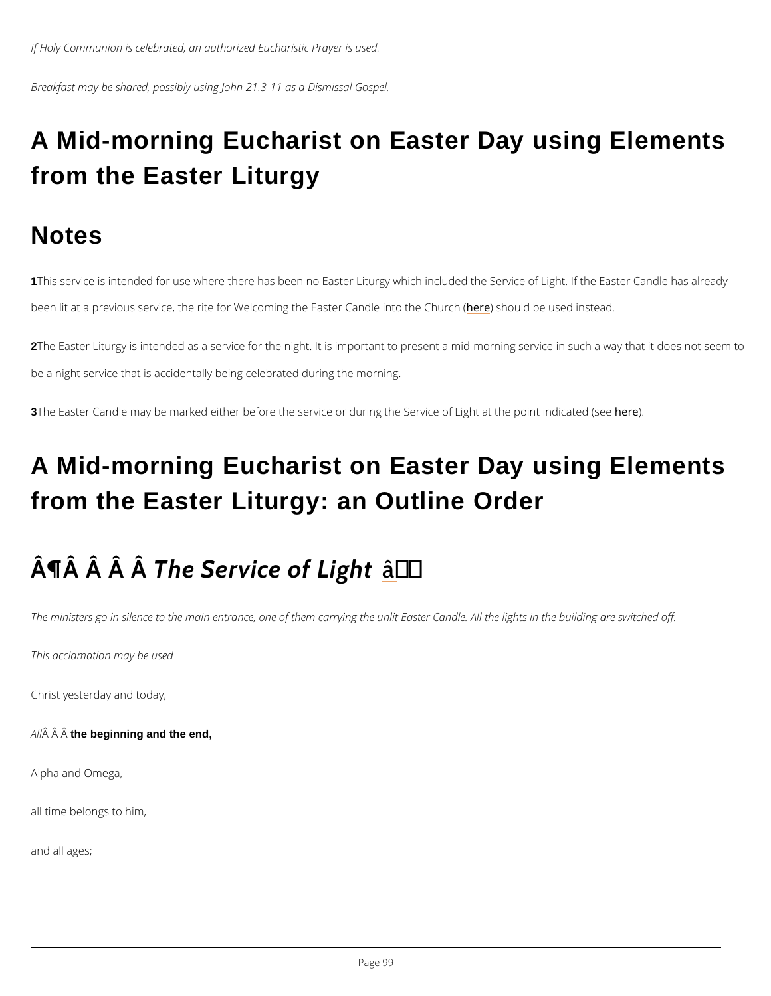If Holy Communion is celebrated, an authorized Eucharistic Prayer is used.

Breakfast may be shared, possibly using John 21.3-11 as a Dismissal Gospel.

# A Mid-morning Eucharist on Easter Day using Elements from the Easter Liturgy

### **Notes**

1This service is intended for use where there has been no Easter Liturgy which included the been lit at a previous service, the rite for Welcoming t**he** Fassiteeul **C** abred lesend tion should a near the use of

2The Easter Liturgy is intended as a service for the night. It is important to present a mid-mo be a night service that is accidentally being celebrated during the morning.

3The Easter Candle may be marked either before the service or during the h& eexvice of Light at

# A Mid-morning Eucharist on Easter Day using Elements from the Easter Liturgy: an Outline Order

# $\hat{A}$   $\P$  $\hat{A}$   $\hat{A}$   $\hat{A}$   $\hat{B}$   $\hat{B}$   $\hat{C}$   $\hat{C}$   $\hat{C}$   $\hat{C}$   $\hat{C}$   $\hat{C}$   $\hat{C}$   $\hat{C}$   $\hat{C}$   $\hat{C}$   $\hat{C}$   $\hat{C}$   $\hat{C}$   $\hat{C}$   $\hat{C}$   $\hat{C}$   $\hat{C}$   $\hat{C}$   $\hat{C}$   $\hat{C}$   $\hat{C}$   $\hat$

The ministers go in silence to the main entrance, one of them carrying the unlit Easter Cand

This acclamation may be used

Christ yesterday and today,

 $A \hat{A}$   $\hat{A}$  th $\hat{B}$  beginning and the end.

Alpha and Omega,

all time belongs to him,

and all ages;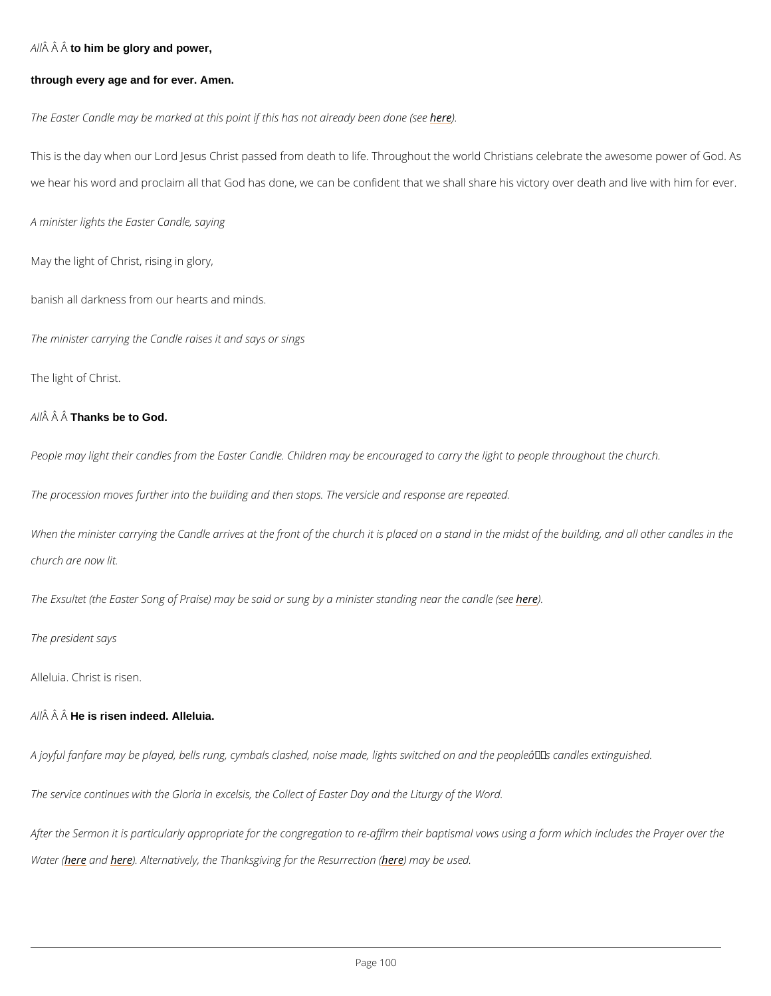$A \hat{A}$   $\hat{A}$  to  $\hat{A}$  him be glory and power,

through every age and for ever. Amen.

The Easter Candle may be marked at this point if the sehas not already been done (see

This is the day when our Lord Jesus Christ passed from death to life. Throughout the world C we hear his word and proclaim all that God has done, we can be confident that we shall shar

A minister lights the Easter Candle, saying

May the light of Christ, rising in glory,

banish all darkness from our hearts and minds.

When the minister carrying the Candle arrives at the front of the church it is placed on a sta church are now lit.

The Exsultet (the Easter Song of Praise) may be said or sunghby)ea minister standing near the

The president says

The minister carrying the Candle raises it and says or sings

The light of Christ.

A  $\hat{A}$   $\hat{A}$  The Thanks be to God.

People may light their candles from the Easter Candle. Children may be encouraged to carry

The procession moves further into the building and then stops. The versicle and response are

Alleluia. Christ is risen.

 $A \hat{M}$   $\hat{A}$  H $\hat{A}$  is risen indeed. Alleluia.

A joyful fanfare may be played, bells rung, cymbals clashed, noise made, lights switched on

The service continues with the Gloria in excelsis, the Collect of Easter Day and the Liturgy o

After the Sermon it is particularly appropriate for the congregation to re-affirm their baptism

Watehre  $f$  ean ble r) e Alternatively, the Thanksgiving for the Reussuerchection (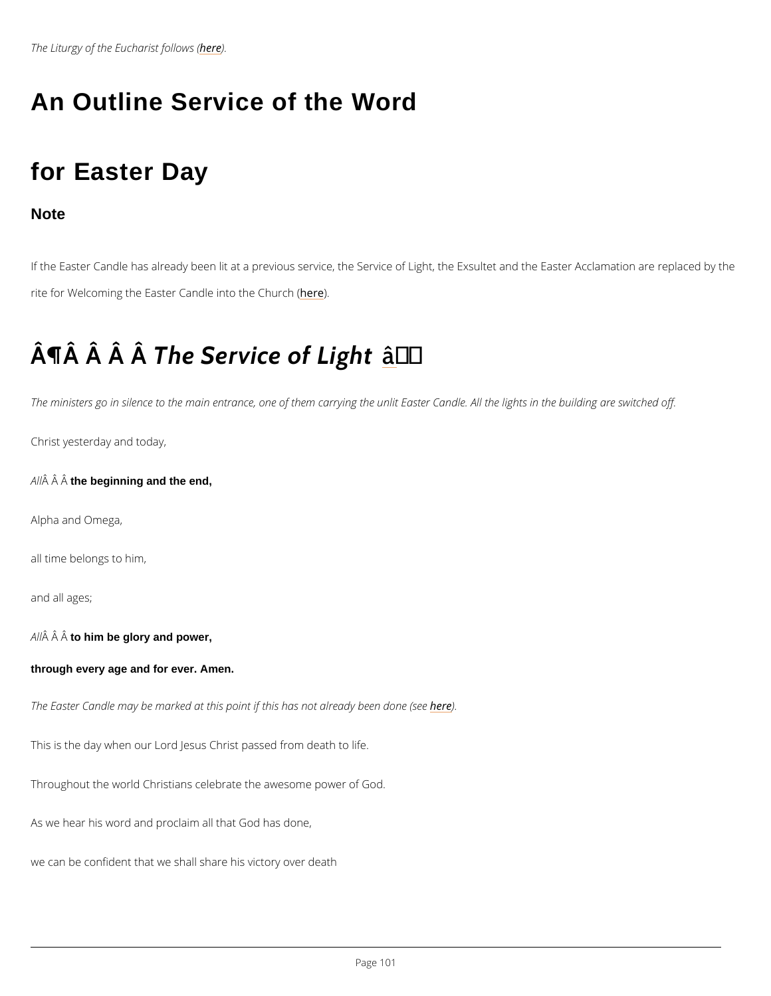The Liturgy of the Eu**ble** a) eist follows (

### An Outline Service of the Word

### for Easter Day

**Note** 

If the Easter Candle has already been lit at a previous service, the Service of Light, the Exs rite for Welcoming the Easter Candler einto the Church (

# $\hat{A}$   $\P$  $\hat{A}$   $\hat{A}$   $\hat{A}$   $\hat{B}$   $\hat{B}$   $\hat{C}$   $\hat{C}$   $\hat{C}$   $\hat{C}$   $\hat{C}$   $\hat{C}$   $\hat{C}$   $\hat{C}$   $\hat{C}$   $\hat{C}$   $\hat{C}$   $\hat{C}$   $\hat{C}$   $\hat{C}$   $\hat{C}$   $\hat{C}$   $\hat{C}$   $\hat{C}$   $\hat{C}$   $\hat{C}$   $\hat{C}$   $\hat$

The ministers go in silence to the main entrance, one of them carrying the unlit Easter Cand

Christ yesterday and today,

 $A \nightharpoonup A$   $A$  th $\hat{A}$  beginning and the end,

Alpha and Omega,

all time belongs to him,

and all ages;

 $A \hat{M}$   $\hat{A}$  to  $\hat{A}$  him be glory and power,

through every age and for ever. Amen.

The Easter Candle may be marked at this point if the sehas not already been done (see

This is the day when our Lord Jesus Christ passed from death to life.

Throughout the world Christians celebrate the awesome power of God.

As we hear his word and proclaim all that God has done,

we can be confident that we shall share his victory over death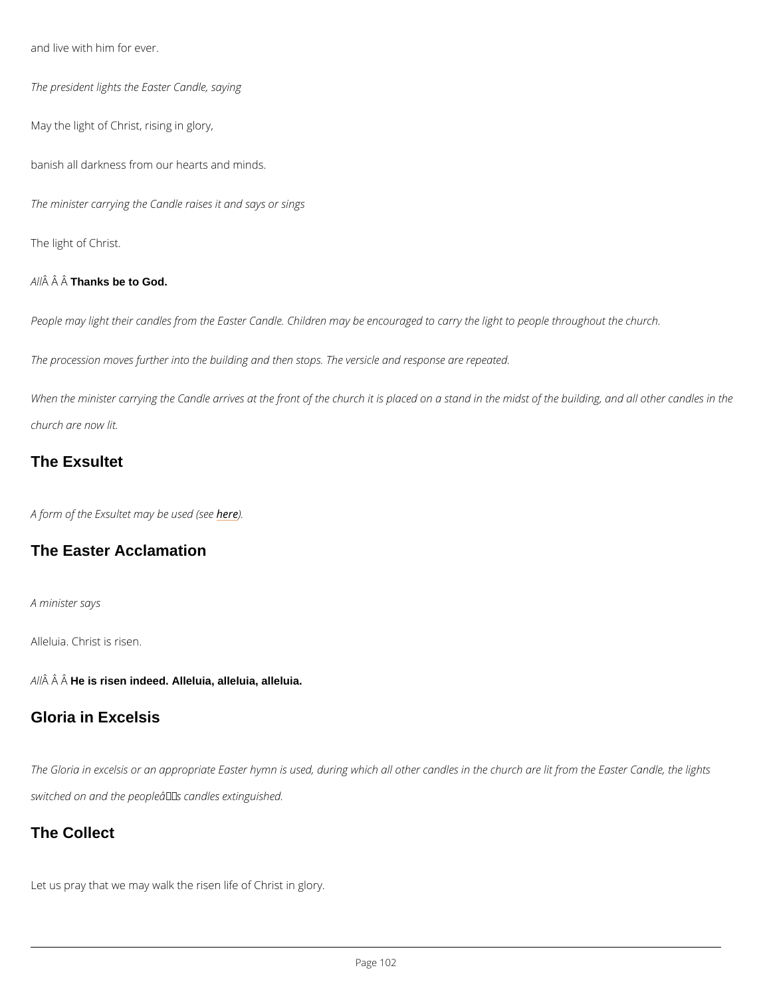and live with him for ever.

The president lights the Easter Candle, saying

May the light of Christ, rising in glory,

banish all darkness from our hearts and minds.

The minister carrying the Candle raises it and says or sings

The light of Christ.

A  $\hat{A}$   $\hat{A}$  Thanks be to God.

People may light their candles from the Easter Candle. Children may be encouraged to carry

The procession moves further into the building and then stops. The versicle and response are

When the minister carrying the Candle arrives at the front of the church it is placed on a sta church are now lit.

#### The Exsultet

A form of the Exsultet mhaey)ebe used (see

The Easter Acclamation

A minister says

Alleluia. Christ is risen.

A  $\hat{A}$   $\hat{A}$  H $\hat{A}$  is risen indeed. Alleluia, alleluia, alleluia.

### Gloria in Excelsis

The Gloria in excelsis or an appropriate Easter hymn is used, during which all other candles

switched on and the people  $\hat{a} \in \mathbb{M}$  s candles extinguished.

The Collect

Let us pray that we may walk the risen life of Christ in glory.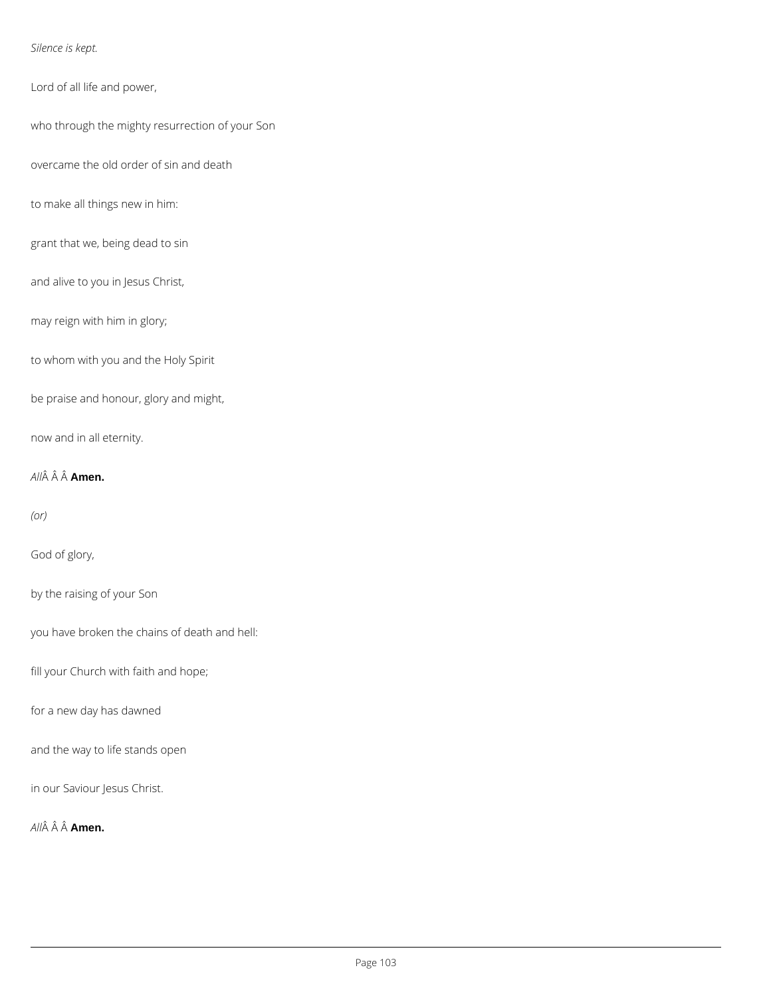#### *Silence is kept.*

Lord of all life and power,

who through the mighty resurrection of your Son

overcame the old order of sin and death

to make all things new in him:

grant that we, being dead to sin

and alive to you in Jesus Christ,

may reign with him in glory;

to whom with you and the Holy Spirit

be praise and honour, glory and might,

now and in all eternity.

*All* **Amen.**

*(or)*

God of glory,

by the raising of your Son

you have broken the chains of death and hell:

fill your Church with faith and hope;

for a new day has dawned

and the way to life stands open

in our Saviour Jesus Christ.

*All* **Amen.**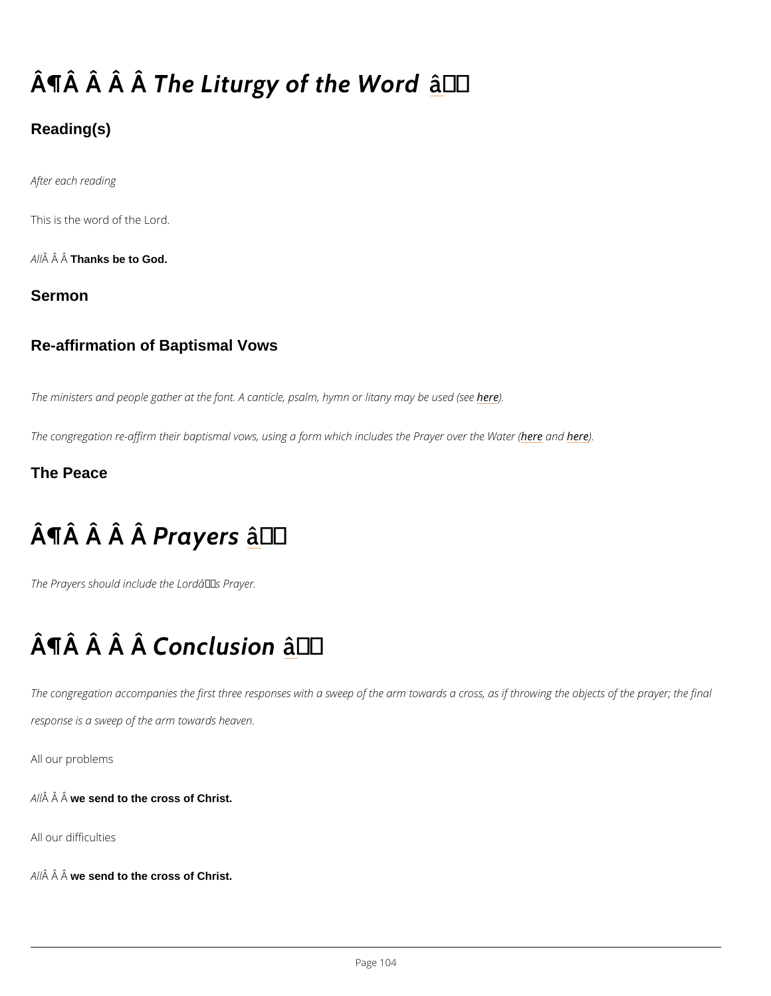# $\hat{A}$   $\P$  $\hat{A}$   $\hat{A}$   $\hat{A}$   $\hat{B}$   $\hat{B}$   $\hat{C}$   $\hat{C}$   $\hat{C}$   $\hat{C}$   $\hat{C}$   $\hat{C}$   $\hat{C}$   $\hat{C}$   $\hat{C}$   $\hat{C}$   $\hat{C}$   $\hat{C}$   $\hat{C}$   $\hat{C}$   $\hat{C}$   $\hat{C}$   $\hat{C}$   $\hat{C}$   $\hat{C}$   $\hat{C}$   $\hat{C}$   $\hat$

### Reading(s)

After each reading

This is the word of the Lord.

A  $\hat{A}$   $\hat{A}$  Thanks be to God.

Sermon

Re-affirmation of Baptismal Vows

The ministers and people gather at the font. A canticle, **hesded** m, hymn or litany may be used (

The congregation re-affirm their baptismal vows, using a formheheacht includes the Prayer over The Peace

# $\hat{A} \parallel \hat{A}$   $\hat{A}$   $\parallel \hat{A} \parallel$   $\hat{B}$   $\parallel$   $\hat{B}$   $\parallel$   $\hat{B}$   $\parallel$   $\hat{B}$   $\parallel$   $\hat{B}$   $\parallel$   $\hat{C}$   $\parallel$   $\hat{C}$   $\parallel$   $\hat{C}$   $\parallel$

The Prayers should include the Lord $\hat{a} \in \mathbb{M}$  s Prayer.

# $\hat{A}$  |  $\hat{A}$   $\hat{A}$   $\hat{B}$  o $\hat{A}$  clusito'n

The congregation accompanies the first three responses with a sweep of the arm towards a c response is a sweep of the arm towards heaven.

#### All our problems

A  $\hat{A}$   $\hat{A}$  w $\hat{A}$  send to the cross of Christ.

All our difficulties

 $A \hat{M}$   $\hat{A}$  w $\hat{A}$  send to the cross of Christ.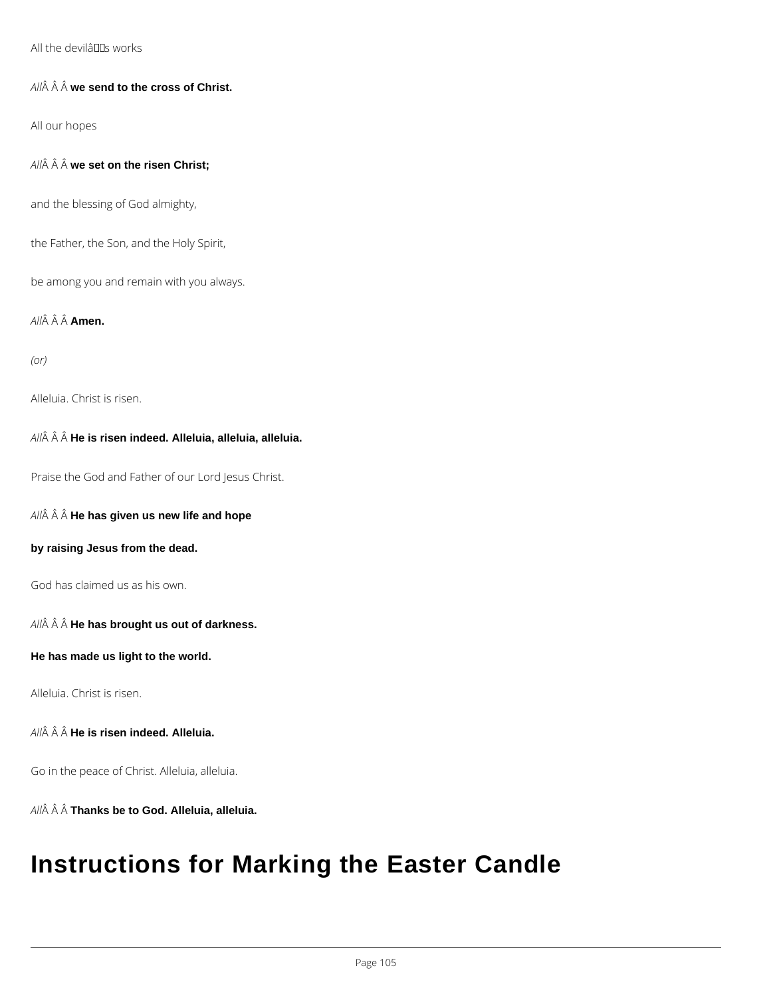#### All the devilâuls works

#### All $\hat{A}$   $\hat{A}$   $\hat{A}$  we send to the cross of Christ.

All our hopes

*All* **we set on the risen Christ;**

and the blessing of God almighty,

the Father, the Son, and the Holy Spirit,

be among you and remain with you always.

*All* **Amen.**

*(or)*

Alleluia. Christ is risen.

*All* **He is risen indeed. Alleluia, alleluia, alleluia.**

Praise the God and Father of our Lord Jesus Christ.

*All* **He has given us new life and hope**

**by raising Jesus from the dead.**

God has claimed us as his own.

*All* **He has brought us out of darkness.**

**He has made us light to the world.**

Alleluia. Christ is risen.

*All* **He is risen indeed. Alleluia.**

Go in the peace of Christ. Alleluia, alleluia.

*All* **Thanks be to God. Alleluia, alleluia.**

## **Instructions for Marking the Easter Candle**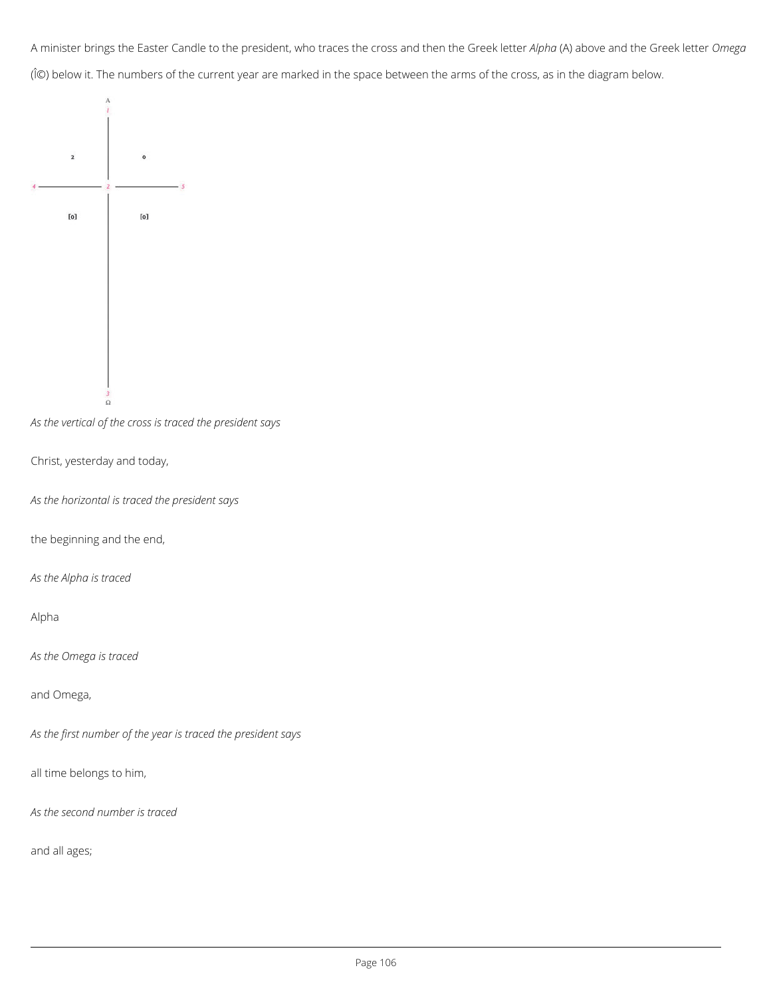A minister brings the Easter Candle to the president, who traces the cross and then the Greek letter *Alpha* (A) above and the Greek letter *Omega* (Ω) below it. The numbers of the current year are marked in the space between the arms of the cross, as in the diagram below.



*As the vertical of the cross is traced the president says*

Christ, yesterday and today,

*As the horizontal is traced the president says*

the beginning and the end,

*As the Alpha is traced*

Alpha

*As the Omega is traced*

and Omega,

*As the first number of the year is traced the president says*

all time belongs to him,

*As the second number is traced*

and all ages;

Page 106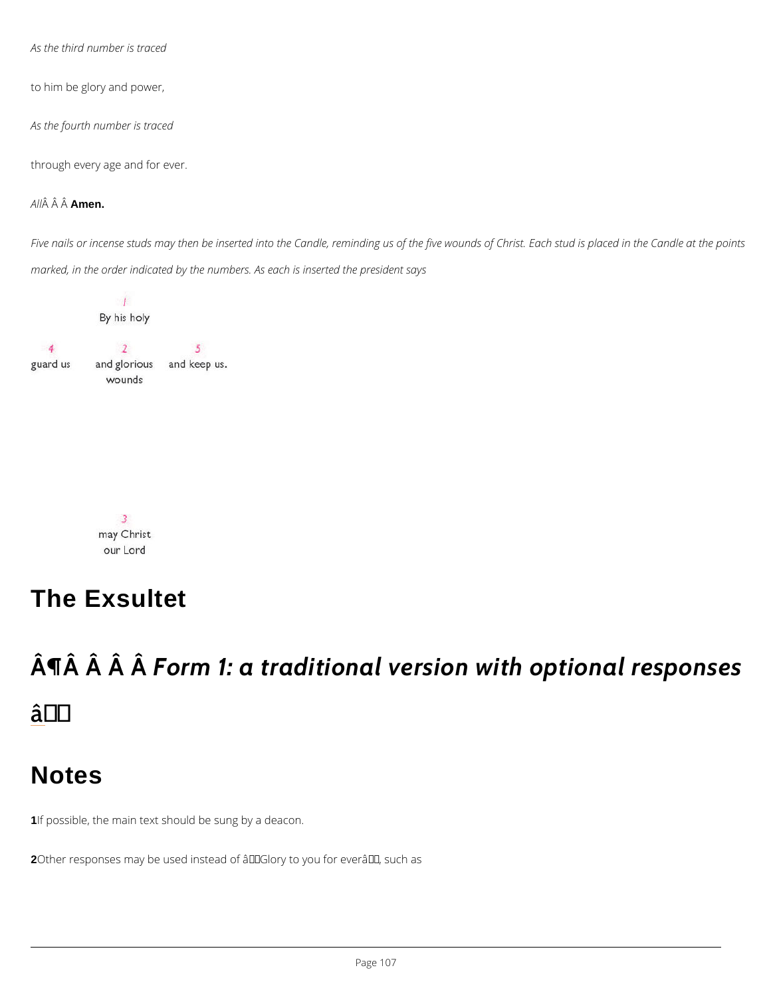As the third number is traced

to him be glory and power,

As the fourth number is traced

through every age and for ever.

A  $\hat{A}$   $\hat{A}$   $A \hat{A}$  $A$ en.

Five nails or incense studs may then be inserted into the Candle, reminding us of the five wo marked, in the order indicated by the numbers. As each is inserted the president says

The Exsultet

 $\hat{A}$   $\hat{A}$   $\hat{A}$   $\hat{A}$   $\hat{B}$   $\hat{O}$   $\hat{A}$   $\hat{m}$  1: a traditional version with â†



1If possible, the main text should be sung by a deacon.

2Other responses may be used instead of  $\hat{a} \in \tilde{c}$  Glory to you for ever $\hat{a} \in \tilde{c}^{TM}$ , such as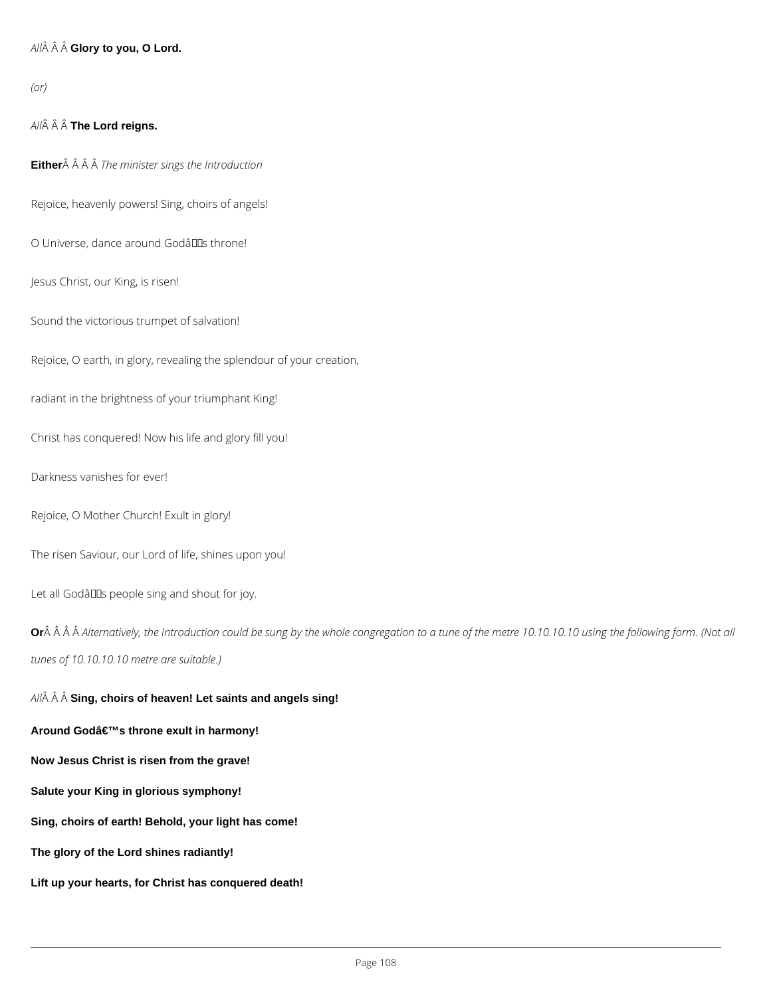#### *All* **Glory to you, O Lord.**

*(or)*

#### *All* **The Lord reigns.**

**Either** *The minister sings the Introduction*

Rejoice, heavenly powers! Sing, choirs of angels!

O Universe, dance around Godâllas throne!

Jesus Christ, our King, is risen!

Sound the victorious trumpet of salvation!

Rejoice, O earth, in glory, revealing the splendour of your creation,

radiant in the brightness of your triumphant King!

Or Â Â Alternatively, the Introduction could be sung by the whole congregation to a tune of the metre 10.10.10.10 using the following form. (Not all *tunes of 10.10.10.10 metre are suitable.)*

Christ has conquered! Now his life and glory fill you!

Darkness vanishes for ever!

Rejoice, O Mother Church! Exult in glory!

The risen Saviour, our Lord of life, shines upon you!

Let all Godâlls people sing and shout for joy.

*All* **Sing, choirs of heaven! Let saints and angels sing!**

Around God's throne exult in harmony!

**Now Jesus Christ is risen from the grave!**

**Salute your King in glorious symphony!**

**Sing, choirs of earth! Behold, your light has come!**

**The glory of the Lord shines radiantly!**

**Lift up your hearts, for Christ has conquered death!**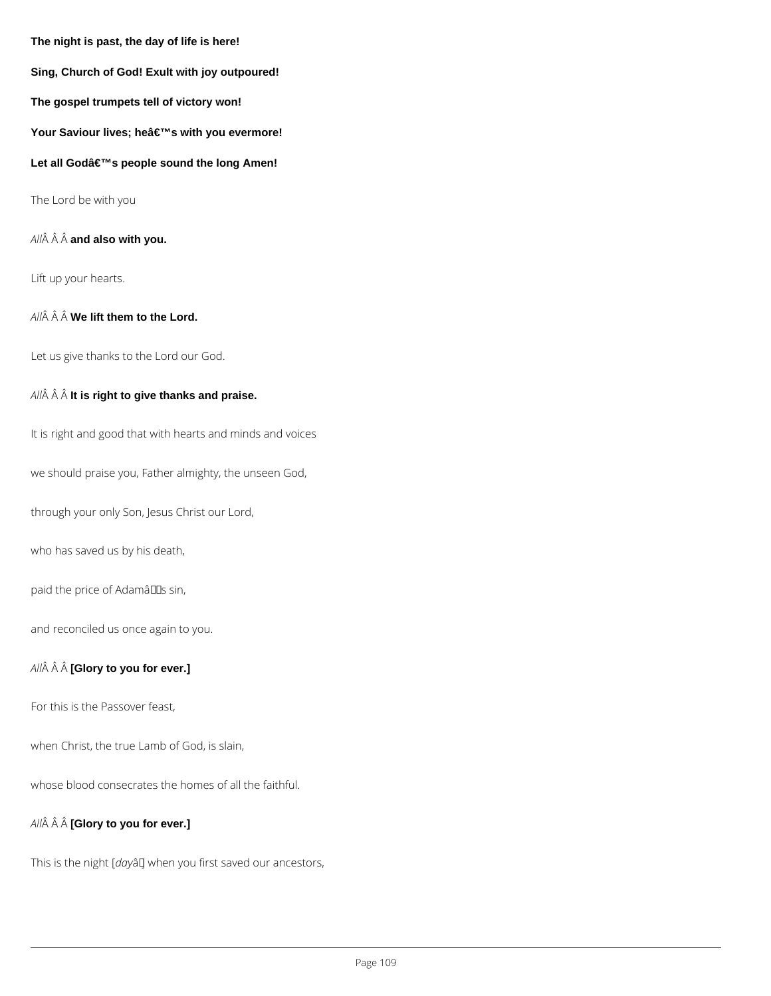**The night is past, the day of life is here!**

**Sing, Church of God! Exult with joy outpoured!**

**The gospel trumpets tell of victory won!**

Your Saviour lives; he's with you evermore!

Let all Godâ€<sup>™</sup>s people sound the long Amen!

The Lord be with you

*All* **and also with you.**

Lift up your hearts.

 $AII\hat{A}$   $\hat{A}$   $\hat{A}$  **We lift them to the Lord.** 

Let us give thanks to the Lord our God.

*All* **It is right to give thanks and praise.**

It is right and good that with hearts and minds and voices

we should praise you, Father almighty, the unseen God,

through your only Son, Jesus Christ our Lord,

who has saved us by his death,

paid the price of Adamâlls sin,

and reconciled us once again to you.

*All* **[Glory to you for ever.]**

For this is the Passover feast,

when Christ, the true Lamb of God, is slain,

whose blood consecrates the homes of all the faithful.

*All* **[Glory to you for ever.]**

This is the night [dayâ] when you first saved our ancestors,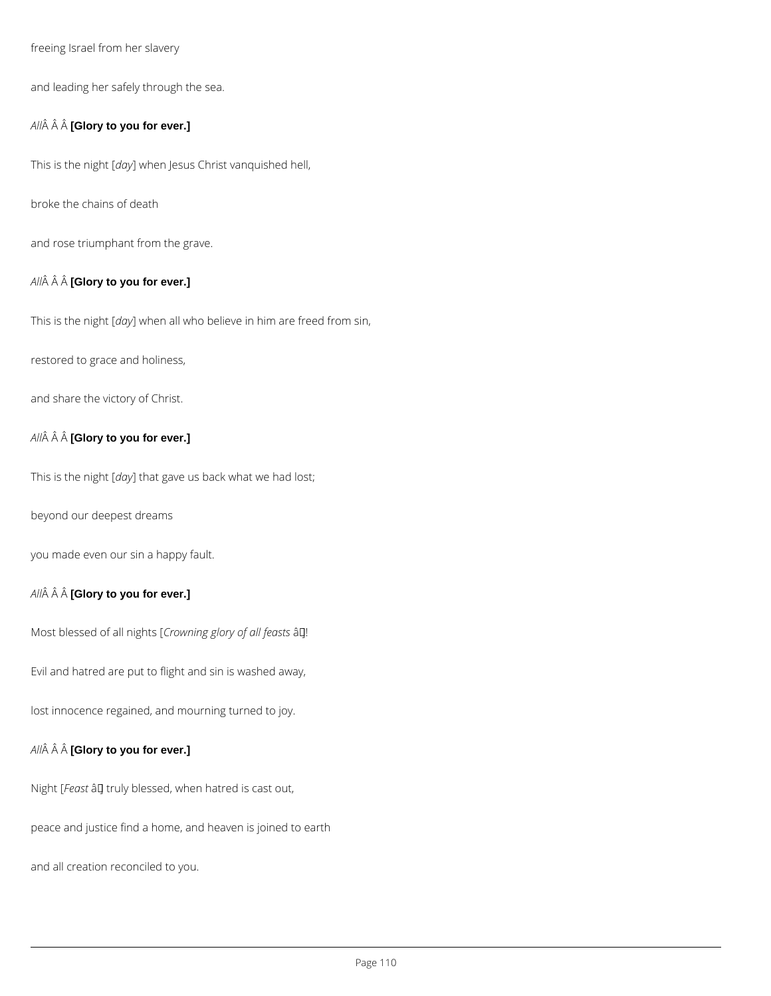freeing Israel from her slavery

and leading her safely through the sea.

#### *All* **[Glory to you for ever.]**

This is the night [*day*] when Jesus Christ vanquished hell,

broke the chains of death

and rose triumphant from the grave.

#### *All* **[Glory to you for ever.]**

This is the night [*day*] when all who believe in him are freed from sin,

restored to grace and holiness,

and share the victory of Christ.

#### *All* **[Glory to you for ever.]**

This is the night [*day*] that gave us back what we had lost;

beyond our deepest dreams

you made even our sin a happy fault.

#### *All* **[Glory to you for ever.]**

Most blessed of all nights [Crowning glory of all feasts â []!

Evil and hatred are put to flight and sin is washed away,

lost innocence regained, and mourning turned to joy.

#### *All* **[Glory to you for ever.]**

Night [Feast  $\hat{a}$ ] truly blessed, when hatred is cast out,

peace and justice find a home, and heaven is joined to earth

and all creation reconciled to you.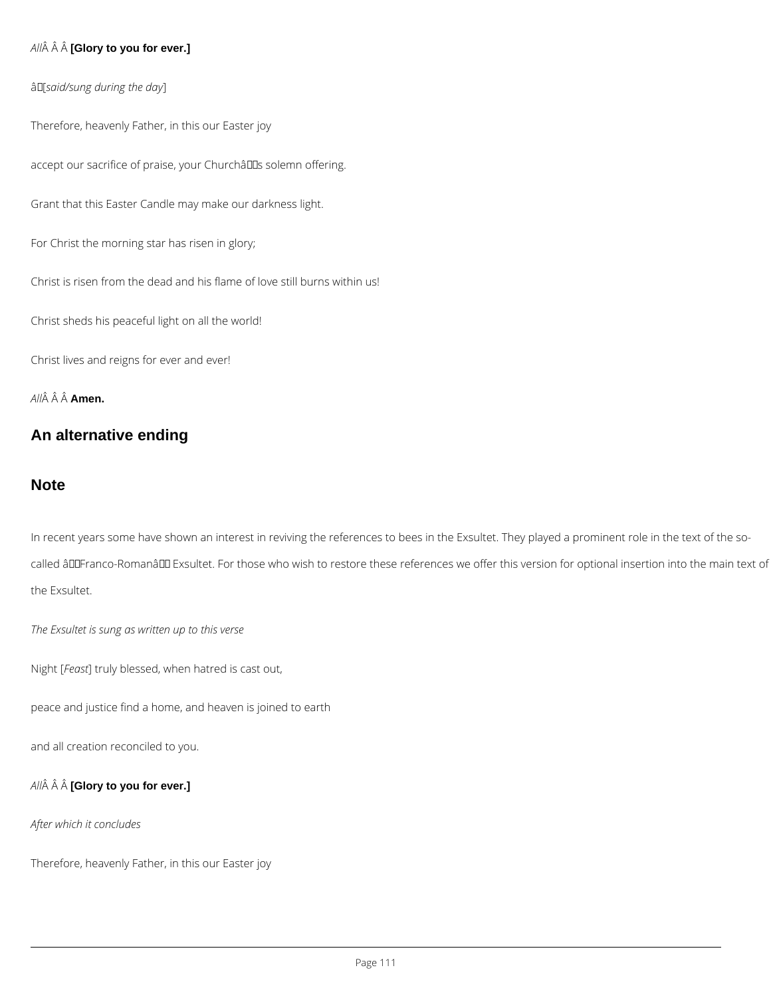#### *All* **[Glory to you for ever.]**

#### â [*said/sung during the day*]

Therefore, heavenly Father, in this our Easter joy

accept our sacrifice of praise, your Churchâlls solemn offering.

Grant that this Easter Candle may make our darkness light.

For Christ the morning star has risen in glory;

Christ is risen from the dead and his flame of love still burns within us!

Christ sheds his peaceful light on all the world!

Christ lives and reigns for ever and ever!

*All* **Amen.**

#### **An alternative ending**

#### **Note**

In recent years some have shown an interest in reviving the references to bees in the Exsultet. They played a prominent role in the text of the socalled âDDFranco-RomanâDD Exsultet. For those who wish to restore these references we offer this version for optional insertion into the main text of the Exsultet.

*The Exsultet is sung as written up to this verse*

Night [*Feast*] truly blessed, when hatred is cast out,

peace and justice find a home, and heaven is joined to earth

*All* **[Glory to you for ever.]**

*After which it concludes*

Therefore, heavenly Father, in this our Easter joy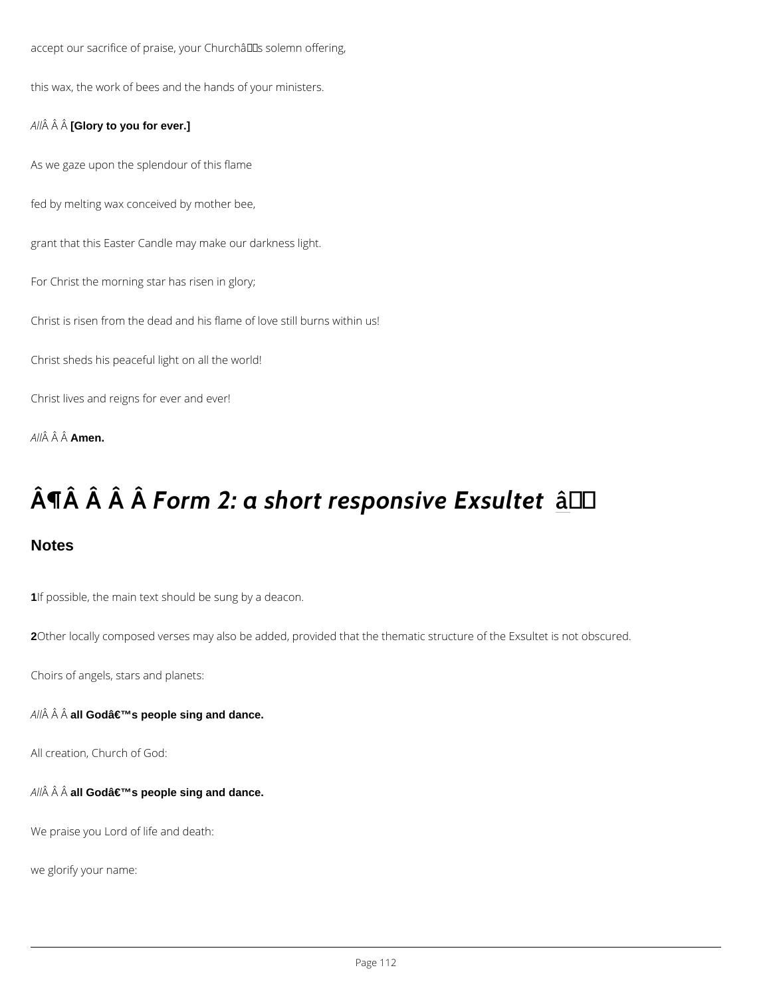accept our sacrifice of praise, your Church's solemn offering, this wax, the work of bees and the hands of your ministers.  $A \hat{M}$   $\hat{A}$  [G<sup>o</sup> added you for ever.] As we gaze upon the splendour of this flame fed by melting wax conceived by mother bee, grant that this Easter Candle may make our darkness light. For Christ the morning star has risen in glory; Christ is risen from the dead and his flame of love still burns within us! Christ sheds his peaceful light on all the world! Christ lives and reigns for ever and ever! A  $\hat{A}$   $\hat{A}$   $\hat{A}$  $\hat{A}$  $\hat{B}$ en.

# $\hat{A}$  |  $\hat{A}$   $\hat{A}$   $\hat{A}$   $\hat{B}$   $\hat{O}$   $\hat{A}$   $\hat{P}$   $\hat{O}$   $\hat{A}$   $\hat{P}$   $\hat{O}$   $\hat{A}$   $\hat{P}$   $\hat{O}$   $\hat{A}$   $\hat{P}$   $\hat{O}$   $\hat{A}$   $\hat{P}$   $\hat{O}$   $\hat{A}$   $\hat{P}$   $\hat{O}$   $\hat{A}$   $\hat{P}$   $\hat{O}$   $\hat{$

**Notes** 

1If possible, the main text should be sung by a deacon.

2Other locally composed verses may also be added, provided that the thematic structure of th

Choirs of angels, stars and planets:

A  $\hat{A}$   $\hat{A}$  al $\hat{A}$ Godâ $\in$ <sup>TM</sup>s people sing and dance.

All creation, Church of God:

A  $\hat{A}$  alÂGod's people sing and dance.

We praise you Lord of life and death:

we glorify your name: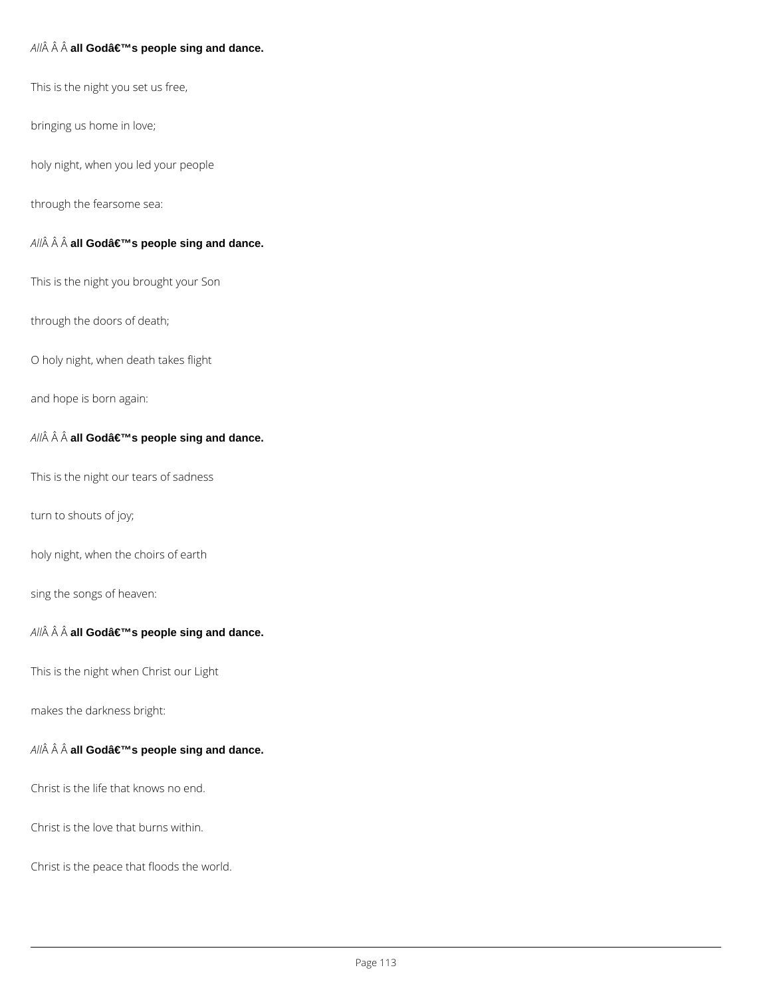#### $AII\hat{A}$   $\hat{A}$   $\hat{A}$  all God's people sing and dance.

This is the night you set us free,

bringing us home in love;

holy night, when you led your people

through the fearsome sea:

#### $AII\hat{A}$   $\hat{A}$   $\hat{A}$  all God's people sing and dance.

This is the night you brought your Son

through the doors of death;

O holy night, when death takes flight

and hope is born again:

 $AII\hat{A}$   $\hat{A}$   $\hat{A}$  all God's people sing and dance.

This is the night our tears of sadness

turn to shouts of joy;

holy night, when the choirs of earth

sing the songs of heaven:

#### $AII\hat{A}$   $\hat{A}$   $\hat{A}$  all God's people sing and dance.

This is the night when Christ our Light

makes the darkness bright:

 $AII\hat{A}$   $\hat{A}$   $\hat{A}$  all God's people sing and dance.

Christ is the life that knows no end.

Christ is the love that burns within.

Christ is the peace that floods the world.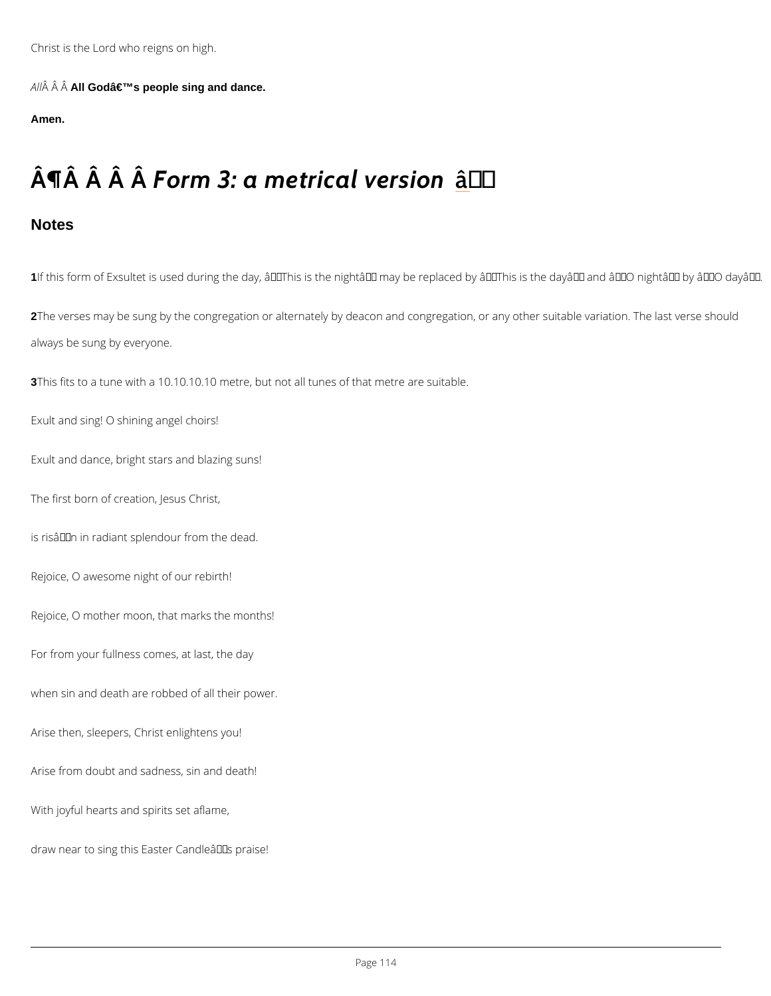A  $\hat{A}$   $\hat{A}$  A $\hat{A}$ God $\hat{a} \in \mathbb{R}^N$ s people sing and dance.

Amen.

### $\hat{A}$  |  $\hat{A}$   $\hat{A}$   $\hat{B}$   $\hat{A}$   $\hat{B}$   $\hat{B}$   $\hat{C}$   $\hat{B}$   $\hat{C}$   $\hat{C}$   $\hat{C}$   $\hat{C}$   $\hat{C}$   $\hat{C}$   $\hat{C}$   $\hat{C}$   $\hat{C}$   $\hat{C}$   $\hat{C}$   $\hat{C}$   $\hat{C}$   $\hat{C}$   $\hat{C}$   $\hat{C}$   $\hat{C}$   $\hat{C}$   $\hat{$

**Notes** 

1If this form of Exsultet is used during the day,  $\hat{\mathbf{a}} \in \tilde{\mathsf{T}}$ his is the night $\hat{\mathbf{a}} \in \tilde{\mathsf{T}}^{\mathsf{M}}$  may be replaced by 2The verses may be sung by the congregation or alternately by deacon and congregation, or a always be sung by everyone.

3This fits to a tune with a 10.10.10.10 metre, but not all tunes of that metre are suitable.

Exult and sing! O shining angel choirs!

Exult and dance, bright stars and blazing suns!

The first born of creation, Jesus Christ,

is risâ $\epsilon$ <sup>TM</sup>n in radiant splendour from the dead.

Rejoice, O awesome night of our rebirth!

Rejoice, O mother moon, that marks the months!

For from your fullness comes, at last, the day

when sin and death are robbed of all their power.

Arise then, sleepers, Christ enlightens you!

Arise from doubt and sadness, sin and death!

With joyful hearts and spirits set aflame,

draw near to sing this Easter Candle's praise!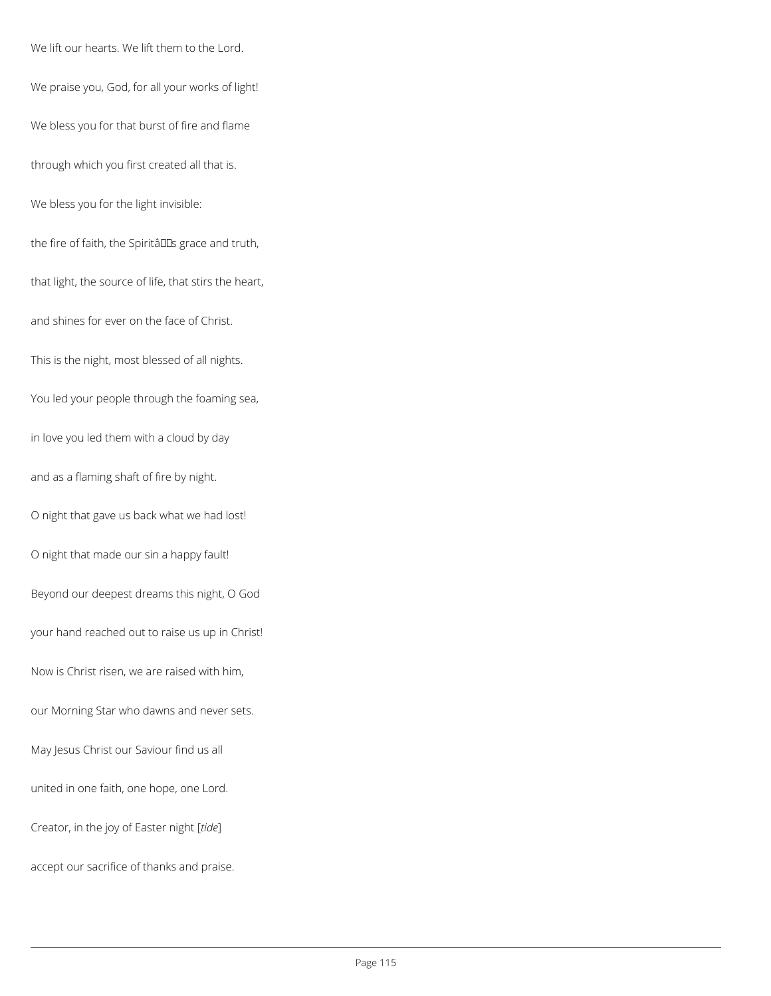We lift our hearts. We lift them to the Lord.

We praise you, God, for all your works of light!

We bless you for that burst of fire and flame

through which you first created all that is.

We bless you for the light invisible:

the fire of faith, the Spiritâlls grace and truth,

that light, the source of life, that stirs the heart,

and shines for ever on the face of Christ.

This is the night, most blessed of all nights.

You led your people through the foaming sea,

in love you led them with a cloud by day

and as a flaming shaft of fire by night.

O night that gave us back what we had lost!

O night that made our sin a happy fault!

Beyond our deepest dreams this night, O God

your hand reached out to raise us up in Christ!

Now is Christ risen, we are raised with him,

our Morning Star who dawns and never sets.

united in one faith, one hope, one Lord.

Creator, in the joy of Easter night [*tide*]

accept our sacrifice of thanks and praise.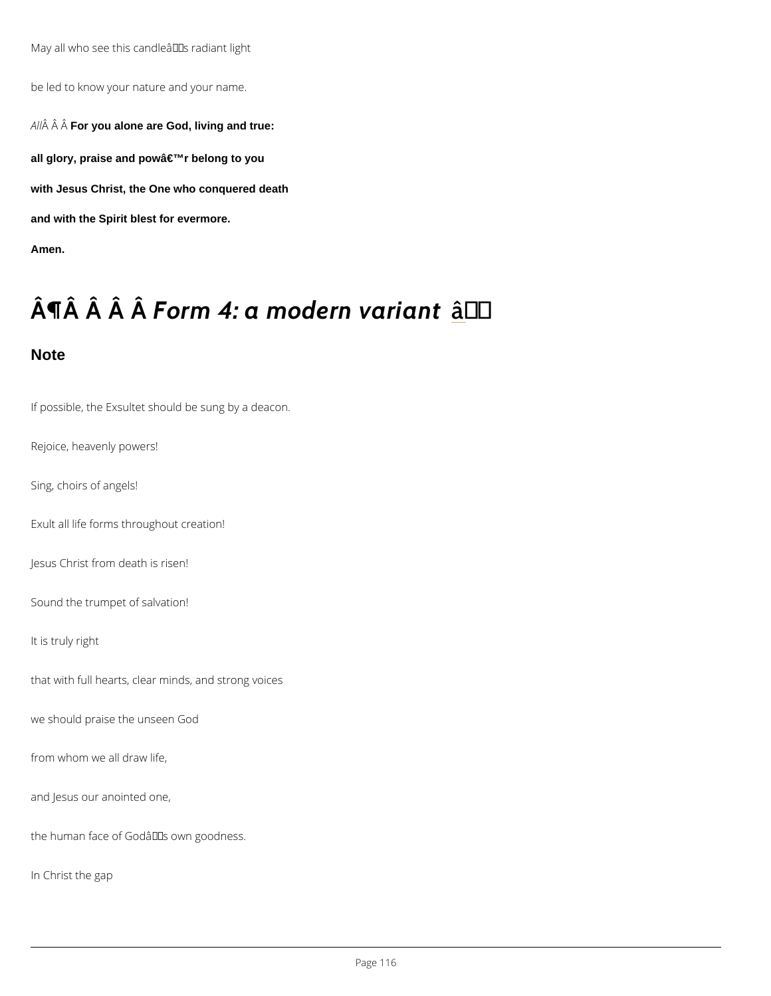May all who see this candle  $\hat{a} \in \mathbb{M}$  s radiant light

be led to know your nature and your name.

A  $\hat{A}$   $\hat{A}$  F $\hat{\theta}$ r you alone are God, living and true:

all glory, praise and pow'r belong to you

with Jesus Christ, the One who conquered death

and with the Spirit blest for evermore.

Amen.

## $\hat{A} \parallel \hat{A}$   $\hat{A}$   $\hat{A}$   $\hat{B}$   $\hat{A}$   $\hat{B}$   $\hat{B}$   $\hat{C}$   $\hat{A}$   $\hat{C}$   $\hat{C}$   $\hat{C}$   $\hat{C}$   $\hat{C}$   $\hat{C}$   $\hat{C}$   $\hat{C}$   $\hat{C}$   $\hat{C}$   $\hat{C}$   $\hat{C}$   $\hat{C}$   $\hat{C}$   $\hat{C}$   $\hat{C}$   $\hat{C}$   $\hat{C}$

**Note** 

If possible, the Exsultet should be sung by a deacon.

Rejoice, heavenly powers!

Sing, choirs of angels!

Exult all life forms throughout creation!

Jesus Christ from death is risen!

Sound the trumpet of salvation!

It is truly right

that with full hearts, clear minds, and strong voices

we should praise the unseen God

from whom we all draw life,

and Jesus our anointed one,

the human face of Godâ $\epsilon$ <sup>TM</sup>s own goodness.

In Christ the gap

Page 16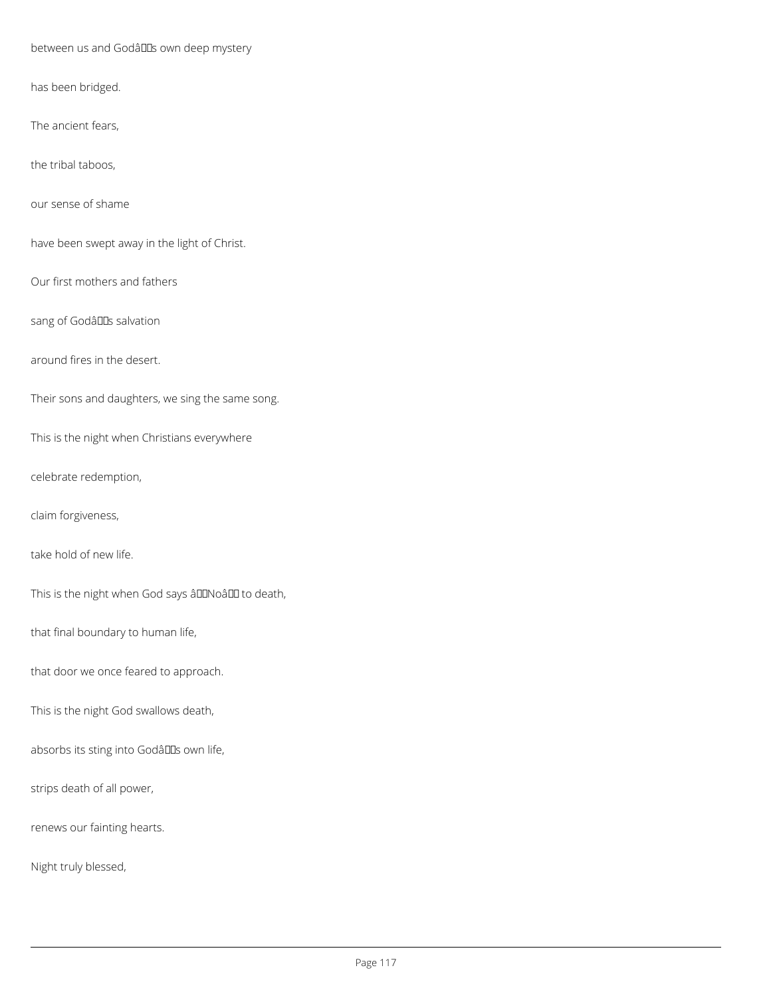between us and Godâllas own deep mystery

has been bridged.

The ancient fears,

the tribal taboos,

our sense of shame

have been swept away in the light of Christ.

Our first mothers and fathers

sang of Godâllas salvation

around fires in the desert.

Their sons and daughters, we sing the same song.

This is the night when Christians everywhere

celebrate redemption,

claim forgiveness,

take hold of new life.

This is the night when God says âDDNoâDD to death,

that final boundary to human life,

that door we once feared to approach.

This is the night God swallows death,

absorbs its sting into Godâlls own life,

strips death of all power,

renews our fainting hearts.

Night truly blessed,

Page 117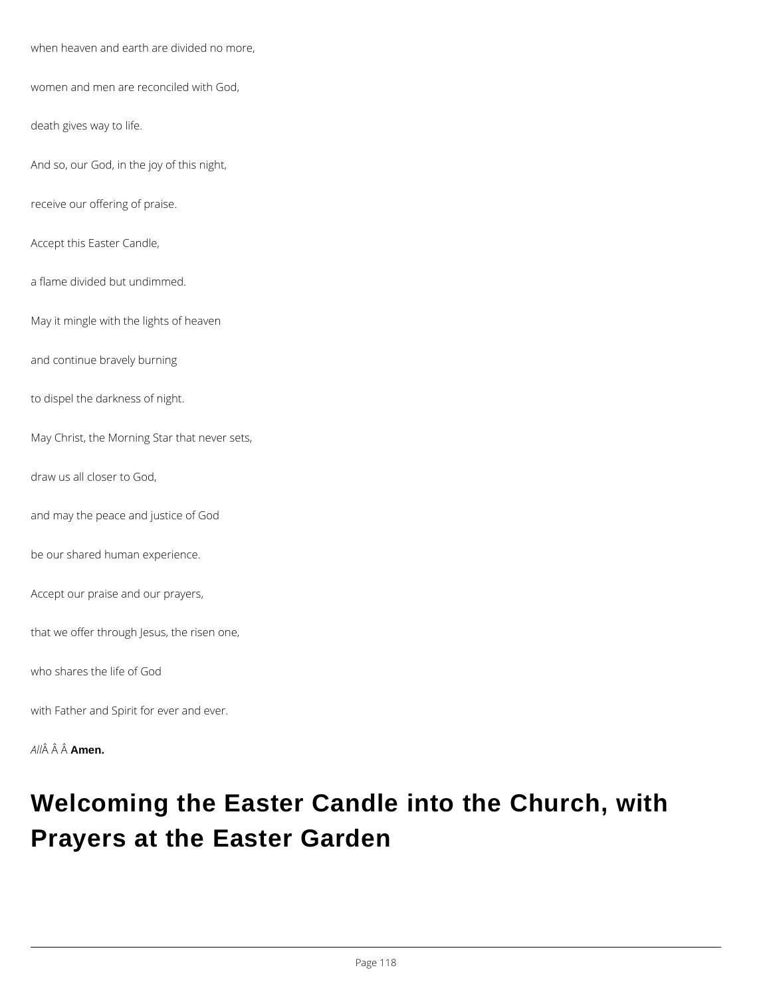when heaven and earth are divided no more,

women and men are reconciled with God,

death gives way to life.

And so, our God, in the joy of this night,

receive our offering of praise.

Accept this Easter Candle,

a flame divided but undimmed.

May it mingle with the lights of heaven

and continue bravely burning

to dispel the darkness of night.

May Christ, the Morning Star that never sets,

draw us all closer to God,

and may the peace and justice of God

be our shared human experience.

Accept our praise and our prayers,

that we offer through Jesus, the risen one,

who shares the life of God

with Father and Spirit for ever and ever.



### **Welcoming the Easter Candle into the Church, with Prayers at the Easter Garden**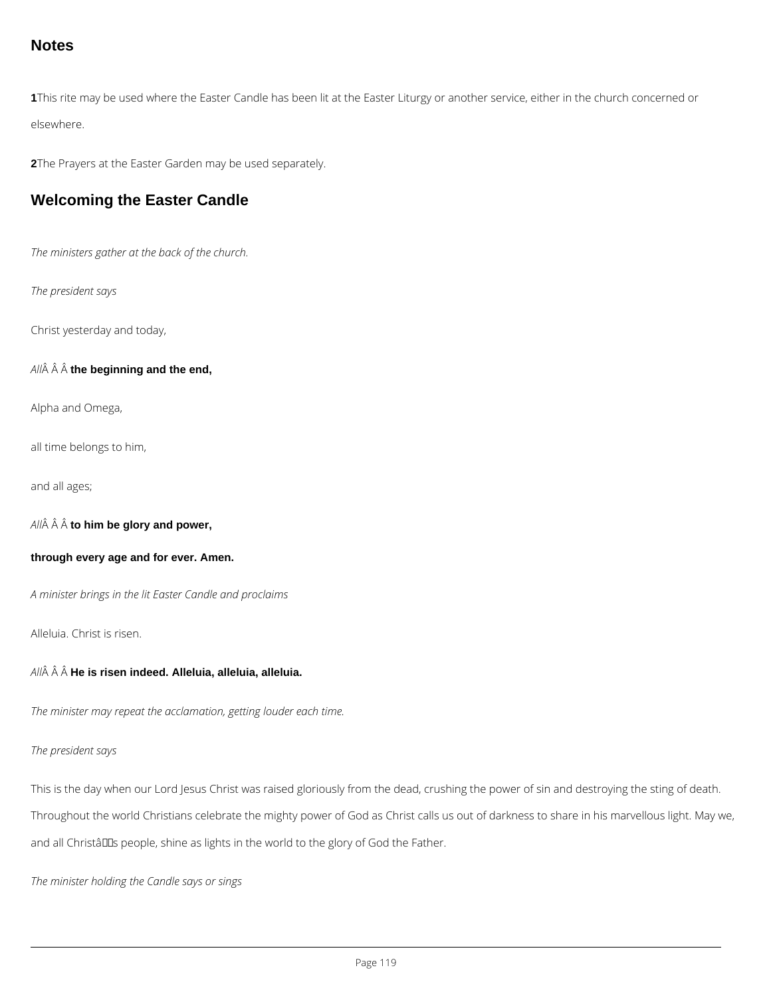#### **Notes**

**1**This rite may be used where the Easter Candle has been lit at the Easter Liturgy or another service, either in the church concerned or elsewhere.

**2**The Prayers at the Easter Garden may be used separately.

#### **Welcoming the Easter Candle**

*The ministers gather at the back of the church.*

*The president says*

Christ yesterday and today,

All $\hat{A}$   $\hat{A}$   $\hat{A}$  the beginning and the end,

Alpha and Omega,

all time belongs to him,

and all ages;

*All* **to him be glory and power,**

**through every age and for ever. Amen.**

*A minister brings in the lit Easter Candle and proclaims*

Alleluia. Christ is risen.

*All* **He is risen indeed. Alleluia, alleluia, alleluia.**

*The minister may repeat the acclamation, getting louder each time.*

This is the day when our Lord Jesus Christ was raised gloriously from the dead, crushing the power of sin and destroying the sting of death.

Throughout the world Christians celebrate the mighty power of God as Christ calls us out of darkness to share in his marvellous light. May we,

and all Christâlls people, shine as lights in the world to the glory of God the Father.

*The minister holding the Candle says or sings*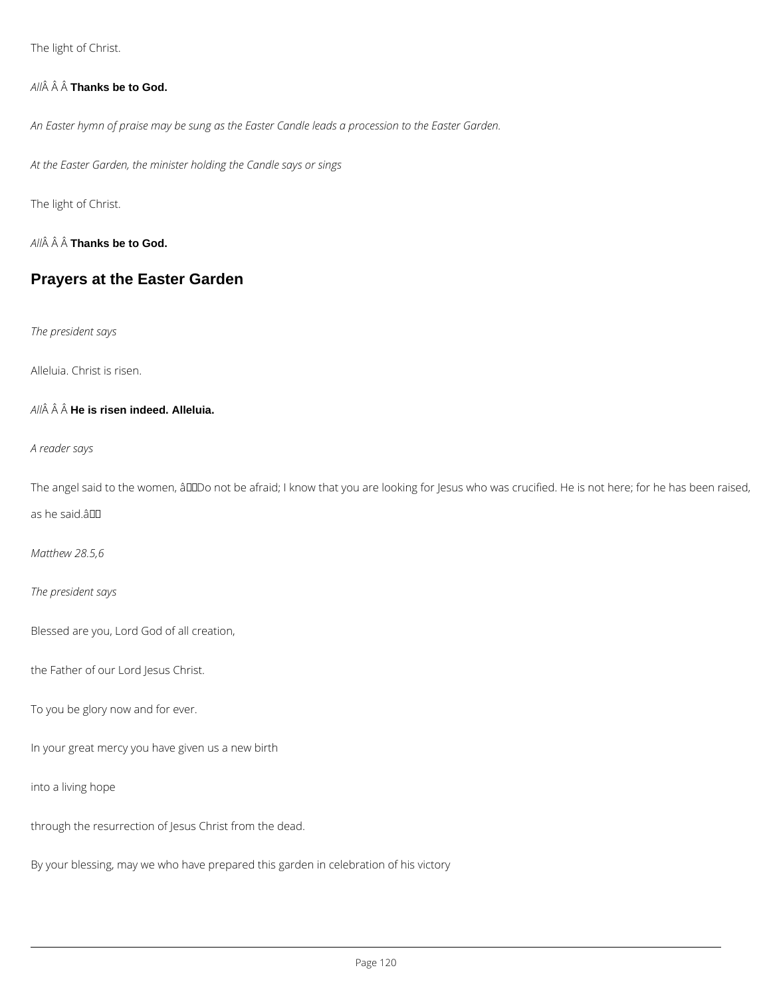The light of Christ.

#### *All* **Thanks be to God.**

*An Easter hymn of praise may be sung as the Easter Candle leads a procession to the Easter Garden.*

*At the Easter Garden, the minister holding the Candle says or sings*

The light of Christ.

*All* **Thanks be to God.**

#### **Prayers at the Easter Garden**

*The president says*

Alleluia. Christ is risen.

*All* **He is risen indeed. Alleluia.**

*A reader says*

The angel said to the women, âDDDo not be afraid; I know that you are looking for Jesus who was crucified. He is not here; for he has been raised,

as he said.â

*Matthew 28.5,6*

*The president says*

Blessed are you, Lord God of all creation,

the Father of our Lord Jesus Christ.

To you be glory now and for ever.

In your great mercy you have given us a new birth

into a living hope

through the resurrection of Jesus Christ from the dead.

By your blessing, may we who have prepared this garden in celebration of his victory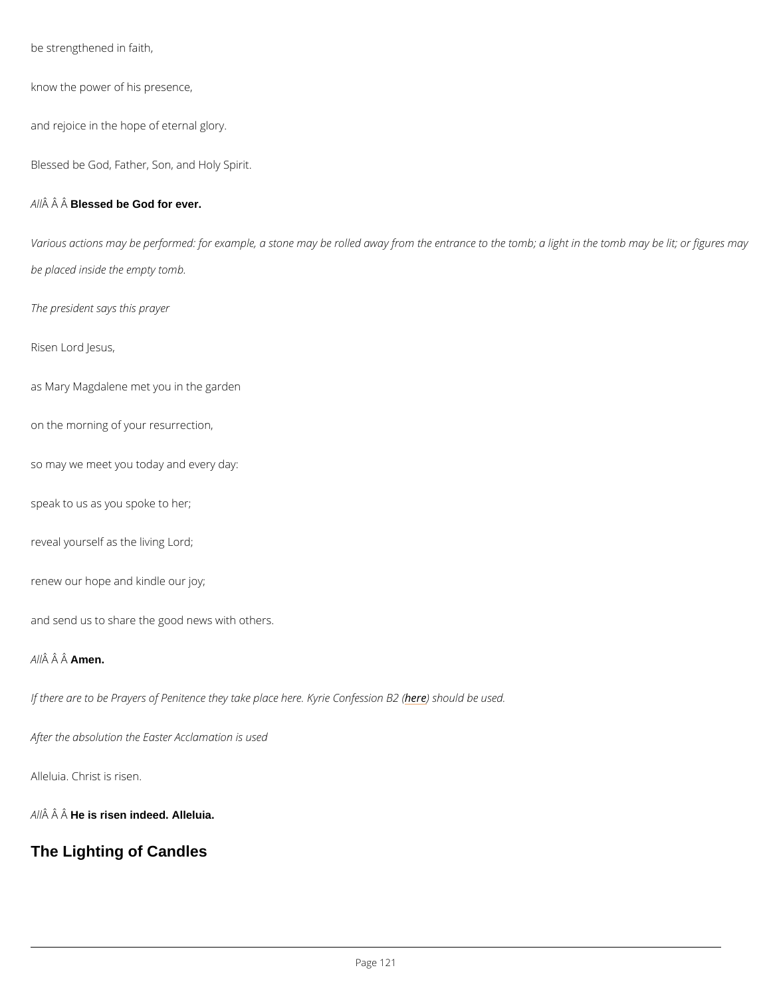be strengthened in faith,

know the power of his presence,

and rejoice in the hope of eternal glory.

Blessed be God, Father, Son, and Holy Spirit.

A  $\hat{A}$   $\hat{A}$  Blêssed be God for ever.

Various actions may be performed: for example, a stone may be rolled away from the entranc be placed inside the empty tomb.

The president says this prayer

Risen Lord Jesus,

as Mary Magdalene met you in the garden

on the morning of your resurrection,

so may we meet you today and every day:

speak to us as you spoke to her;

reveal yourself as the living Lord;

renew our hope and kindle our joy;

and send us to share the good news with others.

A  $\hat{A}$   $\hat{A}$   $\hat{A}$  $\hat{A}$  $\hat{B}$ en.

If there are to be Prayers of Penitence they takhee pleabouhle riee Kayseide. Confession B2 (

After the absolution the Easter Acclamation is used

Alleluia. Christ is risen.

A  $\hat{A}$   $\hat{A}$  H $\hat{A}$  is risen indeed. Alleluia.

The Lighting of Candles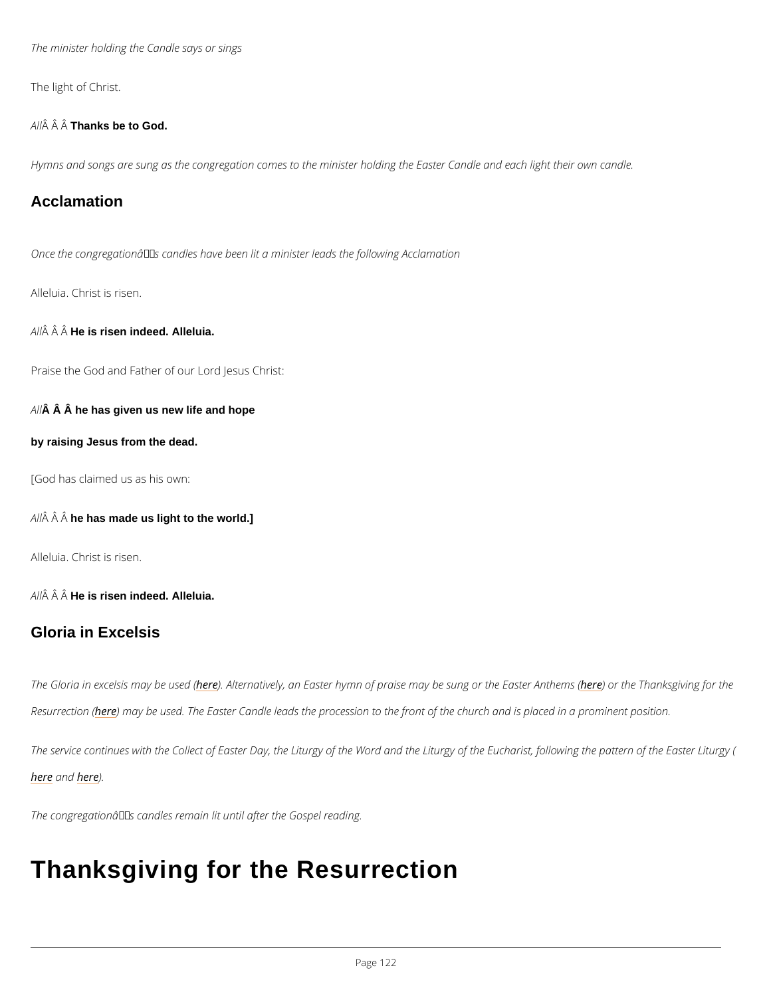The minister holding the Candle says or sings

The light of Christ.

A  $\hat{A}$   $\hat{A}$  T $\hat{A}$ anks be to God.

Hymns and songs are sung as the congregation comes to the minister holding the Easter Can

#### Acclamation

Once the congregation $\hat{a} \in T^M$ s candles have been lit a minister leads the following Acclamation

Alleluia. Christ is risen.

 $A \hat{M}$   $\hat{A} H \hat{B}$  is risen indeed. Alleluia.

Praise the God and Father of our Lord Jesus Christ:

 $A\hat{A}$   $\hat{A}$  he has given us new life and hope

by raising Jesus from the dead.

[God has claimed us as his own:

 $A \hat{A}$   $\hat{A}$  h $\hat{A}$  has made us light to the world.]

Alleluia. Christ is risen.

A  $\hat{A}$   $\hat{A}$  H $\hat{A}$  is risen indeed. Alleluia.

#### Gloria in Excelsis

The Gloria in excelsi<u>be</u>m)eayAbteerunsaet dv (ely, an Easter hymn of praise mayhlobe)e ountone or Thanek Esagistwienng Resurrechte o) em (ay be used. The Easter Candle leads the procession to the front of the church

The service continues with the Collect of Easter Day, the Liturgy of the Word and the Liturgy herean ble r)e

The congregation $\hat{a} \in \mathbb{T}^M$ s candles remain lit until after the Gospel reading.

### Thanksgiving for the Resurrection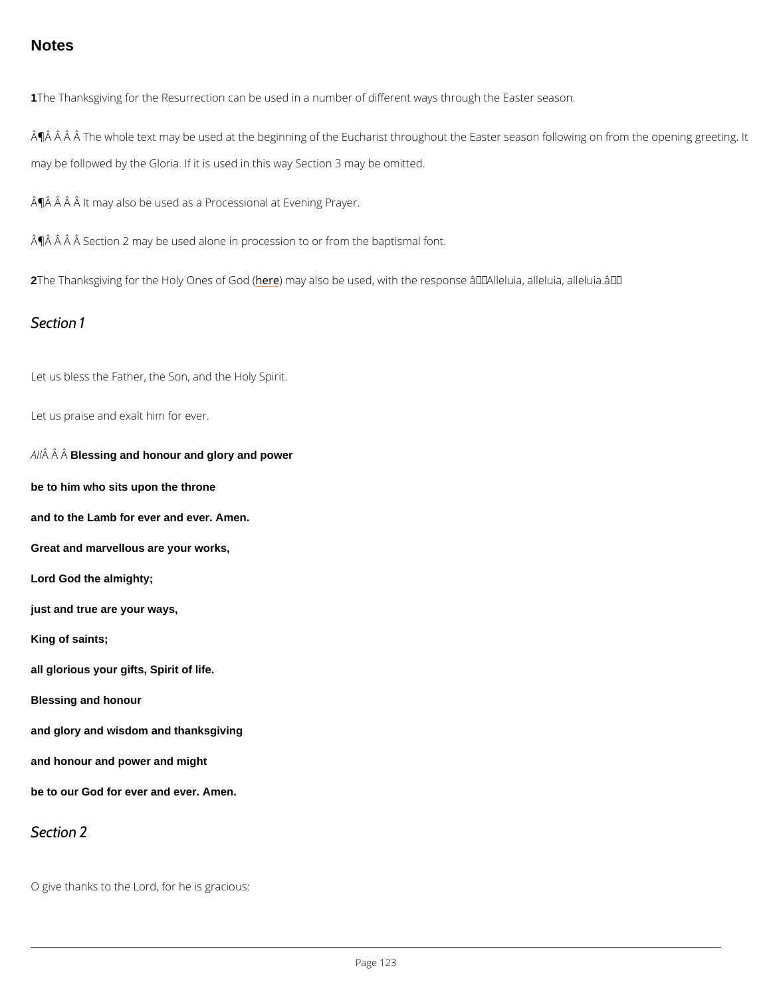#### **Notes**

1The Thanksgiving for the Resurrection can be used in a number of different ways through th

 $\hat{A}$   $\hat{\mathsf{P}}$   $\hat{A}$   $\hat{A}$   $\hat{A}$   $\hat{A}$   $\hat{B}$  and the vector  $\hat{A}$  on  $\hat{B}$  and  $\hat{B}$  or  $\hat{B}$  of the Eucharist throughout the Easte may be followed by the Gloria. If it is used in this way Section 3 may be omitted.

 $\hat{A}$   $\hat{P}$   $\hat{A}$   $\hat{A}$   $\hat{A}$  it may also be used as a Processional at Evening Prayer.

 $\hat{A}$   $\hat{P}$   $\hat{A}$   $\hat{A}$   $\hat{A}$   $\hat{B}$  section 2 may be used alone in procession to or from the baptismal font.

2The Thanksgiving for the Hoherp measy oafls Goolde (used, with the response â€~Alleluia, alleluia, a

Section 1

Let us bless the Father, the Son, and the Holy Spirit.

Let us praise and exalt him for ever.

 $A \hat{P}$   $\hat{A}$  Blessing and honour and glory and power

be to him who sits upon the throne

and to the Lamb for ever and ever. Amen.

Great and marvellous are your works,

Lord God the almighty;

just and true are your ways,

King of saints;

all glorious your gifts, Spirit of life.

Blessing and honour

and glory and wisdom and thanksgiving

and honour and power and might

be to our God for ever and ever. Amen.

Section 2

O give thanks to the Lord, for he is gracious:

 $P$ ag  $23$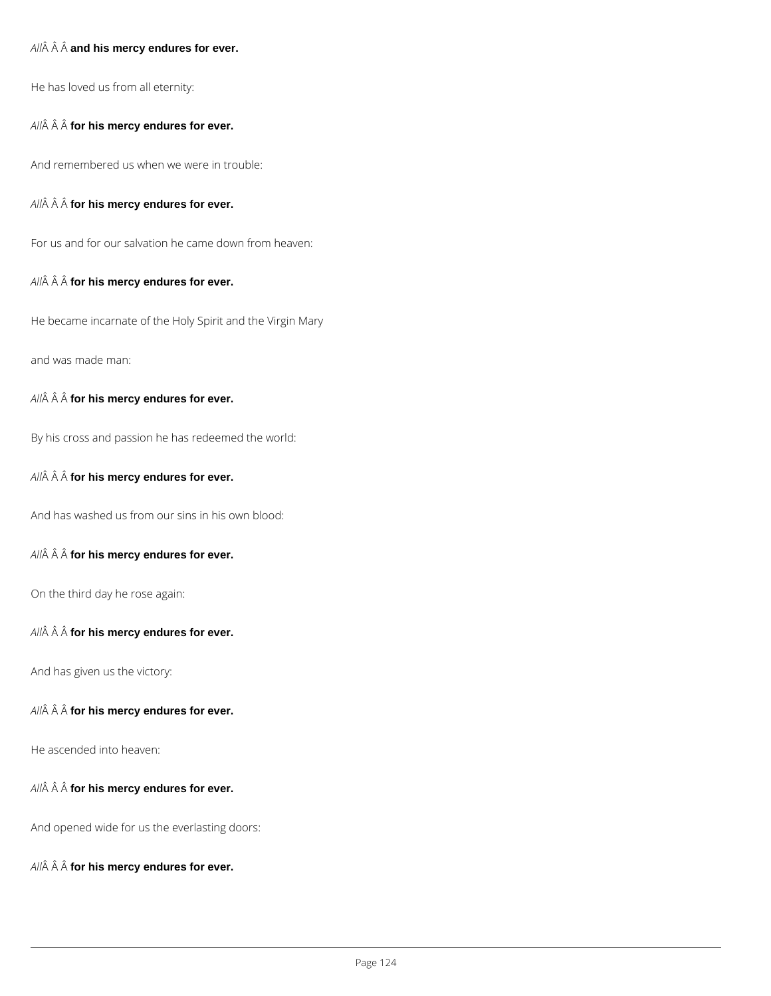#### All $\hat{A}$   $\hat{A}$   $\hat{A}$  and his mercy endures for ever.

He has loved us from all eternity:

All $\hat{A}$   $\hat{A}$   $\hat{A}$  for his mercy endures for ever.

And remembered us when we were in trouble:

All $\hat{A}$   $\hat{A}$   $\hat{A}$  for his mercy endures for ever.

For us and for our salvation he came down from heaven:

#### All $\hat{A}$   $\hat{A}$   $\hat{A}$  for his mercy endures for ever.

He became incarnate of the Holy Spirit and the Virgin Mary

and was made man:

All $\hat{A}$   $\hat{A}$   $\hat{A}$  for his mercy endures for ever.

By his cross and passion he has redeemed the world:

All $\hat{A}$   $\hat{A}$   $\hat{A}$  for his mercy endures for ever.

And has washed us from our sins in his own blood:

All $\hat{A}$   $\hat{A}$   $\hat{A}$  for his mercy endures for ever.

On the third day he rose again:

All $\hat{A}$   $\hat{A}$   $\hat{A}$  for his mercy endures for ever.

And has given us the victory:

All $\hat{A}$   $\hat{A}$   $\hat{A}$  for his mercy endures for ever.

All $\hat{A}$   $\hat{A}$   $\hat{A}$  for his mercy endures for ever.

And opened wide for us the everlasting doors:

 $AII\hat{A}$   $\hat{A}$   $\hat{A}$  for his mercy endures for ever.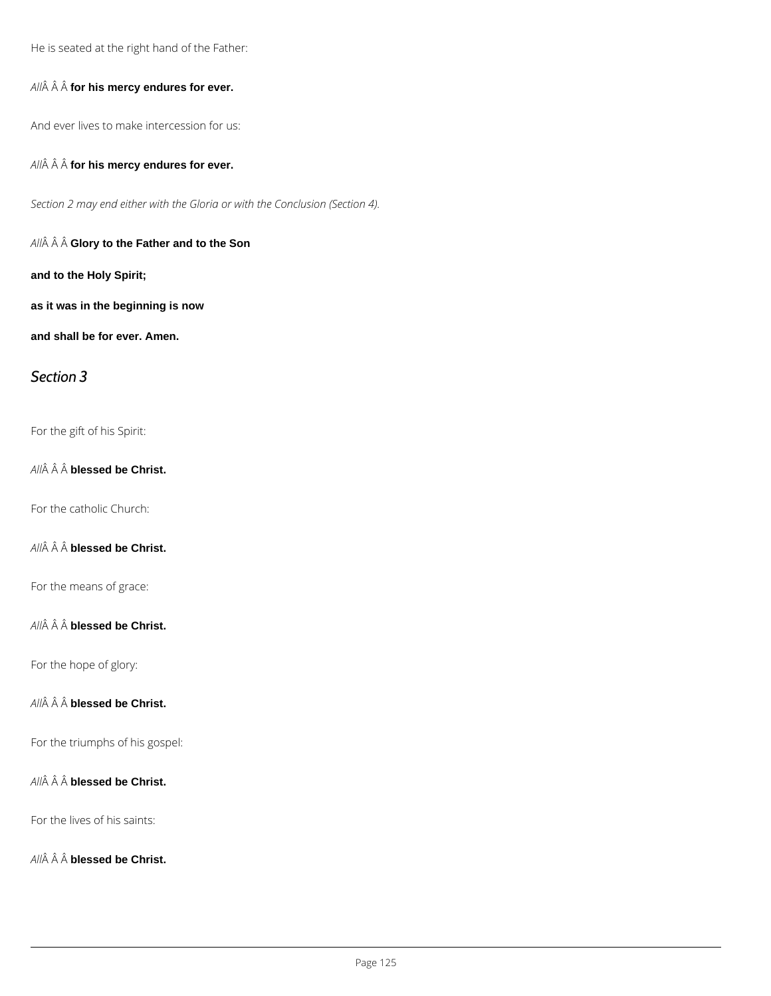He is seated at the right hand of the Father:

All $\hat{A}$   $\hat{A}$   $\hat{A}$  for his mercy endures for ever.

And ever lives to make intercession for us:

All $\hat{A}$   $\hat{A}$   $\hat{A}$  for his mercy endures for ever.

*Section 2 may end either with the Gloria or with the Conclusion (Section 4).*

*All* **Glory to the Father and to the Son**

**and to the Holy Spirit;**

**as it was in the beginning is now**

**and shall be for ever. Amen.**

#### *Section 3*

For the gift of his Spirit:

*All* **blessed be Christ.**

For the catholic Church:

*All* **blessed be Christ.**

For the means of grace:

*All* **blessed be Christ.**

For the hope of glory:

*All* **blessed be Christ.**

*All* **blessed be Christ.**

For the lives of his saints:

All $\hat{A}$   $\hat{A}$   $\hat{A}$  blessed be Christ.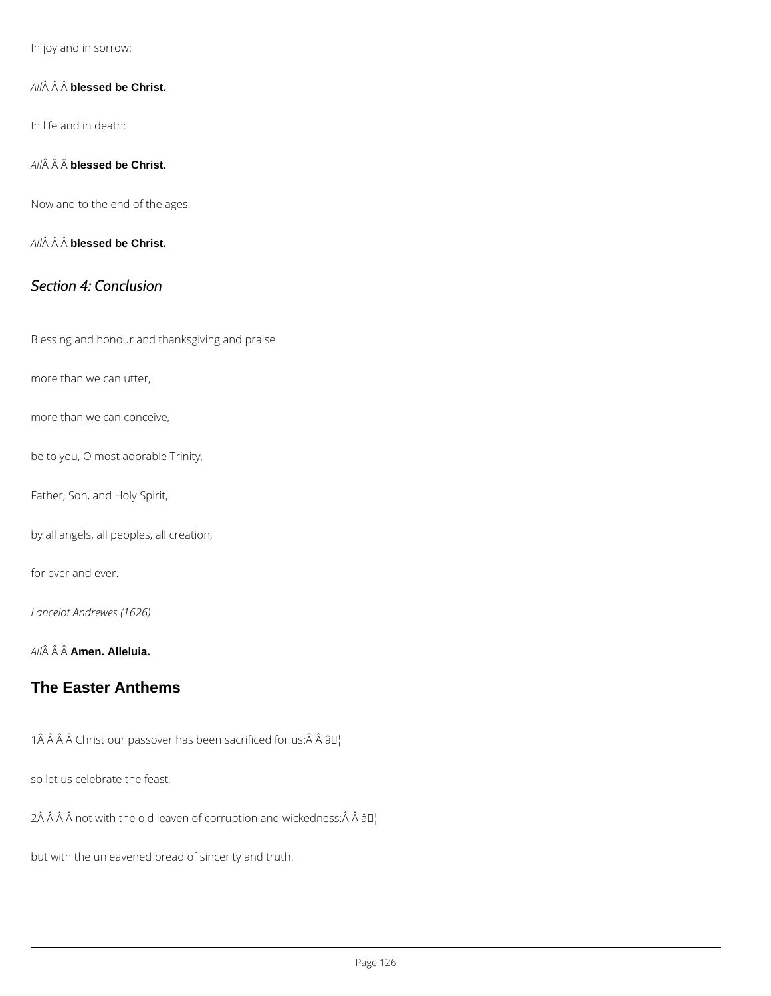In joy and in sorrow:

A  $\hat{A}$   $\hat{A}$  bl $\hat{A}$ ssed be Christ.

In life and in death:

A  $\hat{A}$   $\hat{A}$  bl $\hat{A}$ ssed be Christ.

Now and to the end of the ages:

A  $\hat{A}$   $\hat{A}$  bl $\hat{A}$ ssed be Christ.

#### Section 4: Conclusion

Blessing and honour and thanksgiving and praise

more than we can utter,

more than we can conceive,

be to you, O most adorable Trinity,

Father, Son, and Holy Spirit,

by all angels, all peoples, all creation,

for ever and ever.

Lancelot Andrewes (1626)

A  $\hat{A}$   $\hat{A}$   $\hat{A}$  $\hat{B}$  $\hat{B}$  $\hat{B}$  $\hat{B}$ . Alleluia.

[The Easter Anthems](#page-1-0)

 $1$   $\hat{A}$   $\hat{A}$   $\hat{A}$   $\hat{C}$  hrist our passover has been  $M$  acrificed for us:  $\hat{A}$   $\hat{A}$ 

so let us celebrate the feast,

 $2 \hat{A}$   $\hat{A}$   $\hat{A}$   $\hat{A}$  not with the old leaven of corrup at Tbln and wickedness:  $\hat{A}$   $\hat{A}$ 

but with the unleavened bread of sincerity and truth.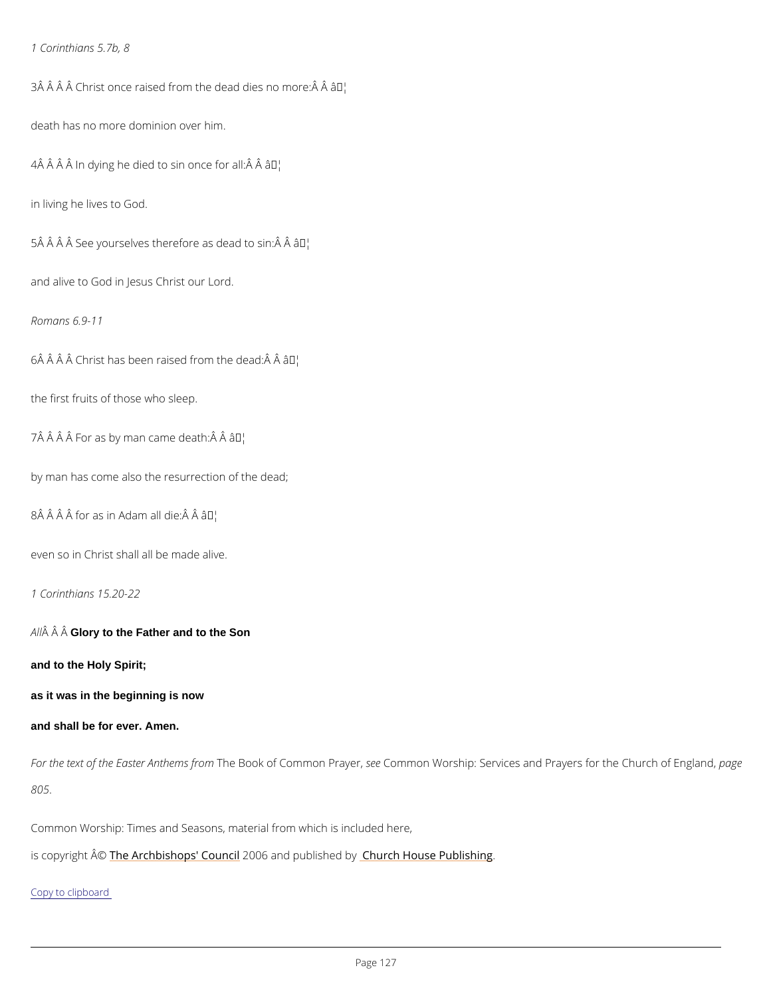1 Corinthians 5.7b, 8

 $3$  $\hat{A}$   $\hat{A}$   $\hat{A}$   $\hat{C}$  hrist once raised from the  $\hat{a}$   $\hat{e}$  $a$ add dies no more: $\hat{A}$   $\hat{A}$ 

death has no more dominion over him.

 $4 \hat{A}$   $\hat{A}$   $\hat{A}$   $\hat{A}$  in dying he died to sâi M lonce for all:  $\hat{A}$   $\hat{A}$ 

in living he lives to God.

 $5 \,\hat{A}$   $\hat{A}$   $\hat{A}$   $\hat{B}$  see yourselves therefor $\hat{a}$   $\hat{B}$   $\hat{B}$  and to sin:  $\hat{A}$   $\hat{A}$ 

and alive to God in Jesus Christ our Lord.

Romans 6.9-11

6 Christ has been raised from the dead: ♦

the first fruits of those who sleep.

 $7 \,\hat{A}$   $\hat{A}$   $\hat{A}$   $\hat{B}$   $\hat{C}$   $\hat{C}$   $\hat{D}$   $\hat{C}$   $\hat{D}$   $\hat{C}$   $\hat{C}$   $\hat{C}$   $\hat{C}$   $\hat{D}$   $\hat{C}$   $\hat{D}$   $\hat{C}$   $\hat{D}$   $\hat{C}$   $\hat{D}$   $\hat{C}$   $\hat{D}$   $\hat{C}$   $\hat{D}$   $\hat{C}$   $\hat{D}$   $\hat{C}$   $\hat$ 

For the text of the EasteTrh An Bloek on of Comm mon en Common worship: Services and Prayers fop at the Common 805.

by man has come also the resurrection of the dead;

 $8 \hat{A}$   $\hat{A}$   $\hat{A}$  for as in Ad $\hat{a}$   $\hat{m}$  all die:  $\hat{A}$   $\hat{A}$ 

even so in Christ shall all be made alive.

1 Corinthians 15.20-22

 $A \hat{A}$   $\hat{A}$  G $\hat{A}$ ory to the Father and to the Son

and to the Holy Spirit;

as it was in the beginning is now

and shall be for ever. Amen.

Common Worship: Times and Seasons, material from which is included here,

is copyright  $\hat{\mathbb{A}}$  @Archbishops' 2000 Ginald publish heudrobly House Publishing

Copy to clipboard